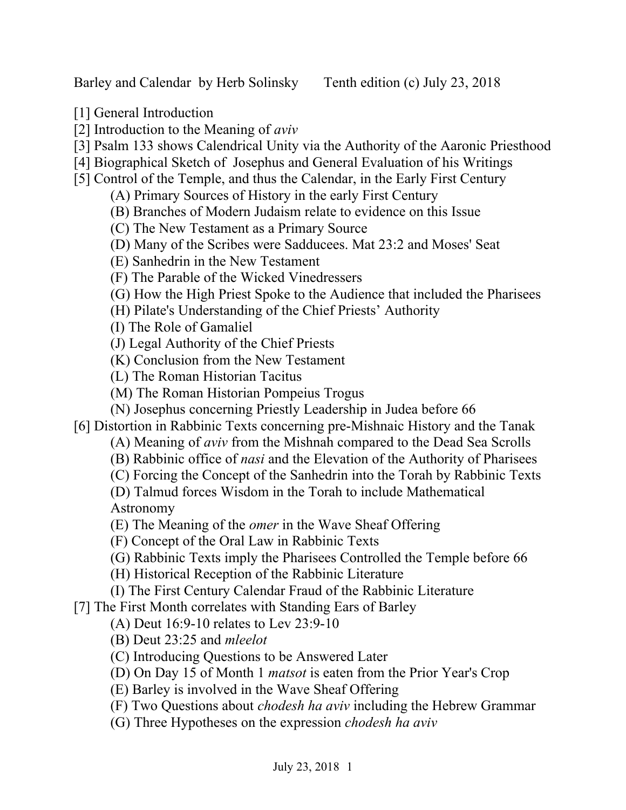Barley and Calendar by Herb Solinsky Tenth edition (c) July 23, 2018

- [1] General Introduction
- [2] Introduction to the Meaning of *aviv*
- [3] Psalm 133 shows Calendrical Unity via the Authority of the Aaronic Priesthood
- [4] Biographical Sketch of Josephus and General Evaluation of his Writings
- [5] Control of the Temple, and thus the Calendar, in the Early First Century
	- (A) Primary Sources of History in the early First Century
	- (B) Branches of Modern Judaism relate to evidence on this Issue
	- (C) The New Testament as a Primary Source
	- (D) Many of the Scribes were Sadducees. Mat 23:2 and Moses' Seat
	- (E) Sanhedrin in the New Testament
	- (F) The Parable of the Wicked Vinedressers
	- (G) How the High Priest Spoke to the Audience that included the Pharisees
	- (H) Pilate's Understanding of the Chief Priests' Authority
	- (I) The Role of Gamaliel
	- (J) Legal Authority of the Chief Priests
	- (K) Conclusion from the New Testament
	- (L) The Roman Historian Tacitus
	- (M) The Roman Historian Pompeius Trogus
	- (N) Josephus concerning Priestly Leadership in Judea before 66
- [6] Distortion in Rabbinic Texts concerning pre-Mishnaic History and the Tanak
	- (A) Meaning of *aviv* from the Mishnah compared to the Dead Sea Scrolls
	- (B) Rabbinic office of *nasi* and the Elevation of the Authority of Pharisees
	- (C) Forcing the Concept of the Sanhedrin into the Torah by Rabbinic Texts
	- (D) Talmud forces Wisdom in the Torah to include Mathematical Astronomy
	- (E) The Meaning of the *omer* in the Wave Sheaf Offering
	- (F) Concept of the Oral Law in Rabbinic Texts
	- (G) Rabbinic Texts imply the Pharisees Controlled the Temple before 66
	- (H) Historical Reception of the Rabbinic Literature
	- (I) The First Century Calendar Fraud of the Rabbinic Literature

[7] The First Month correlates with Standing Ears of Barley

- (A) Deut 16:9-10 relates to Lev 23:9-10
- (B) Deut 23:25 and *mleelot*
- (C) Introducing Questions to be Answered Later
- (D) On Day 15 of Month 1 *matsot* is eaten from the Prior Year's Crop
- (E) Barley is involved in the Wave Sheaf Offering
- (F) Two Questions about *chodesh ha aviv* including the Hebrew Grammar
- (G) Three Hypotheses on the expression *chodesh ha aviv*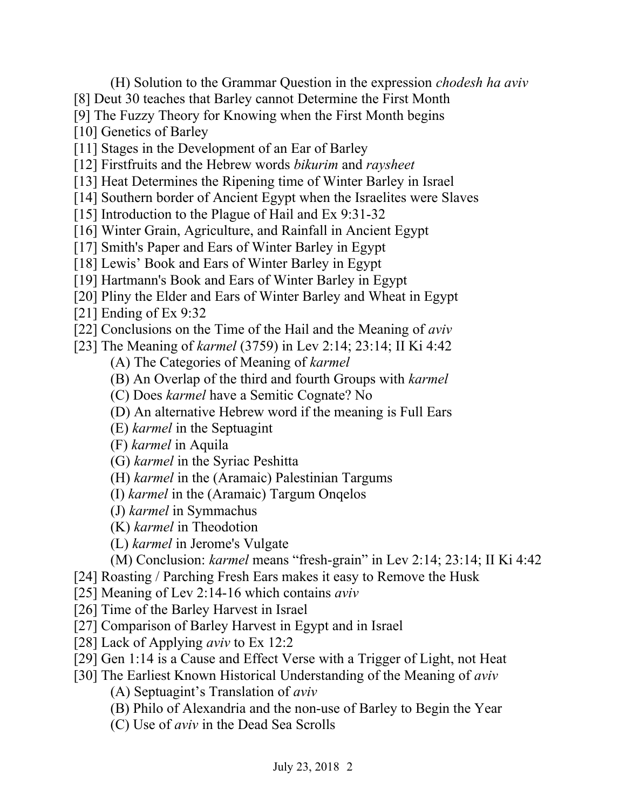- (H) Solution to the Grammar Question in the expression *chodesh ha aviv*
- [8] Deut 30 teaches that Barley cannot Determine the First Month
- [9] The Fuzzy Theory for Knowing when the First Month begins
- [10] Genetics of Barley
- [11] Stages in the Development of an Ear of Barley
- [12] Firstfruits and the Hebrew words *bikurim* and *raysheet*
- [13] Heat Determines the Ripening time of Winter Barley in Israel
- [14] Southern border of Ancient Egypt when the Israelites were Slaves
- [15] Introduction to the Plague of Hail and Ex 9:31-32
- [16] Winter Grain, Agriculture, and Rainfall in Ancient Egypt
- [17] Smith's Paper and Ears of Winter Barley in Egypt
- [18] Lewis' Book and Ears of Winter Barley in Egypt
- [19] Hartmann's Book and Ears of Winter Barley in Egypt
- [20] Pliny the Elder and Ears of Winter Barley and Wheat in Egypt
- [21] Ending of Ex 9:32
- [22] Conclusions on the Time of the Hail and the Meaning of *aviv*
- [23] The Meaning of *karmel* (3759) in Lev 2:14; 23:14; II Ki 4:42
	- (A) The Categories of Meaning of *karmel*
	- (B) An Overlap of the third and fourth Groups with *karmel*
	- (C) Does *karmel* have a Semitic Cognate? No
	- (D) An alternative Hebrew word if the meaning is Full Ears
	- (E) *karmel* in the Septuagint
	- (F) *karmel* in Aquila
	- (G) *karmel* in the Syriac Peshitta
	- (H) *karmel* in the (Aramaic) Palestinian Targums
	- (I) *karmel* in the (Aramaic) Targum Onqelos
	- (J) *karmel* in Symmachus
	- (K) *karmel* in Theodotion
	- (L) *karmel* in Jerome's Vulgate
	- (M) Conclusion: *karmel* means "fresh-grain" in Lev 2:14; 23:14; II Ki 4:42
- [24] Roasting / Parching Fresh Ears makes it easy to Remove the Husk
- [25] Meaning of Lev 2:14-16 which contains *aviv*
- [26] Time of the Barley Harvest in Israel
- [27] Comparison of Barley Harvest in Egypt and in Israel
- [28] Lack of Applying *aviv* to Ex 12:2
- [29] Gen 1:14 is a Cause and Effect Verse with a Trigger of Light, not Heat
- [30] The Earliest Known Historical Understanding of the Meaning of *aviv*
	- (A) Septuagint's Translation of *aviv*
	- (B) Philo of Alexandria and the non-use of Barley to Begin the Year
	- (C) Use of *aviv* in the Dead Sea Scrolls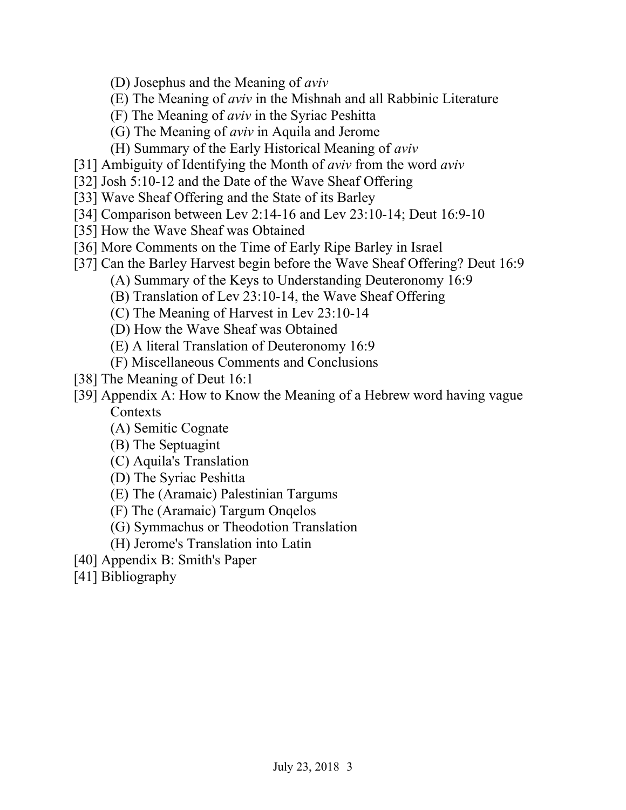- (D) Josephus and the Meaning of *aviv*
- (E) The Meaning of *aviv* in the Mishnah and all Rabbinic Literature
- (F) The Meaning of *aviv* in the Syriac Peshitta
- (G) The Meaning of *aviv* in Aquila and Jerome
- (H) Summary of the Early Historical Meaning of *aviv*
- [31] Ambiguity of Identifying the Month of *aviv* from the word *aviv*
- [32] Josh 5:10-12 and the Date of the Wave Sheaf Offering
- [33] Wave Sheaf Offering and the State of its Barley
- [34] Comparison between Lev 2:14-16 and Lev 23:10-14; Deut 16:9-10
- [35] How the Wave Sheaf was Obtained
- [36] More Comments on the Time of Early Ripe Barley in Israel
- [37] Can the Barley Harvest begin before the Wave Sheaf Offering? Deut 16:9
	- (A) Summary of the Keys to Understanding Deuteronomy 16:9
	- (B) Translation of Lev 23:10-14, the Wave Sheaf Offering
	- (C) The Meaning of Harvest in Lev 23:10-14
	- (D) How the Wave Sheaf was Obtained
	- (E) A literal Translation of Deuteronomy 16:9
	- (F) Miscellaneous Comments and Conclusions
- [38] The Meaning of Deut 16:1
- [39] Appendix A: How to Know the Meaning of a Hebrew word having vague **Contexts** 
	- (A) Semitic Cognate
	- (B) The Septuagint
	- (C) Aquila's Translation
	- (D) The Syriac Peshitta
	- (E) The (Aramaic) Palestinian Targums
	- (F) The (Aramaic) Targum Onqelos
	- (G) Symmachus or Theodotion Translation
	- (H) Jerome's Translation into Latin
- [40] Appendix B: Smith's Paper
- [41] Bibliography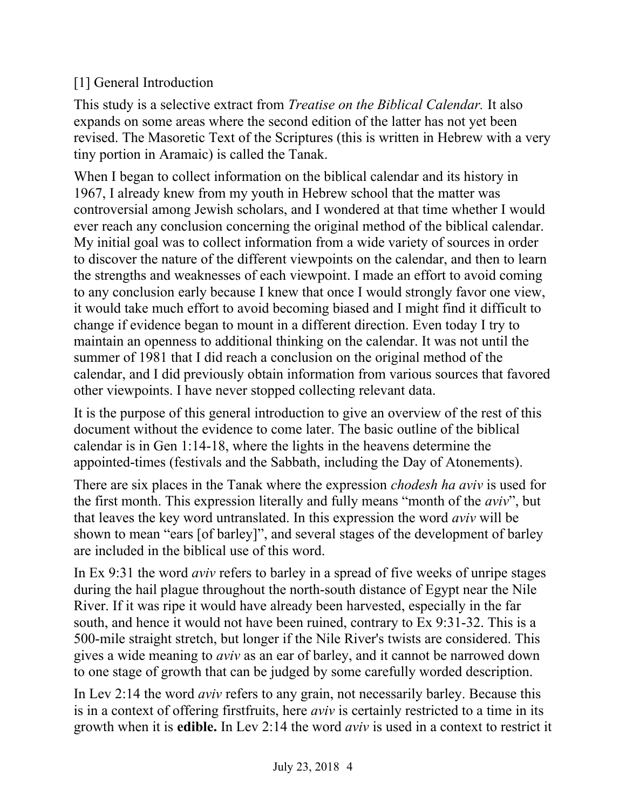# [1] General Introduction

This study is a selective extract from *Treatise on the Biblical Calendar.* It also expands on some areas where the second edition of the latter has not yet been revised. The Masoretic Text of the Scriptures (this is written in Hebrew with a very tiny portion in Aramaic) is called the Tanak.

When I began to collect information on the biblical calendar and its history in 1967, I already knew from my youth in Hebrew school that the matter was controversial among Jewish scholars, and I wondered at that time whether I would ever reach any conclusion concerning the original method of the biblical calendar. My initial goal was to collect information from a wide variety of sources in order to discover the nature of the different viewpoints on the calendar, and then to learn the strengths and weaknesses of each viewpoint. I made an effort to avoid coming to any conclusion early because I knew that once I would strongly favor one view, it would take much effort to avoid becoming biased and I might find it difficult to change if evidence began to mount in a different direction. Even today I try to maintain an openness to additional thinking on the calendar. It was not until the summer of 1981 that I did reach a conclusion on the original method of the calendar, and I did previously obtain information from various sources that favored other viewpoints. I have never stopped collecting relevant data.

It is the purpose of this general introduction to give an overview of the rest of this document without the evidence to come later. The basic outline of the biblical calendar is in Gen 1:14-18, where the lights in the heavens determine the appointed-times (festivals and the Sabbath, including the Day of Atonements).

There are six places in the Tanak where the expression *chodesh ha aviv* is used for the first month. This expression literally and fully means "month of the *aviv*", but that leaves the key word untranslated. In this expression the word *aviv* will be shown to mean "ears [of barley]", and several stages of the development of barley are included in the biblical use of this word.

In Ex 9:31 the word *aviv* refers to barley in a spread of five weeks of unripe stages during the hail plague throughout the north-south distance of Egypt near the Nile River. If it was ripe it would have already been harvested, especially in the far south, and hence it would not have been ruined, contrary to Ex 9:31-32. This is a 500-mile straight stretch, but longer if the Nile River's twists are considered. This gives a wide meaning to *aviv* as an ear of barley, and it cannot be narrowed down to one stage of growth that can be judged by some carefully worded description.

In Lev 2:14 the word *aviv* refers to any grain, not necessarily barley. Because this is in a context of offering firstfruits, here *aviv* is certainly restricted to a time in its growth when it is **edible.** In Lev 2:14 the word *aviv* is used in a context to restrict it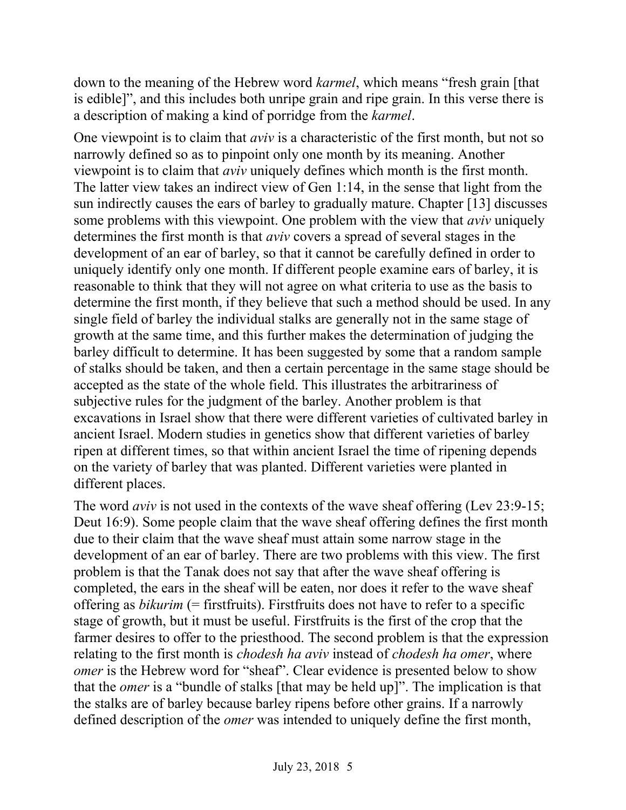down to the meaning of the Hebrew word *karmel*, which means "fresh grain [that is edible]", and this includes both unripe grain and ripe grain. In this verse there is a description of making a kind of porridge from the *karmel*.

One viewpoint is to claim that *aviv* is a characteristic of the first month, but not so narrowly defined so as to pinpoint only one month by its meaning. Another viewpoint is to claim that *aviv* uniquely defines which month is the first month. The latter view takes an indirect view of Gen 1:14, in the sense that light from the sun indirectly causes the ears of barley to gradually mature. Chapter [13] discusses some problems with this viewpoint. One problem with the view that *aviv* uniquely determines the first month is that *aviv* covers a spread of several stages in the development of an ear of barley, so that it cannot be carefully defined in order to uniquely identify only one month. If different people examine ears of barley, it is reasonable to think that they will not agree on what criteria to use as the basis to determine the first month, if they believe that such a method should be used. In any single field of barley the individual stalks are generally not in the same stage of growth at the same time, and this further makes the determination of judging the barley difficult to determine. It has been suggested by some that a random sample of stalks should be taken, and then a certain percentage in the same stage should be accepted as the state of the whole field. This illustrates the arbitrariness of subjective rules for the judgment of the barley. Another problem is that excavations in Israel show that there were different varieties of cultivated barley in ancient Israel. Modern studies in genetics show that different varieties of barley ripen at different times, so that within ancient Israel the time of ripening depends on the variety of barley that was planted. Different varieties were planted in different places.

The word *aviv* is not used in the contexts of the wave sheaf offering (Lev 23:9-15; Deut 16:9). Some people claim that the wave sheaf offering defines the first month due to their claim that the wave sheaf must attain some narrow stage in the development of an ear of barley. There are two problems with this view. The first problem is that the Tanak does not say that after the wave sheaf offering is completed, the ears in the sheaf will be eaten, nor does it refer to the wave sheaf offering as *bikurim* (= firstfruits). Firstfruits does not have to refer to a specific stage of growth, but it must be useful. Firstfruits is the first of the crop that the farmer desires to offer to the priesthood. The second problem is that the expression relating to the first month is *chodesh ha aviv* instead of *chodesh ha omer*, where *omer* is the Hebrew word for "sheaf". Clear evidence is presented below to show that the *omer* is a "bundle of stalks [that may be held up]". The implication is that the stalks are of barley because barley ripens before other grains. If a narrowly defined description of the *omer* was intended to uniquely define the first month,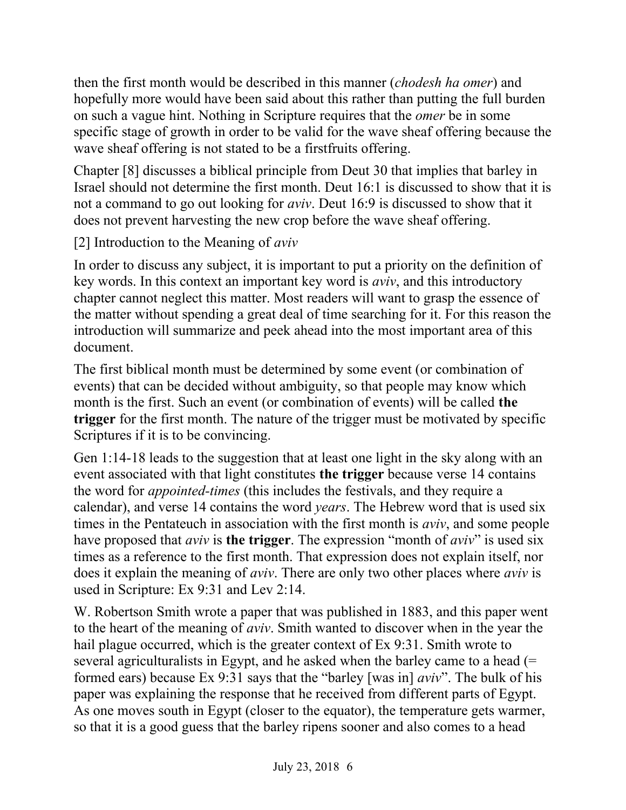then the first month would be described in this manner (*chodesh ha omer*) and hopefully more would have been said about this rather than putting the full burden on such a vague hint. Nothing in Scripture requires that the *omer* be in some specific stage of growth in order to be valid for the wave sheaf offering because the wave sheaf offering is not stated to be a firstfruits offering.

Chapter [8] discusses a biblical principle from Deut 30 that implies that barley in Israel should not determine the first month. Deut 16:1 is discussed to show that it is not a command to go out looking for *aviv*. Deut 16:9 is discussed to show that it does not prevent harvesting the new crop before the wave sheaf offering.

[2] Introduction to the Meaning of *aviv*

In order to discuss any subject, it is important to put a priority on the definition of key words. In this context an important key word is *aviv*, and this introductory chapter cannot neglect this matter. Most readers will want to grasp the essence of the matter without spending a great deal of time searching for it. For this reason the introduction will summarize and peek ahead into the most important area of this document.

The first biblical month must be determined by some event (or combination of events) that can be decided without ambiguity, so that people may know which month is the first. Such an event (or combination of events) will be called **the trigger** for the first month. The nature of the trigger must be motivated by specific Scriptures if it is to be convincing.

Gen 1:14-18 leads to the suggestion that at least one light in the sky along with an event associated with that light constitutes **the trigger** because verse 14 contains the word for *appointed-times* (this includes the festivals, and they require a calendar), and verse 14 contains the word *years*. The Hebrew word that is used six times in the Pentateuch in association with the first month is *aviv*, and some people have proposed that *aviv* is **the trigger**. The expression "month of *aviv*" is used six times as a reference to the first month. That expression does not explain itself, nor does it explain the meaning of *aviv*. There are only two other places where *aviv* is used in Scripture: Ex 9:31 and Lev 2:14.

W. Robertson Smith wrote a paper that was published in 1883, and this paper went to the heart of the meaning of *aviv*. Smith wanted to discover when in the year the hail plague occurred, which is the greater context of Ex 9:31. Smith wrote to several agriculturalists in Egypt, and he asked when the barley came to a head (= formed ears) because Ex 9:31 says that the "barley [was in] *aviv*". The bulk of his paper was explaining the response that he received from different parts of Egypt. As one moves south in Egypt (closer to the equator), the temperature gets warmer, so that it is a good guess that the barley ripens sooner and also comes to a head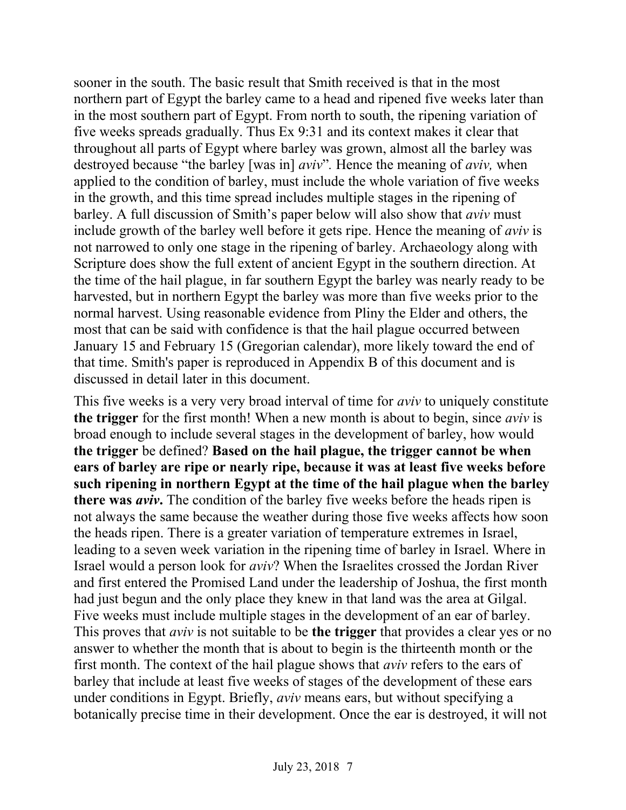sooner in the south. The basic result that Smith received is that in the most northern part of Egypt the barley came to a head and ripened five weeks later than in the most southern part of Egypt. From north to south, the ripening variation of five weeks spreads gradually. Thus Ex 9:31 and its context makes it clear that throughout all parts of Egypt where barley was grown, almost all the barley was destroyed because "the barley [was in] *aviv*"*.* Hence the meaning of *aviv,* when applied to the condition of barley, must include the whole variation of five weeks in the growth, and this time spread includes multiple stages in the ripening of barley. A full discussion of Smith's paper below will also show that *aviv* must include growth of the barley well before it gets ripe. Hence the meaning of *aviv* is not narrowed to only one stage in the ripening of barley. Archaeology along with Scripture does show the full extent of ancient Egypt in the southern direction. At the time of the hail plague, in far southern Egypt the barley was nearly ready to be harvested, but in northern Egypt the barley was more than five weeks prior to the normal harvest. Using reasonable evidence from Pliny the Elder and others, the most that can be said with confidence is that the hail plague occurred between January 15 and February 15 (Gregorian calendar), more likely toward the end of that time. Smith's paper is reproduced in Appendix B of this document and is discussed in detail later in this document.

This five weeks is a very very broad interval of time for *aviv* to uniquely constitute **the trigger** for the first month! When a new month is about to begin, since *aviv* is broad enough to include several stages in the development of barley, how would **the trigger** be defined? **Based on the hail plague, the trigger cannot be when ears of barley are ripe or nearly ripe, because it was at least five weeks before such ripening in northern Egypt at the time of the hail plague when the barley there was** *aviv***.** The condition of the barley five weeks before the heads ripen is not always the same because the weather during those five weeks affects how soon the heads ripen. There is a greater variation of temperature extremes in Israel, leading to a seven week variation in the ripening time of barley in Israel. Where in Israel would a person look for *aviv*? When the Israelites crossed the Jordan River and first entered the Promised Land under the leadership of Joshua, the first month had just begun and the only place they knew in that land was the area at Gilgal. Five weeks must include multiple stages in the development of an ear of barley. This proves that *aviv* is not suitable to be **the trigger** that provides a clear yes or no answer to whether the month that is about to begin is the thirteenth month or the first month. The context of the hail plague shows that *aviv* refers to the ears of barley that include at least five weeks of stages of the development of these ears under conditions in Egypt. Briefly, *aviv* means ears, but without specifying a botanically precise time in their development. Once the ear is destroyed, it will not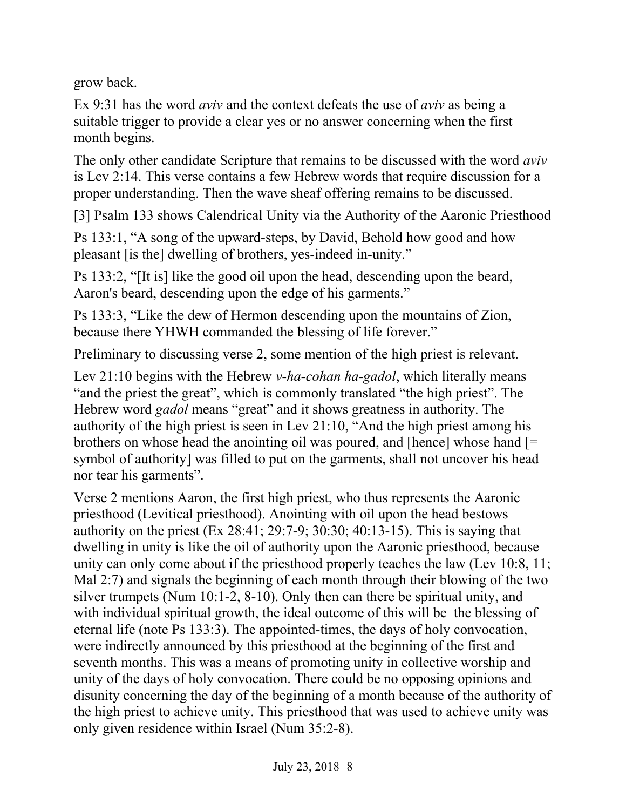grow back.

Ex 9:31 has the word *aviv* and the context defeats the use of *aviv* as being a suitable trigger to provide a clear yes or no answer concerning when the first month begins.

The only other candidate Scripture that remains to be discussed with the word *aviv* is Lev 2:14. This verse contains a few Hebrew words that require discussion for a proper understanding. Then the wave sheaf offering remains to be discussed.

[3] Psalm 133 shows Calendrical Unity via the Authority of the Aaronic Priesthood

Ps 133:1, "A song of the upward-steps, by David, Behold how good and how pleasant [is the] dwelling of brothers, yes-indeed in-unity."

Ps 133:2, "[It is] like the good oil upon the head, descending upon the beard, Aaron's beard, descending upon the edge of his garments."

Ps 133:3, "Like the dew of Hermon descending upon the mountains of Zion, because there YHWH commanded the blessing of life forever."

Preliminary to discussing verse 2, some mention of the high priest is relevant.

Lev 21:10 begins with the Hebrew *v-ha-cohan ha-gadol*, which literally means "and the priest the great", which is commonly translated "the high priest". The Hebrew word *gadol* means "great" and it shows greatness in authority. The authority of the high priest is seen in Lev 21:10, "And the high priest among his brothers on whose head the anointing oil was poured, and [hence] whose hand [= symbol of authority] was filled to put on the garments, shall not uncover his head nor tear his garments".

Verse 2 mentions Aaron, the first high priest, who thus represents the Aaronic priesthood (Levitical priesthood). Anointing with oil upon the head bestows authority on the priest (Ex 28:41; 29:7-9; 30:30; 40:13-15). This is saying that dwelling in unity is like the oil of authority upon the Aaronic priesthood, because unity can only come about if the priesthood properly teaches the law (Lev 10:8, 11; Mal 2:7) and signals the beginning of each month through their blowing of the two silver trumpets (Num 10:1-2, 8-10). Only then can there be spiritual unity, and with individual spiritual growth, the ideal outcome of this will be the blessing of eternal life (note Ps 133:3). The appointed-times, the days of holy convocation, were indirectly announced by this priesthood at the beginning of the first and seventh months. This was a means of promoting unity in collective worship and unity of the days of holy convocation. There could be no opposing opinions and disunity concerning the day of the beginning of a month because of the authority of the high priest to achieve unity. This priesthood that was used to achieve unity was only given residence within Israel (Num 35:2-8).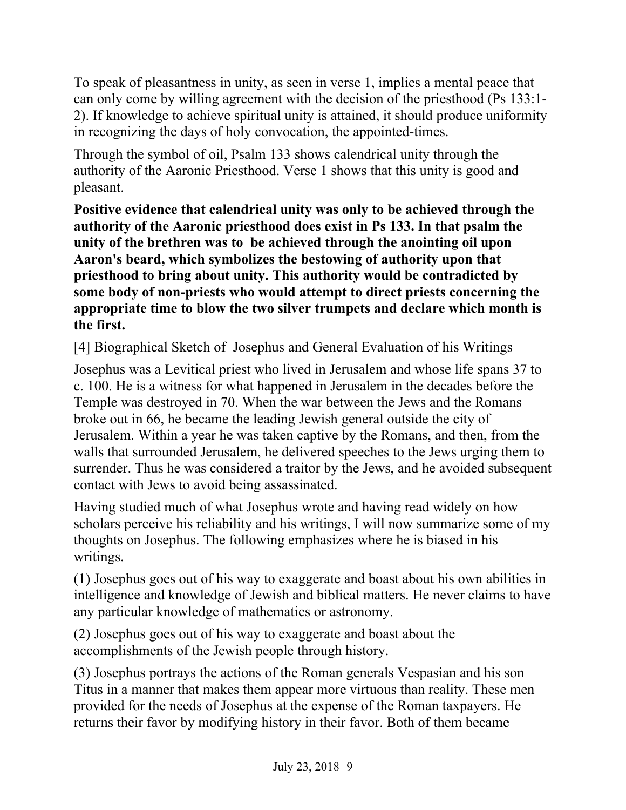To speak of pleasantness in unity, as seen in verse 1, implies a mental peace that can only come by willing agreement with the decision of the priesthood (Ps 133:1- 2). If knowledge to achieve spiritual unity is attained, it should produce uniformity in recognizing the days of holy convocation, the appointed-times.

Through the symbol of oil, Psalm 133 shows calendrical unity through the authority of the Aaronic Priesthood. Verse 1 shows that this unity is good and pleasant.

**Positive evidence that calendrical unity was only to be achieved through the authority of the Aaronic priesthood does exist in Ps 133. In that psalm the unity of the brethren was to be achieved through the anointing oil upon Aaron's beard, which symbolizes the bestowing of authority upon that priesthood to bring about unity. This authority would be contradicted by some body of non-priests who would attempt to direct priests concerning the appropriate time to blow the two silver trumpets and declare which month is the first.**

[4] Biographical Sketch of Josephus and General Evaluation of his Writings

Josephus was a Levitical priest who lived in Jerusalem and whose life spans 37 to c. 100. He is a witness for what happened in Jerusalem in the decades before the Temple was destroyed in 70. When the war between the Jews and the Romans broke out in 66, he became the leading Jewish general outside the city of Jerusalem. Within a year he was taken captive by the Romans, and then, from the walls that surrounded Jerusalem, he delivered speeches to the Jews urging them to surrender. Thus he was considered a traitor by the Jews, and he avoided subsequent contact with Jews to avoid being assassinated.

Having studied much of what Josephus wrote and having read widely on how scholars perceive his reliability and his writings, I will now summarize some of my thoughts on Josephus. The following emphasizes where he is biased in his writings.

(1) Josephus goes out of his way to exaggerate and boast about his own abilities in intelligence and knowledge of Jewish and biblical matters. He never claims to have any particular knowledge of mathematics or astronomy.

(2) Josephus goes out of his way to exaggerate and boast about the accomplishments of the Jewish people through history.

(3) Josephus portrays the actions of the Roman generals Vespasian and his son Titus in a manner that makes them appear more virtuous than reality. These men provided for the needs of Josephus at the expense of the Roman taxpayers. He returns their favor by modifying history in their favor. Both of them became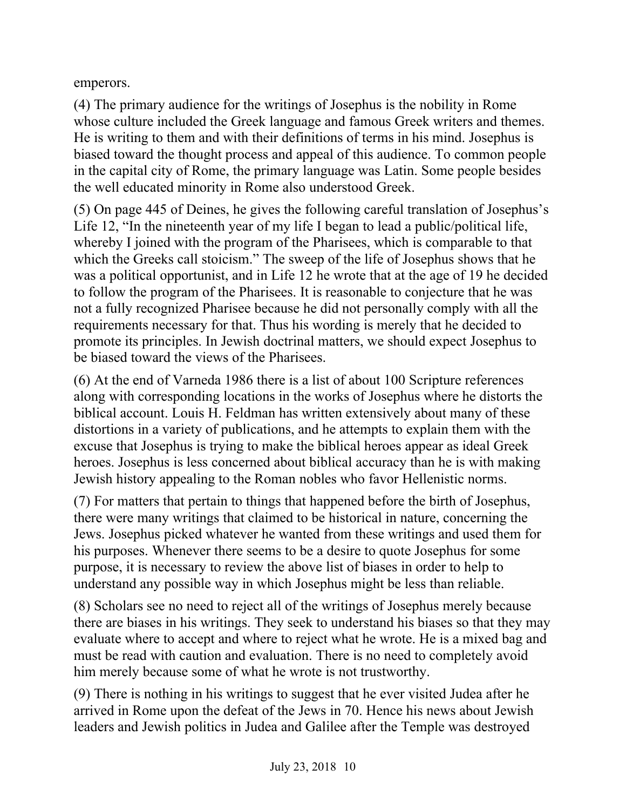emperors.

(4) The primary audience for the writings of Josephus is the nobility in Rome whose culture included the Greek language and famous Greek writers and themes. He is writing to them and with their definitions of terms in his mind. Josephus is biased toward the thought process and appeal of this audience. To common people in the capital city of Rome, the primary language was Latin. Some people besides the well educated minority in Rome also understood Greek.

(5) On page 445 of Deines, he gives the following careful translation of Josephus's Life 12, "In the nineteenth year of my life I began to lead a public/political life, whereby I joined with the program of the Pharisees, which is comparable to that which the Greeks call stoicism." The sweep of the life of Josephus shows that he was a political opportunist, and in Life 12 he wrote that at the age of 19 he decided to follow the program of the Pharisees. It is reasonable to conjecture that he was not a fully recognized Pharisee because he did not personally comply with all the requirements necessary for that. Thus his wording is merely that he decided to promote its principles. In Jewish doctrinal matters, we should expect Josephus to be biased toward the views of the Pharisees.

(6) At the end of Varneda 1986 there is a list of about 100 Scripture references along with corresponding locations in the works of Josephus where he distorts the biblical account. Louis H. Feldman has written extensively about many of these distortions in a variety of publications, and he attempts to explain them with the excuse that Josephus is trying to make the biblical heroes appear as ideal Greek heroes. Josephus is less concerned about biblical accuracy than he is with making Jewish history appealing to the Roman nobles who favor Hellenistic norms.

(7) For matters that pertain to things that happened before the birth of Josephus, there were many writings that claimed to be historical in nature, concerning the Jews. Josephus picked whatever he wanted from these writings and used them for his purposes. Whenever there seems to be a desire to quote Josephus for some purpose, it is necessary to review the above list of biases in order to help to understand any possible way in which Josephus might be less than reliable.

(8) Scholars see no need to reject all of the writings of Josephus merely because there are biases in his writings. They seek to understand his biases so that they may evaluate where to accept and where to reject what he wrote. He is a mixed bag and must be read with caution and evaluation. There is no need to completely avoid him merely because some of what he wrote is not trustworthy.

(9) There is nothing in his writings to suggest that he ever visited Judea after he arrived in Rome upon the defeat of the Jews in 70. Hence his news about Jewish leaders and Jewish politics in Judea and Galilee after the Temple was destroyed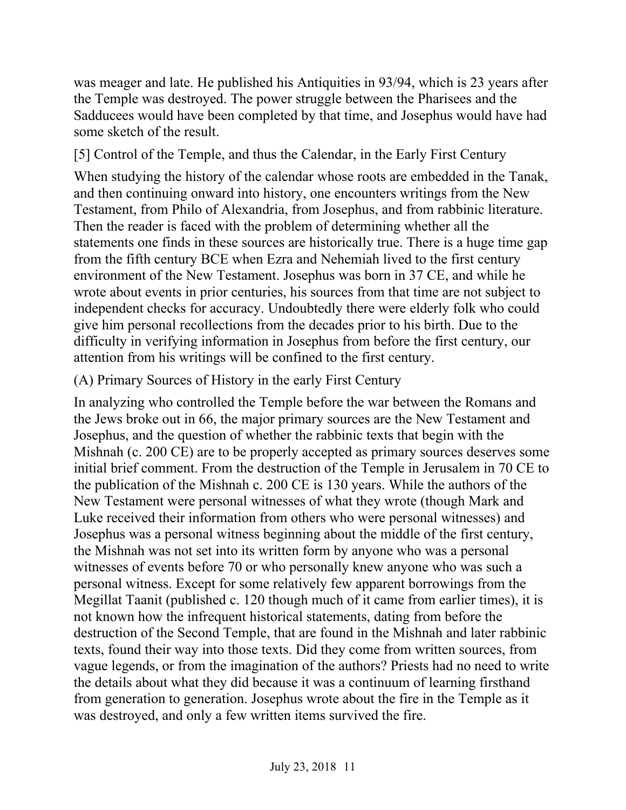was meager and late. He published his Antiquities in 93/94, which is 23 years after the Temple was destroyed. The power struggle between the Pharisees and the Sadducees would have been completed by that time, and Josephus would have had some sketch of the result.

[5] Control of the Temple, and thus the Calendar, in the Early First Century

When studying the history of the calendar whose roots are embedded in the Tanak, and then continuing onward into history, one encounters writings from the New Testament, from Philo of Alexandria, from Josephus, and from rabbinic literature. Then the reader is faced with the problem of determining whether all the statements one finds in these sources are historically true. There is a huge time gap from the fifth century BCE when Ezra and Nehemiah lived to the first century environment of the New Testament. Josephus was born in 37 CE, and while he wrote about events in prior centuries, his sources from that time are not subject to independent checks for accuracy. Undoubtedly there were elderly folk who could give him personal recollections from the decades prior to his birth. Due to the difficulty in verifying information in Josephus from before the first century, our attention from his writings will be confined to the first century.

# (A) Primary Sources of History in the early First Century

In analyzing who controlled the Temple before the war between the Romans and the Jews broke out in 66, the major primary sources are the New Testament and Josephus, and the question of whether the rabbinic texts that begin with the Mishnah (c. 200 CE) are to be properly accepted as primary sources deserves some initial brief comment. From the destruction of the Temple in Jerusalem in 70 CE to the publication of the Mishnah c. 200 CE is 130 years. While the authors of the New Testament were personal witnesses of what they wrote (though Mark and Luke received their information from others who were personal witnesses) and Josephus was a personal witness beginning about the middle of the first century, the Mishnah was not set into its written form by anyone who was a personal witnesses of events before 70 or who personally knew anyone who was such a personal witness. Except for some relatively few apparent borrowings from the Megillat Taanit (published c. 120 though much of it came from earlier times), it is not known how the infrequent historical statements, dating from before the destruction of the Second Temple, that are found in the Mishnah and later rabbinic texts, found their way into those texts. Did they come from written sources, from vague legends, or from the imagination of the authors? Priests had no need to write the details about what they did because it was a continuum of learning firsthand from generation to generation. Josephus wrote about the fire in the Temple as it was destroyed, and only a few written items survived the fire.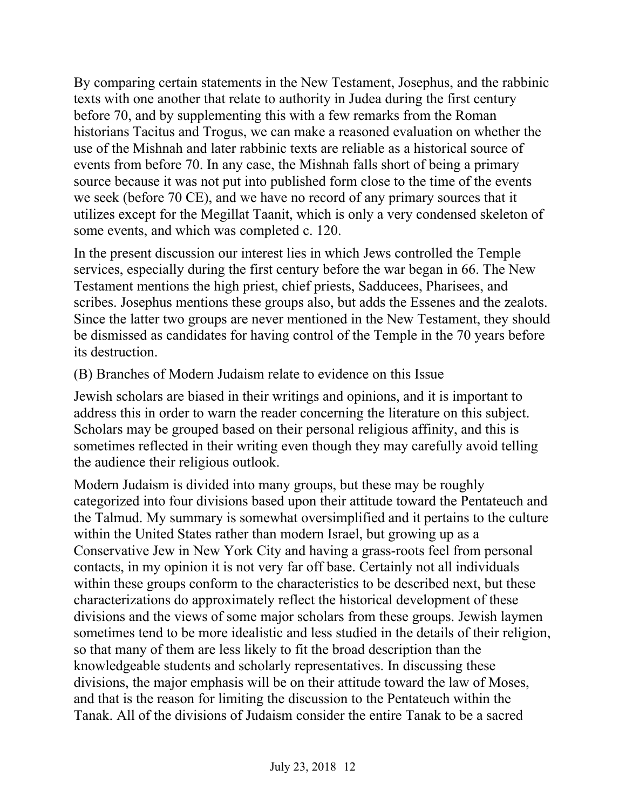By comparing certain statements in the New Testament, Josephus, and the rabbinic texts with one another that relate to authority in Judea during the first century before 70, and by supplementing this with a few remarks from the Roman historians Tacitus and Trogus, we can make a reasoned evaluation on whether the use of the Mishnah and later rabbinic texts are reliable as a historical source of events from before 70. In any case, the Mishnah falls short of being a primary source because it was not put into published form close to the time of the events we seek (before 70 CE), and we have no record of any primary sources that it utilizes except for the Megillat Taanit, which is only a very condensed skeleton of some events, and which was completed c. 120.

In the present discussion our interest lies in which Jews controlled the Temple services, especially during the first century before the war began in 66. The New Testament mentions the high priest, chief priests, Sadducees, Pharisees, and scribes. Josephus mentions these groups also, but adds the Essenes and the zealots. Since the latter two groups are never mentioned in the New Testament, they should be dismissed as candidates for having control of the Temple in the 70 years before its destruction.

(B) Branches of Modern Judaism relate to evidence on this Issue

Jewish scholars are biased in their writings and opinions, and it is important to address this in order to warn the reader concerning the literature on this subject. Scholars may be grouped based on their personal religious affinity, and this is sometimes reflected in their writing even though they may carefully avoid telling the audience their religious outlook.

Modern Judaism is divided into many groups, but these may be roughly categorized into four divisions based upon their attitude toward the Pentateuch and the Talmud. My summary is somewhat oversimplified and it pertains to the culture within the United States rather than modern Israel, but growing up as a Conservative Jew in New York City and having a grass-roots feel from personal contacts, in my opinion it is not very far off base. Certainly not all individuals within these groups conform to the characteristics to be described next, but these characterizations do approximately reflect the historical development of these divisions and the views of some major scholars from these groups. Jewish laymen sometimes tend to be more idealistic and less studied in the details of their religion, so that many of them are less likely to fit the broad description than the knowledgeable students and scholarly representatives. In discussing these divisions, the major emphasis will be on their attitude toward the law of Moses, and that is the reason for limiting the discussion to the Pentateuch within the Tanak. All of the divisions of Judaism consider the entire Tanak to be a sacred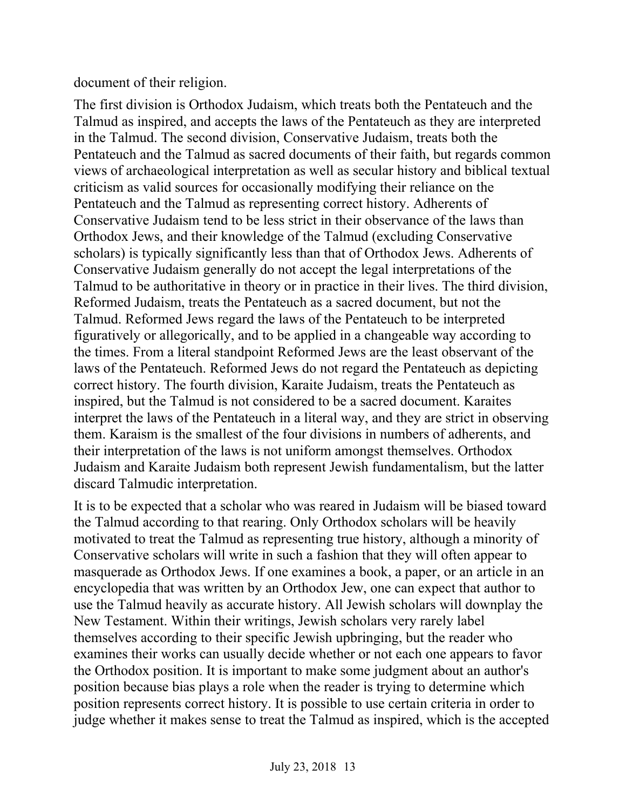document of their religion.

The first division is Orthodox Judaism, which treats both the Pentateuch and the Talmud as inspired, and accepts the laws of the Pentateuch as they are interpreted in the Talmud. The second division, Conservative Judaism, treats both the Pentateuch and the Talmud as sacred documents of their faith, but regards common views of archaeological interpretation as well as secular history and biblical textual criticism as valid sources for occasionally modifying their reliance on the Pentateuch and the Talmud as representing correct history. Adherents of Conservative Judaism tend to be less strict in their observance of the laws than Orthodox Jews, and their knowledge of the Talmud (excluding Conservative scholars) is typically significantly less than that of Orthodox Jews. Adherents of Conservative Judaism generally do not accept the legal interpretations of the Talmud to be authoritative in theory or in practice in their lives. The third division, Reformed Judaism, treats the Pentateuch as a sacred document, but not the Talmud. Reformed Jews regard the laws of the Pentateuch to be interpreted figuratively or allegorically, and to be applied in a changeable way according to the times. From a literal standpoint Reformed Jews are the least observant of the laws of the Pentateuch. Reformed Jews do not regard the Pentateuch as depicting correct history. The fourth division, Karaite Judaism, treats the Pentateuch as inspired, but the Talmud is not considered to be a sacred document. Karaites interpret the laws of the Pentateuch in a literal way, and they are strict in observing them. Karaism is the smallest of the four divisions in numbers of adherents, and their interpretation of the laws is not uniform amongst themselves. Orthodox Judaism and Karaite Judaism both represent Jewish fundamentalism, but the latter discard Talmudic interpretation.

It is to be expected that a scholar who was reared in Judaism will be biased toward the Talmud according to that rearing. Only Orthodox scholars will be heavily motivated to treat the Talmud as representing true history, although a minority of Conservative scholars will write in such a fashion that they will often appear to masquerade as Orthodox Jews. If one examines a book, a paper, or an article in an encyclopedia that was written by an Orthodox Jew, one can expect that author to use the Talmud heavily as accurate history. All Jewish scholars will downplay the New Testament. Within their writings, Jewish scholars very rarely label themselves according to their specific Jewish upbringing, but the reader who examines their works can usually decide whether or not each one appears to favor the Orthodox position. It is important to make some judgment about an author's position because bias plays a role when the reader is trying to determine which position represents correct history. It is possible to use certain criteria in order to judge whether it makes sense to treat the Talmud as inspired, which is the accepted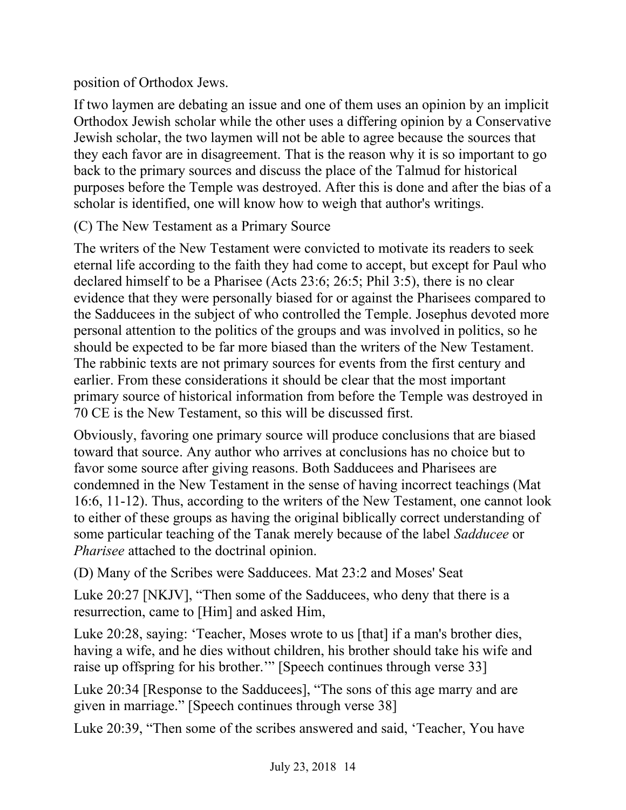position of Orthodox Jews.

If two laymen are debating an issue and one of them uses an opinion by an implicit Orthodox Jewish scholar while the other uses a differing opinion by a Conservative Jewish scholar, the two laymen will not be able to agree because the sources that they each favor are in disagreement. That is the reason why it is so important to go back to the primary sources and discuss the place of the Talmud for historical purposes before the Temple was destroyed. After this is done and after the bias of a scholar is identified, one will know how to weigh that author's writings.

(C) The New Testament as a Primary Source

The writers of the New Testament were convicted to motivate its readers to seek eternal life according to the faith they had come to accept, but except for Paul who declared himself to be a Pharisee (Acts 23:6; 26:5; Phil 3:5), there is no clear evidence that they were personally biased for or against the Pharisees compared to the Sadducees in the subject of who controlled the Temple. Josephus devoted more personal attention to the politics of the groups and was involved in politics, so he should be expected to be far more biased than the writers of the New Testament. The rabbinic texts are not primary sources for events from the first century and earlier. From these considerations it should be clear that the most important primary source of historical information from before the Temple was destroyed in 70 CE is the New Testament, so this will be discussed first.

Obviously, favoring one primary source will produce conclusions that are biased toward that source. Any author who arrives at conclusions has no choice but to favor some source after giving reasons. Both Sadducees and Pharisees are condemned in the New Testament in the sense of having incorrect teachings (Mat 16:6, 11-12). Thus, according to the writers of the New Testament, one cannot look to either of these groups as having the original biblically correct understanding of some particular teaching of the Tanak merely because of the label *Sadducee* or *Pharisee* attached to the doctrinal opinion.

(D) Many of the Scribes were Sadducees. Mat 23:2 and Moses' Seat

Luke 20:27 [NKJV], "Then some of the Sadducees, who deny that there is a resurrection, came to [Him] and asked Him,

Luke 20:28, saying: 'Teacher, Moses wrote to us [that] if a man's brother dies, having a wife, and he dies without children, his brother should take his wife and raise up offspring for his brother.'" [Speech continues through verse 33]

Luke 20:34 [Response to the Sadducees], "The sons of this age marry and are given in marriage." [Speech continues through verse 38]

Luke 20:39, "Then some of the scribes answered and said, 'Teacher, You have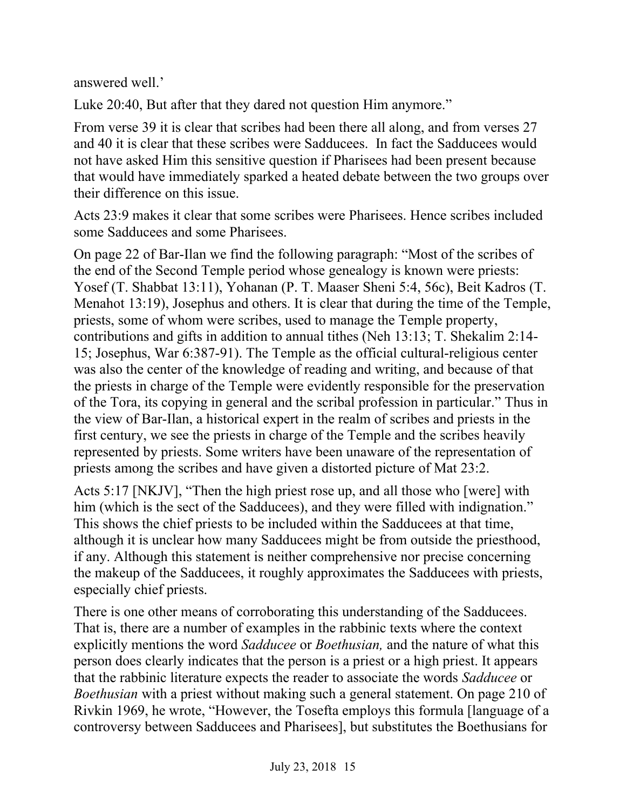answered well.'

Luke 20:40, But after that they dared not question Him anymore."

From verse 39 it is clear that scribes had been there all along, and from verses 27 and 40 it is clear that these scribes were Sadducees. In fact the Sadducees would not have asked Him this sensitive question if Pharisees had been present because that would have immediately sparked a heated debate between the two groups over their difference on this issue.

Acts 23:9 makes it clear that some scribes were Pharisees. Hence scribes included some Sadducees and some Pharisees.

On page 22 of Bar-Ilan we find the following paragraph: "Most of the scribes of the end of the Second Temple period whose genealogy is known were priests: Yosef (T. Shabbat 13:11), Yohanan (P. T. Maaser Sheni 5:4, 56c), Beit Kadros (T. Menahot 13:19), Josephus and others. It is clear that during the time of the Temple, priests, some of whom were scribes, used to manage the Temple property, contributions and gifts in addition to annual tithes (Neh 13:13; T. Shekalim 2:14- 15; Josephus, War 6:387-91). The Temple as the official cultural-religious center was also the center of the knowledge of reading and writing, and because of that the priests in charge of the Temple were evidently responsible for the preservation of the Tora, its copying in general and the scribal profession in particular." Thus in the view of Bar-Ilan, a historical expert in the realm of scribes and priests in the first century, we see the priests in charge of the Temple and the scribes heavily represented by priests. Some writers have been unaware of the representation of priests among the scribes and have given a distorted picture of Mat 23:2.

Acts 5:17 [NKJV], "Then the high priest rose up, and all those who [were] with him (which is the sect of the Sadducees), and they were filled with indignation." This shows the chief priests to be included within the Sadducees at that time, although it is unclear how many Sadducees might be from outside the priesthood, if any. Although this statement is neither comprehensive nor precise concerning the makeup of the Sadducees, it roughly approximates the Sadducees with priests, especially chief priests.

There is one other means of corroborating this understanding of the Sadducees. That is, there are a number of examples in the rabbinic texts where the context explicitly mentions the word *Sadducee* or *Boethusian,* and the nature of what this person does clearly indicates that the person is a priest or a high priest. It appears that the rabbinic literature expects the reader to associate the words *Sadducee* or *Boethusian* with a priest without making such a general statement. On page 210 of Rivkin 1969, he wrote, "However, the Tosefta employs this formula [language of a controversy between Sadducees and Pharisees], but substitutes the Boethusians for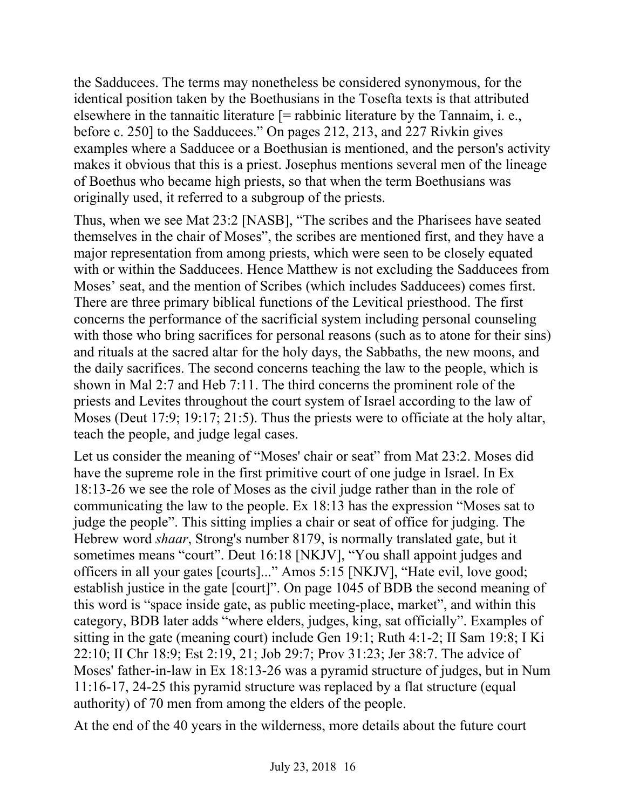the Sadducees. The terms may nonetheless be considered synonymous, for the identical position taken by the Boethusians in the Tosefta texts is that attributed elsewhere in the tannaitic literature  $\mathfrak{f} =$  rabbinic literature by the Tannaim, i. e., before c. 250] to the Sadducees." On pages 212, 213, and 227 Rivkin gives examples where a Sadducee or a Boethusian is mentioned, and the person's activity makes it obvious that this is a priest. Josephus mentions several men of the lineage of Boethus who became high priests, so that when the term Boethusians was originally used, it referred to a subgroup of the priests.

Thus, when we see Mat 23:2 [NASB], "The scribes and the Pharisees have seated themselves in the chair of Moses", the scribes are mentioned first, and they have a major representation from among priests, which were seen to be closely equated with or within the Sadducees. Hence Matthew is not excluding the Sadducees from Moses' seat, and the mention of Scribes (which includes Sadducees) comes first. There are three primary biblical functions of the Levitical priesthood. The first concerns the performance of the sacrificial system including personal counseling with those who bring sacrifices for personal reasons (such as to atone for their sins) and rituals at the sacred altar for the holy days, the Sabbaths, the new moons, and the daily sacrifices. The second concerns teaching the law to the people, which is shown in Mal 2:7 and Heb 7:11. The third concerns the prominent role of the priests and Levites throughout the court system of Israel according to the law of Moses (Deut 17:9; 19:17; 21:5). Thus the priests were to officiate at the holy altar, teach the people, and judge legal cases.

Let us consider the meaning of "Moses' chair or seat" from Mat 23:2. Moses did have the supreme role in the first primitive court of one judge in Israel. In Ex 18:13-26 we see the role of Moses as the civil judge rather than in the role of communicating the law to the people. Ex 18:13 has the expression "Moses sat to judge the people". This sitting implies a chair or seat of office for judging. The Hebrew word *shaar*, Strong's number 8179, is normally translated gate, but it sometimes means "court". Deut 16:18 [NKJV], "You shall appoint judges and officers in all your gates [courts]..." Amos 5:15 [NKJV], "Hate evil, love good; establish justice in the gate [court]". On page 1045 of BDB the second meaning of this word is "space inside gate, as public meeting-place, market", and within this category, BDB later adds "where elders, judges, king, sat officially". Examples of sitting in the gate (meaning court) include Gen 19:1; Ruth 4:1-2; II Sam 19:8; I Ki 22:10; II Chr 18:9; Est 2:19, 21; Job 29:7; Prov 31:23; Jer 38:7. The advice of Moses' father-in-law in Ex 18:13-26 was a pyramid structure of judges, but in Num 11:16-17, 24-25 this pyramid structure was replaced by a flat structure (equal authority) of 70 men from among the elders of the people.

At the end of the 40 years in the wilderness, more details about the future court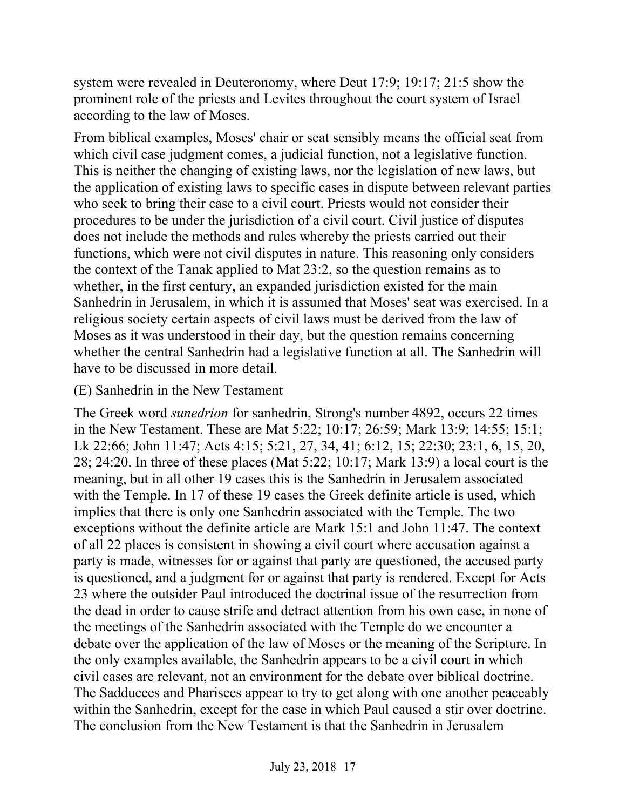system were revealed in Deuteronomy, where Deut 17:9; 19:17; 21:5 show the prominent role of the priests and Levites throughout the court system of Israel according to the law of Moses.

From biblical examples, Moses' chair or seat sensibly means the official seat from which civil case judgment comes, a judicial function, not a legislative function. This is neither the changing of existing laws, nor the legislation of new laws, but the application of existing laws to specific cases in dispute between relevant parties who seek to bring their case to a civil court. Priests would not consider their procedures to be under the jurisdiction of a civil court. Civil justice of disputes does not include the methods and rules whereby the priests carried out their functions, which were not civil disputes in nature. This reasoning only considers the context of the Tanak applied to Mat 23:2, so the question remains as to whether, in the first century, an expanded jurisdiction existed for the main Sanhedrin in Jerusalem, in which it is assumed that Moses' seat was exercised. In a religious society certain aspects of civil laws must be derived from the law of Moses as it was understood in their day, but the question remains concerning whether the central Sanhedrin had a legislative function at all. The Sanhedrin will have to be discussed in more detail.

#### (E) Sanhedrin in the New Testament

The Greek word *sunedrion* for sanhedrin, Strong's number 4892, occurs 22 times in the New Testament. These are Mat 5:22; 10:17; 26:59; Mark 13:9; 14:55; 15:1; Lk 22:66; John 11:47; Acts 4:15; 5:21, 27, 34, 41; 6:12, 15; 22:30; 23:1, 6, 15, 20, 28; 24:20. In three of these places (Mat 5:22; 10:17; Mark 13:9) a local court is the meaning, but in all other 19 cases this is the Sanhedrin in Jerusalem associated with the Temple. In 17 of these 19 cases the Greek definite article is used, which implies that there is only one Sanhedrin associated with the Temple. The two exceptions without the definite article are Mark 15:1 and John 11:47. The context of all 22 places is consistent in showing a civil court where accusation against a party is made, witnesses for or against that party are questioned, the accused party is questioned, and a judgment for or against that party is rendered. Except for Acts 23 where the outsider Paul introduced the doctrinal issue of the resurrection from the dead in order to cause strife and detract attention from his own case, in none of the meetings of the Sanhedrin associated with the Temple do we encounter a debate over the application of the law of Moses or the meaning of the Scripture. In the only examples available, the Sanhedrin appears to be a civil court in which civil cases are relevant, not an environment for the debate over biblical doctrine. The Sadducees and Pharisees appear to try to get along with one another peaceably within the Sanhedrin, except for the case in which Paul caused a stir over doctrine. The conclusion from the New Testament is that the Sanhedrin in Jerusalem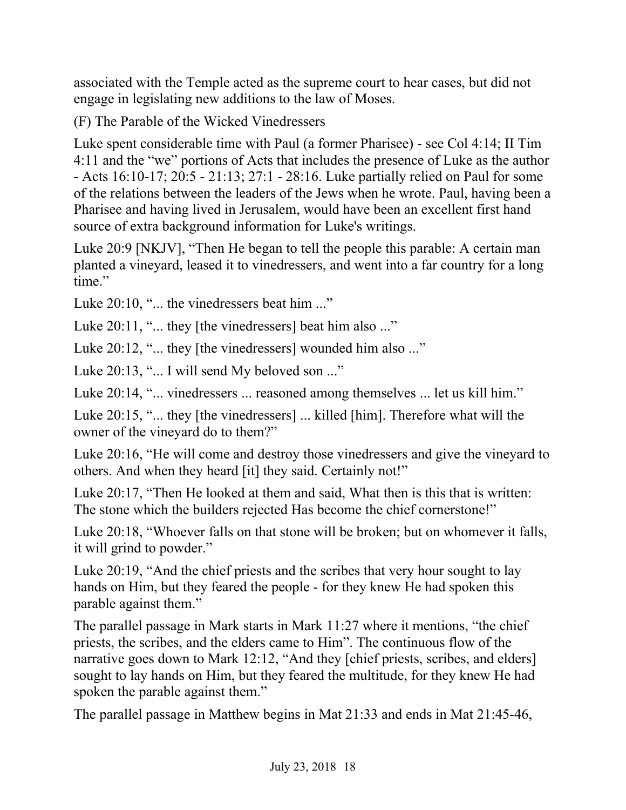associated with the Temple acted as the supreme court to hear cases, but did not engage in legislating new additions to the law of Moses.

(F) The Parable of the Wicked Vinedressers

Luke spent considerable time with Paul (a former Pharisee) - see Col 4:14; II Tim 4:11 and the "we" portions of Acts that includes the presence of Luke as the author - Acts 16:10-17; 20:5 - 21:13; 27:1 - 28:16. Luke partially relied on Paul for some of the relations between the leaders of the Jews when he wrote. Paul, having been a Pharisee and having lived in Jerusalem, would have been an excellent first hand source of extra background information for Luke's writings.

Luke 20:9 [NKJV], "Then He began to tell the people this parable: A certain man planted a vineyard, leased it to vinedressers, and went into a far country for a long time."

Luke 20:10, "... the vinedressers beat him ..."

Luke 20:11, "... they [the vinedressers] beat him also ..."

Luke 20:12, "... they [the vinedressers] wounded him also ..."

Luke 20:13, "... I will send My beloved son ..."

Luke 20:14, "... vinedressers ... reasoned among themselves ... let us kill him."

Luke 20:15, "... they [the vinedressers] ... killed [him]. Therefore what will the owner of the vineyard do to them?"

Luke 20:16, "He will come and destroy those vinedressers and give the vineyard to others. And when they heard [it] they said. Certainly not!"

Luke 20:17, "Then He looked at them and said, What then is this that is written: The stone which the builders rejected Has become the chief cornerstone!"

Luke 20:18, "Whoever falls on that stone will be broken; but on whomever it falls, it will grind to powder."

Luke 20:19, "And the chief priests and the scribes that very hour sought to lay hands on Him, but they feared the people - for they knew He had spoken this parable against them."

The parallel passage in Mark starts in Mark 11:27 where it mentions, "the chief priests, the scribes, and the elders came to Him". The continuous flow of the narrative goes down to Mark 12:12, "And they [chief priests, scribes, and elders] sought to lay hands on Him, but they feared the multitude, for they knew He had spoken the parable against them."

The parallel passage in Matthew begins in Mat 21:33 and ends in Mat 21:45-46,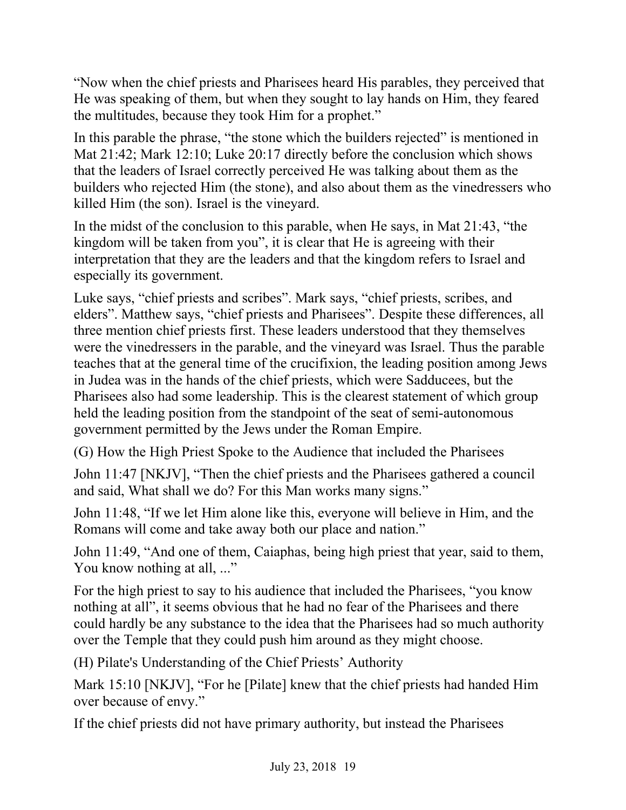"Now when the chief priests and Pharisees heard His parables, they perceived that He was speaking of them, but when they sought to lay hands on Him, they feared the multitudes, because they took Him for a prophet."

In this parable the phrase, "the stone which the builders rejected" is mentioned in Mat 21:42; Mark 12:10; Luke 20:17 directly before the conclusion which shows that the leaders of Israel correctly perceived He was talking about them as the builders who rejected Him (the stone), and also about them as the vinedressers who killed Him (the son). Israel is the vineyard.

In the midst of the conclusion to this parable, when He says, in Mat 21:43, "the kingdom will be taken from you", it is clear that He is agreeing with their interpretation that they are the leaders and that the kingdom refers to Israel and especially its government.

Luke says, "chief priests and scribes". Mark says, "chief priests, scribes, and elders". Matthew says, "chief priests and Pharisees". Despite these differences, all three mention chief priests first. These leaders understood that they themselves were the vinedressers in the parable, and the vineyard was Israel. Thus the parable teaches that at the general time of the crucifixion, the leading position among Jews in Judea was in the hands of the chief priests, which were Sadducees, but the Pharisees also had some leadership. This is the clearest statement of which group held the leading position from the standpoint of the seat of semi-autonomous government permitted by the Jews under the Roman Empire.

(G) How the High Priest Spoke to the Audience that included the Pharisees

John 11:47 [NKJV], "Then the chief priests and the Pharisees gathered a council and said, What shall we do? For this Man works many signs."

John 11:48, "If we let Him alone like this, everyone will believe in Him, and the Romans will come and take away both our place and nation."

John 11:49, "And one of them, Caiaphas, being high priest that year, said to them, You know nothing at all, ..."

For the high priest to say to his audience that included the Pharisees, "you know nothing at all", it seems obvious that he had no fear of the Pharisees and there could hardly be any substance to the idea that the Pharisees had so much authority over the Temple that they could push him around as they might choose.

(H) Pilate's Understanding of the Chief Priests' Authority

Mark 15:10 [NKJV], "For he [Pilate] knew that the chief priests had handed Him over because of envy."

If the chief priests did not have primary authority, but instead the Pharisees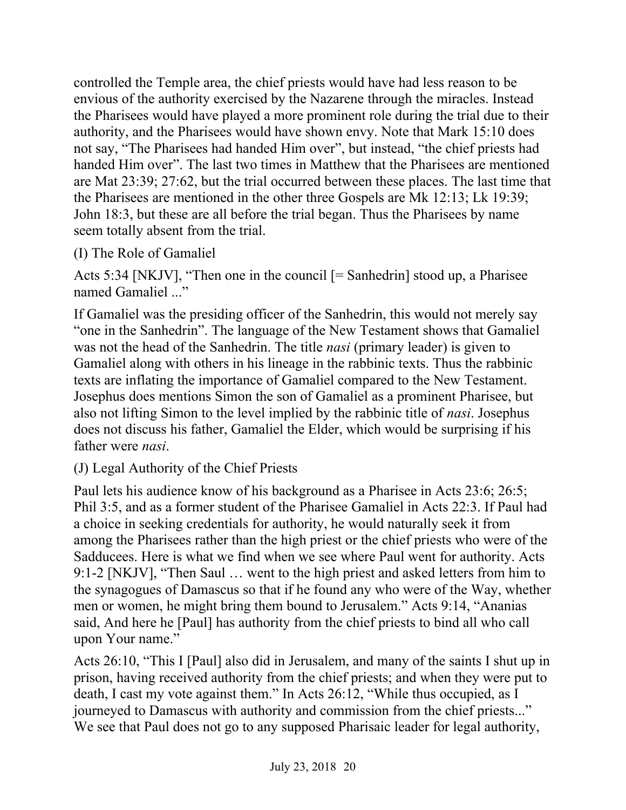controlled the Temple area, the chief priests would have had less reason to be envious of the authority exercised by the Nazarene through the miracles. Instead the Pharisees would have played a more prominent role during the trial due to their authority, and the Pharisees would have shown envy. Note that Mark 15:10 does not say, "The Pharisees had handed Him over", but instead, "the chief priests had handed Him over". The last two times in Matthew that the Pharisees are mentioned are Mat 23:39; 27:62, but the trial occurred between these places. The last time that the Pharisees are mentioned in the other three Gospels are Mk 12:13; Lk 19:39; John 18:3, but these are all before the trial began. Thus the Pharisees by name seem totally absent from the trial.

# (I) The Role of Gamaliel

Acts 5:34 [NKJV], "Then one in the council [= Sanhedrin] stood up, a Pharisee named Gamaliel ..."

If Gamaliel was the presiding officer of the Sanhedrin, this would not merely say "one in the Sanhedrin". The language of the New Testament shows that Gamaliel was not the head of the Sanhedrin. The title *nasi* (primary leader) is given to Gamaliel along with others in his lineage in the rabbinic texts. Thus the rabbinic texts are inflating the importance of Gamaliel compared to the New Testament. Josephus does mentions Simon the son of Gamaliel as a prominent Pharisee, but also not lifting Simon to the level implied by the rabbinic title of *nasi*. Josephus does not discuss his father, Gamaliel the Elder, which would be surprising if his father were *nasi*.

(J) Legal Authority of the Chief Priests

Paul lets his audience know of his background as a Pharisee in Acts 23:6; 26:5; Phil 3:5, and as a former student of the Pharisee Gamaliel in Acts 22:3. If Paul had a choice in seeking credentials for authority, he would naturally seek it from among the Pharisees rather than the high priest or the chief priests who were of the Sadducees. Here is what we find when we see where Paul went for authority. Acts 9:1-2 [NKJV], "Then Saul … went to the high priest and asked letters from him to the synagogues of Damascus so that if he found any who were of the Way, whether men or women, he might bring them bound to Jerusalem." Acts 9:14, "Ananias said, And here he [Paul] has authority from the chief priests to bind all who call upon Your name."

Acts 26:10, "This I [Paul] also did in Jerusalem, and many of the saints I shut up in prison, having received authority from the chief priests; and when they were put to death, I cast my vote against them." In Acts 26:12, "While thus occupied, as I journeyed to Damascus with authority and commission from the chief priests..." We see that Paul does not go to any supposed Pharisaic leader for legal authority,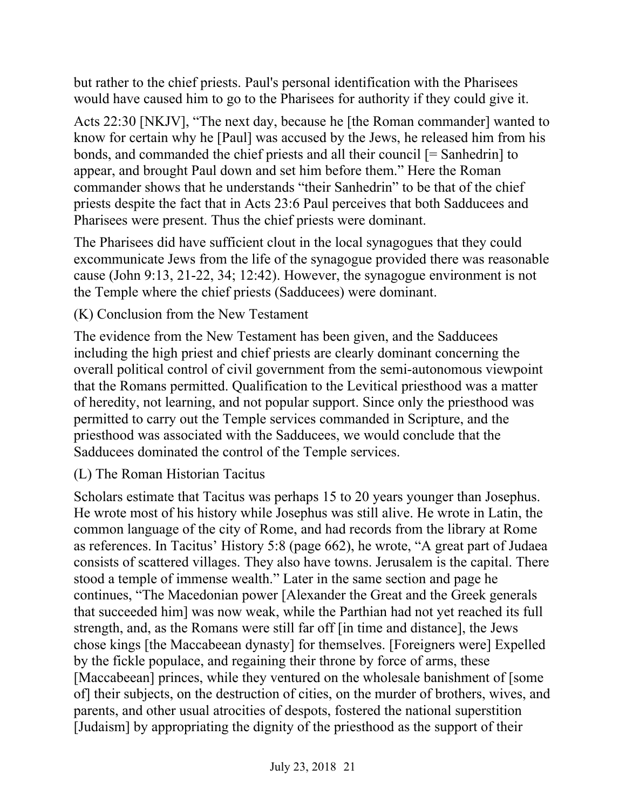but rather to the chief priests. Paul's personal identification with the Pharisees would have caused him to go to the Pharisees for authority if they could give it.

Acts 22:30 [NKJV], "The next day, because he [the Roman commander] wanted to know for certain why he [Paul] was accused by the Jews, he released him from his bonds, and commanded the chief priests and all their council [= Sanhedrin] to appear, and brought Paul down and set him before them." Here the Roman commander shows that he understands "their Sanhedrin" to be that of the chief priests despite the fact that in Acts 23:6 Paul perceives that both Sadducees and Pharisees were present. Thus the chief priests were dominant.

The Pharisees did have sufficient clout in the local synagogues that they could excommunicate Jews from the life of the synagogue provided there was reasonable cause (John 9:13, 21-22, 34; 12:42). However, the synagogue environment is not the Temple where the chief priests (Sadducees) were dominant.

# (K) Conclusion from the New Testament

The evidence from the New Testament has been given, and the Sadducees including the high priest and chief priests are clearly dominant concerning the overall political control of civil government from the semi-autonomous viewpoint that the Romans permitted. Qualification to the Levitical priesthood was a matter of heredity, not learning, and not popular support. Since only the priesthood was permitted to carry out the Temple services commanded in Scripture, and the priesthood was associated with the Sadducees, we would conclude that the Sadducees dominated the control of the Temple services.

(L) The Roman Historian Tacitus

Scholars estimate that Tacitus was perhaps 15 to 20 years younger than Josephus. He wrote most of his history while Josephus was still alive. He wrote in Latin, the common language of the city of Rome, and had records from the library at Rome as references. In Tacitus' History 5:8 (page 662), he wrote, "A great part of Judaea consists of scattered villages. They also have towns. Jerusalem is the capital. There stood a temple of immense wealth." Later in the same section and page he continues, "The Macedonian power [Alexander the Great and the Greek generals that succeeded him] was now weak, while the Parthian had not yet reached its full strength, and, as the Romans were still far off [in time and distance], the Jews chose kings [the Maccabeean dynasty] for themselves. [Foreigners were] Expelled by the fickle populace, and regaining their throne by force of arms, these [Maccabeean] princes, while they ventured on the wholesale banishment of [some] of] their subjects, on the destruction of cities, on the murder of brothers, wives, and parents, and other usual atrocities of despots, fostered the national superstition [Judaism] by appropriating the dignity of the priesthood as the support of their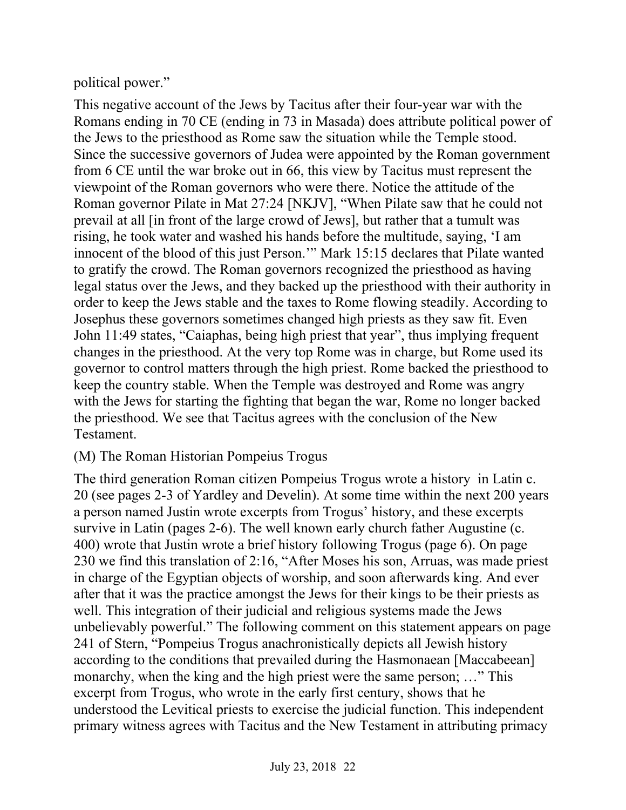political power."

This negative account of the Jews by Tacitus after their four-year war with the Romans ending in 70 CE (ending in 73 in Masada) does attribute political power of the Jews to the priesthood as Rome saw the situation while the Temple stood. Since the successive governors of Judea were appointed by the Roman government from 6 CE until the war broke out in 66, this view by Tacitus must represent the viewpoint of the Roman governors who were there. Notice the attitude of the Roman governor Pilate in Mat 27:24 [NKJV], "When Pilate saw that he could not prevail at all [in front of the large crowd of Jews], but rather that a tumult was rising, he took water and washed his hands before the multitude, saying, 'I am innocent of the blood of this just Person.'" Mark 15:15 declares that Pilate wanted to gratify the crowd. The Roman governors recognized the priesthood as having legal status over the Jews, and they backed up the priesthood with their authority in order to keep the Jews stable and the taxes to Rome flowing steadily. According to Josephus these governors sometimes changed high priests as they saw fit. Even John 11:49 states, "Caiaphas, being high priest that year", thus implying frequent changes in the priesthood. At the very top Rome was in charge, but Rome used its governor to control matters through the high priest. Rome backed the priesthood to keep the country stable. When the Temple was destroyed and Rome was angry with the Jews for starting the fighting that began the war, Rome no longer backed the priesthood. We see that Tacitus agrees with the conclusion of the New Testament.

# (M) The Roman Historian Pompeius Trogus

The third generation Roman citizen Pompeius Trogus wrote a history in Latin c. 20 (see pages 2-3 of Yardley and Develin). At some time within the next 200 years a person named Justin wrote excerpts from Trogus' history, and these excerpts survive in Latin (pages 2-6). The well known early church father Augustine (c. 400) wrote that Justin wrote a brief history following Trogus (page 6). On page 230 we find this translation of 2:16, "After Moses his son, Arruas, was made priest in charge of the Egyptian objects of worship, and soon afterwards king. And ever after that it was the practice amongst the Jews for their kings to be their priests as well. This integration of their judicial and religious systems made the Jews unbelievably powerful." The following comment on this statement appears on page 241 of Stern, "Pompeius Trogus anachronistically depicts all Jewish history according to the conditions that prevailed during the Hasmonaean [Maccabeean] monarchy, when the king and the high priest were the same person; …" This excerpt from Trogus, who wrote in the early first century, shows that he understood the Levitical priests to exercise the judicial function. This independent primary witness agrees with Tacitus and the New Testament in attributing primacy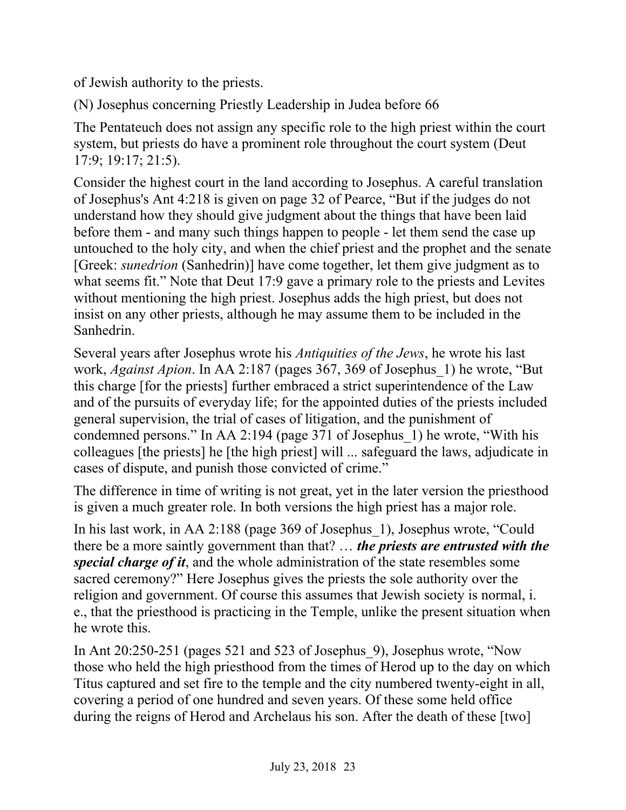of Jewish authority to the priests.

(N) Josephus concerning Priestly Leadership in Judea before 66

The Pentateuch does not assign any specific role to the high priest within the court system, but priests do have a prominent role throughout the court system (Deut 17:9; 19:17; 21:5).

Consider the highest court in the land according to Josephus. A careful translation of Josephus's Ant 4:218 is given on page 32 of Pearce, "But if the judges do not understand how they should give judgment about the things that have been laid before them - and many such things happen to people - let them send the case up untouched to the holy city, and when the chief priest and the prophet and the senate [Greek: *sunedrion* (Sanhedrin)] have come together, let them give judgment as to what seems fit." Note that Deut 17:9 gave a primary role to the priests and Levites without mentioning the high priest. Josephus adds the high priest, but does not insist on any other priests, although he may assume them to be included in the Sanhedrin.

Several years after Josephus wrote his *Antiquities of the Jews*, he wrote his last work, *Against Apion*. In AA 2:187 (pages 367, 369 of Josephus\_1) he wrote, "But this charge [for the priests] further embraced a strict superintendence of the Law and of the pursuits of everyday life; for the appointed duties of the priests included general supervision, the trial of cases of litigation, and the punishment of condemned persons." In AA 2:194 (page 371 of Josephus\_1) he wrote, "With his colleagues [the priests] he [the high priest] will ... safeguard the laws, adjudicate in cases of dispute, and punish those convicted of crime."

The difference in time of writing is not great, yet in the later version the priesthood is given a much greater role. In both versions the high priest has a major role.

In his last work, in AA 2:188 (page 369 of Josephus\_1), Josephus wrote, "Could there be a more saintly government than that? … *the priests are entrusted with the special charge of it*, and the whole administration of the state resembles some sacred ceremony?" Here Josephus gives the priests the sole authority over the religion and government. Of course this assumes that Jewish society is normal, i. e., that the priesthood is practicing in the Temple, unlike the present situation when he wrote this.

In Ant 20:250-251 (pages 521 and 523 of Josephus\_9), Josephus wrote, "Now those who held the high priesthood from the times of Herod up to the day on which Titus captured and set fire to the temple and the city numbered twenty-eight in all, covering a period of one hundred and seven years. Of these some held office during the reigns of Herod and Archelaus his son. After the death of these [two]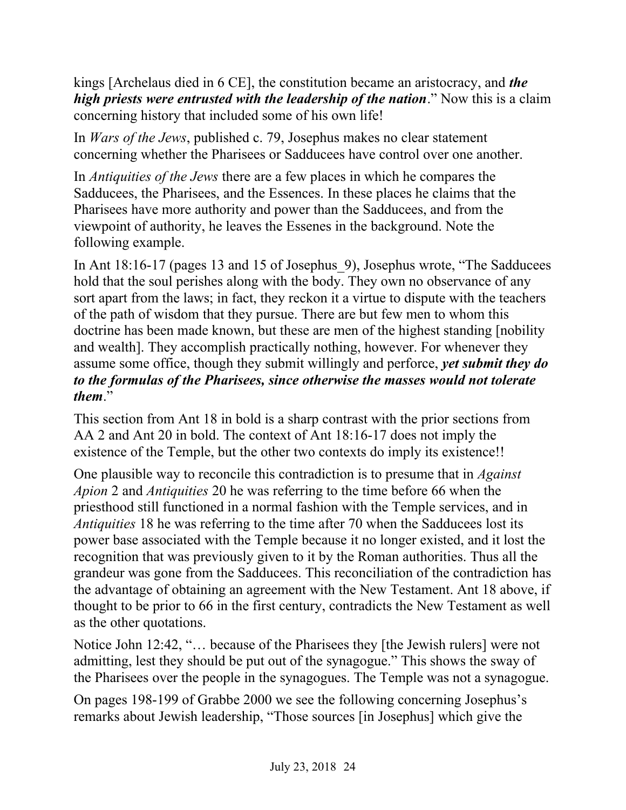kings [Archelaus died in 6 CE], the constitution became an aristocracy, and *the high priests were entrusted with the leadership of the nation*." Now this is a claim concerning history that included some of his own life!

In *Wars of the Jews*, published c. 79, Josephus makes no clear statement concerning whether the Pharisees or Sadducees have control over one another.

In *Antiquities of the Jews* there are a few places in which he compares the Sadducees, the Pharisees, and the Essences. In these places he claims that the Pharisees have more authority and power than the Sadducees, and from the viewpoint of authority, he leaves the Essenes in the background. Note the following example.

In Ant 18:16-17 (pages 13 and 15 of Josephus 9), Josephus wrote, "The Sadducees hold that the soul perishes along with the body. They own no observance of any sort apart from the laws; in fact, they reckon it a virtue to dispute with the teachers of the path of wisdom that they pursue. There are but few men to whom this doctrine has been made known, but these are men of the highest standing [nobility and wealth]. They accomplish practically nothing, however. For whenever they assume some office, though they submit willingly and perforce, *yet submit they do to the formulas of the Pharisees, since otherwise the masses would not tolerate them*."

This section from Ant 18 in bold is a sharp contrast with the prior sections from AA 2 and Ant 20 in bold. The context of Ant 18:16-17 does not imply the existence of the Temple, but the other two contexts do imply its existence!!

One plausible way to reconcile this contradiction is to presume that in *Against Apion* 2 and *Antiquities* 20 he was referring to the time before 66 when the priesthood still functioned in a normal fashion with the Temple services, and in *Antiquities* 18 he was referring to the time after 70 when the Sadducees lost its power base associated with the Temple because it no longer existed, and it lost the recognition that was previously given to it by the Roman authorities. Thus all the grandeur was gone from the Sadducees. This reconciliation of the contradiction has the advantage of obtaining an agreement with the New Testament. Ant 18 above, if thought to be prior to 66 in the first century, contradicts the New Testament as well as the other quotations.

Notice John 12:42, "… because of the Pharisees they [the Jewish rulers] were not admitting, lest they should be put out of the synagogue." This shows the sway of the Pharisees over the people in the synagogues. The Temple was not a synagogue.

On pages 198-199 of Grabbe 2000 we see the following concerning Josephus's remarks about Jewish leadership, "Those sources [in Josephus] which give the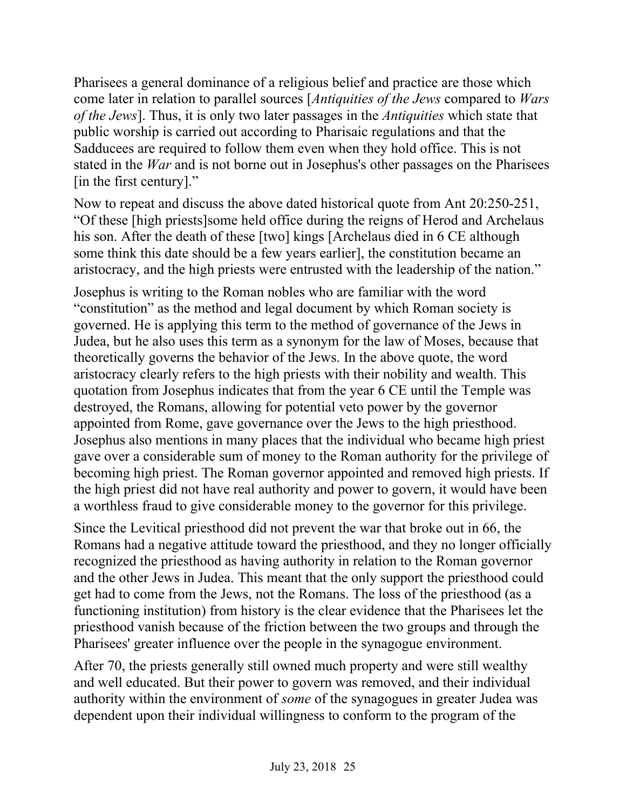Pharisees a general dominance of a religious belief and practice are those which come later in relation to parallel sources [*Antiquities of the Jews* compared to *Wars of the Jews*]. Thus, it is only two later passages in the *Antiquities* which state that public worship is carried out according to Pharisaic regulations and that the Sadducees are required to follow them even when they hold office. This is not stated in the *War* and is not borne out in Josephus's other passages on the Pharisees [in the first century]."

Now to repeat and discuss the above dated historical quote from Ant 20:250-251, "Of these [high priests]some held office during the reigns of Herod and Archelaus his son. After the death of these [two] kings [Archelaus died in 6 CE although some think this date should be a few years earlier], the constitution became an aristocracy, and the high priests were entrusted with the leadership of the nation."

Josephus is writing to the Roman nobles who are familiar with the word "constitution" as the method and legal document by which Roman society is governed. He is applying this term to the method of governance of the Jews in Judea, but he also uses this term as a synonym for the law of Moses, because that theoretically governs the behavior of the Jews. In the above quote, the word aristocracy clearly refers to the high priests with their nobility and wealth. This quotation from Josephus indicates that from the year 6 CE until the Temple was destroyed, the Romans, allowing for potential veto power by the governor appointed from Rome, gave governance over the Jews to the high priesthood. Josephus also mentions in many places that the individual who became high priest gave over a considerable sum of money to the Roman authority for the privilege of becoming high priest. The Roman governor appointed and removed high priests. If the high priest did not have real authority and power to govern, it would have been a worthless fraud to give considerable money to the governor for this privilege.

Since the Levitical priesthood did not prevent the war that broke out in 66, the Romans had a negative attitude toward the priesthood, and they no longer officially recognized the priesthood as having authority in relation to the Roman governor and the other Jews in Judea. This meant that the only support the priesthood could get had to come from the Jews, not the Romans. The loss of the priesthood (as a functioning institution) from history is the clear evidence that the Pharisees let the priesthood vanish because of the friction between the two groups and through the Pharisees' greater influence over the people in the synagogue environment.

After 70, the priests generally still owned much property and were still wealthy and well educated. But their power to govern was removed, and their individual authority within the environment of *some* of the synagogues in greater Judea was dependent upon their individual willingness to conform to the program of the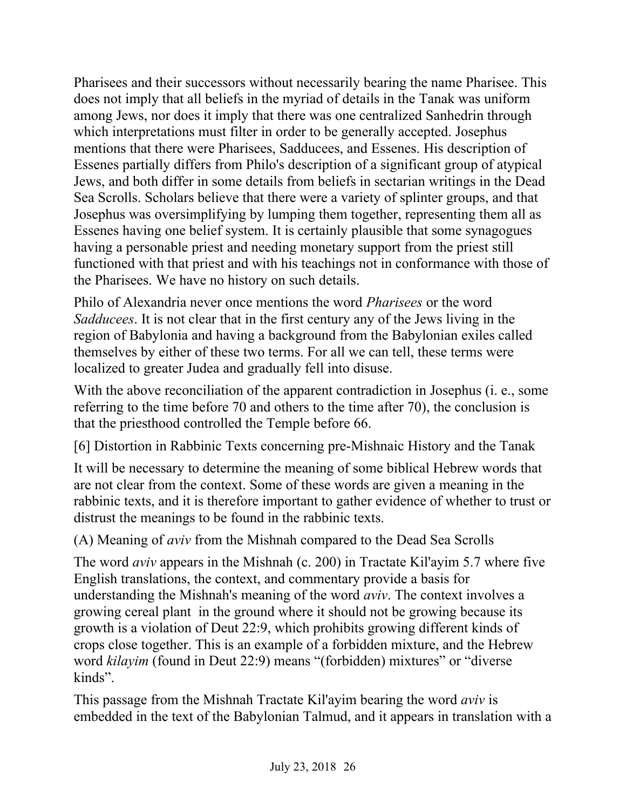Pharisees and their successors without necessarily bearing the name Pharisee. This does not imply that all beliefs in the myriad of details in the Tanak was uniform among Jews, nor does it imply that there was one centralized Sanhedrin through which interpretations must filter in order to be generally accepted. Josephus mentions that there were Pharisees, Sadducees, and Essenes. His description of Essenes partially differs from Philo's description of a significant group of atypical Jews, and both differ in some details from beliefs in sectarian writings in the Dead Sea Scrolls. Scholars believe that there were a variety of splinter groups, and that Josephus was oversimplifying by lumping them together, representing them all as Essenes having one belief system. It is certainly plausible that some synagogues having a personable priest and needing monetary support from the priest still functioned with that priest and with his teachings not in conformance with those of the Pharisees. We have no history on such details.

Philo of Alexandria never once mentions the word *Pharisees* or the word *Sadducees*. It is not clear that in the first century any of the Jews living in the region of Babylonia and having a background from the Babylonian exiles called themselves by either of these two terms. For all we can tell, these terms were localized to greater Judea and gradually fell into disuse.

With the above reconciliation of the apparent contradiction in Josephus (*i.e.*, some referring to the time before 70 and others to the time after 70), the conclusion is that the priesthood controlled the Temple before 66.

[6] Distortion in Rabbinic Texts concerning pre-Mishnaic History and the Tanak

It will be necessary to determine the meaning of some biblical Hebrew words that are not clear from the context. Some of these words are given a meaning in the rabbinic texts, and it is therefore important to gather evidence of whether to trust or distrust the meanings to be found in the rabbinic texts.

(A) Meaning of *aviv* from the Mishnah compared to the Dead Sea Scrolls

The word *aviv* appears in the Mishnah (c. 200) in Tractate Kil'ayim 5.7 where five English translations, the context, and commentary provide a basis for understanding the Mishnah's meaning of the word *aviv*. The context involves a growing cereal plant in the ground where it should not be growing because its growth is a violation of Deut 22:9, which prohibits growing different kinds of crops close together. This is an example of a forbidden mixture, and the Hebrew word *kilayim* (found in Deut 22:9) means "(forbidden) mixtures" or "diverse kinds".

This passage from the Mishnah Tractate Kil'ayim bearing the word *aviv* is embedded in the text of the Babylonian Talmud, and it appears in translation with a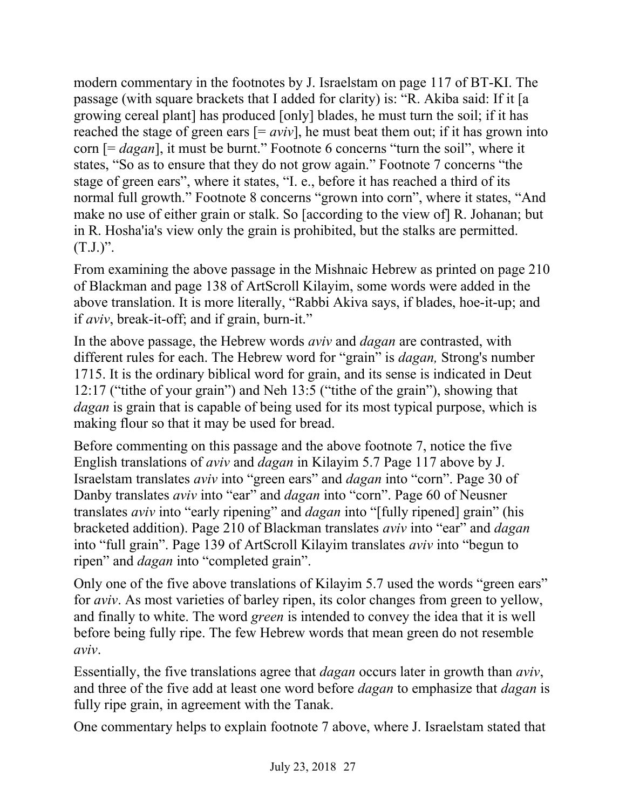modern commentary in the footnotes by J. Israelstam on page 117 of BT-KI. The passage (with square brackets that I added for clarity) is: "R. Akiba said: If it [a growing cereal plant] has produced [only] blades, he must turn the soil; if it has reached the stage of green ears  $[=$  *aviv*], he must beat them out; if it has grown into corn [= *dagan*], it must be burnt." Footnote 6 concerns "turn the soil", where it states, "So as to ensure that they do not grow again." Footnote 7 concerns "the stage of green ears", where it states, "I. e., before it has reached a third of its normal full growth." Footnote 8 concerns "grown into corn", where it states, "And make no use of either grain or stalk. So [according to the view of] R. Johanan; but in R. Hosha'ia's view only the grain is prohibited, but the stalks are permitted.  $(T.J.)$ ".

From examining the above passage in the Mishnaic Hebrew as printed on page 210 of Blackman and page 138 of ArtScroll Kilayim, some words were added in the above translation. It is more literally, "Rabbi Akiva says, if blades, hoe-it-up; and if *aviv*, break-it-off; and if grain, burn-it."

In the above passage, the Hebrew words *aviv* and *dagan* are contrasted, with different rules for each. The Hebrew word for "grain" is *dagan,* Strong's number 1715. It is the ordinary biblical word for grain, and its sense is indicated in Deut 12:17 ("tithe of your grain") and Neh 13:5 ("tithe of the grain"), showing that *dagan* is grain that is capable of being used for its most typical purpose, which is making flour so that it may be used for bread.

Before commenting on this passage and the above footnote 7, notice the five English translations of *aviv* and *dagan* in Kilayim 5.7 Page 117 above by J. Israelstam translates *aviv* into "green ears" and *dagan* into "corn". Page 30 of Danby translates *aviv* into "ear" and *dagan* into "corn". Page 60 of Neusner translates *aviv* into "early ripening" and *dagan* into "[fully ripened] grain" (his bracketed addition). Page 210 of Blackman translates *aviv* into "ear" and *dagan* into "full grain". Page 139 of ArtScroll Kilayim translates *aviv* into "begun to ripen" and *dagan* into "completed grain".

Only one of the five above translations of Kilayim 5.7 used the words "green ears" for *aviv*. As most varieties of barley ripen, its color changes from green to yellow, and finally to white. The word *green* is intended to convey the idea that it is well before being fully ripe. The few Hebrew words that mean green do not resemble *aviv*.

Essentially, the five translations agree that *dagan* occurs later in growth than *aviv*, and three of the five add at least one word before *dagan* to emphasize that *dagan* is fully ripe grain, in agreement with the Tanak.

One commentary helps to explain footnote 7 above, where J. Israelstam stated that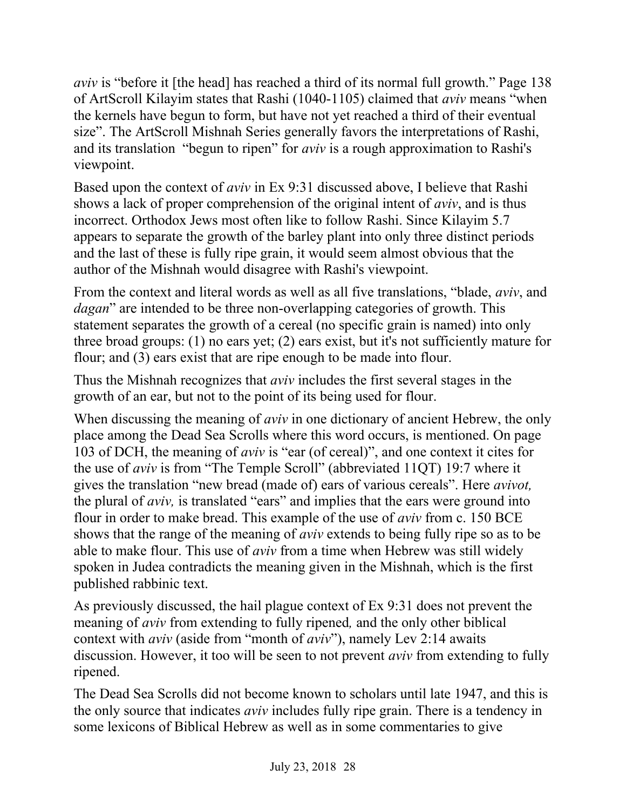*aviv* is "before it [the head] has reached a third of its normal full growth." Page 138 of ArtScroll Kilayim states that Rashi (1040-1105) claimed that *aviv* means "when the kernels have begun to form, but have not yet reached a third of their eventual size". The ArtScroll Mishnah Series generally favors the interpretations of Rashi, and its translation "begun to ripen" for *aviv* is a rough approximation to Rashi's viewpoint.

Based upon the context of *aviv* in Ex 9:31 discussed above, I believe that Rashi shows a lack of proper comprehension of the original intent of *aviv*, and is thus incorrect. Orthodox Jews most often like to follow Rashi. Since Kilayim 5.7 appears to separate the growth of the barley plant into only three distinct periods and the last of these is fully ripe grain, it would seem almost obvious that the author of the Mishnah would disagree with Rashi's viewpoint.

From the context and literal words as well as all five translations, "blade, *aviv*, and *dagan*" are intended to be three non-overlapping categories of growth. This statement separates the growth of a cereal (no specific grain is named) into only three broad groups: (1) no ears yet; (2) ears exist, but it's not sufficiently mature for flour; and (3) ears exist that are ripe enough to be made into flour.

Thus the Mishnah recognizes that *aviv* includes the first several stages in the growth of an ear, but not to the point of its being used for flour.

When discussing the meaning of *aviv* in one dictionary of ancient Hebrew, the only place among the Dead Sea Scrolls where this word occurs, is mentioned. On page 103 of DCH, the meaning of *aviv* is "ear (of cereal)", and one context it cites for the use of *aviv* is from "The Temple Scroll" (abbreviated 11QT) 19:7 where it gives the translation "new bread (made of) ears of various cereals". Here *avivot,* the plural of *aviv,* is translated "ears" and implies that the ears were ground into flour in order to make bread. This example of the use of *aviv* from c. 150 BCE shows that the range of the meaning of *aviv* extends to being fully ripe so as to be able to make flour. This use of *aviv* from a time when Hebrew was still widely spoken in Judea contradicts the meaning given in the Mishnah, which is the first published rabbinic text.

As previously discussed, the hail plague context of Ex 9:31 does not prevent the meaning of *aviv* from extending to fully ripened*,* and the only other biblical context with *aviv* (aside from "month of *aviv*"), namely Lev 2:14 awaits discussion. However, it too will be seen to not prevent *aviv* from extending to fully ripened.

The Dead Sea Scrolls did not become known to scholars until late 1947, and this is the only source that indicates *aviv* includes fully ripe grain. There is a tendency in some lexicons of Biblical Hebrew as well as in some commentaries to give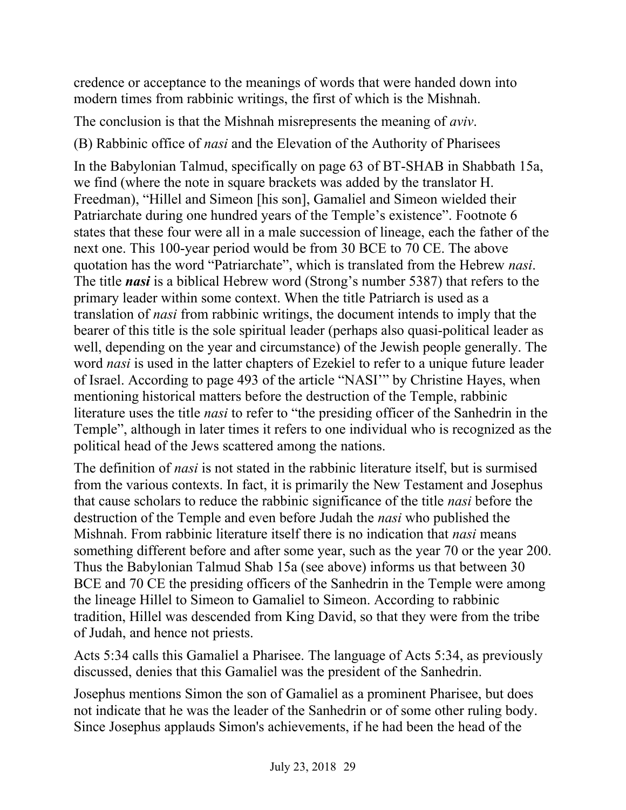credence or acceptance to the meanings of words that were handed down into modern times from rabbinic writings, the first of which is the Mishnah.

The conclusion is that the Mishnah misrepresents the meaning of *aviv*.

(B) Rabbinic office of *nasi* and the Elevation of the Authority of Pharisees

In the Babylonian Talmud, specifically on page 63 of BT-SHAB in Shabbath 15a, we find (where the note in square brackets was added by the translator H. Freedman), "Hillel and Simeon [his son], Gamaliel and Simeon wielded their Patriarchate during one hundred years of the Temple's existence". Footnote 6 states that these four were all in a male succession of lineage, each the father of the next one. This 100-year period would be from 30 BCE to 70 CE. The above quotation has the word "Patriarchate", which is translated from the Hebrew *nasi*. The title *nasi* is a biblical Hebrew word (Strong's number 5387) that refers to the primary leader within some context. When the title Patriarch is used as a translation of *nasi* from rabbinic writings, the document intends to imply that the bearer of this title is the sole spiritual leader (perhaps also quasi-political leader as well, depending on the year and circumstance) of the Jewish people generally. The word *nasi* is used in the latter chapters of Ezekiel to refer to a unique future leader of Israel. According to page 493 of the article "NASI'" by Christine Hayes, when mentioning historical matters before the destruction of the Temple, rabbinic literature uses the title *nasi* to refer to "the presiding officer of the Sanhedrin in the Temple", although in later times it refers to one individual who is recognized as the political head of the Jews scattered among the nations.

The definition of *nasi* is not stated in the rabbinic literature itself, but is surmised from the various contexts. In fact, it is primarily the New Testament and Josephus that cause scholars to reduce the rabbinic significance of the title *nasi* before the destruction of the Temple and even before Judah the *nasi* who published the Mishnah. From rabbinic literature itself there is no indication that *nasi* means something different before and after some year, such as the year 70 or the year 200. Thus the Babylonian Talmud Shab 15a (see above) informs us that between 30 BCE and 70 CE the presiding officers of the Sanhedrin in the Temple were among the lineage Hillel to Simeon to Gamaliel to Simeon. According to rabbinic tradition, Hillel was descended from King David, so that they were from the tribe of Judah, and hence not priests.

Acts 5:34 calls this Gamaliel a Pharisee. The language of Acts 5:34, as previously discussed, denies that this Gamaliel was the president of the Sanhedrin.

Josephus mentions Simon the son of Gamaliel as a prominent Pharisee, but does not indicate that he was the leader of the Sanhedrin or of some other ruling body. Since Josephus applauds Simon's achievements, if he had been the head of the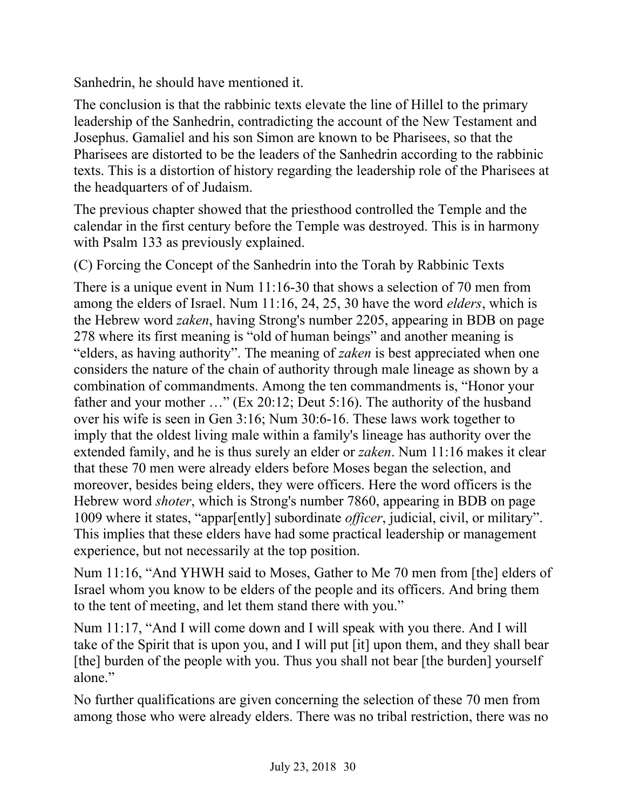Sanhedrin, he should have mentioned it.

The conclusion is that the rabbinic texts elevate the line of Hillel to the primary leadership of the Sanhedrin, contradicting the account of the New Testament and Josephus. Gamaliel and his son Simon are known to be Pharisees, so that the Pharisees are distorted to be the leaders of the Sanhedrin according to the rabbinic texts. This is a distortion of history regarding the leadership role of the Pharisees at the headquarters of of Judaism.

The previous chapter showed that the priesthood controlled the Temple and the calendar in the first century before the Temple was destroyed. This is in harmony with Psalm 133 as previously explained.

(C) Forcing the Concept of the Sanhedrin into the Torah by Rabbinic Texts

There is a unique event in Num 11:16-30 that shows a selection of 70 men from among the elders of Israel. Num 11:16, 24, 25, 30 have the word *elders*, which is the Hebrew word *zaken*, having Strong's number 2205, appearing in BDB on page 278 where its first meaning is "old of human beings" and another meaning is "elders, as having authority". The meaning of *zaken* is best appreciated when one considers the nature of the chain of authority through male lineage as shown by a combination of commandments. Among the ten commandments is, "Honor your father and your mother …" (Ex 20:12; Deut 5:16). The authority of the husband over his wife is seen in Gen 3:16; Num 30:6-16. These laws work together to imply that the oldest living male within a family's lineage has authority over the extended family, and he is thus surely an elder or *zaken*. Num 11:16 makes it clear that these 70 men were already elders before Moses began the selection, and moreover, besides being elders, they were officers. Here the word officers is the Hebrew word *shoter*, which is Strong's number 7860, appearing in BDB on page 1009 where it states, "appar[ently] subordinate *officer*, judicial, civil, or military". This implies that these elders have had some practical leadership or management experience, but not necessarily at the top position.

Num 11:16, "And YHWH said to Moses, Gather to Me 70 men from [the] elders of Israel whom you know to be elders of the people and its officers. And bring them to the tent of meeting, and let them stand there with you."

Num 11:17, "And I will come down and I will speak with you there. And I will take of the Spirit that is upon you, and I will put [it] upon them, and they shall bear [the] burden of the people with you. Thus you shall not bear [the burden] yourself alone."

No further qualifications are given concerning the selection of these 70 men from among those who were already elders. There was no tribal restriction, there was no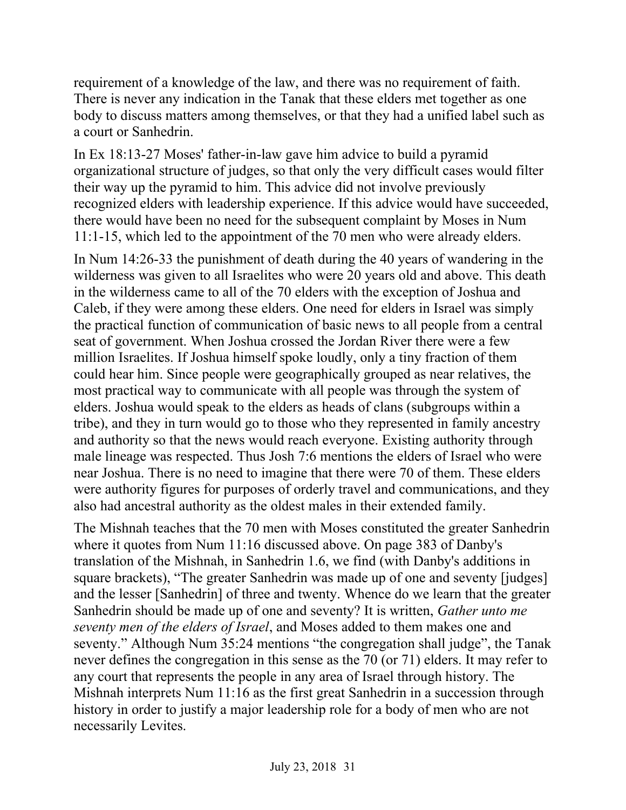requirement of a knowledge of the law, and there was no requirement of faith. There is never any indication in the Tanak that these elders met together as one body to discuss matters among themselves, or that they had a unified label such as a court or Sanhedrin.

In Ex 18:13-27 Moses' father-in-law gave him advice to build a pyramid organizational structure of judges, so that only the very difficult cases would filter their way up the pyramid to him. This advice did not involve previously recognized elders with leadership experience. If this advice would have succeeded, there would have been no need for the subsequent complaint by Moses in Num 11:1-15, which led to the appointment of the 70 men who were already elders.

In Num 14:26-33 the punishment of death during the 40 years of wandering in the wilderness was given to all Israelites who were 20 years old and above. This death in the wilderness came to all of the 70 elders with the exception of Joshua and Caleb, if they were among these elders. One need for elders in Israel was simply the practical function of communication of basic news to all people from a central seat of government. When Joshua crossed the Jordan River there were a few million Israelites. If Joshua himself spoke loudly, only a tiny fraction of them could hear him. Since people were geographically grouped as near relatives, the most practical way to communicate with all people was through the system of elders. Joshua would speak to the elders as heads of clans (subgroups within a tribe), and they in turn would go to those who they represented in family ancestry and authority so that the news would reach everyone. Existing authority through male lineage was respected. Thus Josh 7:6 mentions the elders of Israel who were near Joshua. There is no need to imagine that there were 70 of them. These elders were authority figures for purposes of orderly travel and communications, and they also had ancestral authority as the oldest males in their extended family.

The Mishnah teaches that the 70 men with Moses constituted the greater Sanhedrin where it quotes from Num 11:16 discussed above. On page 383 of Danby's translation of the Mishnah, in Sanhedrin 1.6, we find (with Danby's additions in square brackets), "The greater Sanhedrin was made up of one and seventy [judges] and the lesser [Sanhedrin] of three and twenty. Whence do we learn that the greater Sanhedrin should be made up of one and seventy? It is written, *Gather unto me seventy men of the elders of Israel*, and Moses added to them makes one and seventy." Although Num 35:24 mentions "the congregation shall judge", the Tanak never defines the congregation in this sense as the 70 (or 71) elders. It may refer to any court that represents the people in any area of Israel through history. The Mishnah interprets Num 11:16 as the first great Sanhedrin in a succession through history in order to justify a major leadership role for a body of men who are not necessarily Levites.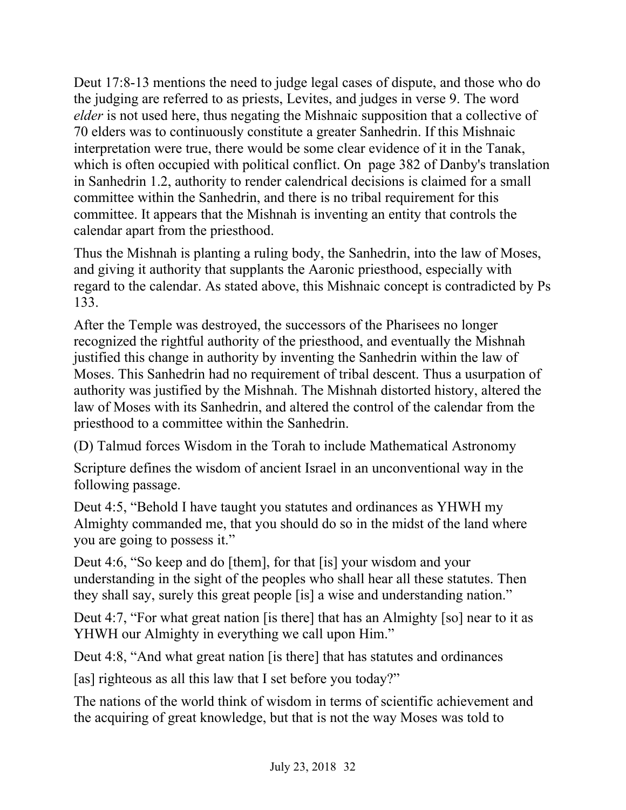Deut 17:8-13 mentions the need to judge legal cases of dispute, and those who do the judging are referred to as priests, Levites, and judges in verse 9. The word *elder* is not used here, thus negating the Mishnaic supposition that a collective of 70 elders was to continuously constitute a greater Sanhedrin. If this Mishnaic interpretation were true, there would be some clear evidence of it in the Tanak, which is often occupied with political conflict. On page 382 of Danby's translation in Sanhedrin 1.2, authority to render calendrical decisions is claimed for a small committee within the Sanhedrin, and there is no tribal requirement for this committee. It appears that the Mishnah is inventing an entity that controls the calendar apart from the priesthood.

Thus the Mishnah is planting a ruling body, the Sanhedrin, into the law of Moses, and giving it authority that supplants the Aaronic priesthood, especially with regard to the calendar. As stated above, this Mishnaic concept is contradicted by Ps 133.

After the Temple was destroyed, the successors of the Pharisees no longer recognized the rightful authority of the priesthood, and eventually the Mishnah justified this change in authority by inventing the Sanhedrin within the law of Moses. This Sanhedrin had no requirement of tribal descent. Thus a usurpation of authority was justified by the Mishnah. The Mishnah distorted history, altered the law of Moses with its Sanhedrin, and altered the control of the calendar from the priesthood to a committee within the Sanhedrin.

(D) Talmud forces Wisdom in the Torah to include Mathematical Astronomy

Scripture defines the wisdom of ancient Israel in an unconventional way in the following passage.

Deut 4:5, "Behold I have taught you statutes and ordinances as YHWH my Almighty commanded me, that you should do so in the midst of the land where you are going to possess it."

Deut 4:6, "So keep and do [them], for that [is] your wisdom and your understanding in the sight of the peoples who shall hear all these statutes. Then they shall say, surely this great people [is] a wise and understanding nation."

Deut 4:7, "For what great nation [is there] that has an Almighty [so] near to it as YHWH our Almighty in everything we call upon Him."

Deut 4:8, "And what great nation [is there] that has statutes and ordinances

[as] righteous as all this law that I set before you today?"

The nations of the world think of wisdom in terms of scientific achievement and the acquiring of great knowledge, but that is not the way Moses was told to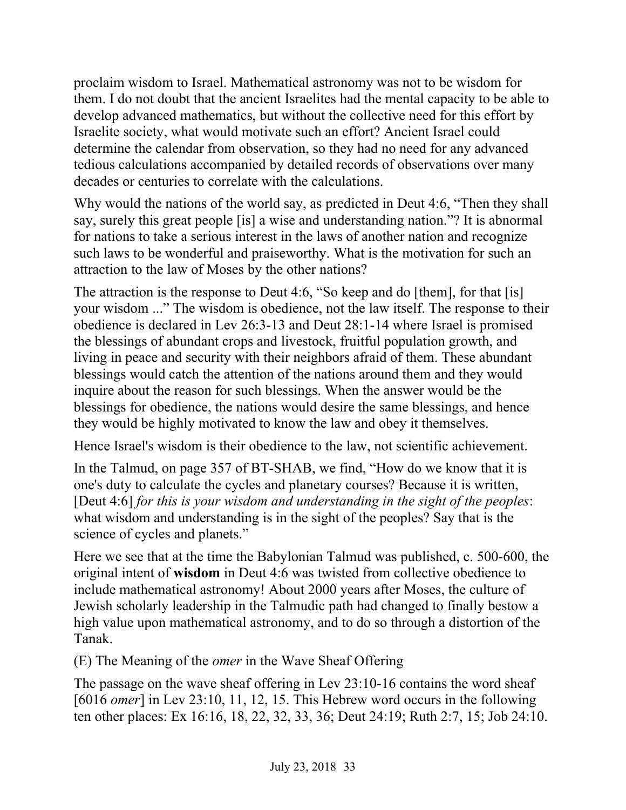proclaim wisdom to Israel. Mathematical astronomy was not to be wisdom for them. I do not doubt that the ancient Israelites had the mental capacity to be able to develop advanced mathematics, but without the collective need for this effort by Israelite society, what would motivate such an effort? Ancient Israel could determine the calendar from observation, so they had no need for any advanced tedious calculations accompanied by detailed records of observations over many decades or centuries to correlate with the calculations.

Why would the nations of the world say, as predicted in Deut 4:6, "Then they shall say, surely this great people [is] a wise and understanding nation."? It is abnormal for nations to take a serious interest in the laws of another nation and recognize such laws to be wonderful and praiseworthy. What is the motivation for such an attraction to the law of Moses by the other nations?

The attraction is the response to Deut 4:6, "So keep and do [them], for that [is] your wisdom ..." The wisdom is obedience, not the law itself. The response to their obedience is declared in Lev 26:3-13 and Deut 28:1-14 where Israel is promised the blessings of abundant crops and livestock, fruitful population growth, and living in peace and security with their neighbors afraid of them. These abundant blessings would catch the attention of the nations around them and they would inquire about the reason for such blessings. When the answer would be the blessings for obedience, the nations would desire the same blessings, and hence they would be highly motivated to know the law and obey it themselves.

Hence Israel's wisdom is their obedience to the law, not scientific achievement.

In the Talmud, on page 357 of BT-SHAB, we find, "How do we know that it is one's duty to calculate the cycles and planetary courses? Because it is written, [Deut 4:6] *for this is your wisdom and understanding in the sight of the peoples*: what wisdom and understanding is in the sight of the peoples? Say that is the science of cycles and planets."

Here we see that at the time the Babylonian Talmud was published, c. 500-600, the original intent of **wisdom** in Deut 4:6 was twisted from collective obedience to include mathematical astronomy! About 2000 years after Moses, the culture of Jewish scholarly leadership in the Talmudic path had changed to finally bestow a high value upon mathematical astronomy, and to do so through a distortion of the Tanak.

(E) The Meaning of the *omer* in the Wave Sheaf Offering

The passage on the wave sheaf offering in Lev 23:10-16 contains the word sheaf [6016 *omer*] in Lev 23:10, 11, 12, 15. This Hebrew word occurs in the following ten other places: Ex 16:16, 18, 22, 32, 33, 36; Deut 24:19; Ruth 2:7, 15; Job 24:10.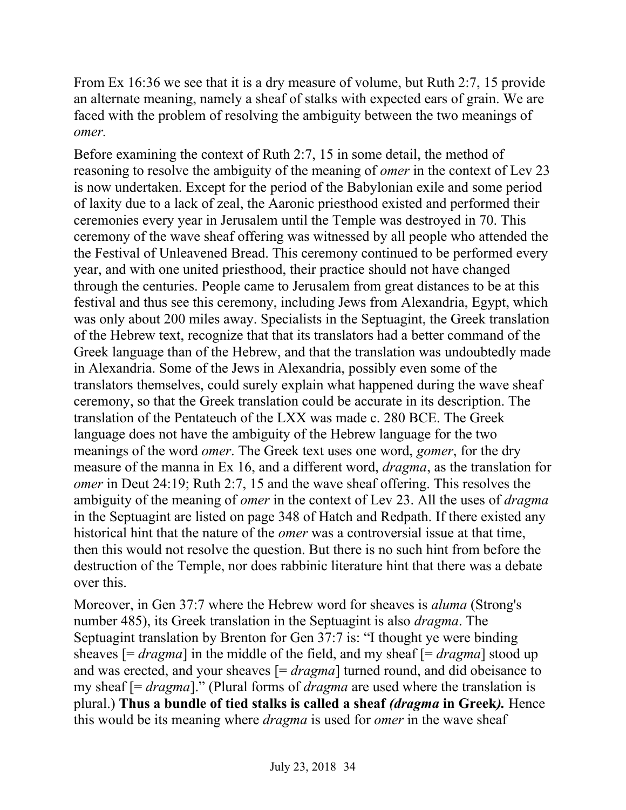From Ex 16:36 we see that it is a dry measure of volume, but Ruth 2:7, 15 provide an alternate meaning, namely a sheaf of stalks with expected ears of grain. We are faced with the problem of resolving the ambiguity between the two meanings of *omer.*

Before examining the context of Ruth 2:7, 15 in some detail, the method of reasoning to resolve the ambiguity of the meaning of *omer* in the context of Lev 23 is now undertaken. Except for the period of the Babylonian exile and some period of laxity due to a lack of zeal, the Aaronic priesthood existed and performed their ceremonies every year in Jerusalem until the Temple was destroyed in 70. This ceremony of the wave sheaf offering was witnessed by all people who attended the the Festival of Unleavened Bread. This ceremony continued to be performed every year, and with one united priesthood, their practice should not have changed through the centuries. People came to Jerusalem from great distances to be at this festival and thus see this ceremony, including Jews from Alexandria, Egypt, which was only about 200 miles away. Specialists in the Septuagint, the Greek translation of the Hebrew text, recognize that that its translators had a better command of the Greek language than of the Hebrew, and that the translation was undoubtedly made in Alexandria. Some of the Jews in Alexandria, possibly even some of the translators themselves, could surely explain what happened during the wave sheaf ceremony, so that the Greek translation could be accurate in its description. The translation of the Pentateuch of the LXX was made c. 280 BCE. The Greek language does not have the ambiguity of the Hebrew language for the two meanings of the word *omer*. The Greek text uses one word, *gomer*, for the dry measure of the manna in Ex 16, and a different word, *dragma*, as the translation for *omer* in Deut 24:19; Ruth 2:7, 15 and the wave sheaf offering. This resolves the ambiguity of the meaning of *omer* in the context of Lev 23. All the uses of *dragma* in the Septuagint are listed on page 348 of Hatch and Redpath. If there existed any historical hint that the nature of the *omer* was a controversial issue at that time, then this would not resolve the question. But there is no such hint from before the destruction of the Temple, nor does rabbinic literature hint that there was a debate over this.

Moreover, in Gen 37:7 where the Hebrew word for sheaves is *aluma* (Strong's number 485), its Greek translation in the Septuagint is also *dragma*. The Septuagint translation by Brenton for Gen 37:7 is: "I thought ye were binding sheaves [= *dragma*] in the middle of the field, and my sheaf [= *dragma*] stood up and was erected, and your sheaves [= *dragma*] turned round, and did obeisance to my sheaf [= *dragma*]." (Plural forms of *dragma* are used where the translation is plural.) **Thus a bundle of tied stalks is called a sheaf** *(dragma* **in Greek***).* Hence this would be its meaning where *dragma* is used for *omer* in the wave sheaf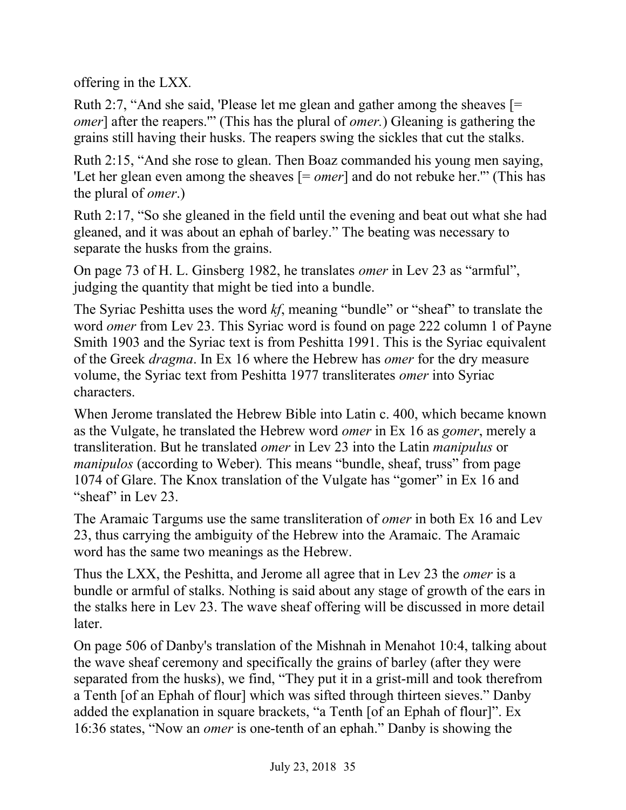offering in the LXX*.*

Ruth 2:7, "And she said, 'Please let me glean and gather among the sheaves [= *omer*] after the reapers." (This has the plural of *omer.*) Gleaning is gathering the grains still having their husks. The reapers swing the sickles that cut the stalks.

Ruth 2:15, "And she rose to glean. Then Boaz commanded his young men saying, 'Let her glean even among the sheaves [= *omer*] and do not rebuke her.'" (This has the plural of *omer*.)

Ruth 2:17, "So she gleaned in the field until the evening and beat out what she had gleaned, and it was about an ephah of barley." The beating was necessary to separate the husks from the grains.

On page 73 of H. L. Ginsberg 1982, he translates *omer* in Lev 23 as "armful", judging the quantity that might be tied into a bundle.

The Syriac Peshitta uses the word *kf*, meaning "bundle" or "sheaf" to translate the word *omer* from Lev 23. This Syriac word is found on page 222 column 1 of Payne Smith 1903 and the Syriac text is from Peshitta 1991. This is the Syriac equivalent of the Greek *dragma*. In Ex 16 where the Hebrew has *omer* for the dry measure volume, the Syriac text from Peshitta 1977 transliterates *omer* into Syriac characters.

When Jerome translated the Hebrew Bible into Latin c. 400, which became known as the Vulgate, he translated the Hebrew word *omer* in Ex 16 as *gomer*, merely a transliteration. But he translated *omer* in Lev 23 into the Latin *manipulus* or *manipulos* (according to Weber). This means "bundle, sheaf, truss" from page 1074 of Glare. The Knox translation of the Vulgate has "gomer" in Ex 16 and "sheaf" in Lev 23.

The Aramaic Targums use the same transliteration of *omer* in both Ex 16 and Lev 23, thus carrying the ambiguity of the Hebrew into the Aramaic. The Aramaic word has the same two meanings as the Hebrew.

Thus the LXX, the Peshitta, and Jerome all agree that in Lev 23 the *omer* is a bundle or armful of stalks. Nothing is said about any stage of growth of the ears in the stalks here in Lev 23. The wave sheaf offering will be discussed in more detail later.

On page 506 of Danby's translation of the Mishnah in Menahot 10:4, talking about the wave sheaf ceremony and specifically the grains of barley (after they were separated from the husks), we find, "They put it in a grist-mill and took therefrom a Tenth [of an Ephah of flour] which was sifted through thirteen sieves." Danby added the explanation in square brackets, "a Tenth [of an Ephah of flour]". Ex 16:36 states, "Now an *omer* is one-tenth of an ephah." Danby is showing the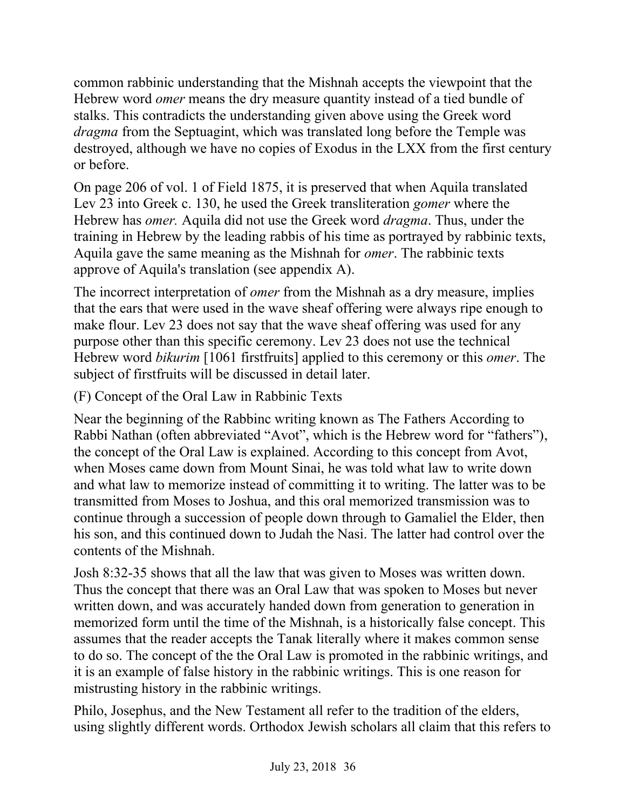common rabbinic understanding that the Mishnah accepts the viewpoint that the Hebrew word *omer* means the dry measure quantity instead of a tied bundle of stalks. This contradicts the understanding given above using the Greek word *dragma* from the Septuagint, which was translated long before the Temple was destroyed, although we have no copies of Exodus in the LXX from the first century or before.

On page 206 of vol. 1 of Field 1875, it is preserved that when Aquila translated Lev 23 into Greek c. 130, he used the Greek transliteration *gomer* where the Hebrew has *omer.* Aquila did not use the Greek word *dragma*. Thus, under the training in Hebrew by the leading rabbis of his time as portrayed by rabbinic texts, Aquila gave the same meaning as the Mishnah for *omer*. The rabbinic texts approve of Aquila's translation (see appendix A).

The incorrect interpretation of *omer* from the Mishnah as a dry measure, implies that the ears that were used in the wave sheaf offering were always ripe enough to make flour. Lev 23 does not say that the wave sheaf offering was used for any purpose other than this specific ceremony. Lev 23 does not use the technical Hebrew word *bikurim* [1061 firstfruits] applied to this ceremony or this *omer*. The subject of firstfruits will be discussed in detail later.

(F) Concept of the Oral Law in Rabbinic Texts

Near the beginning of the Rabbinc writing known as The Fathers According to Rabbi Nathan (often abbreviated "Avot", which is the Hebrew word for "fathers"), the concept of the Oral Law is explained. According to this concept from Avot, when Moses came down from Mount Sinai, he was told what law to write down and what law to memorize instead of committing it to writing. The latter was to be transmitted from Moses to Joshua, and this oral memorized transmission was to continue through a succession of people down through to Gamaliel the Elder, then his son, and this continued down to Judah the Nasi. The latter had control over the contents of the Mishnah.

Josh 8:32-35 shows that all the law that was given to Moses was written down. Thus the concept that there was an Oral Law that was spoken to Moses but never written down, and was accurately handed down from generation to generation in memorized form until the time of the Mishnah, is a historically false concept. This assumes that the reader accepts the Tanak literally where it makes common sense to do so. The concept of the the Oral Law is promoted in the rabbinic writings, and it is an example of false history in the rabbinic writings. This is one reason for mistrusting history in the rabbinic writings.

Philo, Josephus, and the New Testament all refer to the tradition of the elders, using slightly different words. Orthodox Jewish scholars all claim that this refers to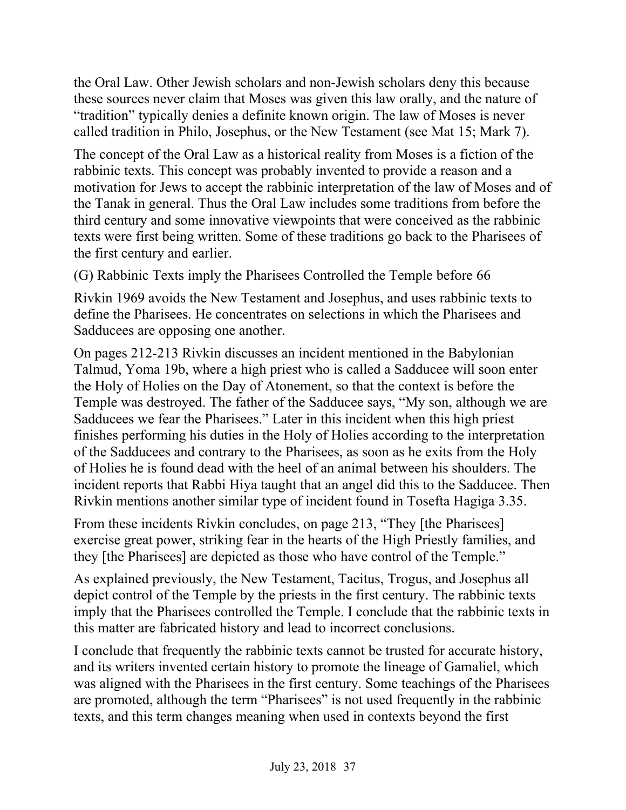the Oral Law. Other Jewish scholars and non-Jewish scholars deny this because these sources never claim that Moses was given this law orally, and the nature of "tradition" typically denies a definite known origin. The law of Moses is never called tradition in Philo, Josephus, or the New Testament (see Mat 15; Mark 7).

The concept of the Oral Law as a historical reality from Moses is a fiction of the rabbinic texts. This concept was probably invented to provide a reason and a motivation for Jews to accept the rabbinic interpretation of the law of Moses and of the Tanak in general. Thus the Oral Law includes some traditions from before the third century and some innovative viewpoints that were conceived as the rabbinic texts were first being written. Some of these traditions go back to the Pharisees of the first century and earlier.

(G) Rabbinic Texts imply the Pharisees Controlled the Temple before 66

Rivkin 1969 avoids the New Testament and Josephus, and uses rabbinic texts to define the Pharisees. He concentrates on selections in which the Pharisees and Sadducees are opposing one another.

On pages 212-213 Rivkin discusses an incident mentioned in the Babylonian Talmud, Yoma 19b, where a high priest who is called a Sadducee will soon enter the Holy of Holies on the Day of Atonement, so that the context is before the Temple was destroyed. The father of the Sadducee says, "My son, although we are Sadducees we fear the Pharisees." Later in this incident when this high priest finishes performing his duties in the Holy of Holies according to the interpretation of the Sadducees and contrary to the Pharisees, as soon as he exits from the Holy of Holies he is found dead with the heel of an animal between his shoulders. The incident reports that Rabbi Hiya taught that an angel did this to the Sadducee. Then Rivkin mentions another similar type of incident found in Tosefta Hagiga 3.35.

From these incidents Rivkin concludes, on page 213, "They [the Pharisees] exercise great power, striking fear in the hearts of the High Priestly families, and they [the Pharisees] are depicted as those who have control of the Temple."

As explained previously, the New Testament, Tacitus, Trogus, and Josephus all depict control of the Temple by the priests in the first century. The rabbinic texts imply that the Pharisees controlled the Temple. I conclude that the rabbinic texts in this matter are fabricated history and lead to incorrect conclusions.

I conclude that frequently the rabbinic texts cannot be trusted for accurate history, and its writers invented certain history to promote the lineage of Gamaliel, which was aligned with the Pharisees in the first century. Some teachings of the Pharisees are promoted, although the term "Pharisees" is not used frequently in the rabbinic texts, and this term changes meaning when used in contexts beyond the first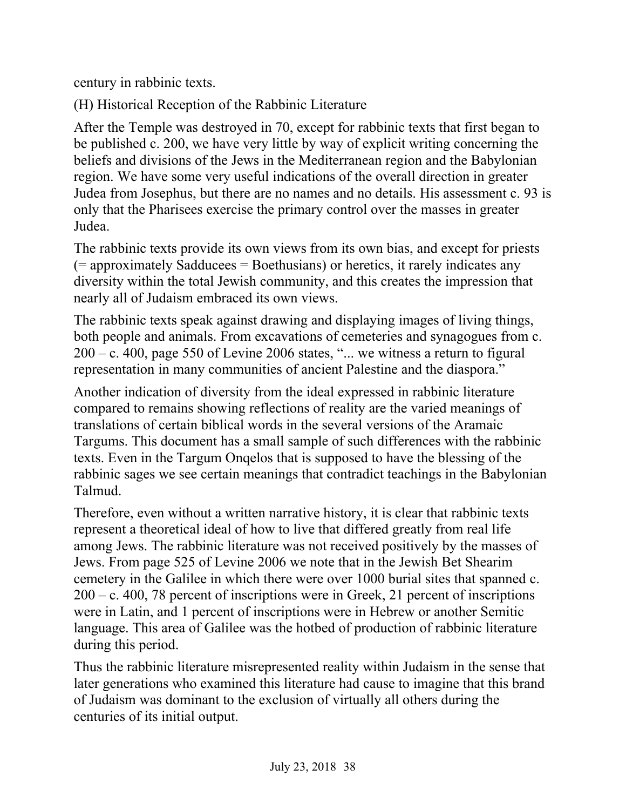century in rabbinic texts.

(H) Historical Reception of the Rabbinic Literature

After the Temple was destroyed in 70, except for rabbinic texts that first began to be published c. 200, we have very little by way of explicit writing concerning the beliefs and divisions of the Jews in the Mediterranean region and the Babylonian region. We have some very useful indications of the overall direction in greater Judea from Josephus, but there are no names and no details. His assessment c. 93 is only that the Pharisees exercise the primary control over the masses in greater Judea.

The rabbinic texts provide its own views from its own bias, and except for priests  $(=$  approximately Sadducees  $=$  Boethusians) or heretics, it rarely indicates any diversity within the total Jewish community, and this creates the impression that nearly all of Judaism embraced its own views.

The rabbinic texts speak against drawing and displaying images of living things, both people and animals. From excavations of cemeteries and synagogues from c.  $200 - c$ . 400, page 550 of Levine 2006 states, "... we witness a return to figural representation in many communities of ancient Palestine and the diaspora."

Another indication of diversity from the ideal expressed in rabbinic literature compared to remains showing reflections of reality are the varied meanings of translations of certain biblical words in the several versions of the Aramaic Targums. This document has a small sample of such differences with the rabbinic texts. Even in the Targum Onqelos that is supposed to have the blessing of the rabbinic sages we see certain meanings that contradict teachings in the Babylonian Talmud.

Therefore, even without a written narrative history, it is clear that rabbinic texts represent a theoretical ideal of how to live that differed greatly from real life among Jews. The rabbinic literature was not received positively by the masses of Jews. From page 525 of Levine 2006 we note that in the Jewish Bet Shearim cemetery in the Galilee in which there were over 1000 burial sites that spanned c. 200 – c. 400, 78 percent of inscriptions were in Greek, 21 percent of inscriptions were in Latin, and 1 percent of inscriptions were in Hebrew or another Semitic language. This area of Galilee was the hotbed of production of rabbinic literature during this period.

Thus the rabbinic literature misrepresented reality within Judaism in the sense that later generations who examined this literature had cause to imagine that this brand of Judaism was dominant to the exclusion of virtually all others during the centuries of its initial output.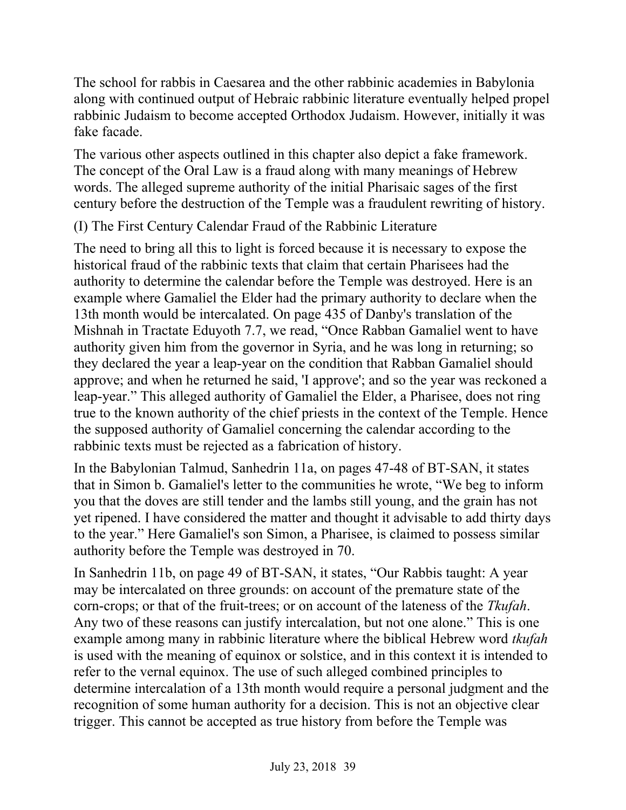The school for rabbis in Caesarea and the other rabbinic academies in Babylonia along with continued output of Hebraic rabbinic literature eventually helped propel rabbinic Judaism to become accepted Orthodox Judaism. However, initially it was fake facade.

The various other aspects outlined in this chapter also depict a fake framework. The concept of the Oral Law is a fraud along with many meanings of Hebrew words. The alleged supreme authority of the initial Pharisaic sages of the first century before the destruction of the Temple was a fraudulent rewriting of history.

## (I) The First Century Calendar Fraud of the Rabbinic Literature

The need to bring all this to light is forced because it is necessary to expose the historical fraud of the rabbinic texts that claim that certain Pharisees had the authority to determine the calendar before the Temple was destroyed. Here is an example where Gamaliel the Elder had the primary authority to declare when the 13th month would be intercalated. On page 435 of Danby's translation of the Mishnah in Tractate Eduyoth 7.7, we read, "Once Rabban Gamaliel went to have authority given him from the governor in Syria, and he was long in returning; so they declared the year a leap-year on the condition that Rabban Gamaliel should approve; and when he returned he said, 'I approve'; and so the year was reckoned a leap-year." This alleged authority of Gamaliel the Elder, a Pharisee, does not ring true to the known authority of the chief priests in the context of the Temple. Hence the supposed authority of Gamaliel concerning the calendar according to the rabbinic texts must be rejected as a fabrication of history.

In the Babylonian Talmud, Sanhedrin 11a, on pages 47-48 of BT-SAN, it states that in Simon b. Gamaliel's letter to the communities he wrote, "We beg to inform you that the doves are still tender and the lambs still young, and the grain has not yet ripened. I have considered the matter and thought it advisable to add thirty days to the year." Here Gamaliel's son Simon, a Pharisee, is claimed to possess similar authority before the Temple was destroyed in 70.

In Sanhedrin 11b, on page 49 of BT-SAN, it states, "Our Rabbis taught: A year may be intercalated on three grounds: on account of the premature state of the corn-crops; or that of the fruit-trees; or on account of the lateness of the *Tkufah*. Any two of these reasons can justify intercalation, but not one alone." This is one example among many in rabbinic literature where the biblical Hebrew word *tkufah* is used with the meaning of equinox or solstice, and in this context it is intended to refer to the vernal equinox. The use of such alleged combined principles to determine intercalation of a 13th month would require a personal judgment and the recognition of some human authority for a decision. This is not an objective clear trigger. This cannot be accepted as true history from before the Temple was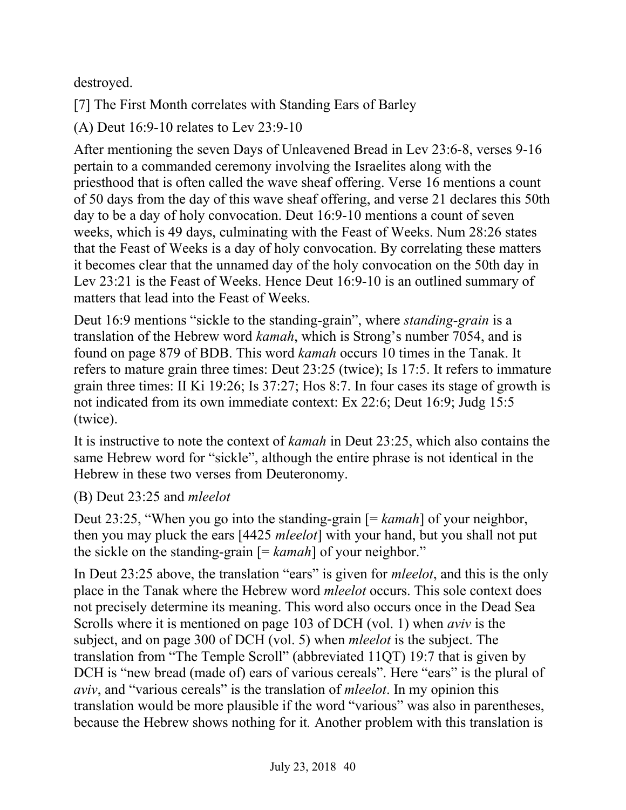destroyed.

[7] The First Month correlates with Standing Ears of Barley

(A) Deut 16:9-10 relates to Lev 23:9-10

After mentioning the seven Days of Unleavened Bread in Lev 23:6-8, verses 9-16 pertain to a commanded ceremony involving the Israelites along with the priesthood that is often called the wave sheaf offering. Verse 16 mentions a count of 50 days from the day of this wave sheaf offering, and verse 21 declares this 50th day to be a day of holy convocation. Deut 16:9-10 mentions a count of seven weeks, which is 49 days, culminating with the Feast of Weeks. Num 28:26 states that the Feast of Weeks is a day of holy convocation. By correlating these matters it becomes clear that the unnamed day of the holy convocation on the 50th day in Lev 23:21 is the Feast of Weeks. Hence Deut 16:9-10 is an outlined summary of matters that lead into the Feast of Weeks.

Deut 16:9 mentions "sickle to the standing-grain", where *standing-grain* is a translation of the Hebrew word *kamah*, which is Strong's number 7054, and is found on page 879 of BDB. This word *kamah* occurs 10 times in the Tanak. It refers to mature grain three times: Deut 23:25 (twice); Is 17:5. It refers to immature grain three times: II Ki 19:26; Is 37:27; Hos 8:7. In four cases its stage of growth is not indicated from its own immediate context: Ex 22:6; Deut 16:9; Judg 15:5 (twice).

It is instructive to note the context of *kamah* in Deut 23:25, which also contains the same Hebrew word for "sickle", although the entire phrase is not identical in the Hebrew in these two verses from Deuteronomy.

(B) Deut 23:25 and *mleelot*

Deut 23:25, "When you go into the standing-grain [= *kamah*] of your neighbor, then you may pluck the ears [4425 *mleelot*] with your hand, but you shall not put the sickle on the standing-grain [= *kamah*] of your neighbor."

In Deut 23:25 above, the translation "ears" is given for *mleelot*, and this is the only place in the Tanak where the Hebrew word *mleelot* occurs. This sole context does not precisely determine its meaning. This word also occurs once in the Dead Sea Scrolls where it is mentioned on page 103 of DCH (vol. 1) when *aviv* is the subject, and on page 300 of DCH (vol. 5) when *mleelot* is the subject. The translation from "The Temple Scroll" (abbreviated 11QT) 19:7 that is given by DCH is "new bread (made of) ears of various cereals". Here "ears" is the plural of *aviv*, and "various cereals" is the translation of *mleelot*. In my opinion this translation would be more plausible if the word "various" was also in parentheses, because the Hebrew shows nothing for it*.* Another problem with this translation is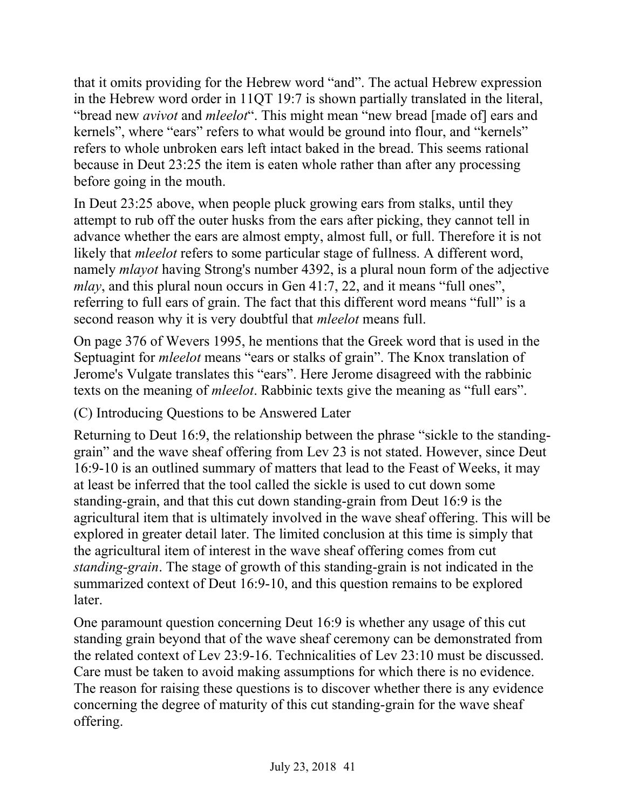that it omits providing for the Hebrew word "and". The actual Hebrew expression in the Hebrew word order in 11QT 19:7 is shown partially translated in the literal, "bread new *avivot* and *mleelot*". This might mean "new bread [made of] ears and kernels", where "ears" refers to what would be ground into flour, and "kernels" refers to whole unbroken ears left intact baked in the bread. This seems rational because in Deut 23:25 the item is eaten whole rather than after any processing before going in the mouth.

In Deut 23:25 above, when people pluck growing ears from stalks, until they attempt to rub off the outer husks from the ears after picking, they cannot tell in advance whether the ears are almost empty, almost full, or full. Therefore it is not likely that *mleelot* refers to some particular stage of fullness. A different word, namely *mlayot* having Strong's number 4392, is a plural noun form of the adjective *mlay*, and this plural noun occurs in Gen 41:7, 22, and it means "full ones", referring to full ears of grain. The fact that this different word means "full" is a second reason why it is very doubtful that *mleelot* means full.

On page 376 of Wevers 1995, he mentions that the Greek word that is used in the Septuagint for *mleelot* means "ears or stalks of grain". The Knox translation of Jerome's Vulgate translates this "ears". Here Jerome disagreed with the rabbinic texts on the meaning of *mleelot*. Rabbinic texts give the meaning as "full ears".

(C) Introducing Questions to be Answered Later

Returning to Deut 16:9, the relationship between the phrase "sickle to the standinggrain" and the wave sheaf offering from Lev 23 is not stated. However, since Deut 16:9-10 is an outlined summary of matters that lead to the Feast of Weeks, it may at least be inferred that the tool called the sickle is used to cut down some standing-grain, and that this cut down standing-grain from Deut 16:9 is the agricultural item that is ultimately involved in the wave sheaf offering. This will be explored in greater detail later. The limited conclusion at this time is simply that the agricultural item of interest in the wave sheaf offering comes from cut *standing-grain*. The stage of growth of this standing-grain is not indicated in the summarized context of Deut 16:9-10, and this question remains to be explored later.

One paramount question concerning Deut 16:9 is whether any usage of this cut standing grain beyond that of the wave sheaf ceremony can be demonstrated from the related context of Lev 23:9-16. Technicalities of Lev 23:10 must be discussed. Care must be taken to avoid making assumptions for which there is no evidence. The reason for raising these questions is to discover whether there is any evidence concerning the degree of maturity of this cut standing-grain for the wave sheaf offering.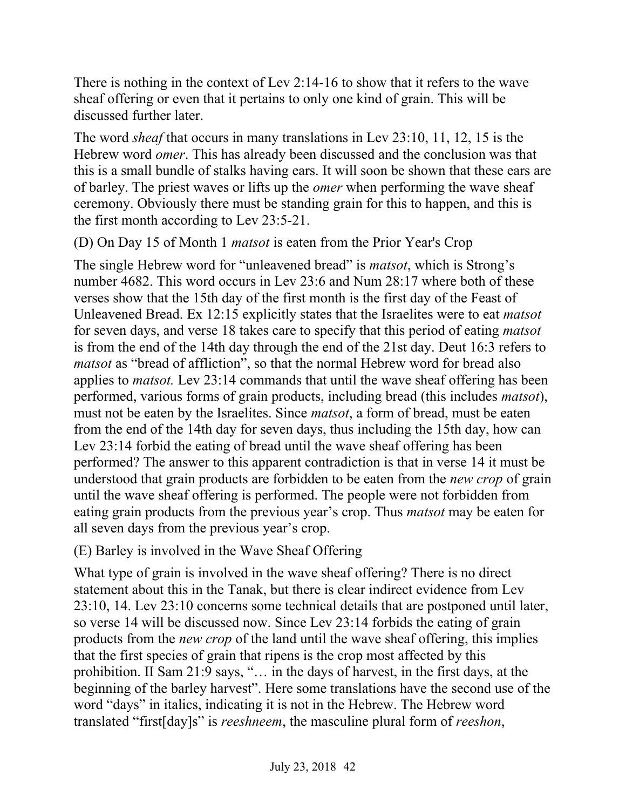There is nothing in the context of Lev 2:14-16 to show that it refers to the wave sheaf offering or even that it pertains to only one kind of grain. This will be discussed further later.

The word *sheaf* that occurs in many translations in Lev 23:10, 11, 12, 15 is the Hebrew word *omer*. This has already been discussed and the conclusion was that this is a small bundle of stalks having ears. It will soon be shown that these ears are of barley. The priest waves or lifts up the *omer* when performing the wave sheaf ceremony. Obviously there must be standing grain for this to happen, and this is the first month according to Lev 23:5-21.

(D) On Day 15 of Month 1 *matsot* is eaten from the Prior Year's Crop

The single Hebrew word for "unleavened bread" is *matsot*, which is Strong's number 4682. This word occurs in Lev 23:6 and Num 28:17 where both of these verses show that the 15th day of the first month is the first day of the Feast of Unleavened Bread. Ex 12:15 explicitly states that the Israelites were to eat *matsot* for seven days, and verse 18 takes care to specify that this period of eating *matsot* is from the end of the 14th day through the end of the 21st day. Deut 16:3 refers to *matsot* as "bread of affliction", so that the normal Hebrew word for bread also applies to *matsot.* Lev 23:14 commands that until the wave sheaf offering has been performed, various forms of grain products, including bread (this includes *matsot*), must not be eaten by the Israelites. Since *matsot*, a form of bread, must be eaten from the end of the 14th day for seven days, thus including the 15th day, how can Lev 23:14 forbid the eating of bread until the wave sheaf offering has been performed? The answer to this apparent contradiction is that in verse 14 it must be understood that grain products are forbidden to be eaten from the *new crop* of grain until the wave sheaf offering is performed. The people were not forbidden from eating grain products from the previous year's crop. Thus *matsot* may be eaten for all seven days from the previous year's crop.

(E) Barley is involved in the Wave Sheaf Offering

What type of grain is involved in the wave sheaf offering? There is no direct statement about this in the Tanak, but there is clear indirect evidence from Lev 23:10, 14. Lev 23:10 concerns some technical details that are postponed until later, so verse 14 will be discussed now. Since Lev 23:14 forbids the eating of grain products from the *new crop* of the land until the wave sheaf offering, this implies that the first species of grain that ripens is the crop most affected by this prohibition. II Sam 21:9 says, "… in the days of harvest, in the first days, at the beginning of the barley harvest". Here some translations have the second use of the word "days" in italics, indicating it is not in the Hebrew. The Hebrew word translated "first[day]s" is *reeshneem*, the masculine plural form of *reeshon*,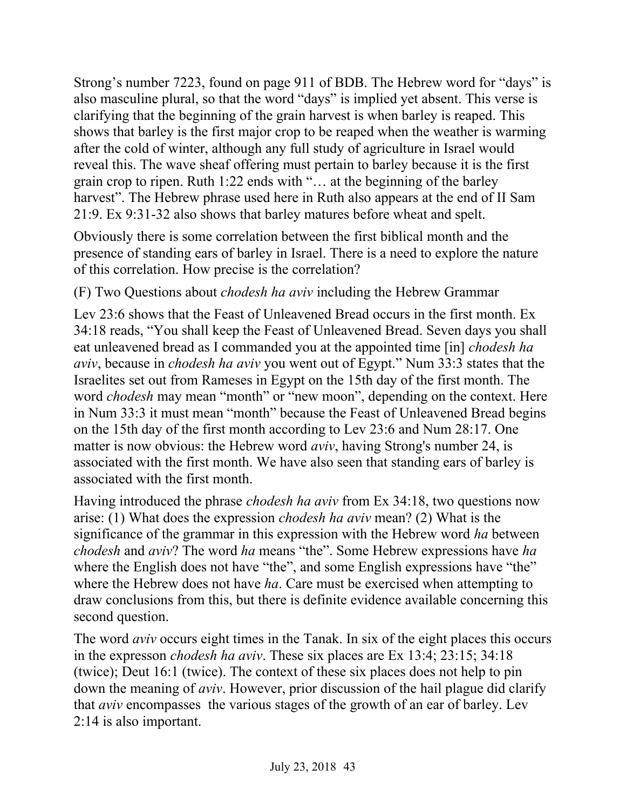Strong's number 7223, found on page 911 of BDB. The Hebrew word for "days" is also masculine plural, so that the word "days" is implied yet absent. This verse is clarifying that the beginning of the grain harvest is when barley is reaped. This shows that barley is the first major crop to be reaped when the weather is warming after the cold of winter, although any full study of agriculture in Israel would reveal this. The wave sheaf offering must pertain to barley because it is the first grain crop to ripen. Ruth 1:22 ends with "… at the beginning of the barley harvest". The Hebrew phrase used here in Ruth also appears at the end of II Sam 21:9. Ex 9:31-32 also shows that barley matures before wheat and spelt.

Obviously there is some correlation between the first biblical month and the presence of standing ears of barley in Israel. There is a need to explore the nature of this correlation. How precise is the correlation?

(F) Two Questions about *chodesh ha aviv* including the Hebrew Grammar

Lev 23:6 shows that the Feast of Unleavened Bread occurs in the first month. Ex 34:18 reads, "You shall keep the Feast of Unleavened Bread. Seven days you shall eat unleavened bread as I commanded you at the appointed time [in] *chodesh ha aviv*, because in *chodesh ha aviv* you went out of Egypt." Num 33:3 states that the Israelites set out from Rameses in Egypt on the 15th day of the first month. The word *chodesh* may mean "month" or "new moon", depending on the context. Here in Num 33:3 it must mean "month" because the Feast of Unleavened Bread begins on the 15th day of the first month according to Lev 23:6 and Num 28:17. One matter is now obvious: the Hebrew word *aviv*, having Strong's number 24, is associated with the first month. We have also seen that standing ears of barley is associated with the first month.

Having introduced the phrase *chodesh ha aviv* from Ex 34:18, two questions now arise: (1) What does the expression *chodesh ha aviv* mean? (2) What is the significance of the grammar in this expression with the Hebrew word *ha* between *chodesh* and *aviv*? The word *ha* means "the". Some Hebrew expressions have *ha* where the English does not have "the", and some English expressions have "the" where the Hebrew does not have *ha*. Care must be exercised when attempting to draw conclusions from this, but there is definite evidence available concerning this second question.

The word *aviv* occurs eight times in the Tanak. In six of the eight places this occurs in the expresson *chodesh ha aviv*. These six places are Ex 13:4; 23:15; 34:18 (twice); Deut 16:1 (twice). The context of these six places does not help to pin down the meaning of *aviv*. However, prior discussion of the hail plague did clarify that *aviv* encompasses the various stages of the growth of an ear of barley. Lev 2:14 is also important.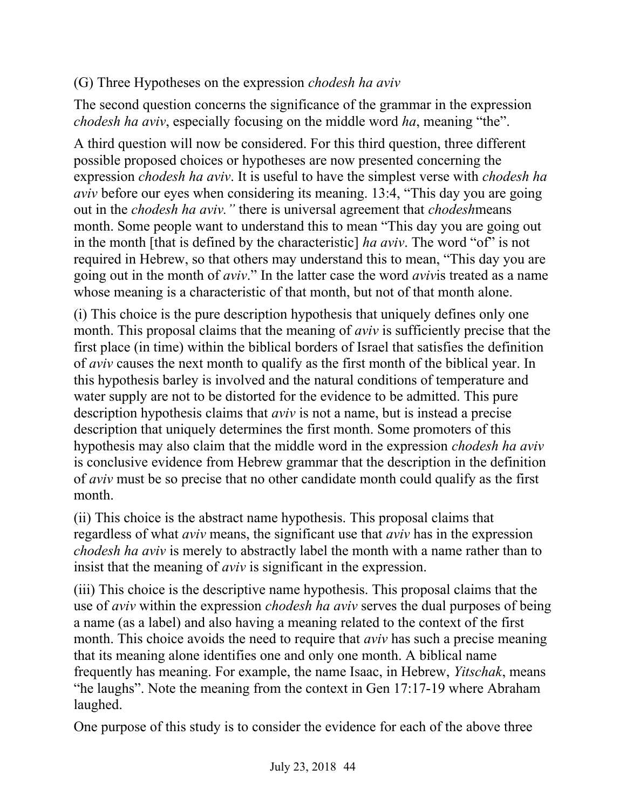## (G) Three Hypotheses on the expression *chodesh ha aviv*

The second question concerns the significance of the grammar in the expression *chodesh ha aviv*, especially focusing on the middle word *ha*, meaning "the".

A third question will now be considered. For this third question, three different possible proposed choices or hypotheses are now presented concerning the expression *chodesh ha aviv*. It is useful to have the simplest verse with *chodesh ha aviv* before our eyes when considering its meaning. 13:4, "This day you are going out in the *chodesh ha aviv."* there is universal agreement that *chodesh*means month. Some people want to understand this to mean "This day you are going out in the month [that is defined by the characteristic] *ha aviv*. The word "of" is not required in Hebrew, so that others may understand this to mean, "This day you are going out in the month of *aviv*." In the latter case the word *aviv*is treated as a name whose meaning is a characteristic of that month, but not of that month alone.

(i) This choice is the pure description hypothesis that uniquely defines only one month. This proposal claims that the meaning of *aviv* is sufficiently precise that the first place (in time) within the biblical borders of Israel that satisfies the definition of *aviv* causes the next month to qualify as the first month of the biblical year. In this hypothesis barley is involved and the natural conditions of temperature and water supply are not to be distorted for the evidence to be admitted. This pure description hypothesis claims that *aviv* is not a name, but is instead a precise description that uniquely determines the first month. Some promoters of this hypothesis may also claim that the middle word in the expression *chodesh ha aviv* is conclusive evidence from Hebrew grammar that the description in the definition of *aviv* must be so precise that no other candidate month could qualify as the first month.

(ii) This choice is the abstract name hypothesis. This proposal claims that regardless of what *aviv* means, the significant use that *aviv* has in the expression *chodesh ha aviv* is merely to abstractly label the month with a name rather than to insist that the meaning of *aviv* is significant in the expression.

(iii) This choice is the descriptive name hypothesis. This proposal claims that the use of *aviv* within the expression *chodesh ha aviv* serves the dual purposes of being a name (as a label) and also having a meaning related to the context of the first month. This choice avoids the need to require that *aviv* has such a precise meaning that its meaning alone identifies one and only one month. A biblical name frequently has meaning. For example, the name Isaac, in Hebrew, *Yitschak*, means "he laughs". Note the meaning from the context in Gen 17:17-19 where Abraham laughed.

One purpose of this study is to consider the evidence for each of the above three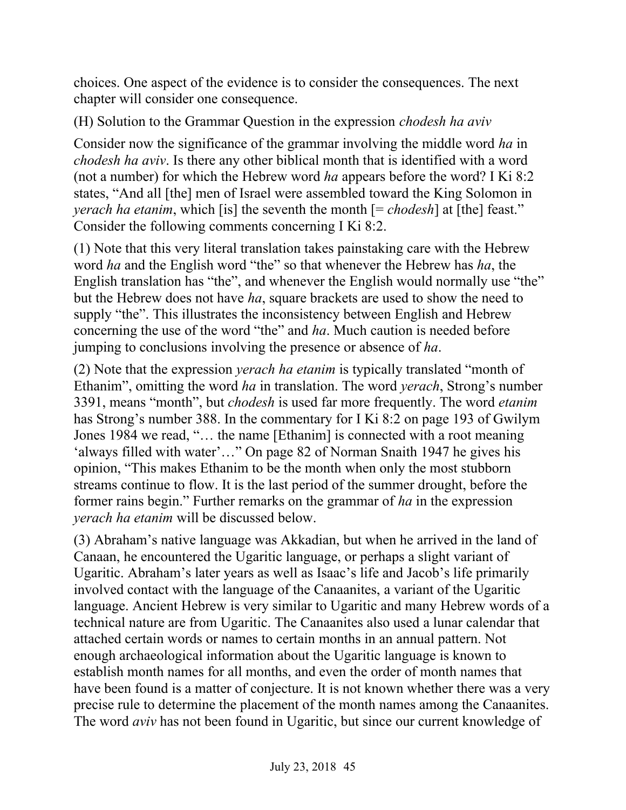choices. One aspect of the evidence is to consider the consequences. The next chapter will consider one consequence.

(H) Solution to the Grammar Question in the expression *chodesh ha aviv*

Consider now the significance of the grammar involving the middle word *ha* in *chodesh ha aviv*. Is there any other biblical month that is identified with a word (not a number) for which the Hebrew word *ha* appears before the word? I Ki 8:2 states, "And all [the] men of Israel were assembled toward the King Solomon in *yerach ha etanim*, which [is] the seventh the month  $[=$  *chodesh*] at [the] feast." Consider the following comments concerning I Ki 8:2.

(1) Note that this very literal translation takes painstaking care with the Hebrew word *ha* and the English word "the" so that whenever the Hebrew has *ha*, the English translation has "the", and whenever the English would normally use "the" but the Hebrew does not have *ha*, square brackets are used to show the need to supply "the". This illustrates the inconsistency between English and Hebrew concerning the use of the word "the" and *ha*. Much caution is needed before jumping to conclusions involving the presence or absence of *ha*.

(2) Note that the expression *yerach ha etanim* is typically translated "month of Ethanim", omitting the word *ha* in translation. The word *yerach*, Strong's number 3391, means "month", but *chodesh* is used far more frequently. The word *etanim* has Strong's number 388. In the commentary for I Ki 8:2 on page 193 of Gwilym Jones 1984 we read, "… the name [Ethanim] is connected with a root meaning 'always filled with water'…" On page 82 of Norman Snaith 1947 he gives his opinion, "This makes Ethanim to be the month when only the most stubborn streams continue to flow. It is the last period of the summer drought, before the former rains begin." Further remarks on the grammar of *ha* in the expression *yerach ha etanim* will be discussed below.

(3) Abraham's native language was Akkadian, but when he arrived in the land of Canaan, he encountered the Ugaritic language, or perhaps a slight variant of Ugaritic. Abraham's later years as well as Isaac's life and Jacob's life primarily involved contact with the language of the Canaanites, a variant of the Ugaritic language. Ancient Hebrew is very similar to Ugaritic and many Hebrew words of a technical nature are from Ugaritic. The Canaanites also used a lunar calendar that attached certain words or names to certain months in an annual pattern. Not enough archaeological information about the Ugaritic language is known to establish month names for all months, and even the order of month names that have been found is a matter of conjecture. It is not known whether there was a very precise rule to determine the placement of the month names among the Canaanites. The word *aviv* has not been found in Ugaritic, but since our current knowledge of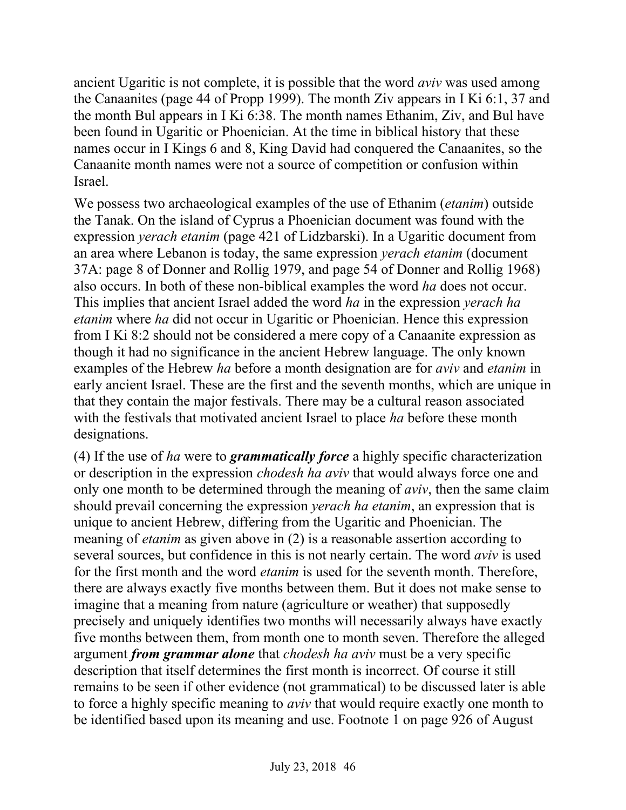ancient Ugaritic is not complete, it is possible that the word *aviv* was used among the Canaanites (page 44 of Propp 1999). The month Ziv appears in I Ki 6:1, 37 and the month Bul appears in I Ki 6:38. The month names Ethanim, Ziv, and Bul have been found in Ugaritic or Phoenician. At the time in biblical history that these names occur in I Kings 6 and 8, King David had conquered the Canaanites, so the Canaanite month names were not a source of competition or confusion within Israel.

We possess two archaeological examples of the use of Ethanim (*etanim*) outside the Tanak. On the island of Cyprus a Phoenician document was found with the expression *yerach etanim* (page 421 of Lidzbarski). In a Ugaritic document from an area where Lebanon is today, the same expression *yerach etanim* (document 37A: page 8 of Donner and Rollig 1979, and page 54 of Donner and Rollig 1968) also occurs. In both of these non-biblical examples the word *ha* does not occur. This implies that ancient Israel added the word *ha* in the expression *yerach ha etanim* where *ha* did not occur in Ugaritic or Phoenician. Hence this expression from I Ki 8:2 should not be considered a mere copy of a Canaanite expression as though it had no significance in the ancient Hebrew language. The only known examples of the Hebrew *ha* before a month designation are for *aviv* and *etanim* in early ancient Israel. These are the first and the seventh months, which are unique in that they contain the major festivals. There may be a cultural reason associated with the festivals that motivated ancient Israel to place *ha* before these month designations.

(4) If the use of *ha* were to *grammatically force* a highly specific characterization or description in the expression *chodesh ha aviv* that would always force one and only one month to be determined through the meaning of *aviv*, then the same claim should prevail concerning the expression *yerach ha etanim*, an expression that is unique to ancient Hebrew, differing from the Ugaritic and Phoenician. The meaning of *etanim* as given above in (2) is a reasonable assertion according to several sources, but confidence in this is not nearly certain. The word *aviv* is used for the first month and the word *etanim* is used for the seventh month. Therefore, there are always exactly five months between them. But it does not make sense to imagine that a meaning from nature (agriculture or weather) that supposedly precisely and uniquely identifies two months will necessarily always have exactly five months between them, from month one to month seven. Therefore the alleged argument *from grammar alone* that *chodesh ha aviv* must be a very specific description that itself determines the first month is incorrect. Of course it still remains to be seen if other evidence (not grammatical) to be discussed later is able to force a highly specific meaning to *aviv* that would require exactly one month to be identified based upon its meaning and use. Footnote 1 on page 926 of August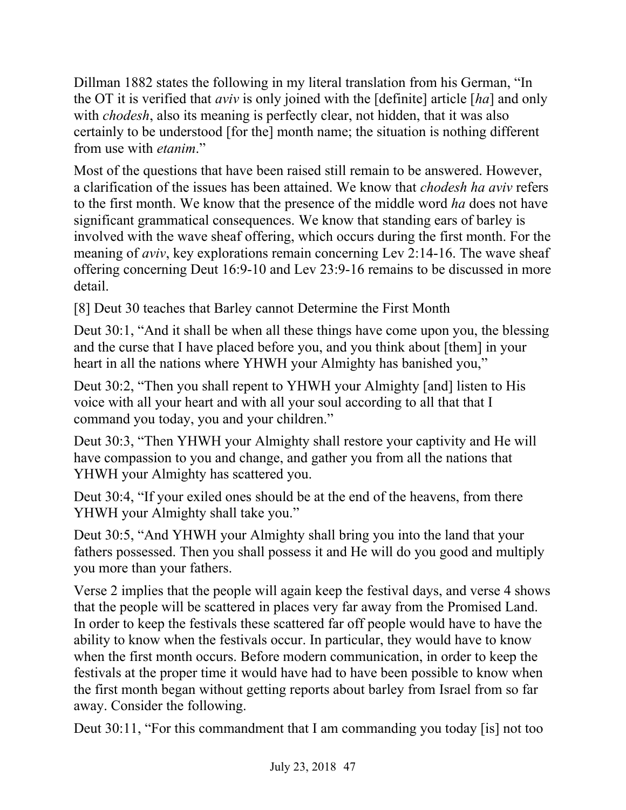Dillman 1882 states the following in my literal translation from his German, "In the OT it is verified that *aviv* is only joined with the [definite] article [*ha*] and only with *chodesh*, also its meaning is perfectly clear, not hidden, that it was also certainly to be understood [for the] month name; the situation is nothing different from use with *etanim*."

Most of the questions that have been raised still remain to be answered. However, a clarification of the issues has been attained. We know that *chodesh ha aviv* refers to the first month. We know that the presence of the middle word *ha* does not have significant grammatical consequences. We know that standing ears of barley is involved with the wave sheaf offering, which occurs during the first month. For the meaning of *aviv*, key explorations remain concerning Lev 2:14-16. The wave sheaf offering concerning Deut 16:9-10 and Lev 23:9-16 remains to be discussed in more detail.

[8] Deut 30 teaches that Barley cannot Determine the First Month

Deut 30:1, "And it shall be when all these things have come upon you, the blessing and the curse that I have placed before you, and you think about [them] in your heart in all the nations where YHWH your Almighty has banished you,"

Deut 30:2, "Then you shall repent to YHWH your Almighty [and] listen to His voice with all your heart and with all your soul according to all that that I command you today, you and your children."

Deut 30:3, "Then YHWH your Almighty shall restore your captivity and He will have compassion to you and change, and gather you from all the nations that YHWH your Almighty has scattered you.

Deut 30:4, "If your exiled ones should be at the end of the heavens, from there YHWH your Almighty shall take you."

Deut 30:5, "And YHWH your Almighty shall bring you into the land that your fathers possessed. Then you shall possess it and He will do you good and multiply you more than your fathers.

Verse 2 implies that the people will again keep the festival days, and verse 4 shows that the people will be scattered in places very far away from the Promised Land. In order to keep the festivals these scattered far off people would have to have the ability to know when the festivals occur. In particular, they would have to know when the first month occurs. Before modern communication, in order to keep the festivals at the proper time it would have had to have been possible to know when the first month began without getting reports about barley from Israel from so far away. Consider the following.

Deut 30:11, "For this commandment that I am commanding you today [is] not too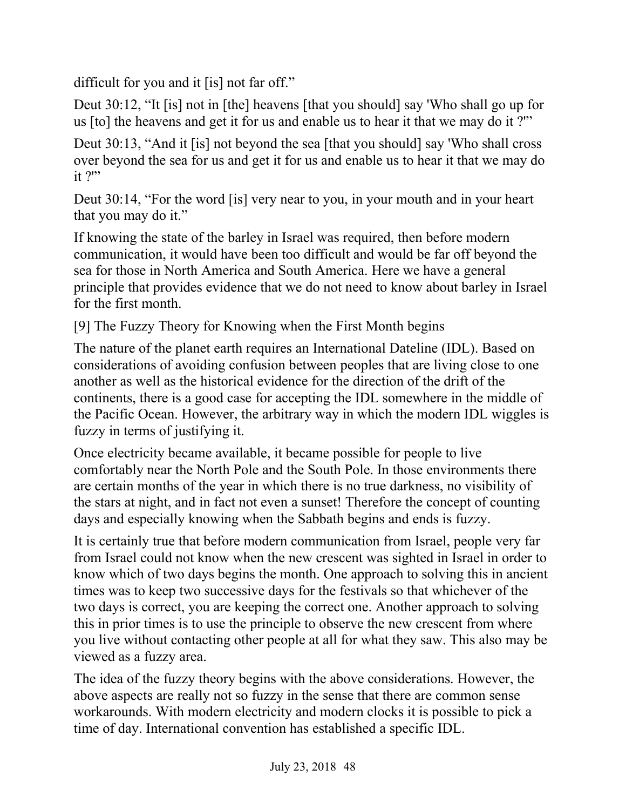difficult for you and it [is] not far off."

Deut 30:12, "It [is] not in [the] heavens [that you should] say 'Who shall go up for us [to] the heavens and get it for us and enable us to hear it that we may do it ?'"

Deut 30:13, "And it [is] not beyond the sea [that you should] say 'Who shall cross over beyond the sea for us and get it for us and enable us to hear it that we may do it ?"

Deut 30:14, "For the word [is] very near to you, in your mouth and in your heart that you may do it."

If knowing the state of the barley in Israel was required, then before modern communication, it would have been too difficult and would be far off beyond the sea for those in North America and South America. Here we have a general principle that provides evidence that we do not need to know about barley in Israel for the first month.

[9] The Fuzzy Theory for Knowing when the First Month begins

The nature of the planet earth requires an International Dateline (IDL). Based on considerations of avoiding confusion between peoples that are living close to one another as well as the historical evidence for the direction of the drift of the continents, there is a good case for accepting the IDL somewhere in the middle of the Pacific Ocean. However, the arbitrary way in which the modern IDL wiggles is fuzzy in terms of justifying it.

Once electricity became available, it became possible for people to live comfortably near the North Pole and the South Pole. In those environments there are certain months of the year in which there is no true darkness, no visibility of the stars at night, and in fact not even a sunset! Therefore the concept of counting days and especially knowing when the Sabbath begins and ends is fuzzy.

It is certainly true that before modern communication from Israel, people very far from Israel could not know when the new crescent was sighted in Israel in order to know which of two days begins the month. One approach to solving this in ancient times was to keep two successive days for the festivals so that whichever of the two days is correct, you are keeping the correct one. Another approach to solving this in prior times is to use the principle to observe the new crescent from where you live without contacting other people at all for what they saw. This also may be viewed as a fuzzy area.

The idea of the fuzzy theory begins with the above considerations. However, the above aspects are really not so fuzzy in the sense that there are common sense workarounds. With modern electricity and modern clocks it is possible to pick a time of day. International convention has established a specific IDL.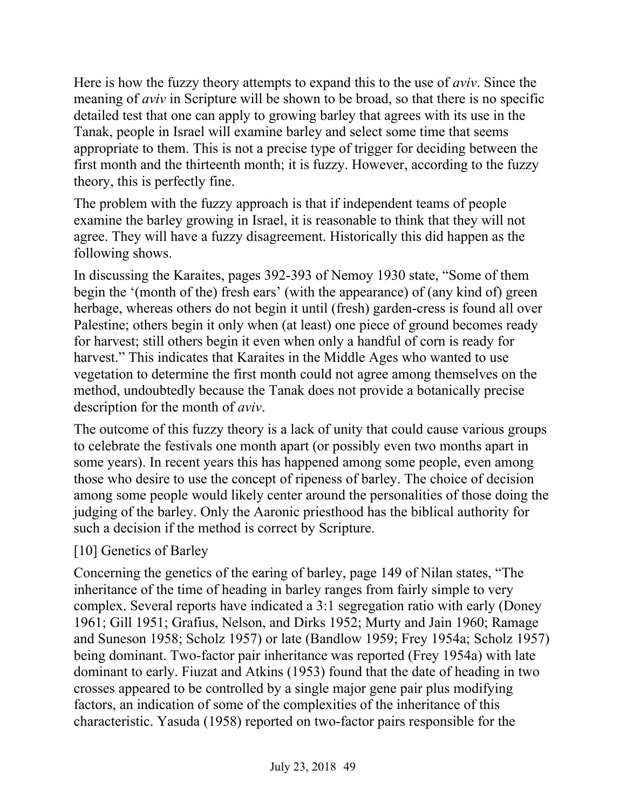Here is how the fuzzy theory attempts to expand this to the use of *aviv*. Since the meaning of *aviv* in Scripture will be shown to be broad, so that there is no specific detailed test that one can apply to growing barley that agrees with its use in the Tanak, people in Israel will examine barley and select some time that seems appropriate to them. This is not a precise type of trigger for deciding between the first month and the thirteenth month; it is fuzzy. However, according to the fuzzy theory, this is perfectly fine.

The problem with the fuzzy approach is that if independent teams of people examine the barley growing in Israel, it is reasonable to think that they will not agree. They will have a fuzzy disagreement. Historically this did happen as the following shows.

In discussing the Karaites, pages 392-393 of Nemoy 1930 state, "Some of them begin the '(month of the) fresh ears' (with the appearance) of (any kind of) green herbage, whereas others do not begin it until (fresh) garden-cress is found all over Palestine; others begin it only when (at least) one piece of ground becomes ready for harvest; still others begin it even when only a handful of corn is ready for harvest." This indicates that Karaites in the Middle Ages who wanted to use vegetation to determine the first month could not agree among themselves on the method, undoubtedly because the Tanak does not provide a botanically precise description for the month of *aviv*.

The outcome of this fuzzy theory is a lack of unity that could cause various groups to celebrate the festivals one month apart (or possibly even two months apart in some years). In recent years this has happened among some people, even among those who desire to use the concept of ripeness of barley. The choice of decision among some people would likely center around the personalities of those doing the judging of the barley. Only the Aaronic priesthood has the biblical authority for such a decision if the method is correct by Scripture.

### [10] Genetics of Barley

Concerning the genetics of the earing of barley, page 149 of Nilan states, "The inheritance of the time of heading in barley ranges from fairly simple to very complex. Several reports have indicated a 3:1 segregation ratio with early (Doney 1961; Gill 1951; Grafius, Nelson, and Dirks 1952; Murty and Jain 1960; Ramage and Suneson 1958; Scholz 1957) or late (Bandlow 1959; Frey 1954a; Scholz 1957) being dominant. Two-factor pair inheritance was reported (Frey 1954a) with late dominant to early. Fiuzat and Atkins (1953) found that the date of heading in two crosses appeared to be controlled by a single major gene pair plus modifying factors, an indication of some of the complexities of the inheritance of this characteristic. Yasuda (1958) reported on two-factor pairs responsible for the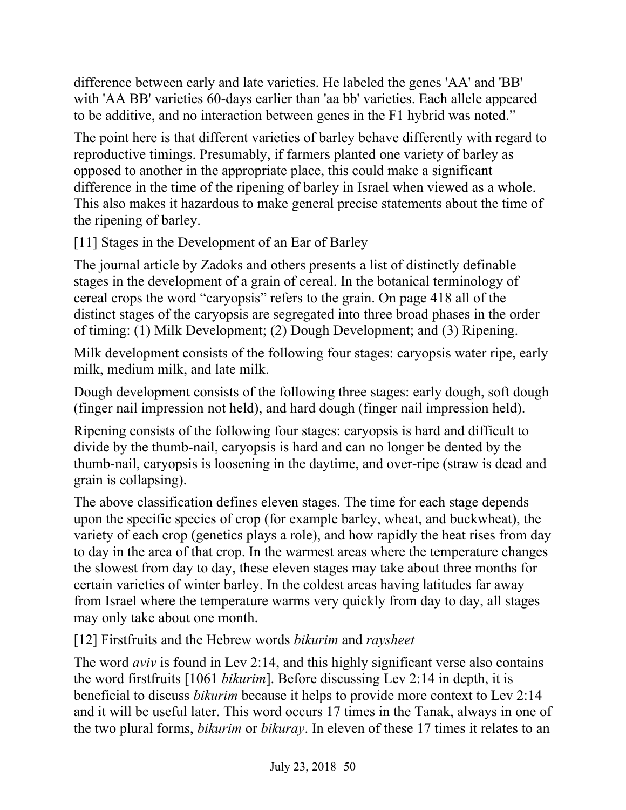difference between early and late varieties. He labeled the genes 'AA' and 'BB' with 'AA BB' varieties 60-days earlier than 'aa bb' varieties. Each allele appeared to be additive, and no interaction between genes in the F1 hybrid was noted."

The point here is that different varieties of barley behave differently with regard to reproductive timings. Presumably, if farmers planted one variety of barley as opposed to another in the appropriate place, this could make a significant difference in the time of the ripening of barley in Israel when viewed as a whole. This also makes it hazardous to make general precise statements about the time of the ripening of barley.

[11] Stages in the Development of an Ear of Barley

The journal article by Zadoks and others presents a list of distinctly definable stages in the development of a grain of cereal. In the botanical terminology of cereal crops the word "caryopsis" refers to the grain. On page 418 all of the distinct stages of the caryopsis are segregated into three broad phases in the order of timing: (1) Milk Development; (2) Dough Development; and (3) Ripening.

Milk development consists of the following four stages: caryopsis water ripe, early milk, medium milk, and late milk.

Dough development consists of the following three stages: early dough, soft dough (finger nail impression not held), and hard dough (finger nail impression held).

Ripening consists of the following four stages: caryopsis is hard and difficult to divide by the thumb-nail, caryopsis is hard and can no longer be dented by the thumb-nail, caryopsis is loosening in the daytime, and over-ripe (straw is dead and grain is collapsing).

The above classification defines eleven stages. The time for each stage depends upon the specific species of crop (for example barley, wheat, and buckwheat), the variety of each crop (genetics plays a role), and how rapidly the heat rises from day to day in the area of that crop. In the warmest areas where the temperature changes the slowest from day to day, these eleven stages may take about three months for certain varieties of winter barley. In the coldest areas having latitudes far away from Israel where the temperature warms very quickly from day to day, all stages may only take about one month.

[12] Firstfruits and the Hebrew words *bikurim* and *raysheet*

The word *aviv* is found in Lev 2:14, and this highly significant verse also contains the word firstfruits [1061 *bikurim*]. Before discussing Lev 2:14 in depth, it is beneficial to discuss *bikurim* because it helps to provide more context to Lev 2:14 and it will be useful later. This word occurs 17 times in the Tanak, always in one of the two plural forms, *bikurim* or *bikuray*. In eleven of these 17 times it relates to an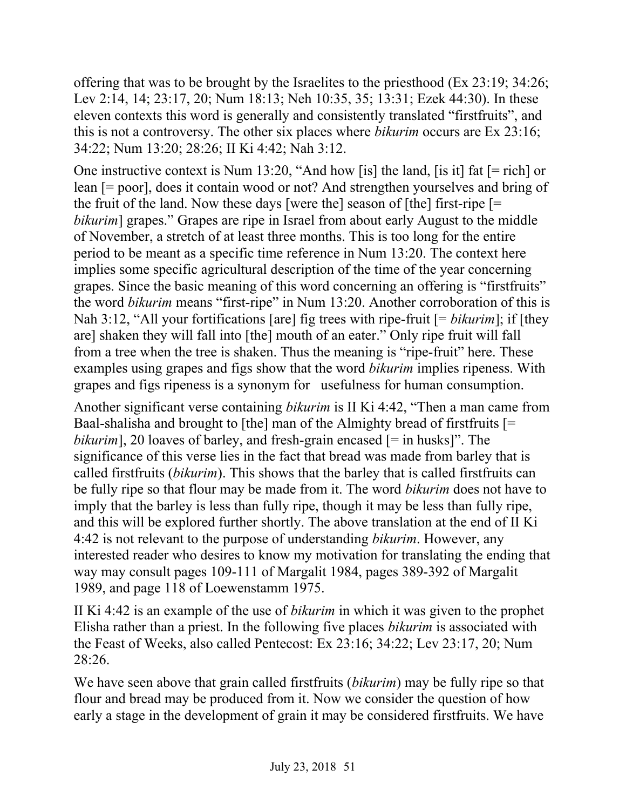offering that was to be brought by the Israelites to the priesthood (Ex 23:19; 34:26; Lev 2:14, 14; 23:17, 20; Num 18:13; Neh 10:35, 35; 13:31; Ezek 44:30). In these eleven contexts this word is generally and consistently translated "firstfruits", and this is not a controversy. The other six places where *bikurim* occurs are Ex 23:16; 34:22; Num 13:20; 28:26; II Ki 4:42; Nah 3:12.

One instructive context is Num 13:20, "And how [is] the land, [is it] fat [= rich] or lean [= poor], does it contain wood or not? And strengthen yourselves and bring of the fruit of the land. Now these days [were the] season of [the] first-ripe  $=$ *bikurim*] grapes." Grapes are ripe in Israel from about early August to the middle of November, a stretch of at least three months. This is too long for the entire period to be meant as a specific time reference in Num 13:20. The context here implies some specific agricultural description of the time of the year concerning grapes. Since the basic meaning of this word concerning an offering is "firstfruits" the word *bikurim* means "first-ripe" in Num 13:20. Another corroboration of this is Nah 3:12, "All your fortifications [are] fig trees with ripe-fruit [= *bikurim*]; if [they are] shaken they will fall into [the] mouth of an eater." Only ripe fruit will fall from a tree when the tree is shaken. Thus the meaning is "ripe-fruit" here. These examples using grapes and figs show that the word *bikurim* implies ripeness. With grapes and figs ripeness is a synonym for usefulness for human consumption.

Another significant verse containing *bikurim* is II Ki 4:42, "Then a man came from Baal-shalisha and brought to [the] man of the Almighty bread of firstfruits [= *bikurim*], 20 loaves of barley, and fresh-grain encased [= in husks]". The significance of this verse lies in the fact that bread was made from barley that is called firstfruits (*bikurim*). This shows that the barley that is called firstfruits can be fully ripe so that flour may be made from it. The word *bikurim* does not have to imply that the barley is less than fully ripe, though it may be less than fully ripe, and this will be explored further shortly. The above translation at the end of II Ki 4:42 is not relevant to the purpose of understanding *bikurim*. However, any interested reader who desires to know my motivation for translating the ending that way may consult pages 109-111 of Margalit 1984, pages 389-392 of Margalit 1989, and page 118 of Loewenstamm 1975.

II Ki 4:42 is an example of the use of *bikurim* in which it was given to the prophet Elisha rather than a priest. In the following five places *bikurim* is associated with the Feast of Weeks, also called Pentecost: Ex 23:16; 34:22; Lev 23:17, 20; Num 28:26.

We have seen above that grain called firstfruits (*bikurim*) may be fully ripe so that flour and bread may be produced from it. Now we consider the question of how early a stage in the development of grain it may be considered firstfruits. We have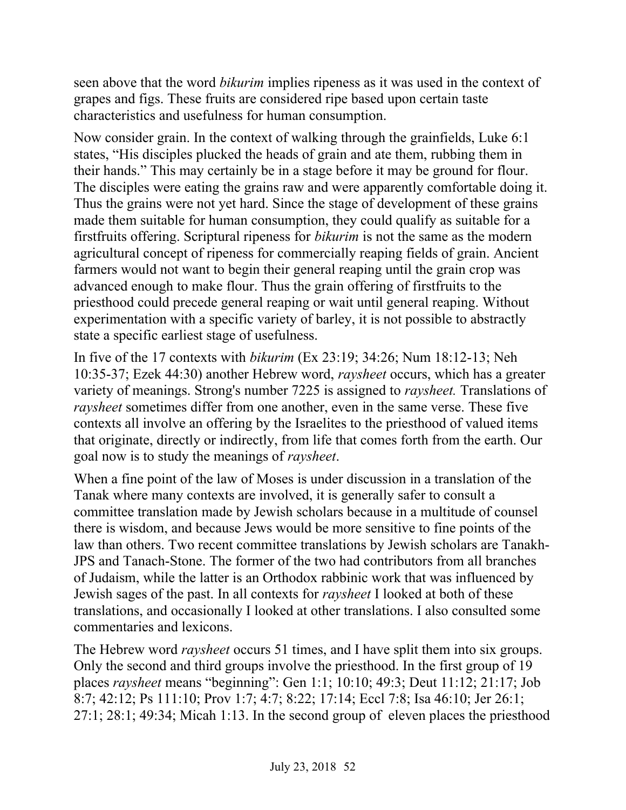seen above that the word *bikurim* implies ripeness as it was used in the context of grapes and figs. These fruits are considered ripe based upon certain taste characteristics and usefulness for human consumption.

Now consider grain. In the context of walking through the grainfields, Luke 6:1 states, "His disciples plucked the heads of grain and ate them, rubbing them in their hands." This may certainly be in a stage before it may be ground for flour. The disciples were eating the grains raw and were apparently comfortable doing it. Thus the grains were not yet hard. Since the stage of development of these grains made them suitable for human consumption, they could qualify as suitable for a firstfruits offering. Scriptural ripeness for *bikurim* is not the same as the modern agricultural concept of ripeness for commercially reaping fields of grain. Ancient farmers would not want to begin their general reaping until the grain crop was advanced enough to make flour. Thus the grain offering of firstfruits to the priesthood could precede general reaping or wait until general reaping. Without experimentation with a specific variety of barley, it is not possible to abstractly state a specific earliest stage of usefulness.

In five of the 17 contexts with *bikurim* (Ex 23:19; 34:26; Num 18:12-13; Neh 10:35-37; Ezek 44:30) another Hebrew word, *raysheet* occurs, which has a greater variety of meanings. Strong's number 7225 is assigned to *raysheet.* Translations of *raysheet* sometimes differ from one another, even in the same verse. These five contexts all involve an offering by the Israelites to the priesthood of valued items that originate, directly or indirectly, from life that comes forth from the earth. Our goal now is to study the meanings of *raysheet*.

When a fine point of the law of Moses is under discussion in a translation of the Tanak where many contexts are involved, it is generally safer to consult a committee translation made by Jewish scholars because in a multitude of counsel there is wisdom, and because Jews would be more sensitive to fine points of the law than others. Two recent committee translations by Jewish scholars are Tanakh-JPS and Tanach-Stone. The former of the two had contributors from all branches of Judaism, while the latter is an Orthodox rabbinic work that was influenced by Jewish sages of the past. In all contexts for *raysheet* I looked at both of these translations, and occasionally I looked at other translations. I also consulted some commentaries and lexicons.

The Hebrew word *raysheet* occurs 51 times, and I have split them into six groups. Only the second and third groups involve the priesthood. In the first group of 19 places *raysheet* means "beginning": Gen 1:1; 10:10; 49:3; Deut 11:12; 21:17; Job 8:7; 42:12; Ps 111:10; Prov 1:7; 4:7; 8:22; 17:14; Eccl 7:8; Isa 46:10; Jer 26:1; 27:1; 28:1; 49:34; Micah 1:13. In the second group of eleven places the priesthood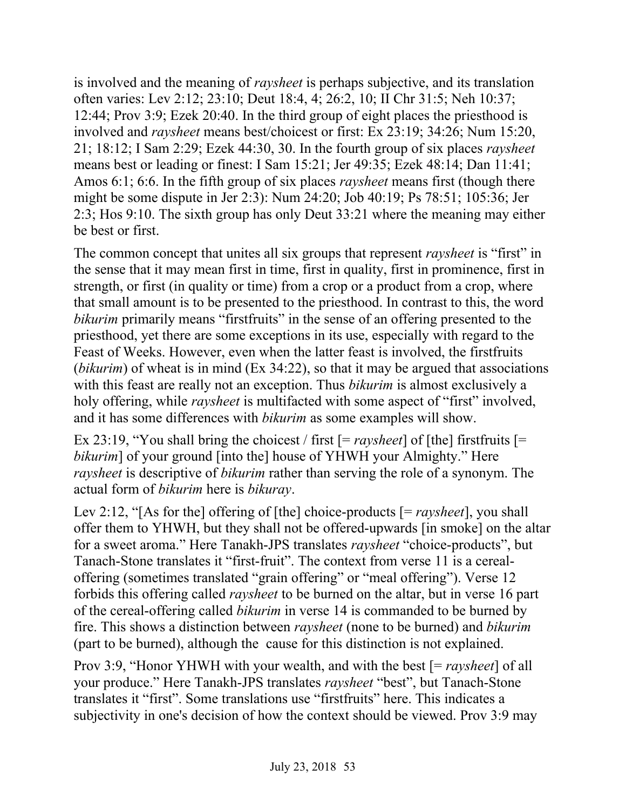is involved and the meaning of *raysheet* is perhaps subjective, and its translation often varies: Lev 2:12; 23:10; Deut 18:4, 4; 26:2, 10; II Chr 31:5; Neh 10:37; 12:44; Prov 3:9; Ezek 20:40. In the third group of eight places the priesthood is involved and *raysheet* means best/choicest or first: Ex 23:19; 34:26; Num 15:20, 21; 18:12; I Sam 2:29; Ezek 44:30, 30. In the fourth group of six places *raysheet*  means best or leading or finest: I Sam 15:21; Jer 49:35; Ezek 48:14; Dan 11:41; Amos 6:1; 6:6. In the fifth group of six places *raysheet* means first (though there might be some dispute in Jer 2:3): Num 24:20; Job 40:19; Ps 78:51; 105:36; Jer 2:3; Hos 9:10. The sixth group has only Deut 33:21 where the meaning may either be best or first.

The common concept that unites all six groups that represent *raysheet* is "first" in the sense that it may mean first in time, first in quality, first in prominence, first in strength, or first (in quality or time) from a crop or a product from a crop, where that small amount is to be presented to the priesthood. In contrast to this, the word *bikurim* primarily means "firstfruits" in the sense of an offering presented to the priesthood, yet there are some exceptions in its use, especially with regard to the Feast of Weeks. However, even when the latter feast is involved, the firstfruits (*bikurim*) of wheat is in mind (Ex 34:22), so that it may be argued that associations with this feast are really not an exception. Thus *bikurim* is almost exclusively a holy offering, while *raysheet* is multifacted with some aspect of "first" involved, and it has some differences with *bikurim* as some examples will show.

Ex 23:19, "You shall bring the choicest / first [= *raysheet*] of [the] firstfruits [= *bikurim*] of your ground [into the] house of YHWH your Almighty." Here *raysheet* is descriptive of *bikurim* rather than serving the role of a synonym. The actual form of *bikurim* here is *bikuray*.

Lev 2:12, "[As for the] offering of [the] choice-products [= *raysheet*], you shall offer them to YHWH, but they shall not be offered-upwards [in smoke] on the altar for a sweet aroma." Here Tanakh-JPS translates *raysheet* "choice-products", but Tanach-Stone translates it "first-fruit". The context from verse 11 is a cerealoffering (sometimes translated "grain offering" or "meal offering"). Verse 12 forbids this offering called *raysheet* to be burned on the altar, but in verse 16 part of the cereal-offering called *bikurim* in verse 14 is commanded to be burned by fire. This shows a distinction between *raysheet* (none to be burned) and *bikurim*  (part to be burned), although the cause for this distinction is not explained.

Prov 3:9, "Honor YHWH with your wealth, and with the best [= *raysheet*] of all your produce." Here Tanakh-JPS translates *raysheet* "best", but Tanach-Stone translates it "first". Some translations use "firstfruits" here. This indicates a subjectivity in one's decision of how the context should be viewed. Prov 3:9 may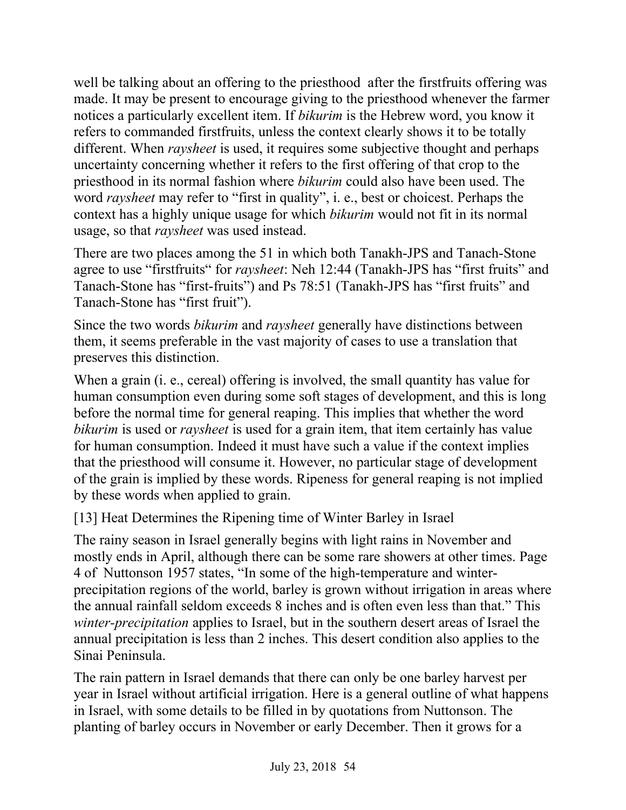well be talking about an offering to the priesthood after the firstfruits offering was made. It may be present to encourage giving to the priesthood whenever the farmer notices a particularly excellent item. If *bikurim* is the Hebrew word, you know it refers to commanded firstfruits, unless the context clearly shows it to be totally different. When *raysheet* is used, it requires some subjective thought and perhaps uncertainty concerning whether it refers to the first offering of that crop to the priesthood in its normal fashion where *bikurim* could also have been used. The word *raysheet* may refer to "first in quality", i. e., best or choicest. Perhaps the context has a highly unique usage for which *bikurim* would not fit in its normal usage, so that *raysheet* was used instead.

There are two places among the 51 in which both Tanakh-JPS and Tanach-Stone agree to use "firstfruits" for *raysheet*: Neh 12:44 (Tanakh-JPS has "first fruits" and Tanach-Stone has "first-fruits") and Ps 78:51 (Tanakh-JPS has "first fruits" and Tanach-Stone has "first fruit").

Since the two words *bikurim* and *raysheet* generally have distinctions between them, it seems preferable in the vast majority of cases to use a translation that preserves this distinction.

When a grain (i. e., cereal) offering is involved, the small quantity has value for human consumption even during some soft stages of development, and this is long before the normal time for general reaping. This implies that whether the word *bikurim* is used or *raysheet* is used for a grain item, that item certainly has value for human consumption. Indeed it must have such a value if the context implies that the priesthood will consume it. However, no particular stage of development of the grain is implied by these words. Ripeness for general reaping is not implied by these words when applied to grain.

[13] Heat Determines the Ripening time of Winter Barley in Israel

The rainy season in Israel generally begins with light rains in November and mostly ends in April, although there can be some rare showers at other times. Page 4 of Nuttonson 1957 states, "In some of the high-temperature and winterprecipitation regions of the world, barley is grown without irrigation in areas where the annual rainfall seldom exceeds 8 inches and is often even less than that." This *winter-precipitation* applies to Israel, but in the southern desert areas of Israel the annual precipitation is less than 2 inches. This desert condition also applies to the Sinai Peninsula.

The rain pattern in Israel demands that there can only be one barley harvest per year in Israel without artificial irrigation. Here is a general outline of what happens in Israel, with some details to be filled in by quotations from Nuttonson. The planting of barley occurs in November or early December. Then it grows for a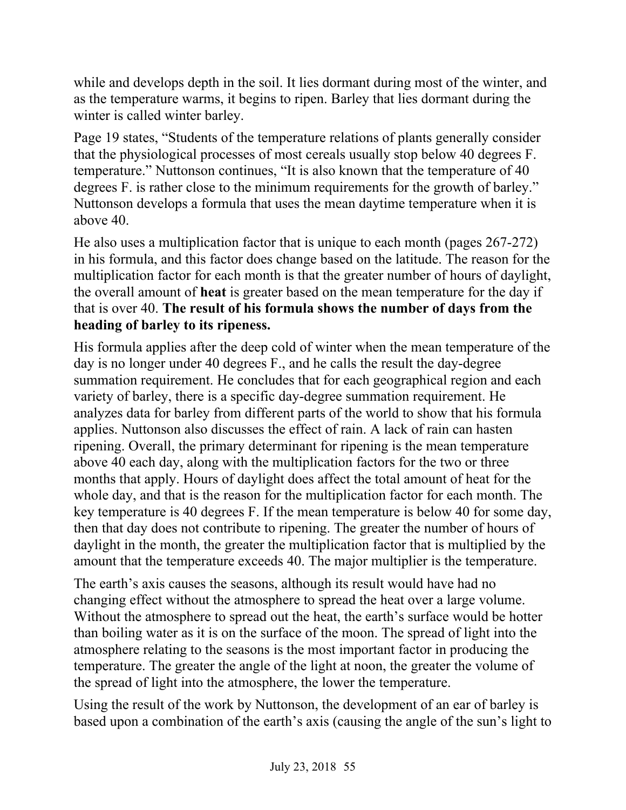while and develops depth in the soil. It lies dormant during most of the winter, and as the temperature warms, it begins to ripen. Barley that lies dormant during the winter is called winter barley.

Page 19 states, "Students of the temperature relations of plants generally consider that the physiological processes of most cereals usually stop below 40 degrees F. temperature." Nuttonson continues, "It is also known that the temperature of 40 degrees F. is rather close to the minimum requirements for the growth of barley." Nuttonson develops a formula that uses the mean daytime temperature when it is above 40.

He also uses a multiplication factor that is unique to each month (pages 267-272) in his formula, and this factor does change based on the latitude. The reason for the multiplication factor for each month is that the greater number of hours of daylight, the overall amount of **heat** is greater based on the mean temperature for the day if that is over 40. **The result of his formula shows the number of days from the heading of barley to its ripeness.**

His formula applies after the deep cold of winter when the mean temperature of the day is no longer under 40 degrees F., and he calls the result the day-degree summation requirement. He concludes that for each geographical region and each variety of barley, there is a specific day-degree summation requirement. He analyzes data for barley from different parts of the world to show that his formula applies. Nuttonson also discusses the effect of rain. A lack of rain can hasten ripening. Overall, the primary determinant for ripening is the mean temperature above 40 each day, along with the multiplication factors for the two or three months that apply. Hours of daylight does affect the total amount of heat for the whole day, and that is the reason for the multiplication factor for each month. The key temperature is 40 degrees F. If the mean temperature is below 40 for some day, then that day does not contribute to ripening. The greater the number of hours of daylight in the month, the greater the multiplication factor that is multiplied by the amount that the temperature exceeds 40. The major multiplier is the temperature.

The earth's axis causes the seasons, although its result would have had no changing effect without the atmosphere to spread the heat over a large volume. Without the atmosphere to spread out the heat, the earth's surface would be hotter than boiling water as it is on the surface of the moon. The spread of light into the atmosphere relating to the seasons is the most important factor in producing the temperature. The greater the angle of the light at noon, the greater the volume of the spread of light into the atmosphere, the lower the temperature.

Using the result of the work by Nuttonson, the development of an ear of barley is based upon a combination of the earth's axis (causing the angle of the sun's light to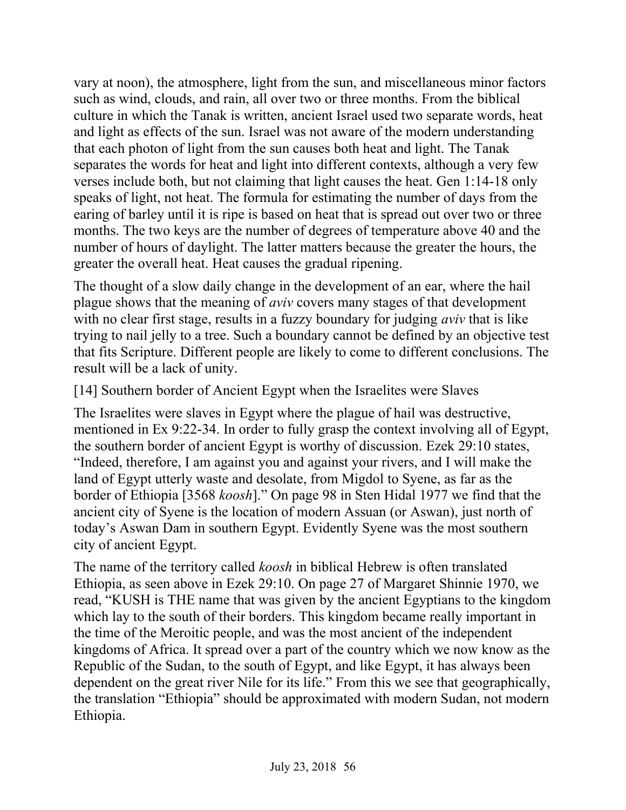vary at noon), the atmosphere, light from the sun, and miscellaneous minor factors such as wind, clouds, and rain, all over two or three months. From the biblical culture in which the Tanak is written, ancient Israel used two separate words, heat and light as effects of the sun. Israel was not aware of the modern understanding that each photon of light from the sun causes both heat and light. The Tanak separates the words for heat and light into different contexts, although a very few verses include both, but not claiming that light causes the heat. Gen 1:14-18 only speaks of light, not heat. The formula for estimating the number of days from the earing of barley until it is ripe is based on heat that is spread out over two or three months. The two keys are the number of degrees of temperature above 40 and the number of hours of daylight. The latter matters because the greater the hours, the greater the overall heat. Heat causes the gradual ripening.

The thought of a slow daily change in the development of an ear, where the hail plague shows that the meaning of *aviv* covers many stages of that development with no clear first stage, results in a fuzzy boundary for judging *aviv* that is like trying to nail jelly to a tree. Such a boundary cannot be defined by an objective test that fits Scripture. Different people are likely to come to different conclusions. The result will be a lack of unity.

[14] Southern border of Ancient Egypt when the Israelites were Slaves

The Israelites were slaves in Egypt where the plague of hail was destructive, mentioned in Ex 9:22-34. In order to fully grasp the context involving all of Egypt, the southern border of ancient Egypt is worthy of discussion. Ezek 29:10 states, "Indeed, therefore, I am against you and against your rivers, and I will make the land of Egypt utterly waste and desolate, from Migdol to Syene, as far as the border of Ethiopia [3568 *koosh*]." On page 98 in Sten Hidal 1977 we find that the ancient city of Syene is the location of modern Assuan (or Aswan), just north of today's Aswan Dam in southern Egypt. Evidently Syene was the most southern city of ancient Egypt.

The name of the territory called *koosh* in biblical Hebrew is often translated Ethiopia, as seen above in Ezek 29:10. On page 27 of Margaret Shinnie 1970, we read, "KUSH is THE name that was given by the ancient Egyptians to the kingdom which lay to the south of their borders. This kingdom became really important in the time of the Meroitic people, and was the most ancient of the independent kingdoms of Africa. It spread over a part of the country which we now know as the Republic of the Sudan, to the south of Egypt, and like Egypt, it has always been dependent on the great river Nile for its life." From this we see that geographically, the translation "Ethiopia" should be approximated with modern Sudan, not modern Ethiopia.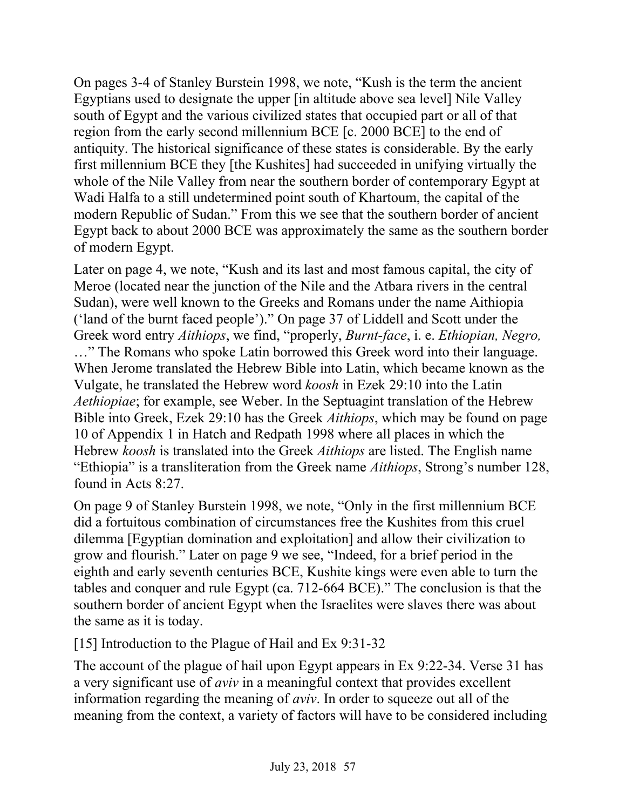On pages 3-4 of Stanley Burstein 1998, we note, "Kush is the term the ancient Egyptians used to designate the upper [in altitude above sea level] Nile Valley south of Egypt and the various civilized states that occupied part or all of that region from the early second millennium BCE [c. 2000 BCE] to the end of antiquity. The historical significance of these states is considerable. By the early first millennium BCE they [the Kushites] had succeeded in unifying virtually the whole of the Nile Valley from near the southern border of contemporary Egypt at Wadi Halfa to a still undetermined point south of Khartoum, the capital of the modern Republic of Sudan." From this we see that the southern border of ancient Egypt back to about 2000 BCE was approximately the same as the southern border of modern Egypt.

Later on page 4, we note, "Kush and its last and most famous capital, the city of Meroe (located near the junction of the Nile and the Atbara rivers in the central Sudan), were well known to the Greeks and Romans under the name Aithiopia ('land of the burnt faced people')." On page 37 of Liddell and Scott under the Greek word entry *Aithiops*, we find, "properly, *Burnt-face*, i. e. *Ethiopian, Negro,* …" The Romans who spoke Latin borrowed this Greek word into their language. When Jerome translated the Hebrew Bible into Latin, which became known as the Vulgate, he translated the Hebrew word *koosh* in Ezek 29:10 into the Latin *Aethiopiae*; for example, see Weber. In the Septuagint translation of the Hebrew Bible into Greek, Ezek 29:10 has the Greek *Aithiops*, which may be found on page 10 of Appendix 1 in Hatch and Redpath 1998 where all places in which the Hebrew *koosh* is translated into the Greek *Aithiops* are listed. The English name "Ethiopia" is a transliteration from the Greek name *Aithiops*, Strong's number 128, found in Acts 8:27.

On page 9 of Stanley Burstein 1998, we note, "Only in the first millennium BCE did a fortuitous combination of circumstances free the Kushites from this cruel dilemma [Egyptian domination and exploitation] and allow their civilization to grow and flourish." Later on page 9 we see, "Indeed, for a brief period in the eighth and early seventh centuries BCE, Kushite kings were even able to turn the tables and conquer and rule Egypt (ca. 712-664 BCE)." The conclusion is that the southern border of ancient Egypt when the Israelites were slaves there was about the same as it is today.

[15] Introduction to the Plague of Hail and Ex 9:31-32

The account of the plague of hail upon Egypt appears in Ex 9:22-34. Verse 31 has a very significant use of *aviv* in a meaningful context that provides excellent information regarding the meaning of *aviv*. In order to squeeze out all of the meaning from the context, a variety of factors will have to be considered including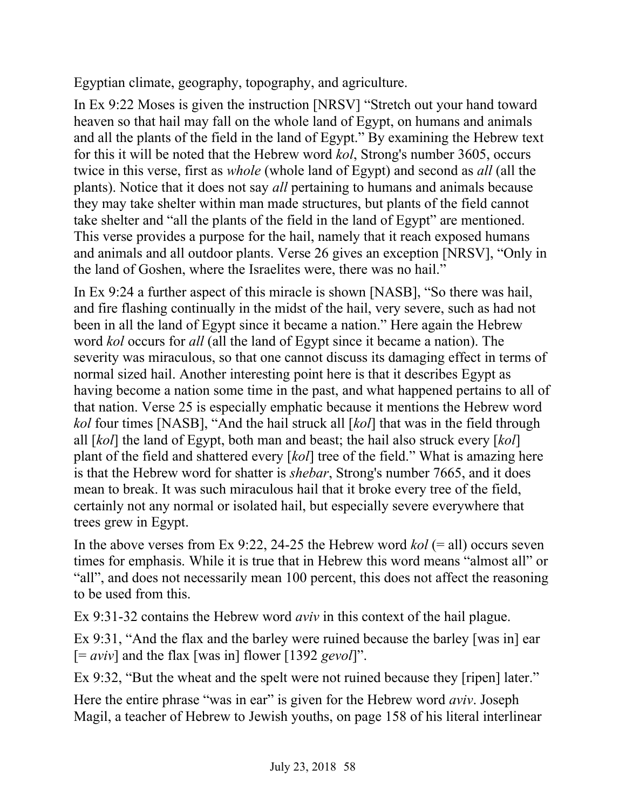Egyptian climate, geography, topography, and agriculture.

In Ex 9:22 Moses is given the instruction [NRSV] "Stretch out your hand toward heaven so that hail may fall on the whole land of Egypt, on humans and animals and all the plants of the field in the land of Egypt." By examining the Hebrew text for this it will be noted that the Hebrew word *kol*, Strong's number 3605, occurs twice in this verse, first as *whole* (whole land of Egypt) and second as *all* (all the plants). Notice that it does not say *all* pertaining to humans and animals because they may take shelter within man made structures, but plants of the field cannot take shelter and "all the plants of the field in the land of Egypt" are mentioned. This verse provides a purpose for the hail, namely that it reach exposed humans and animals and all outdoor plants. Verse 26 gives an exception [NRSV], "Only in the land of Goshen, where the Israelites were, there was no hail."

In Ex 9:24 a further aspect of this miracle is shown [NASB], "So there was hail, and fire flashing continually in the midst of the hail, very severe, such as had not been in all the land of Egypt since it became a nation." Here again the Hebrew word *kol* occurs for *all* (all the land of Egypt since it became a nation). The severity was miraculous, so that one cannot discuss its damaging effect in terms of normal sized hail. Another interesting point here is that it describes Egypt as having become a nation some time in the past, and what happened pertains to all of that nation. Verse 25 is especially emphatic because it mentions the Hebrew word *kol* four times [NASB], "And the hail struck all [*kol*] that was in the field through all [*kol*] the land of Egypt, both man and beast; the hail also struck every [*kol*] plant of the field and shattered every [*kol*] tree of the field." What is amazing here is that the Hebrew word for shatter is *shebar*, Strong's number 7665, and it does mean to break. It was such miraculous hail that it broke every tree of the field, certainly not any normal or isolated hail, but especially severe everywhere that trees grew in Egypt.

In the above verses from Ex 9:22, 24-25 the Hebrew word  $kol$  (= all) occurs seven times for emphasis. While it is true that in Hebrew this word means "almost all" or "all", and does not necessarily mean 100 percent, this does not affect the reasoning to be used from this.

Ex 9:31-32 contains the Hebrew word *aviv* in this context of the hail plague.

Ex 9:31, "And the flax and the barley were ruined because the barley [was in] ear [= *aviv*] and the flax [was in] flower [1392 *gevol*]".

Ex 9:32, "But the wheat and the spelt were not ruined because they [ripen] later."

Here the entire phrase "was in ear" is given for the Hebrew word *aviv*. Joseph Magil, a teacher of Hebrew to Jewish youths, on page 158 of his literal interlinear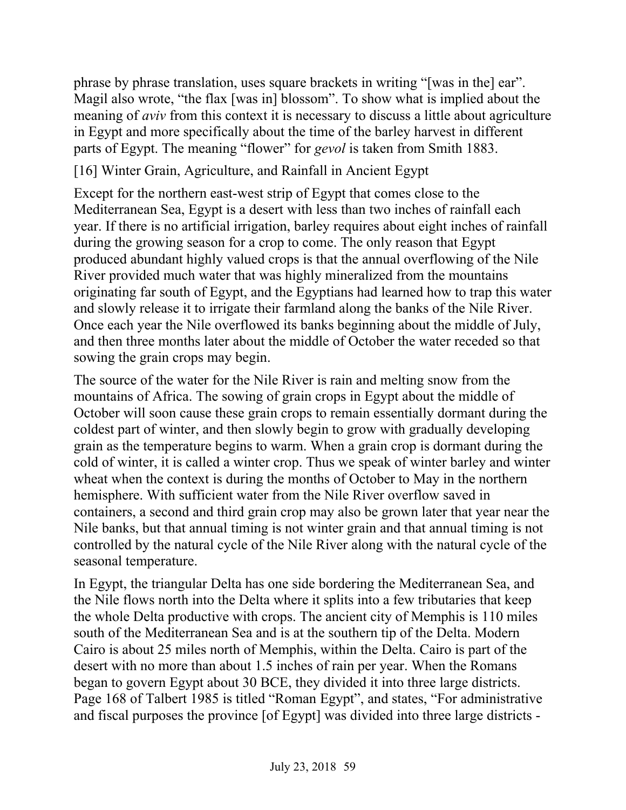phrase by phrase translation, uses square brackets in writing "[was in the] ear". Magil also wrote, "the flax [was in] blossom". To show what is implied about the meaning of *aviv* from this context it is necessary to discuss a little about agriculture in Egypt and more specifically about the time of the barley harvest in different parts of Egypt. The meaning "flower" for *gevol* is taken from Smith 1883.

### [16] Winter Grain, Agriculture, and Rainfall in Ancient Egypt

Except for the northern east-west strip of Egypt that comes close to the Mediterranean Sea, Egypt is a desert with less than two inches of rainfall each year. If there is no artificial irrigation, barley requires about eight inches of rainfall during the growing season for a crop to come. The only reason that Egypt produced abundant highly valued crops is that the annual overflowing of the Nile River provided much water that was highly mineralized from the mountains originating far south of Egypt, and the Egyptians had learned how to trap this water and slowly release it to irrigate their farmland along the banks of the Nile River. Once each year the Nile overflowed its banks beginning about the middle of July, and then three months later about the middle of October the water receded so that sowing the grain crops may begin.

The source of the water for the Nile River is rain and melting snow from the mountains of Africa. The sowing of grain crops in Egypt about the middle of October will soon cause these grain crops to remain essentially dormant during the coldest part of winter, and then slowly begin to grow with gradually developing grain as the temperature begins to warm. When a grain crop is dormant during the cold of winter, it is called a winter crop. Thus we speak of winter barley and winter wheat when the context is during the months of October to May in the northern hemisphere. With sufficient water from the Nile River overflow saved in containers, a second and third grain crop may also be grown later that year near the Nile banks, but that annual timing is not winter grain and that annual timing is not controlled by the natural cycle of the Nile River along with the natural cycle of the seasonal temperature.

In Egypt, the triangular Delta has one side bordering the Mediterranean Sea, and the Nile flows north into the Delta where it splits into a few tributaries that keep the whole Delta productive with crops. The ancient city of Memphis is 110 miles south of the Mediterranean Sea and is at the southern tip of the Delta. Modern Cairo is about 25 miles north of Memphis, within the Delta. Cairo is part of the desert with no more than about 1.5 inches of rain per year. When the Romans began to govern Egypt about 30 BCE, they divided it into three large districts. Page 168 of Talbert 1985 is titled "Roman Egypt", and states, "For administrative and fiscal purposes the province [of Egypt] was divided into three large districts -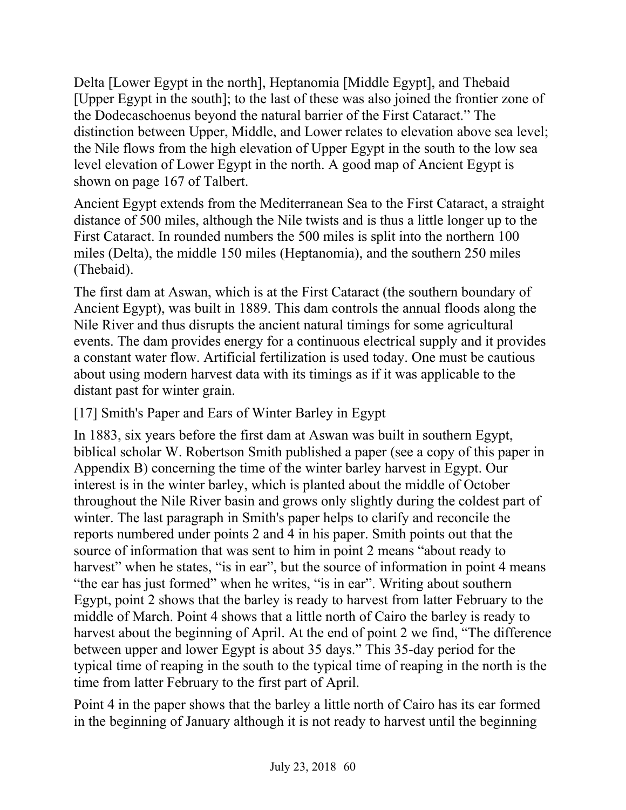Delta [Lower Egypt in the north], Heptanomia [Middle Egypt], and Thebaid [Upper Egypt in the south]; to the last of these was also joined the frontier zone of the Dodecaschoenus beyond the natural barrier of the First Cataract." The distinction between Upper, Middle, and Lower relates to elevation above sea level; the Nile flows from the high elevation of Upper Egypt in the south to the low sea level elevation of Lower Egypt in the north. A good map of Ancient Egypt is shown on page 167 of Talbert.

Ancient Egypt extends from the Mediterranean Sea to the First Cataract, a straight distance of 500 miles, although the Nile twists and is thus a little longer up to the First Cataract. In rounded numbers the 500 miles is split into the northern 100 miles (Delta), the middle 150 miles (Heptanomia), and the southern 250 miles (Thebaid).

The first dam at Aswan, which is at the First Cataract (the southern boundary of Ancient Egypt), was built in 1889. This dam controls the annual floods along the Nile River and thus disrupts the ancient natural timings for some agricultural events. The dam provides energy for a continuous electrical supply and it provides a constant water flow. Artificial fertilization is used today. One must be cautious about using modern harvest data with its timings as if it was applicable to the distant past for winter grain.

## [17] Smith's Paper and Ears of Winter Barley in Egypt

In 1883, six years before the first dam at Aswan was built in southern Egypt, biblical scholar W. Robertson Smith published a paper (see a copy of this paper in Appendix B) concerning the time of the winter barley harvest in Egypt. Our interest is in the winter barley, which is planted about the middle of October throughout the Nile River basin and grows only slightly during the coldest part of winter. The last paragraph in Smith's paper helps to clarify and reconcile the reports numbered under points 2 and 4 in his paper. Smith points out that the source of information that was sent to him in point 2 means "about ready to harvest" when he states, "is in ear", but the source of information in point 4 means "the ear has just formed" when he writes, "is in ear". Writing about southern Egypt, point 2 shows that the barley is ready to harvest from latter February to the middle of March. Point 4 shows that a little north of Cairo the barley is ready to harvest about the beginning of April. At the end of point 2 we find, "The difference between upper and lower Egypt is about 35 days." This 35-day period for the typical time of reaping in the south to the typical time of reaping in the north is the time from latter February to the first part of April.

Point 4 in the paper shows that the barley a little north of Cairo has its ear formed in the beginning of January although it is not ready to harvest until the beginning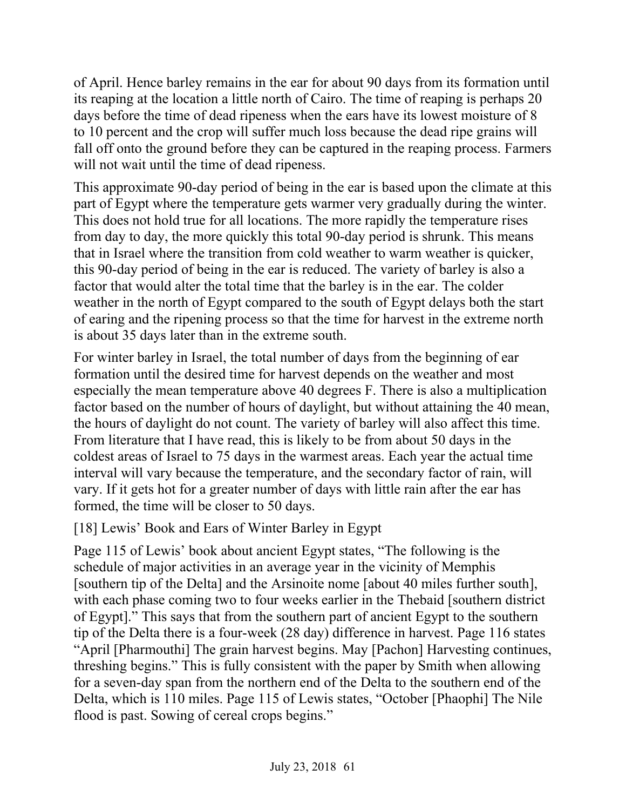of April. Hence barley remains in the ear for about 90 days from its formation until its reaping at the location a little north of Cairo. The time of reaping is perhaps 20 days before the time of dead ripeness when the ears have its lowest moisture of 8 to 10 percent and the crop will suffer much loss because the dead ripe grains will fall off onto the ground before they can be captured in the reaping process. Farmers will not wait until the time of dead ripeness.

This approximate 90-day period of being in the ear is based upon the climate at this part of Egypt where the temperature gets warmer very gradually during the winter. This does not hold true for all locations. The more rapidly the temperature rises from day to day, the more quickly this total 90-day period is shrunk. This means that in Israel where the transition from cold weather to warm weather is quicker, this 90-day period of being in the ear is reduced. The variety of barley is also a factor that would alter the total time that the barley is in the ear. The colder weather in the north of Egypt compared to the south of Egypt delays both the start of earing and the ripening process so that the time for harvest in the extreme north is about 35 days later than in the extreme south.

For winter barley in Israel, the total number of days from the beginning of ear formation until the desired time for harvest depends on the weather and most especially the mean temperature above 40 degrees F. There is also a multiplication factor based on the number of hours of daylight, but without attaining the 40 mean, the hours of daylight do not count. The variety of barley will also affect this time. From literature that I have read, this is likely to be from about 50 days in the coldest areas of Israel to 75 days in the warmest areas. Each year the actual time interval will vary because the temperature, and the secondary factor of rain, will vary. If it gets hot for a greater number of days with little rain after the ear has formed, the time will be closer to 50 days.

### [18] Lewis' Book and Ears of Winter Barley in Egypt

Page 115 of Lewis' book about ancient Egypt states, "The following is the schedule of major activities in an average year in the vicinity of Memphis [southern tip of the Delta] and the Arsinoite nome [about 40 miles further south], with each phase coming two to four weeks earlier in the Thebaid [southern district] of Egypt]." This says that from the southern part of ancient Egypt to the southern tip of the Delta there is a four-week (28 day) difference in harvest. Page 116 states "April [Pharmouthi] The grain harvest begins. May [Pachon] Harvesting continues, threshing begins." This is fully consistent with the paper by Smith when allowing for a seven-day span from the northern end of the Delta to the southern end of the Delta, which is 110 miles. Page 115 of Lewis states, "October [Phaophi] The Nile flood is past. Sowing of cereal crops begins."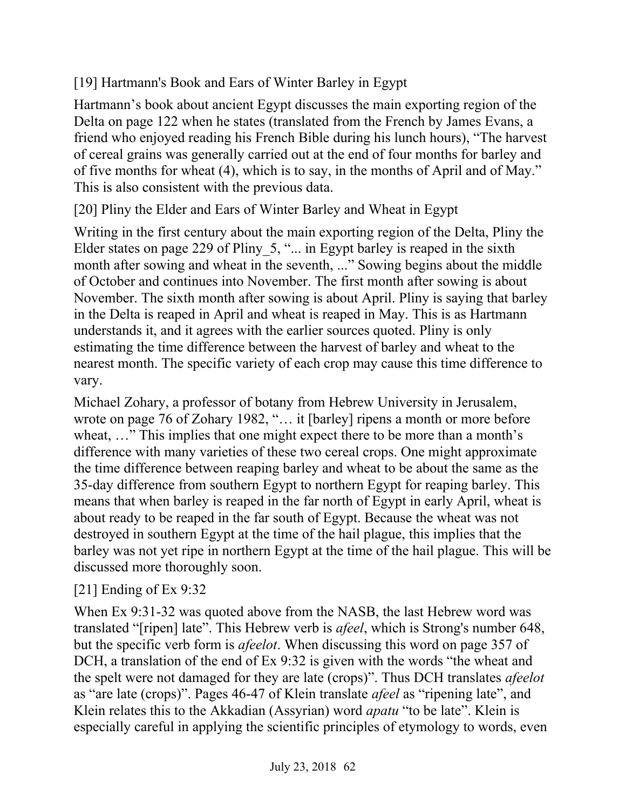# [19] Hartmann's Book and Ears of Winter Barley in Egypt

Hartmann's book about ancient Egypt discusses the main exporting region of the Delta on page 122 when he states (translated from the French by James Evans, a friend who enjoyed reading his French Bible during his lunch hours), "The harvest of cereal grains was generally carried out at the end of four months for barley and of five months for wheat (4), which is to say, in the months of April and of May." This is also consistent with the previous data.

[20] Pliny the Elder and Ears of Winter Barley and Wheat in Egypt

Writing in the first century about the main exporting region of the Delta, Pliny the Elder states on page 229 of Pliny 5, "... in Egypt barley is reaped in the sixth month after sowing and wheat in the seventh, ..." Sowing begins about the middle of October and continues into November. The first month after sowing is about November. The sixth month after sowing is about April. Pliny is saying that barley in the Delta is reaped in April and wheat is reaped in May. This is as Hartmann understands it, and it agrees with the earlier sources quoted. Pliny is only estimating the time difference between the harvest of barley and wheat to the nearest month. The specific variety of each crop may cause this time difference to vary.

Michael Zohary, a professor of botany from Hebrew University in Jerusalem, wrote on page 76 of Zohary 1982, "… it [barley] ripens a month or more before wheat, ..." This implies that one might expect there to be more than a month's difference with many varieties of these two cereal crops. One might approximate the time difference between reaping barley and wheat to be about the same as the 35-day difference from southern Egypt to northern Egypt for reaping barley. This means that when barley is reaped in the far north of Egypt in early April, wheat is about ready to be reaped in the far south of Egypt. Because the wheat was not destroyed in southern Egypt at the time of the hail plague, this implies that the barley was not yet ripe in northern Egypt at the time of the hail plague. This will be discussed more thoroughly soon.

# [21] Ending of Ex 9:32

When Ex 9:31-32 was quoted above from the NASB, the last Hebrew word was translated "[ripen] late". This Hebrew verb is *afeel*, which is Strong's number 648, but the specific verb form is *afeelot*. When discussing this word on page 357 of DCH, a translation of the end of Ex 9:32 is given with the words "the wheat and the spelt were not damaged for they are late (crops)". Thus DCH translates *afeelot* as "are late (crops)". Pages 46-47 of Klein translate *afeel* as "ripening late", and Klein relates this to the Akkadian (Assyrian) word *apatu* "to be late". Klein is especially careful in applying the scientific principles of etymology to words, even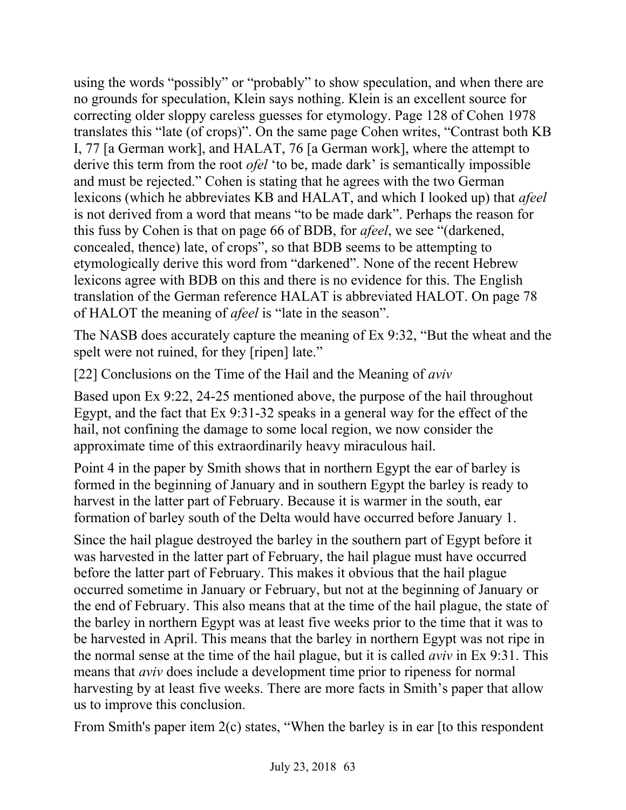using the words "possibly" or "probably" to show speculation, and when there are no grounds for speculation, Klein says nothing. Klein is an excellent source for correcting older sloppy careless guesses for etymology. Page 128 of Cohen 1978 translates this "late (of crops)". On the same page Cohen writes, "Contrast both KB I, 77 [a German work], and HALAT, 76 [a German work], where the attempt to derive this term from the root *ofel* 'to be, made dark' is semantically impossible and must be rejected." Cohen is stating that he agrees with the two German lexicons (which he abbreviates KB and HALAT, and which I looked up) that *afeel* is not derived from a word that means "to be made dark". Perhaps the reason for this fuss by Cohen is that on page 66 of BDB, for *afeel*, we see "(darkened, concealed, thence) late, of crops", so that BDB seems to be attempting to etymologically derive this word from "darkened". None of the recent Hebrew lexicons agree with BDB on this and there is no evidence for this. The English translation of the German reference HALAT is abbreviated HALOT. On page 78 of HALOT the meaning of *afeel* is "late in the season".

The NASB does accurately capture the meaning of Ex 9:32, "But the wheat and the spelt were not ruined, for they [ripen] late."

[22] Conclusions on the Time of the Hail and the Meaning of *aviv*

Based upon Ex 9:22, 24-25 mentioned above, the purpose of the hail throughout Egypt, and the fact that Ex 9:31-32 speaks in a general way for the effect of the hail, not confining the damage to some local region, we now consider the approximate time of this extraordinarily heavy miraculous hail.

Point 4 in the paper by Smith shows that in northern Egypt the ear of barley is formed in the beginning of January and in southern Egypt the barley is ready to harvest in the latter part of February. Because it is warmer in the south, ear formation of barley south of the Delta would have occurred before January 1.

Since the hail plague destroyed the barley in the southern part of Egypt before it was harvested in the latter part of February, the hail plague must have occurred before the latter part of February. This makes it obvious that the hail plague occurred sometime in January or February, but not at the beginning of January or the end of February. This also means that at the time of the hail plague, the state of the barley in northern Egypt was at least five weeks prior to the time that it was to be harvested in April. This means that the barley in northern Egypt was not ripe in the normal sense at the time of the hail plague, but it is called *aviv* in Ex 9:31. This means that *aviv* does include a development time prior to ripeness for normal harvesting by at least five weeks. There are more facts in Smith's paper that allow us to improve this conclusion.

From Smith's paper item 2(c) states, "When the barley is in ear [to this respondent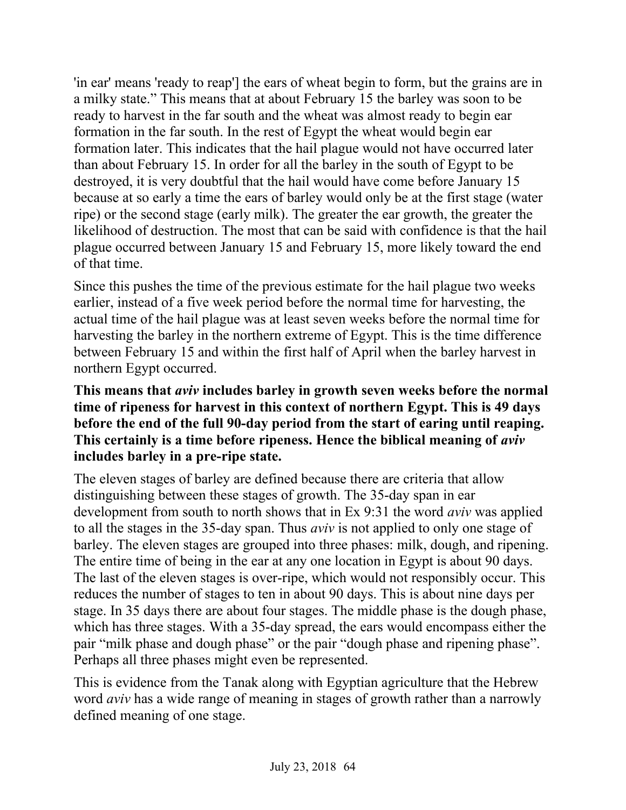'in ear' means 'ready to reap'] the ears of wheat begin to form, but the grains are in a milky state." This means that at about February 15 the barley was soon to be ready to harvest in the far south and the wheat was almost ready to begin ear formation in the far south. In the rest of Egypt the wheat would begin ear formation later. This indicates that the hail plague would not have occurred later than about February 15. In order for all the barley in the south of Egypt to be destroyed, it is very doubtful that the hail would have come before January 15 because at so early a time the ears of barley would only be at the first stage (water ripe) or the second stage (early milk). The greater the ear growth, the greater the likelihood of destruction. The most that can be said with confidence is that the hail plague occurred between January 15 and February 15, more likely toward the end of that time.

Since this pushes the time of the previous estimate for the hail plague two weeks earlier, instead of a five week period before the normal time for harvesting, the actual time of the hail plague was at least seven weeks before the normal time for harvesting the barley in the northern extreme of Egypt. This is the time difference between February 15 and within the first half of April when the barley harvest in northern Egypt occurred.

### **This means that** *aviv* **includes barley in growth seven weeks before the normal time of ripeness for harvest in this context of northern Egypt. This is 49 days before the end of the full 90-day period from the start of earing until reaping. This certainly is a time before ripeness. Hence the biblical meaning of** *aviv* **includes barley in a pre-ripe state.**

The eleven stages of barley are defined because there are criteria that allow distinguishing between these stages of growth. The 35-day span in ear development from south to north shows that in Ex 9:31 the word *aviv* was applied to all the stages in the 35-day span. Thus *aviv* is not applied to only one stage of barley. The eleven stages are grouped into three phases: milk, dough, and ripening. The entire time of being in the ear at any one location in Egypt is about 90 days. The last of the eleven stages is over-ripe, which would not responsibly occur. This reduces the number of stages to ten in about 90 days. This is about nine days per stage. In 35 days there are about four stages. The middle phase is the dough phase, which has three stages. With a 35-day spread, the ears would encompass either the pair "milk phase and dough phase" or the pair "dough phase and ripening phase". Perhaps all three phases might even be represented.

This is evidence from the Tanak along with Egyptian agriculture that the Hebrew word *aviv* has a wide range of meaning in stages of growth rather than a narrowly defined meaning of one stage.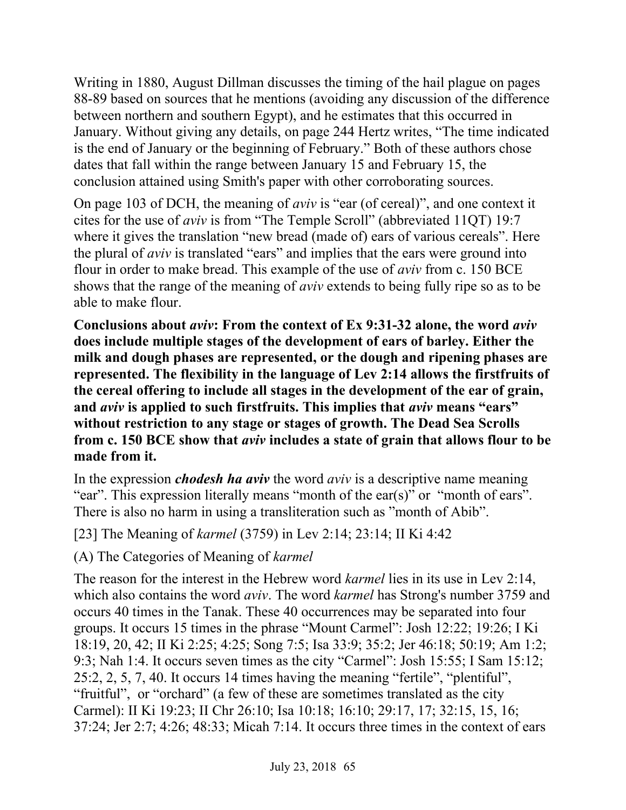Writing in 1880, August Dillman discusses the timing of the hail plague on pages 88-89 based on sources that he mentions (avoiding any discussion of the difference between northern and southern Egypt), and he estimates that this occurred in January. Without giving any details, on page 244 Hertz writes, "The time indicated is the end of January or the beginning of February." Both of these authors chose dates that fall within the range between January 15 and February 15, the conclusion attained using Smith's paper with other corroborating sources.

On page 103 of DCH, the meaning of *aviv* is "ear (of cereal)", and one context it cites for the use of *aviv* is from "The Temple Scroll" (abbreviated 11QT) 19:7 where it gives the translation "new bread (made of) ears of various cereals". Here the plural of *aviv* is translated "ears" and implies that the ears were ground into flour in order to make bread. This example of the use of *aviv* from c. 150 BCE shows that the range of the meaning of *aviv* extends to being fully ripe so as to be able to make flour.

**Conclusions about** *aviv***: From the context of Ex 9:31-32 alone, the word** *aviv* **does include multiple stages of the development of ears of barley. Either the milk and dough phases are represented, or the dough and ripening phases are represented. The flexibility in the language of Lev 2:14 allows the firstfruits of the cereal offering to include all stages in the development of the ear of grain, and** *aviv* **is applied to such firstfruits. This implies that** *aviv* **means "ears" without restriction to any stage or stages of growth. The Dead Sea Scrolls from c. 150 BCE show that** *aviv* **includes a state of grain that allows flour to be made from it.**

In the expression *chodesh ha aviv* the word *aviv* is a descriptive name meaning "ear". This expression literally means "month of the ear(s)" or "month of ears". There is also no harm in using a transliteration such as "month of Abib".

[23] The Meaning of *karmel* (3759) in Lev 2:14; 23:14; II Ki 4:42

(A) The Categories of Meaning of *karmel*

The reason for the interest in the Hebrew word *karmel* lies in its use in Lev 2:14, which also contains the word *aviv*. The word *karmel* has Strong's number 3759 and occurs 40 times in the Tanak. These 40 occurrences may be separated into four groups. It occurs 15 times in the phrase "Mount Carmel": Josh 12:22; 19:26; I Ki 18:19, 20, 42; II Ki 2:25; 4:25; Song 7:5; Isa 33:9; 35:2; Jer 46:18; 50:19; Am 1:2; 9:3; Nah 1:4. It occurs seven times as the city "Carmel": Josh 15:55; I Sam 15:12; 25:2, 2, 5, 7, 40. It occurs 14 times having the meaning "fertile", "plentiful", "fruitful", or "orchard" (a few of these are sometimes translated as the city Carmel): II Ki 19:23; II Chr 26:10; Isa 10:18; 16:10; 29:17, 17; 32:15, 15, 16; 37:24; Jer 2:7; 4:26; 48:33; Micah 7:14. It occurs three times in the context of ears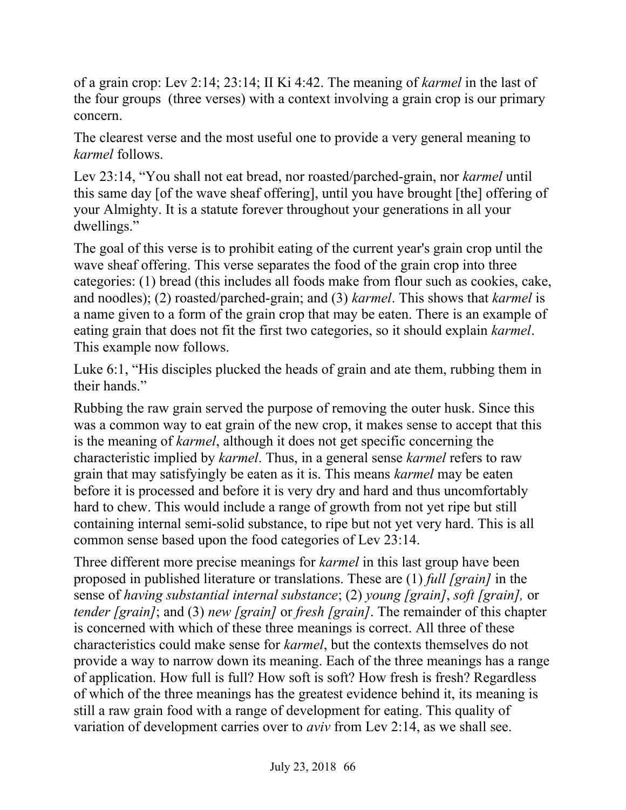of a grain crop: Lev 2:14; 23:14; II Ki 4:42. The meaning of *karmel* in the last of the four groups (three verses) with a context involving a grain crop is our primary concern.

The clearest verse and the most useful one to provide a very general meaning to *karmel* follows.

Lev 23:14, "You shall not eat bread, nor roasted/parched-grain, nor *karmel* until this same day [of the wave sheaf offering], until you have brought [the] offering of your Almighty. It is a statute forever throughout your generations in all your dwellings."

The goal of this verse is to prohibit eating of the current year's grain crop until the wave sheaf offering. This verse separates the food of the grain crop into three categories: (1) bread (this includes all foods make from flour such as cookies, cake, and noodles); (2) roasted/parched-grain; and (3) *karmel*. This shows that *karmel* is a name given to a form of the grain crop that may be eaten. There is an example of eating grain that does not fit the first two categories, so it should explain *karmel*. This example now follows.

Luke 6:1, "His disciples plucked the heads of grain and ate them, rubbing them in their hands."

Rubbing the raw grain served the purpose of removing the outer husk. Since this was a common way to eat grain of the new crop, it makes sense to accept that this is the meaning of *karmel*, although it does not get specific concerning the characteristic implied by *karmel*. Thus, in a general sense *karmel* refers to raw grain that may satisfyingly be eaten as it is. This means *karmel* may be eaten before it is processed and before it is very dry and hard and thus uncomfortably hard to chew. This would include a range of growth from not yet ripe but still containing internal semi-solid substance, to ripe but not yet very hard. This is all common sense based upon the food categories of Lev 23:14.

Three different more precise meanings for *karmel* in this last group have been proposed in published literature or translations. These are (1) *full [grain]* in the sense of *having substantial internal substance*; (2) *young [grain]*, *soft [grain],* or *tender [grain]*; and (3) *new [grain]* or *fresh [grain]*. The remainder of this chapter is concerned with which of these three meanings is correct. All three of these characteristics could make sense for *karmel*, but the contexts themselves do not provide a way to narrow down its meaning. Each of the three meanings has a range of application. How full is full? How soft is soft? How fresh is fresh? Regardless of which of the three meanings has the greatest evidence behind it, its meaning is still a raw grain food with a range of development for eating. This quality of variation of development carries over to *aviv* from Lev 2:14, as we shall see.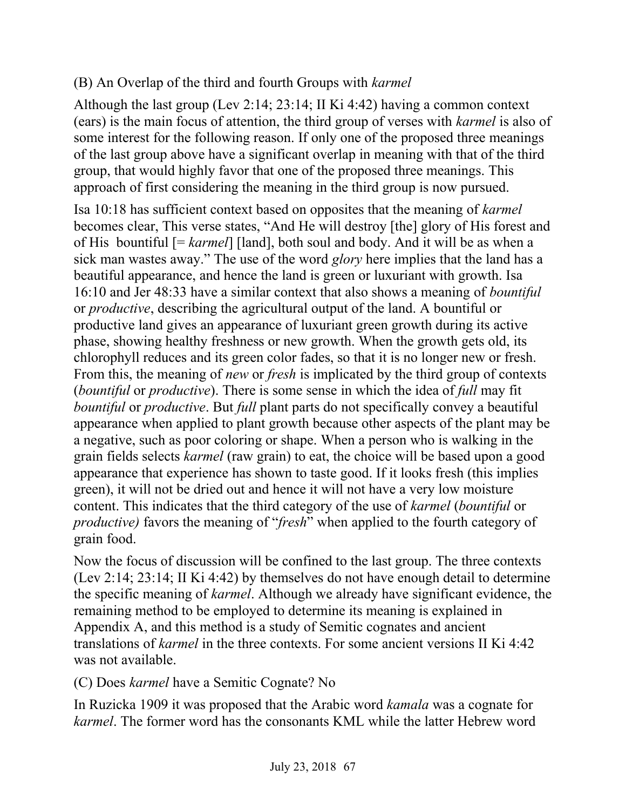## (B) An Overlap of the third and fourth Groups with *karmel*

Although the last group (Lev 2:14; 23:14; II Ki 4:42) having a common context (ears) is the main focus of attention, the third group of verses with *karmel* is also of some interest for the following reason. If only one of the proposed three meanings of the last group above have a significant overlap in meaning with that of the third group, that would highly favor that one of the proposed three meanings. This approach of first considering the meaning in the third group is now pursued.

Isa 10:18 has sufficient context based on opposites that the meaning of *karmel* becomes clear, This verse states, "And He will destroy [the] glory of His forest and of His bountiful [= *karmel*] [land], both soul and body. And it will be as when a sick man wastes away." The use of the word *glory* here implies that the land has a beautiful appearance, and hence the land is green or luxuriant with growth. Isa 16:10 and Jer 48:33 have a similar context that also shows a meaning of *bountiful* or *productive*, describing the agricultural output of the land. A bountiful or productive land gives an appearance of luxuriant green growth during its active phase, showing healthy freshness or new growth. When the growth gets old, its chlorophyll reduces and its green color fades, so that it is no longer new or fresh. From this, the meaning of *new* or *fresh* is implicated by the third group of contexts (*bountiful* or *productive*). There is some sense in which the idea of *full* may fit *bountiful* or *productive*. But *full* plant parts do not specifically convey a beautiful appearance when applied to plant growth because other aspects of the plant may be a negative, such as poor coloring or shape. When a person who is walking in the grain fields selects *karmel* (raw grain) to eat, the choice will be based upon a good appearance that experience has shown to taste good. If it looks fresh (this implies green), it will not be dried out and hence it will not have a very low moisture content. This indicates that the third category of the use of *karmel* (*bountiful* or *productive)* favors the meaning of "*fresh*" when applied to the fourth category of grain food.

Now the focus of discussion will be confined to the last group. The three contexts (Lev 2:14; 23:14; II Ki 4:42) by themselves do not have enough detail to determine the specific meaning of *karmel*. Although we already have significant evidence, the remaining method to be employed to determine its meaning is explained in Appendix A, and this method is a study of Semitic cognates and ancient translations of *karmel* in the three contexts. For some ancient versions II Ki 4:42 was not available.

(C) Does *karmel* have a Semitic Cognate? No

In Ruzicka 1909 it was proposed that the Arabic word *kamala* was a cognate for *karmel*. The former word has the consonants KML while the latter Hebrew word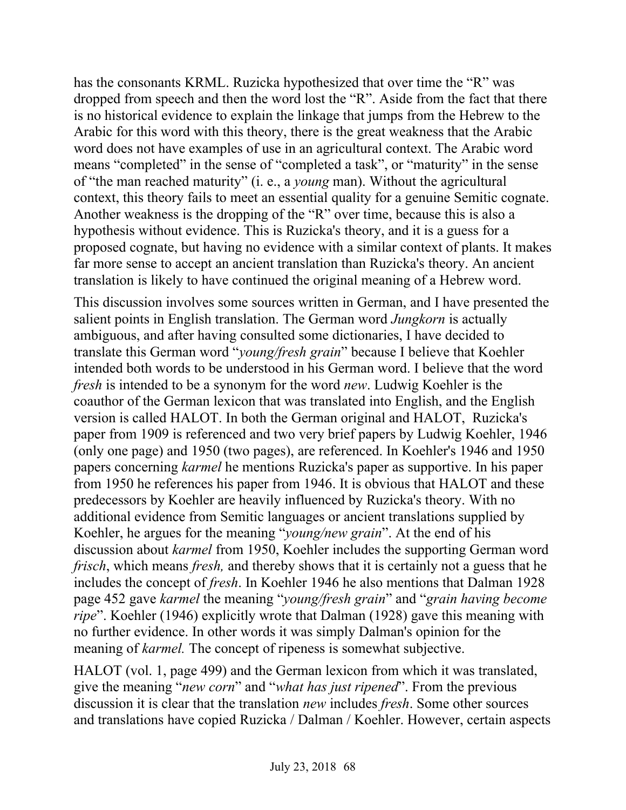has the consonants KRML. Ruzicka hypothesized that over time the "R" was dropped from speech and then the word lost the "R". Aside from the fact that there is no historical evidence to explain the linkage that jumps from the Hebrew to the Arabic for this word with this theory, there is the great weakness that the Arabic word does not have examples of use in an agricultural context. The Arabic word means "completed" in the sense of "completed a task", or "maturity" in the sense of "the man reached maturity" (i. e., a *young* man). Without the agricultural context, this theory fails to meet an essential quality for a genuine Semitic cognate. Another weakness is the dropping of the "R" over time, because this is also a hypothesis without evidence. This is Ruzicka's theory, and it is a guess for a proposed cognate, but having no evidence with a similar context of plants. It makes far more sense to accept an ancient translation than Ruzicka's theory. An ancient translation is likely to have continued the original meaning of a Hebrew word.

This discussion involves some sources written in German, and I have presented the salient points in English translation. The German word *Jungkorn* is actually ambiguous, and after having consulted some dictionaries, I have decided to translate this German word "*young/fresh grain*" because I believe that Koehler intended both words to be understood in his German word. I believe that the word *fresh* is intended to be a synonym for the word *new*. Ludwig Koehler is the coauthor of the German lexicon that was translated into English, and the English version is called HALOT. In both the German original and HALOT, Ruzicka's paper from 1909 is referenced and two very brief papers by Ludwig Koehler, 1946 (only one page) and 1950 (two pages), are referenced. In Koehler's 1946 and 1950 papers concerning *karmel* he mentions Ruzicka's paper as supportive. In his paper from 1950 he references his paper from 1946. It is obvious that HALOT and these predecessors by Koehler are heavily influenced by Ruzicka's theory. With no additional evidence from Semitic languages or ancient translations supplied by Koehler, he argues for the meaning "*young/new grain*". At the end of his discussion about *karmel* from 1950, Koehler includes the supporting German word *frisch*, which means *fresh*, and thereby shows that it is certainly not a guess that he includes the concept of *fresh*. In Koehler 1946 he also mentions that Dalman 1928 page 452 gave *karmel* the meaning "*young/fresh grain*" and "*grain having become ripe*". Koehler (1946) explicitly wrote that Dalman (1928) gave this meaning with no further evidence. In other words it was simply Dalman's opinion for the meaning of *karmel*. The concept of ripeness is somewhat subjective.

HALOT (vol. 1, page 499) and the German lexicon from which it was translated, give the meaning "*new corn*" and "*what has just ripened*". From the previous discussion it is clear that the translation *new* includes *fresh*. Some other sources and translations have copied Ruzicka / Dalman / Koehler. However, certain aspects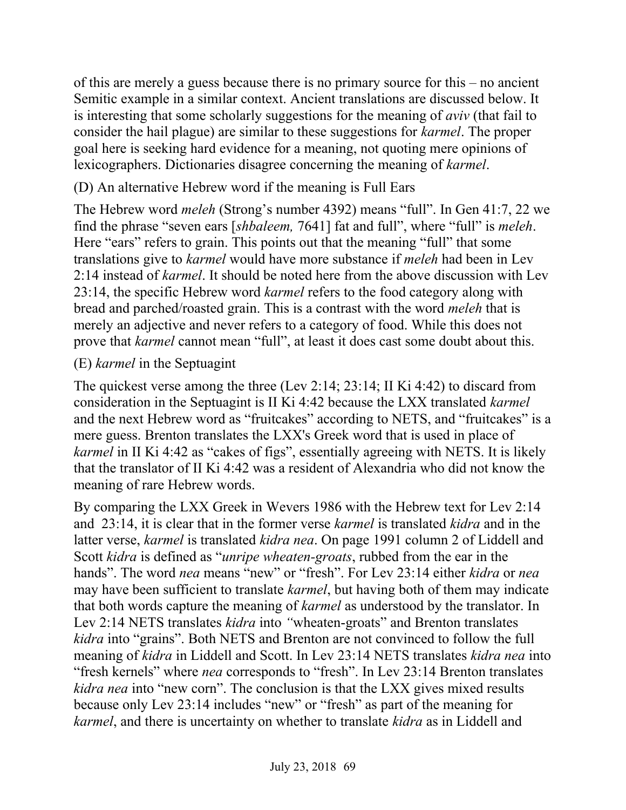of this are merely a guess because there is no primary source for this – no ancient Semitic example in a similar context. Ancient translations are discussed below. It is interesting that some scholarly suggestions for the meaning of *aviv* (that fail to consider the hail plague) are similar to these suggestions for *karmel*. The proper goal here is seeking hard evidence for a meaning, not quoting mere opinions of lexicographers. Dictionaries disagree concerning the meaning of *karmel*.

## (D) An alternative Hebrew word if the meaning is Full Ears

The Hebrew word *meleh* (Strong's number 4392) means "full". In Gen 41:7, 22 we find the phrase "seven ears [*shbaleem,* 7641] fat and full", where "full" is *meleh*. Here "ears" refers to grain. This points out that the meaning "full" that some translations give to *karmel* would have more substance if *meleh* had been in Lev 2:14 instead of *karmel*. It should be noted here from the above discussion with Lev 23:14, the specific Hebrew word *karmel* refers to the food category along with bread and parched/roasted grain. This is a contrast with the word *meleh* that is merely an adjective and never refers to a category of food. While this does not prove that *karmel* cannot mean "full", at least it does cast some doubt about this.

#### (E) *karmel* in the Septuagint

The quickest verse among the three (Lev 2:14; 23:14; II Ki 4:42) to discard from consideration in the Septuagint is II Ki 4:42 because the LXX translated *karmel* and the next Hebrew word as "fruitcakes" according to NETS, and "fruitcakes" is a mere guess. Brenton translates the LXX's Greek word that is used in place of *karmel* in II Ki 4:42 as "cakes of figs", essentially agreeing with NETS. It is likely that the translator of II Ki 4:42 was a resident of Alexandria who did not know the meaning of rare Hebrew words.

By comparing the LXX Greek in Wevers 1986 with the Hebrew text for Lev 2:14 and 23:14, it is clear that in the former verse *karmel* is translated *kidra* and in the latter verse, *karmel* is translated *kidra nea*. On page 1991 column 2 of Liddell and Scott *kidra* is defined as "*unripe wheaten-groats*, rubbed from the ear in the hands". The word *nea* means "new" or "fresh". For Lev 23:14 either *kidra* or *nea* may have been sufficient to translate *karmel*, but having both of them may indicate that both words capture the meaning of *karmel* as understood by the translator. In Lev 2:14 NETS translates *kidra* into *"*wheaten-groats" and Brenton translates *kidra* into "grains". Both NETS and Brenton are not convinced to follow the full meaning of *kidra* in Liddell and Scott. In Lev 23:14 NETS translates *kidra nea* into "fresh kernels" where *nea* corresponds to "fresh". In Lev 23:14 Brenton translates *kidra nea* into "new corn". The conclusion is that the LXX gives mixed results because only Lev 23:14 includes "new" or "fresh" as part of the meaning for *karmel*, and there is uncertainty on whether to translate *kidra* as in Liddell and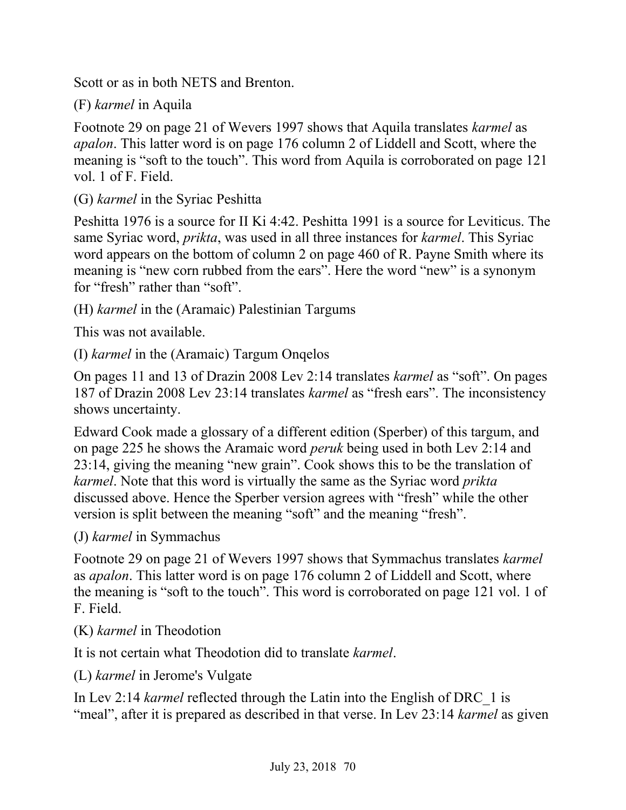Scott or as in both NETS and Brenton.

(F) *karmel* in Aquila

Footnote 29 on page 21 of Wevers 1997 shows that Aquila translates *karmel* as *apalon*. This latter word is on page 176 column 2 of Liddell and Scott, where the meaning is "soft to the touch". This word from Aquila is corroborated on page 121 vol. 1 of F. Field.

(G) *karmel* in the Syriac Peshitta

Peshitta 1976 is a source for II Ki 4:42. Peshitta 1991 is a source for Leviticus. The same Syriac word, *prikta*, was used in all three instances for *karmel*. This Syriac word appears on the bottom of column 2 on page 460 of R. Payne Smith where its meaning is "new corn rubbed from the ears". Here the word "new" is a synonym for "fresh" rather than "soft".

(H) *karmel* in the (Aramaic) Palestinian Targums

This was not available.

(I) *karmel* in the (Aramaic) Targum Onqelos

On pages 11 and 13 of Drazin 2008 Lev 2:14 translates *karmel* as "soft". On pages 187 of Drazin 2008 Lev 23:14 translates *karmel* as "fresh ears". The inconsistency shows uncertainty.

Edward Cook made a glossary of a different edition (Sperber) of this targum, and on page 225 he shows the Aramaic word *peruk* being used in both Lev 2:14 and 23:14, giving the meaning "new grain". Cook shows this to be the translation of *karmel*. Note that this word is virtually the same as the Syriac word *prikta*  discussed above. Hence the Sperber version agrees with "fresh" while the other version is split between the meaning "soft" and the meaning "fresh".

(J) *karmel* in Symmachus

Footnote 29 on page 21 of Wevers 1997 shows that Symmachus translates *karmel* as *apalon*. This latter word is on page 176 column 2 of Liddell and Scott, where the meaning is "soft to the touch". This word is corroborated on page 121 vol. 1 of F. Field.

(K) *karmel* in Theodotion

It is not certain what Theodotion did to translate *karmel*.

(L) *karmel* in Jerome's Vulgate

In Lev 2:14 *karmel* reflected through the Latin into the English of DRC\_1 is "meal", after it is prepared as described in that verse. In Lev 23:14 *karmel* as given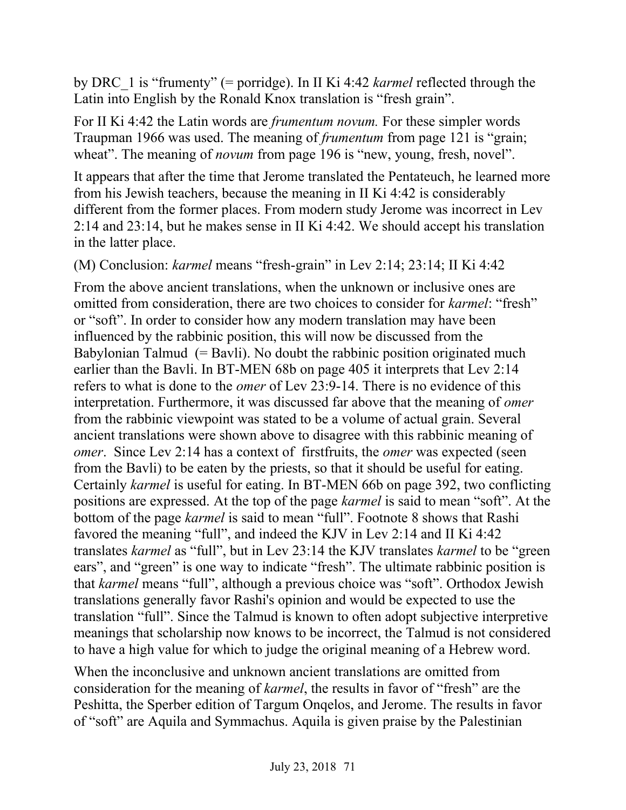by DRC\_1 is "frumenty" (= porridge). In II Ki 4:42 *karmel* reflected through the Latin into English by the Ronald Knox translation is "fresh grain".

For II Ki 4:42 the Latin words are *frumentum novum.* For these simpler words Traupman 1966 was used. The meaning of *frumentum* from page 121 is "grain; wheat". The meaning of *novum* from page 196 is "new, young, fresh, novel".

It appears that after the time that Jerome translated the Pentateuch, he learned more from his Jewish teachers, because the meaning in II Ki 4:42 is considerably different from the former places. From modern study Jerome was incorrect in Lev 2:14 and 23:14, but he makes sense in II Ki 4:42. We should accept his translation in the latter place.

(M) Conclusion: *karmel* means "fresh-grain" in Lev 2:14; 23:14; II Ki 4:42

From the above ancient translations, when the unknown or inclusive ones are omitted from consideration, there are two choices to consider for *karmel*: "fresh" or "soft". In order to consider how any modern translation may have been influenced by the rabbinic position, this will now be discussed from the Babylonian Talmud  $(= Bavli)$ . No doubt the rabbinic position originated much earlier than the Bavli. In BT-MEN 68b on page 405 it interprets that Lev 2:14 refers to what is done to the *omer* of Lev 23:9-14. There is no evidence of this interpretation. Furthermore, it was discussed far above that the meaning of *omer* from the rabbinic viewpoint was stated to be a volume of actual grain. Several ancient translations were shown above to disagree with this rabbinic meaning of *omer*. Since Lev 2:14 has a context of firstfruits, the *omer* was expected (seen from the Bavli) to be eaten by the priests, so that it should be useful for eating. Certainly *karmel* is useful for eating. In BT-MEN 66b on page 392, two conflicting positions are expressed. At the top of the page *karmel* is said to mean "soft". At the bottom of the page *karmel* is said to mean "full". Footnote 8 shows that Rashi favored the meaning "full", and indeed the KJV in Lev 2:14 and II Ki 4:42 translates *karmel* as "full", but in Lev 23:14 the KJV translates *karmel* to be "green ears", and "green" is one way to indicate "fresh". The ultimate rabbinic position is that *karmel* means "full", although a previous choice was "soft". Orthodox Jewish translations generally favor Rashi's opinion and would be expected to use the translation "full". Since the Talmud is known to often adopt subjective interpretive meanings that scholarship now knows to be incorrect, the Talmud is not considered to have a high value for which to judge the original meaning of a Hebrew word.

When the inconclusive and unknown ancient translations are omitted from consideration for the meaning of *karmel*, the results in favor of "fresh" are the Peshitta, the Sperber edition of Targum Onqelos, and Jerome. The results in favor of "soft" are Aquila and Symmachus. Aquila is given praise by the Palestinian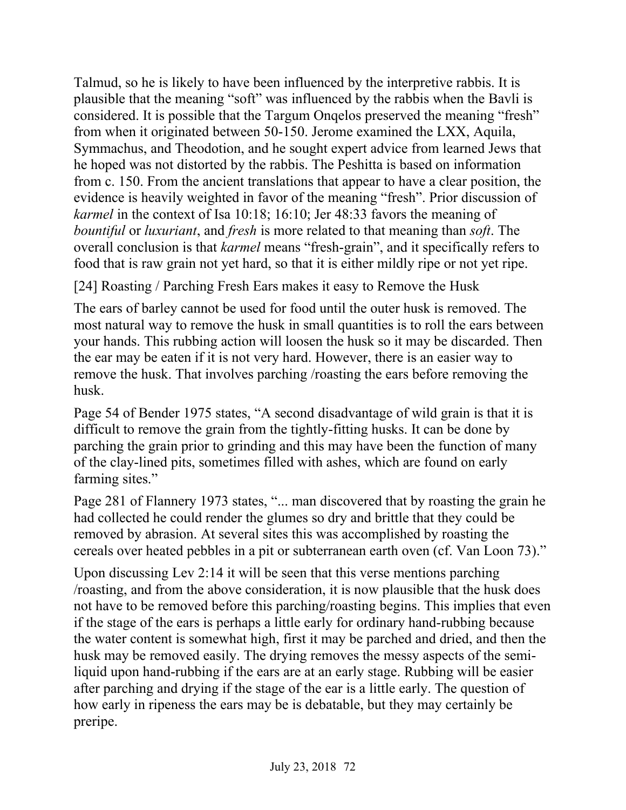Talmud, so he is likely to have been influenced by the interpretive rabbis. It is plausible that the meaning "soft" was influenced by the rabbis when the Bavli is considered. It is possible that the Targum Onqelos preserved the meaning "fresh" from when it originated between 50-150. Jerome examined the LXX, Aquila, Symmachus, and Theodotion, and he sought expert advice from learned Jews that he hoped was not distorted by the rabbis. The Peshitta is based on information from c. 150. From the ancient translations that appear to have a clear position, the evidence is heavily weighted in favor of the meaning "fresh". Prior discussion of *karmel* in the context of Isa 10:18; 16:10; Jer 48:33 favors the meaning of *bountiful* or *luxuriant*, and *fresh* is more related to that meaning than *soft*. The overall conclusion is that *karmel* means "fresh-grain", and it specifically refers to food that is raw grain not yet hard, so that it is either mildly ripe or not yet ripe.

[24] Roasting / Parching Fresh Ears makes it easy to Remove the Husk

The ears of barley cannot be used for food until the outer husk is removed. The most natural way to remove the husk in small quantities is to roll the ears between your hands. This rubbing action will loosen the husk so it may be discarded. Then the ear may be eaten if it is not very hard. However, there is an easier way to remove the husk. That involves parching /roasting the ears before removing the husk.

Page 54 of Bender 1975 states, "A second disadvantage of wild grain is that it is difficult to remove the grain from the tightly-fitting husks. It can be done by parching the grain prior to grinding and this may have been the function of many of the clay-lined pits, sometimes filled with ashes, which are found on early farming sites."

Page 281 of Flannery 1973 states, "... man discovered that by roasting the grain he had collected he could render the glumes so dry and brittle that they could be removed by abrasion. At several sites this was accomplished by roasting the cereals over heated pebbles in a pit or subterranean earth oven (cf. Van Loon 73)."

Upon discussing Lev 2:14 it will be seen that this verse mentions parching /roasting, and from the above consideration, it is now plausible that the husk does not have to be removed before this parching/roasting begins. This implies that even if the stage of the ears is perhaps a little early for ordinary hand-rubbing because the water content is somewhat high, first it may be parched and dried, and then the husk may be removed easily. The drying removes the messy aspects of the semiliquid upon hand-rubbing if the ears are at an early stage. Rubbing will be easier after parching and drying if the stage of the ear is a little early. The question of how early in ripeness the ears may be is debatable, but they may certainly be preripe.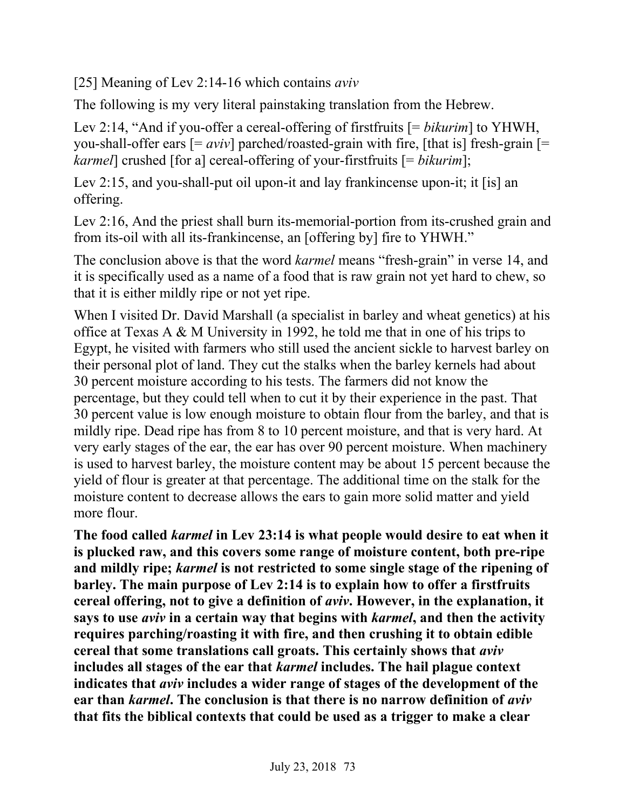[25] Meaning of Lev 2:14-16 which contains *aviv*

The following is my very literal painstaking translation from the Hebrew.

Lev 2:14, "And if you-offer a cereal-offering of firstfruits [= *bikurim*] to YHWH, you-shall-offer ears  $[=$  *aviv*] parched/roasted-grain with fire, [that is] fresh-grain  $[=$ *karmel*] crushed [for a] cereal-offering of your-firstfruits [= *bikurim*];

Lev 2:15, and you-shall-put oil upon-it and lay frankincense upon-it; it [is] an offering.

Lev 2:16, And the priest shall burn its-memorial-portion from its-crushed grain and from its-oil with all its-frankincense, an [offering by] fire to YHWH."

The conclusion above is that the word *karmel* means "fresh-grain" in verse 14, and it is specifically used as a name of a food that is raw grain not yet hard to chew, so that it is either mildly ripe or not yet ripe.

When I visited Dr. David Marshall (a specialist in barley and wheat genetics) at his office at Texas A & M University in 1992, he told me that in one of his trips to Egypt, he visited with farmers who still used the ancient sickle to harvest barley on their personal plot of land. They cut the stalks when the barley kernels had about 30 percent moisture according to his tests. The farmers did not know the percentage, but they could tell when to cut it by their experience in the past. That 30 percent value is low enough moisture to obtain flour from the barley, and that is mildly ripe. Dead ripe has from 8 to 10 percent moisture, and that is very hard. At very early stages of the ear, the ear has over 90 percent moisture. When machinery is used to harvest barley, the moisture content may be about 15 percent because the yield of flour is greater at that percentage. The additional time on the stalk for the moisture content to decrease allows the ears to gain more solid matter and yield more flour.

**The food called** *karmel* **in Lev 23:14 is what people would desire to eat when it is plucked raw, and this covers some range of moisture content, both pre-ripe and mildly ripe;** *karmel* **is not restricted to some single stage of the ripening of barley. The main purpose of Lev 2:14 is to explain how to offer a firstfruits cereal offering, not to give a definition of** *aviv***. However, in the explanation, it says to use** *aviv* **in a certain way that begins with** *karmel***, and then the activity requires parching/roasting it with fire, and then crushing it to obtain edible cereal that some translations call groats. This certainly shows that** *aviv* **includes all stages of the ear that** *karmel* **includes. The hail plague context indicates that** *aviv* **includes a wider range of stages of the development of the ear than** *karmel***. The conclusion is that there is no narrow definition of** *aviv* **that fits the biblical contexts that could be used as a trigger to make a clear**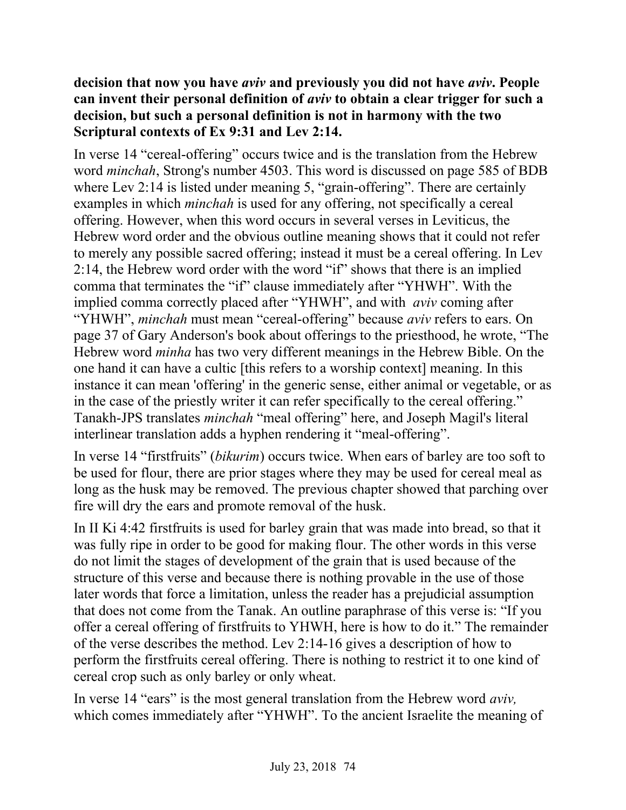### **decision that now you have** *aviv* **and previously you did not have** *aviv***. People can invent their personal definition of** *aviv* **to obtain a clear trigger for such a decision, but such a personal definition is not in harmony with the two Scriptural contexts of Ex 9:31 and Lev 2:14.**

In verse 14 "cereal-offering" occurs twice and is the translation from the Hebrew word *minchah*, Strong's number 4503. This word is discussed on page 585 of BDB where Lev 2:14 is listed under meaning 5, "grain-offering". There are certainly examples in which *minchah* is used for any offering, not specifically a cereal offering. However, when this word occurs in several verses in Leviticus, the Hebrew word order and the obvious outline meaning shows that it could not refer to merely any possible sacred offering; instead it must be a cereal offering. In Lev 2:14, the Hebrew word order with the word "if" shows that there is an implied comma that terminates the "if" clause immediately after "YHWH". With the implied comma correctly placed after "YHWH", and with *aviv* coming after "YHWH", *minchah* must mean "cereal-offering" because *aviv* refers to ears. On page 37 of Gary Anderson's book about offerings to the priesthood, he wrote, "The Hebrew word *minha* has two very different meanings in the Hebrew Bible. On the one hand it can have a cultic [this refers to a worship context] meaning. In this instance it can mean 'offering' in the generic sense, either animal or vegetable, or as in the case of the priestly writer it can refer specifically to the cereal offering." Tanakh-JPS translates *minchah* "meal offering" here, and Joseph Magil's literal interlinear translation adds a hyphen rendering it "meal-offering".

In verse 14 "firstfruits" (*bikurim*) occurs twice. When ears of barley are too soft to be used for flour, there are prior stages where they may be used for cereal meal as long as the husk may be removed. The previous chapter showed that parching over fire will dry the ears and promote removal of the husk.

In II Ki 4:42 firstfruits is used for barley grain that was made into bread, so that it was fully ripe in order to be good for making flour. The other words in this verse do not limit the stages of development of the grain that is used because of the structure of this verse and because there is nothing provable in the use of those later words that force a limitation, unless the reader has a prejudicial assumption that does not come from the Tanak. An outline paraphrase of this verse is: "If you offer a cereal offering of firstfruits to YHWH, here is how to do it." The remainder of the verse describes the method. Lev 2:14-16 gives a description of how to perform the firstfruits cereal offering. There is nothing to restrict it to one kind of cereal crop such as only barley or only wheat.

In verse 14 "ears" is the most general translation from the Hebrew word *aviv,* which comes immediately after "YHWH". To the ancient Israelite the meaning of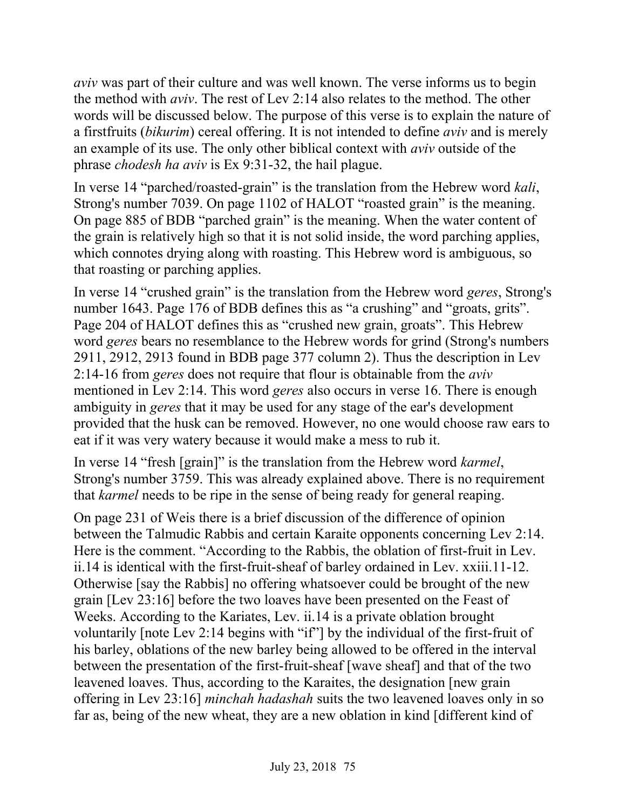*aviv* was part of their culture and was well known. The verse informs us to begin the method with *aviv*. The rest of Lev 2:14 also relates to the method. The other words will be discussed below. The purpose of this verse is to explain the nature of a firstfruits (*bikurim*) cereal offering. It is not intended to define *aviv* and is merely an example of its use. The only other biblical context with *aviv* outside of the phrase *chodesh ha aviv* is Ex 9:31-32, the hail plague.

In verse 14 "parched/roasted-grain" is the translation from the Hebrew word *kali*, Strong's number 7039. On page 1102 of HALOT "roasted grain" is the meaning. On page 885 of BDB "parched grain" is the meaning. When the water content of the grain is relatively high so that it is not solid inside, the word parching applies, which connotes drying along with roasting. This Hebrew word is ambiguous, so that roasting or parching applies.

In verse 14 "crushed grain" is the translation from the Hebrew word *geres*, Strong's number 1643. Page 176 of BDB defines this as "a crushing" and "groats, grits". Page 204 of HALOT defines this as "crushed new grain, groats". This Hebrew word *geres* bears no resemblance to the Hebrew words for grind (Strong's numbers 2911, 2912, 2913 found in BDB page 377 column 2). Thus the description in Lev 2:14-16 from *geres* does not require that flour is obtainable from the *aviv* mentioned in Lev 2:14. This word *geres* also occurs in verse 16. There is enough ambiguity in *geres* that it may be used for any stage of the ear's development provided that the husk can be removed. However, no one would choose raw ears to eat if it was very watery because it would make a mess to rub it.

In verse 14 "fresh [grain]" is the translation from the Hebrew word *karmel*, Strong's number 3759. This was already explained above. There is no requirement that *karmel* needs to be ripe in the sense of being ready for general reaping.

On page 231 of Weis there is a brief discussion of the difference of opinion between the Talmudic Rabbis and certain Karaite opponents concerning Lev 2:14. Here is the comment. "According to the Rabbis, the oblation of first-fruit in Lev. ii.14 is identical with the first-fruit-sheaf of barley ordained in Lev. xxiii.11-12. Otherwise [say the Rabbis] no offering whatsoever could be brought of the new grain [Lev 23:16] before the two loaves have been presented on the Feast of Weeks. According to the Kariates, Lev. ii.14 is a private oblation brought voluntarily [note Lev 2:14 begins with "if"] by the individual of the first-fruit of his barley, oblations of the new barley being allowed to be offered in the interval between the presentation of the first-fruit-sheaf [wave sheaf] and that of the two leavened loaves. Thus, according to the Karaites, the designation [new grain offering in Lev 23:16] *minchah hadashah* suits the two leavened loaves only in so far as, being of the new wheat, they are a new oblation in kind [different kind of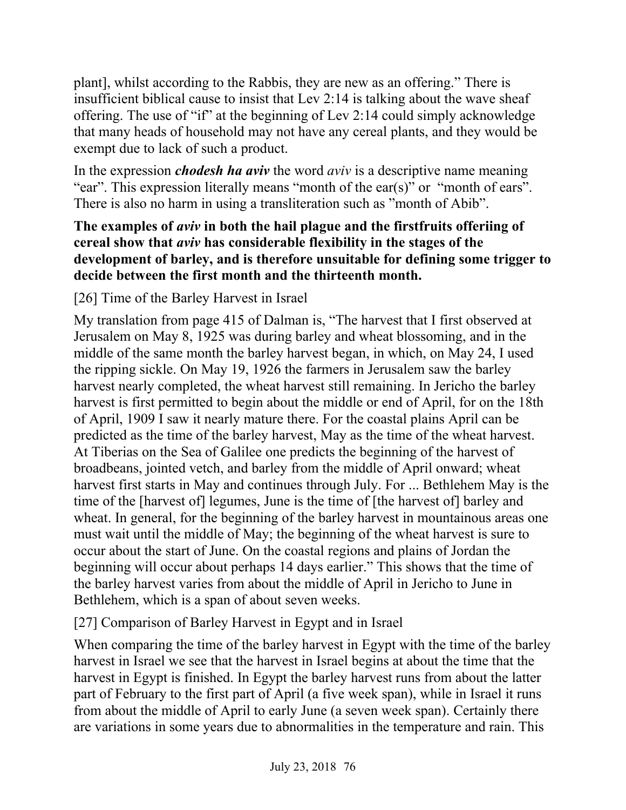plant], whilst according to the Rabbis, they are new as an offering." There is insufficient biblical cause to insist that Lev 2:14 is talking about the wave sheaf offering. The use of "if" at the beginning of Lev 2:14 could simply acknowledge that many heads of household may not have any cereal plants, and they would be exempt due to lack of such a product.

In the expression *chodesh ha aviv* the word *aviv* is a descriptive name meaning "ear". This expression literally means "month of the ear(s)" or "month of ears". There is also no harm in using a transliteration such as "month of Abib".

### **The examples of** *aviv* **in both the hail plague and the firstfruits offeriing of cereal show that** *aviv* **has considerable flexibility in the stages of the development of barley, and is therefore unsuitable for defining some trigger to decide between the first month and the thirteenth month.**

[26] Time of the Barley Harvest in Israel

My translation from page 415 of Dalman is, "The harvest that I first observed at Jerusalem on May 8, 1925 was during barley and wheat blossoming, and in the middle of the same month the barley harvest began, in which, on May 24, I used the ripping sickle. On May 19, 1926 the farmers in Jerusalem saw the barley harvest nearly completed, the wheat harvest still remaining. In Jericho the barley harvest is first permitted to begin about the middle or end of April, for on the 18th of April, 1909 I saw it nearly mature there. For the coastal plains April can be predicted as the time of the barley harvest, May as the time of the wheat harvest. At Tiberias on the Sea of Galilee one predicts the beginning of the harvest of broadbeans, jointed vetch, and barley from the middle of April onward; wheat harvest first starts in May and continues through July. For ... Bethlehem May is the time of the [harvest of] legumes, June is the time of [the harvest of] barley and wheat. In general, for the beginning of the barley harvest in mountainous areas one must wait until the middle of May; the beginning of the wheat harvest is sure to occur about the start of June. On the coastal regions and plains of Jordan the beginning will occur about perhaps 14 days earlier." This shows that the time of the barley harvest varies from about the middle of April in Jericho to June in Bethlehem, which is a span of about seven weeks.

[27] Comparison of Barley Harvest in Egypt and in Israel

When comparing the time of the barley harvest in Egypt with the time of the barley harvest in Israel we see that the harvest in Israel begins at about the time that the harvest in Egypt is finished. In Egypt the barley harvest runs from about the latter part of February to the first part of April (a five week span), while in Israel it runs from about the middle of April to early June (a seven week span). Certainly there are variations in some years due to abnormalities in the temperature and rain. This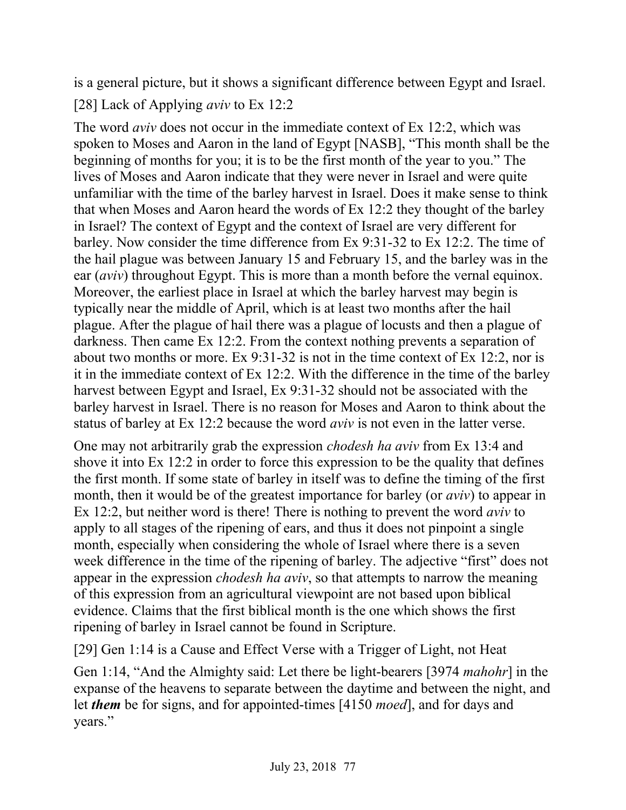is a general picture, but it shows a significant difference between Egypt and Israel. [28] Lack of Applying *aviv* to Ex 12:2

The word *aviv* does not occur in the immediate context of Ex 12:2, which was spoken to Moses and Aaron in the land of Egypt [NASB], "This month shall be the beginning of months for you; it is to be the first month of the year to you." The lives of Moses and Aaron indicate that they were never in Israel and were quite unfamiliar with the time of the barley harvest in Israel. Does it make sense to think that when Moses and Aaron heard the words of Ex 12:2 they thought of the barley in Israel? The context of Egypt and the context of Israel are very different for barley. Now consider the time difference from Ex 9:31-32 to Ex 12:2. The time of the hail plague was between January 15 and February 15, and the barley was in the ear (*aviv*) throughout Egypt. This is more than a month before the vernal equinox. Moreover, the earliest place in Israel at which the barley harvest may begin is typically near the middle of April, which is at least two months after the hail plague. After the plague of hail there was a plague of locusts and then a plague of darkness. Then came Ex 12:2. From the context nothing prevents a separation of about two months or more. Ex 9:31-32 is not in the time context of Ex 12:2, nor is it in the immediate context of Ex 12:2. With the difference in the time of the barley harvest between Egypt and Israel, Ex 9:31-32 should not be associated with the barley harvest in Israel. There is no reason for Moses and Aaron to think about the status of barley at Ex 12:2 because the word *aviv* is not even in the latter verse.

One may not arbitrarily grab the expression *chodesh ha aviv* from Ex 13:4 and shove it into Ex 12:2 in order to force this expression to be the quality that defines the first month. If some state of barley in itself was to define the timing of the first month, then it would be of the greatest importance for barley (or *aviv*) to appear in Ex 12:2, but neither word is there! There is nothing to prevent the word *aviv* to apply to all stages of the ripening of ears, and thus it does not pinpoint a single month, especially when considering the whole of Israel where there is a seven week difference in the time of the ripening of barley. The adjective "first" does not appear in the expression *chodesh ha aviv*, so that attempts to narrow the meaning of this expression from an agricultural viewpoint are not based upon biblical evidence. Claims that the first biblical month is the one which shows the first ripening of barley in Israel cannot be found in Scripture.

[29] Gen 1:14 is a Cause and Effect Verse with a Trigger of Light, not Heat

Gen 1:14, "And the Almighty said: Let there be light-bearers [3974 *mahohr*] in the expanse of the heavens to separate between the daytime and between the night, and let *them* be for signs, and for appointed-times [4150 *moed*], and for days and years."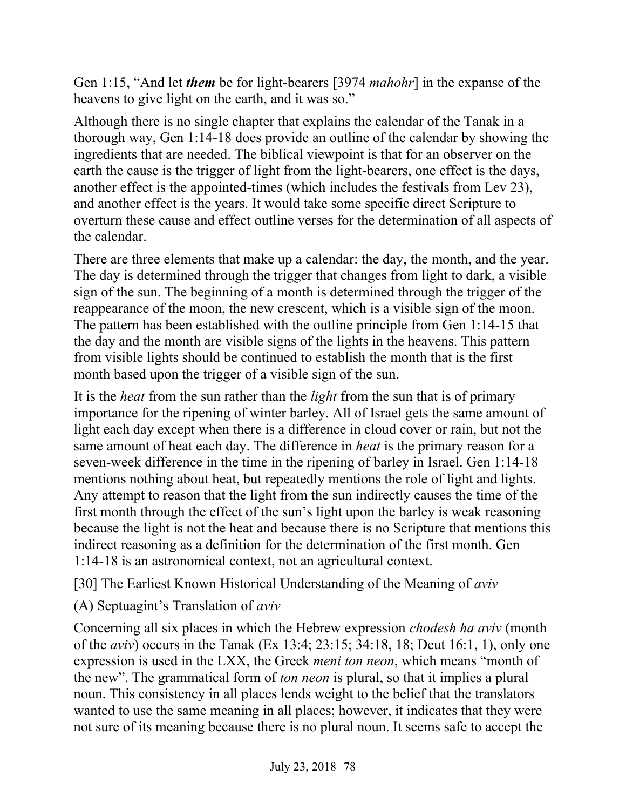Gen 1:15, "And let *them* be for light-bearers [3974 *mahohr*] in the expanse of the heavens to give light on the earth, and it was so."

Although there is no single chapter that explains the calendar of the Tanak in a thorough way, Gen 1:14-18 does provide an outline of the calendar by showing the ingredients that are needed. The biblical viewpoint is that for an observer on the earth the cause is the trigger of light from the light-bearers, one effect is the days, another effect is the appointed-times (which includes the festivals from Lev 23), and another effect is the years. It would take some specific direct Scripture to overturn these cause and effect outline verses for the determination of all aspects of the calendar.

There are three elements that make up a calendar: the day, the month, and the year. The day is determined through the trigger that changes from light to dark, a visible sign of the sun. The beginning of a month is determined through the trigger of the reappearance of the moon, the new crescent, which is a visible sign of the moon. The pattern has been established with the outline principle from Gen 1:14-15 that the day and the month are visible signs of the lights in the heavens. This pattern from visible lights should be continued to establish the month that is the first month based upon the trigger of a visible sign of the sun.

It is the *heat* from the sun rather than the *light* from the sun that is of primary importance for the ripening of winter barley. All of Israel gets the same amount of light each day except when there is a difference in cloud cover or rain, but not the same amount of heat each day. The difference in *heat* is the primary reason for a seven-week difference in the time in the ripening of barley in Israel. Gen 1:14-18 mentions nothing about heat, but repeatedly mentions the role of light and lights. Any attempt to reason that the light from the sun indirectly causes the time of the first month through the effect of the sun's light upon the barley is weak reasoning because the light is not the heat and because there is no Scripture that mentions this indirect reasoning as a definition for the determination of the first month. Gen 1:14-18 is an astronomical context, not an agricultural context.

[30] The Earliest Known Historical Understanding of the Meaning of *aviv*

(A) Septuagint's Translation of *aviv*

Concerning all six places in which the Hebrew expression *chodesh ha aviv* (month of the *aviv*) occurs in the Tanak (Ex 13:4; 23:15; 34:18, 18; Deut 16:1, 1), only one expression is used in the LXX, the Greek *meni ton neon*, which means "month of the new". The grammatical form of *ton neon* is plural, so that it implies a plural noun. This consistency in all places lends weight to the belief that the translators wanted to use the same meaning in all places; however, it indicates that they were not sure of its meaning because there is no plural noun. It seems safe to accept the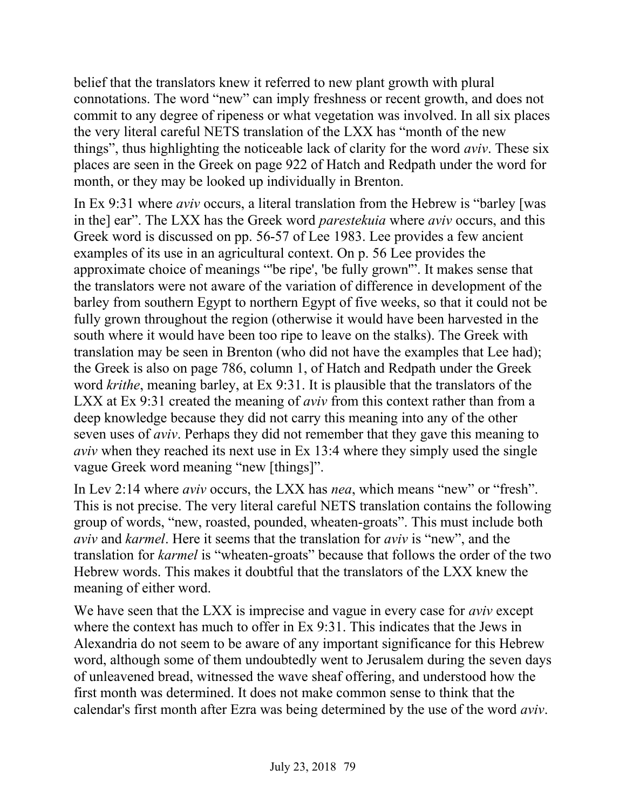belief that the translators knew it referred to new plant growth with plural connotations. The word "new" can imply freshness or recent growth, and does not commit to any degree of ripeness or what vegetation was involved. In all six places the very literal careful NETS translation of the LXX has "month of the new things", thus highlighting the noticeable lack of clarity for the word *aviv*. These six places are seen in the Greek on page 922 of Hatch and Redpath under the word for month, or they may be looked up individually in Brenton.

In Ex 9:31 where *aviv* occurs, a literal translation from the Hebrew is "barley [was in the] ear". The LXX has the Greek word *parestekuia* where *aviv* occurs, and this Greek word is discussed on pp. 56-57 of Lee 1983. Lee provides a few ancient examples of its use in an agricultural context. On p. 56 Lee provides the approximate choice of meanings "'be ripe', 'be fully grown'". It makes sense that the translators were not aware of the variation of difference in development of the barley from southern Egypt to northern Egypt of five weeks, so that it could not be fully grown throughout the region (otherwise it would have been harvested in the south where it would have been too ripe to leave on the stalks). The Greek with translation may be seen in Brenton (who did not have the examples that Lee had); the Greek is also on page 786, column 1, of Hatch and Redpath under the Greek word *krithe*, meaning barley, at Ex 9:31. It is plausible that the translators of the LXX at Ex 9:31 created the meaning of *aviv* from this context rather than from a deep knowledge because they did not carry this meaning into any of the other seven uses of *aviv*. Perhaps they did not remember that they gave this meaning to *aviv* when they reached its next use in Ex 13:4 where they simply used the single vague Greek word meaning "new [things]".

In Lev 2:14 where *aviv* occurs, the LXX has *nea*, which means "new" or "fresh". This is not precise. The very literal careful NETS translation contains the following group of words, "new, roasted, pounded, wheaten-groats". This must include both *aviv* and *karmel*. Here it seems that the translation for *aviv* is "new", and the translation for *karmel* is "wheaten-groats" because that follows the order of the two Hebrew words. This makes it doubtful that the translators of the LXX knew the meaning of either word.

We have seen that the LXX is imprecise and vague in every case for *aviv* except where the context has much to offer in Ex 9:31. This indicates that the Jews in Alexandria do not seem to be aware of any important significance for this Hebrew word, although some of them undoubtedly went to Jerusalem during the seven days of unleavened bread, witnessed the wave sheaf offering, and understood how the first month was determined. It does not make common sense to think that the calendar's first month after Ezra was being determined by the use of the word *aviv*.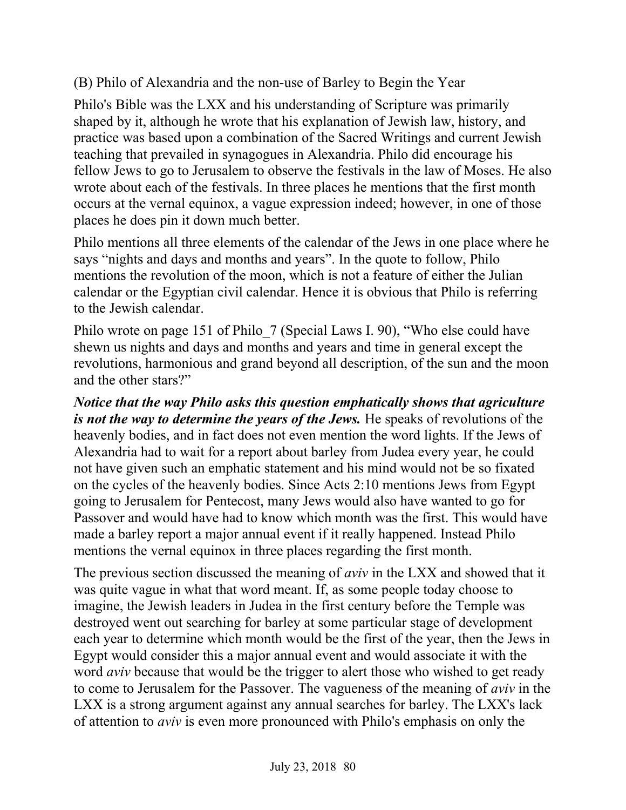# (B) Philo of Alexandria and the non-use of Barley to Begin the Year

Philo's Bible was the LXX and his understanding of Scripture was primarily shaped by it, although he wrote that his explanation of Jewish law, history, and practice was based upon a combination of the Sacred Writings and current Jewish teaching that prevailed in synagogues in Alexandria. Philo did encourage his fellow Jews to go to Jerusalem to observe the festivals in the law of Moses. He also wrote about each of the festivals. In three places he mentions that the first month occurs at the vernal equinox, a vague expression indeed; however, in one of those places he does pin it down much better.

Philo mentions all three elements of the calendar of the Jews in one place where he says "nights and days and months and years". In the quote to follow, Philo mentions the revolution of the moon, which is not a feature of either the Julian calendar or the Egyptian civil calendar. Hence it is obvious that Philo is referring to the Jewish calendar.

Philo wrote on page 151 of Philo\_7 (Special Laws I. 90), "Who else could have shewn us nights and days and months and years and time in general except the revolutions, harmonious and grand beyond all description, of the sun and the moon and the other stars?"

*Notice that the way Philo asks this question emphatically shows that agriculture is not the way to determine the years of the Jews.* He speaks of revolutions of the heavenly bodies, and in fact does not even mention the word lights. If the Jews of Alexandria had to wait for a report about barley from Judea every year, he could not have given such an emphatic statement and his mind would not be so fixated on the cycles of the heavenly bodies. Since Acts 2:10 mentions Jews from Egypt going to Jerusalem for Pentecost, many Jews would also have wanted to go for Passover and would have had to know which month was the first. This would have made a barley report a major annual event if it really happened. Instead Philo mentions the vernal equinox in three places regarding the first month.

The previous section discussed the meaning of *aviv* in the LXX and showed that it was quite vague in what that word meant. If, as some people today choose to imagine, the Jewish leaders in Judea in the first century before the Temple was destroyed went out searching for barley at some particular stage of development each year to determine which month would be the first of the year, then the Jews in Egypt would consider this a major annual event and would associate it with the word *aviv* because that would be the trigger to alert those who wished to get ready to come to Jerusalem for the Passover. The vagueness of the meaning of *aviv* in the LXX is a strong argument against any annual searches for barley. The LXX's lack of attention to *aviv* is even more pronounced with Philo's emphasis on only the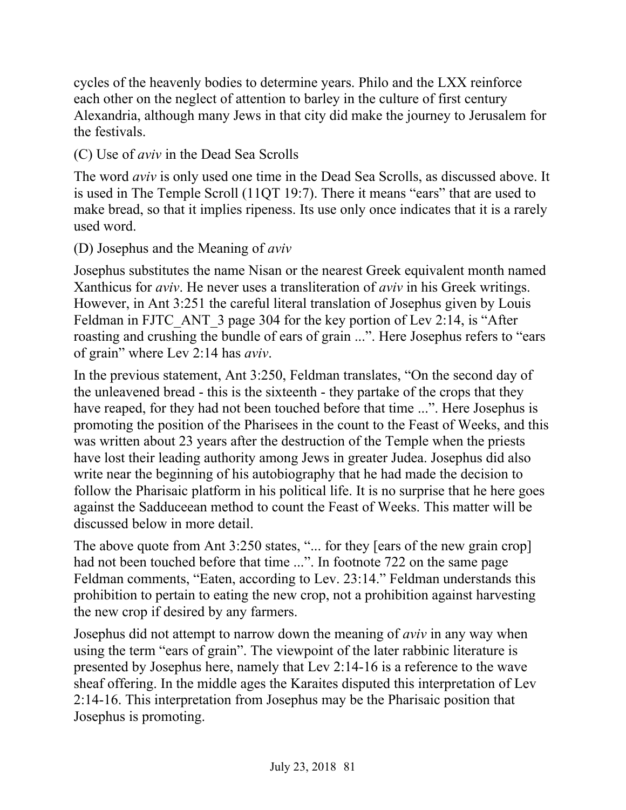cycles of the heavenly bodies to determine years. Philo and the LXX reinforce each other on the neglect of attention to barley in the culture of first century Alexandria, although many Jews in that city did make the journey to Jerusalem for the festivals.

(C) Use of *aviv* in the Dead Sea Scrolls

The word *aviv* is only used one time in the Dead Sea Scrolls, as discussed above. It is used in The Temple Scroll (11QT 19:7). There it means "ears" that are used to make bread, so that it implies ripeness. Its use only once indicates that it is a rarely used word.

(D) Josephus and the Meaning of *aviv*

Josephus substitutes the name Nisan or the nearest Greek equivalent month named Xanthicus for *aviv*. He never uses a transliteration of *aviv* in his Greek writings. However, in Ant 3:251 the careful literal translation of Josephus given by Louis Feldman in FJTC\_ANT\_3 page 304 for the key portion of Lev 2:14, is "After roasting and crushing the bundle of ears of grain ...". Here Josephus refers to "ears of grain" where Lev 2:14 has *aviv*.

In the previous statement, Ant 3:250, Feldman translates, "On the second day of the unleavened bread - this is the sixteenth - they partake of the crops that they have reaped, for they had not been touched before that time ...". Here Josephus is promoting the position of the Pharisees in the count to the Feast of Weeks, and this was written about 23 years after the destruction of the Temple when the priests have lost their leading authority among Jews in greater Judea. Josephus did also write near the beginning of his autobiography that he had made the decision to follow the Pharisaic platform in his political life. It is no surprise that he here goes against the Sadduceean method to count the Feast of Weeks. This matter will be discussed below in more detail.

The above quote from Ant 3:250 states, "... for they [ears of the new grain crop] had not been touched before that time ...". In footnote 722 on the same page Feldman comments, "Eaten, according to Lev. 23:14." Feldman understands this prohibition to pertain to eating the new crop, not a prohibition against harvesting the new crop if desired by any farmers.

Josephus did not attempt to narrow down the meaning of *aviv* in any way when using the term "ears of grain". The viewpoint of the later rabbinic literature is presented by Josephus here, namely that Lev 2:14-16 is a reference to the wave sheaf offering. In the middle ages the Karaites disputed this interpretation of Lev 2:14-16. This interpretation from Josephus may be the Pharisaic position that Josephus is promoting.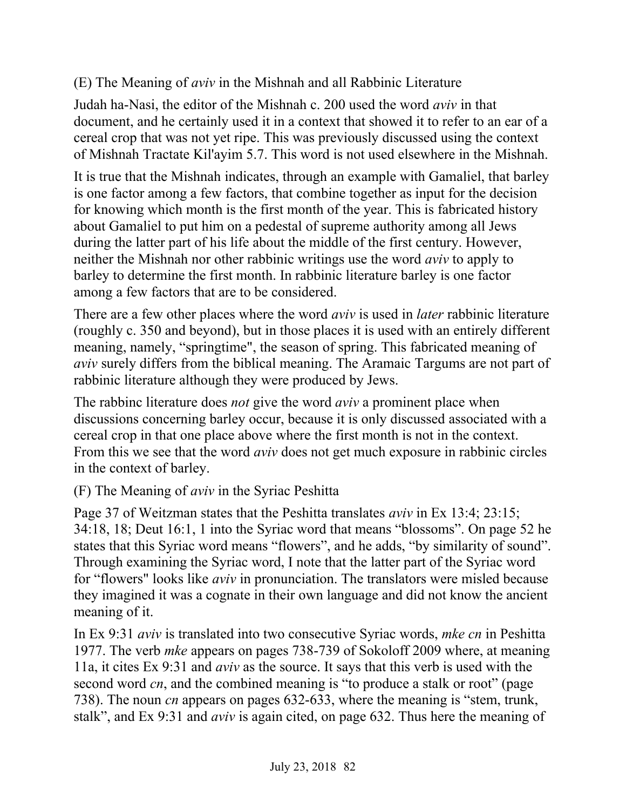# (E) The Meaning of *aviv* in the Mishnah and all Rabbinic Literature

Judah ha-Nasi, the editor of the Mishnah c. 200 used the word *aviv* in that document, and he certainly used it in a context that showed it to refer to an ear of a cereal crop that was not yet ripe. This was previously discussed using the context of Mishnah Tractate Kil'ayim 5.7. This word is not used elsewhere in the Mishnah.

It is true that the Mishnah indicates, through an example with Gamaliel, that barley is one factor among a few factors, that combine together as input for the decision for knowing which month is the first month of the year. This is fabricated history about Gamaliel to put him on a pedestal of supreme authority among all Jews during the latter part of his life about the middle of the first century. However, neither the Mishnah nor other rabbinic writings use the word *aviv* to apply to barley to determine the first month. In rabbinic literature barley is one factor among a few factors that are to be considered.

There are a few other places where the word *aviv* is used in *later* rabbinic literature (roughly c. 350 and beyond), but in those places it is used with an entirely different meaning, namely, "springtime", the season of spring. This fabricated meaning of *aviv* surely differs from the biblical meaning. The Aramaic Targums are not part of rabbinic literature although they were produced by Jews.

The rabbinc literature does *not* give the word *aviv* a prominent place when discussions concerning barley occur, because it is only discussed associated with a cereal crop in that one place above where the first month is not in the context. From this we see that the word *aviv* does not get much exposure in rabbinic circles in the context of barley.

(F) The Meaning of *aviv* in the Syriac Peshitta

Page 37 of Weitzman states that the Peshitta translates *aviv* in Ex 13:4; 23:15; 34:18, 18; Deut 16:1, 1 into the Syriac word that means "blossoms". On page 52 he states that this Syriac word means "flowers", and he adds, "by similarity of sound". Through examining the Syriac word, I note that the latter part of the Syriac word for "flowers" looks like *aviv* in pronunciation. The translators were misled because they imagined it was a cognate in their own language and did not know the ancient meaning of it.

In Ex 9:31 *aviv* is translated into two consecutive Syriac words, *mke cn* in Peshitta 1977. The verb *mke* appears on pages 738-739 of Sokoloff 2009 where, at meaning 11a, it cites Ex 9:31 and *aviv* as the source. It says that this verb is used with the second word *cn*, and the combined meaning is "to produce a stalk or root" (page 738). The noun *cn* appears on pages 632-633, where the meaning is "stem, trunk, stalk", and Ex 9:31 and *aviv* is again cited, on page 632. Thus here the meaning of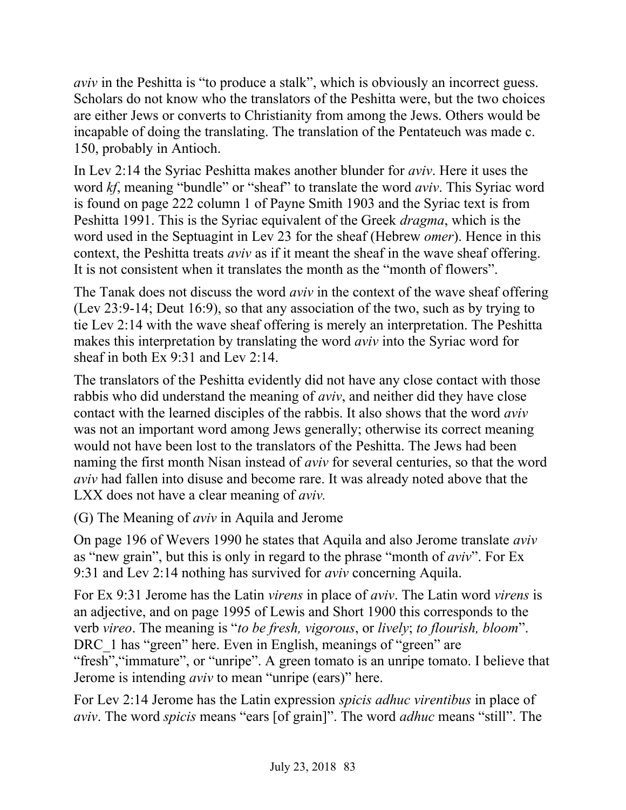*aviv* in the Peshitta is "to produce a stalk", which is obviously an incorrect guess. Scholars do not know who the translators of the Peshitta were, but the two choices are either Jews or converts to Christianity from among the Jews. Others would be incapable of doing the translating. The translation of the Pentateuch was made c. 150, probably in Antioch.

In Lev 2:14 the Syriac Peshitta makes another blunder for *aviv*. Here it uses the word *kf*, meaning "bundle" or "sheaf" to translate the word *aviv*. This Syriac word is found on page 222 column 1 of Payne Smith 1903 and the Syriac text is from Peshitta 1991. This is the Syriac equivalent of the Greek *dragma*, which is the word used in the Septuagint in Lev 23 for the sheaf (Hebrew *omer*). Hence in this context, the Peshitta treats *aviv* as if it meant the sheaf in the wave sheaf offering. It is not consistent when it translates the month as the "month of flowers".

The Tanak does not discuss the word *aviv* in the context of the wave sheaf offering (Lev 23:9-14; Deut 16:9), so that any association of the two, such as by trying to tie Lev 2:14 with the wave sheaf offering is merely an interpretation. The Peshitta makes this interpretation by translating the word *aviv* into the Syriac word for sheaf in both Ex 9:31 and Lev 2:14.

The translators of the Peshitta evidently did not have any close contact with those rabbis who did understand the meaning of *aviv*, and neither did they have close contact with the learned disciples of the rabbis. It also shows that the word *aviv* was not an important word among Jews generally; otherwise its correct meaning would not have been lost to the translators of the Peshitta. The Jews had been naming the first month Nisan instead of *aviv* for several centuries, so that the word *aviv* had fallen into disuse and become rare. It was already noted above that the LXX does not have a clear meaning of *aviv.*

(G) The Meaning of *aviv* in Aquila and Jerome

On page 196 of Wevers 1990 he states that Aquila and also Jerome translate *aviv* as "new grain", but this is only in regard to the phrase "month of *aviv*". For Ex 9:31 and Lev 2:14 nothing has survived for *aviv* concerning Aquila.

For Ex 9:31 Jerome has the Latin *virens* in place of *aviv*. The Latin word *virens* is an adjective, and on page 1995 of Lewis and Short 1900 this corresponds to the verb *vireo*. The meaning is "*to be fresh, vigorous*, or *lively*; *to flourish, bloom*". DRC 1 has "green" here. Even in English, meanings of "green" are "fresh","immature", or "unripe". A green tomato is an unripe tomato. I believe that Jerome is intending *aviv* to mean "unripe (ears)" here.

For Lev 2:14 Jerome has the Latin expression *spicis adhuc virentibus* in place of *aviv*. The word *spicis* means "ears [of grain]". The word *adhuc* means "still". The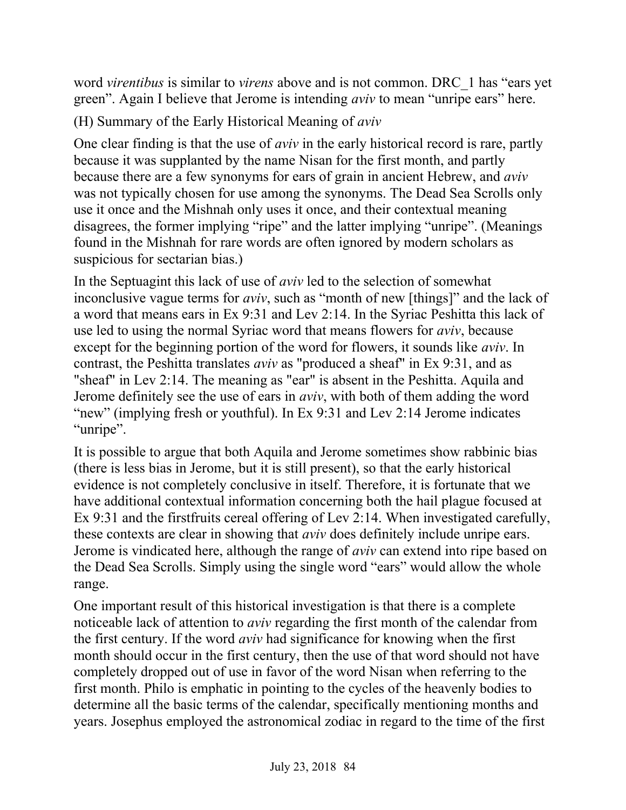word *virentibus* is similar to *virens* above and is not common. DRC\_1 has "ears yet green". Again I believe that Jerome is intending *aviv* to mean "unripe ears" here.

(H) Summary of the Early Historical Meaning of *aviv*

One clear finding is that the use of *aviv* in the early historical record is rare, partly because it was supplanted by the name Nisan for the first month, and partly because there are a few synonyms for ears of grain in ancient Hebrew, and *aviv* was not typically chosen for use among the synonyms. The Dead Sea Scrolls only use it once and the Mishnah only uses it once, and their contextual meaning disagrees, the former implying "ripe" and the latter implying "unripe". (Meanings found in the Mishnah for rare words are often ignored by modern scholars as suspicious for sectarian bias.)

In the Septuagint this lack of use of *aviv* led to the selection of somewhat inconclusive vague terms for *aviv*, such as "month of new [things]" and the lack of a word that means ears in Ex 9:31 and Lev 2:14. In the Syriac Peshitta this lack of use led to using the normal Syriac word that means flowers for *aviv*, because except for the beginning portion of the word for flowers, it sounds like *aviv*. In contrast, the Peshitta translates *aviv* as "produced a sheaf" in Ex 9:31, and as "sheaf" in Lev 2:14. The meaning as "ear" is absent in the Peshitta. Aquila and Jerome definitely see the use of ears in *aviv*, with both of them adding the word "new" (implying fresh or youthful). In Ex 9:31 and Lev 2:14 Jerome indicates "unripe".

It is possible to argue that both Aquila and Jerome sometimes show rabbinic bias (there is less bias in Jerome, but it is still present), so that the early historical evidence is not completely conclusive in itself. Therefore, it is fortunate that we have additional contextual information concerning both the hail plague focused at Ex 9:31 and the firstfruits cereal offering of Lev 2:14. When investigated carefully, these contexts are clear in showing that *aviv* does definitely include unripe ears. Jerome is vindicated here, although the range of *aviv* can extend into ripe based on the Dead Sea Scrolls. Simply using the single word "ears" would allow the whole range.

One important result of this historical investigation is that there is a complete noticeable lack of attention to *aviv* regarding the first month of the calendar from the first century. If the word *aviv* had significance for knowing when the first month should occur in the first century, then the use of that word should not have completely dropped out of use in favor of the word Nisan when referring to the first month. Philo is emphatic in pointing to the cycles of the heavenly bodies to determine all the basic terms of the calendar, specifically mentioning months and years. Josephus employed the astronomical zodiac in regard to the time of the first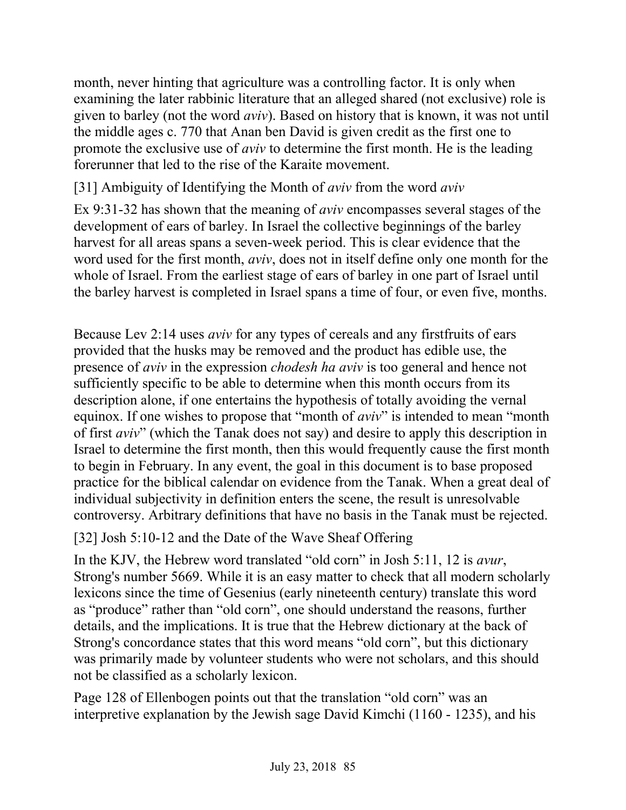month, never hinting that agriculture was a controlling factor. It is only when examining the later rabbinic literature that an alleged shared (not exclusive) role is given to barley (not the word *aviv*). Based on history that is known, it was not until the middle ages c. 770 that Anan ben David is given credit as the first one to promote the exclusive use of *aviv* to determine the first month. He is the leading forerunner that led to the rise of the Karaite movement.

[31] Ambiguity of Identifying the Month of *aviv* from the word *aviv*

Ex 9:31-32 has shown that the meaning of *aviv* encompasses several stages of the development of ears of barley. In Israel the collective beginnings of the barley harvest for all areas spans a seven-week period. This is clear evidence that the word used for the first month, *aviv*, does not in itself define only one month for the whole of Israel. From the earliest stage of ears of barley in one part of Israel until the barley harvest is completed in Israel spans a time of four, or even five, months.

Because Lev 2:14 uses *aviv* for any types of cereals and any firstfruits of ears provided that the husks may be removed and the product has edible use, the presence of *aviv* in the expression *chodesh ha aviv* is too general and hence not sufficiently specific to be able to determine when this month occurs from its description alone, if one entertains the hypothesis of totally avoiding the vernal equinox. If one wishes to propose that "month of *aviv*" is intended to mean "month of first *aviv*" (which the Tanak does not say) and desire to apply this description in Israel to determine the first month, then this would frequently cause the first month to begin in February. In any event, the goal in this document is to base proposed practice for the biblical calendar on evidence from the Tanak. When a great deal of individual subjectivity in definition enters the scene, the result is unresolvable controversy. Arbitrary definitions that have no basis in the Tanak must be rejected.

[32] Josh 5:10-12 and the Date of the Wave Sheaf Offering

In the KJV, the Hebrew word translated "old corn" in Josh 5:11, 12 is *avur*, Strong's number 5669. While it is an easy matter to check that all modern scholarly lexicons since the time of Gesenius (early nineteenth century) translate this word as "produce" rather than "old corn", one should understand the reasons, further details, and the implications. It is true that the Hebrew dictionary at the back of Strong's concordance states that this word means "old corn", but this dictionary was primarily made by volunteer students who were not scholars, and this should not be classified as a scholarly lexicon.

Page 128 of Ellenbogen points out that the translation "old corn" was an interpretive explanation by the Jewish sage David Kimchi (1160 - 1235), and his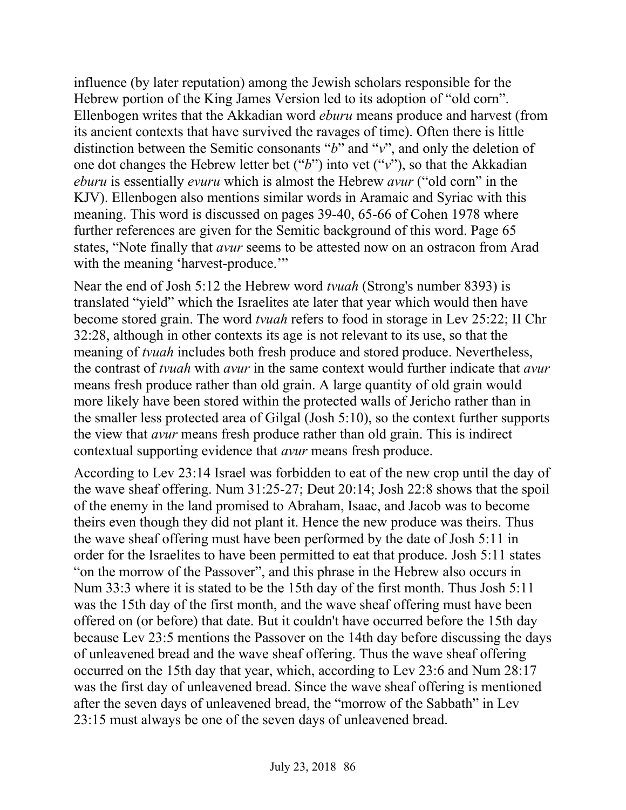influence (by later reputation) among the Jewish scholars responsible for the Hebrew portion of the King James Version led to its adoption of "old corn". Ellenbogen writes that the Akkadian word *eburu* means produce and harvest (from its ancient contexts that have survived the ravages of time). Often there is little distinction between the Semitic consonants "*b*" and "*v*", and only the deletion of one dot changes the Hebrew letter bet ("*b*") into vet ("*v*"), so that the Akkadian *eburu* is essentially *evuru* which is almost the Hebrew *avur* ("old corn" in the KJV). Ellenbogen also mentions similar words in Aramaic and Syriac with this meaning. This word is discussed on pages 39-40, 65-66 of Cohen 1978 where further references are given for the Semitic background of this word. Page 65 states, "Note finally that *avur* seems to be attested now on an ostracon from Arad with the meaning 'harvest-produce."

Near the end of Josh 5:12 the Hebrew word *tvuah* (Strong's number 8393) is translated "yield" which the Israelites ate later that year which would then have become stored grain. The word *tvuah* refers to food in storage in Lev 25:22; II Chr 32:28, although in other contexts its age is not relevant to its use, so that the meaning of *tvuah* includes both fresh produce and stored produce. Nevertheless, the contrast of *tvuah* with *avur* in the same context would further indicate that *avur* means fresh produce rather than old grain. A large quantity of old grain would more likely have been stored within the protected walls of Jericho rather than in the smaller less protected area of Gilgal (Josh 5:10), so the context further supports the view that *avur* means fresh produce rather than old grain. This is indirect contextual supporting evidence that *avur* means fresh produce.

According to Lev 23:14 Israel was forbidden to eat of the new crop until the day of the wave sheaf offering. Num 31:25-27; Deut 20:14; Josh 22:8 shows that the spoil of the enemy in the land promised to Abraham, Isaac, and Jacob was to become theirs even though they did not plant it. Hence the new produce was theirs. Thus the wave sheaf offering must have been performed by the date of Josh 5:11 in order for the Israelites to have been permitted to eat that produce. Josh 5:11 states "on the morrow of the Passover", and this phrase in the Hebrew also occurs in Num 33:3 where it is stated to be the 15th day of the first month. Thus Josh 5:11 was the 15th day of the first month, and the wave sheaf offering must have been offered on (or before) that date. But it couldn't have occurred before the 15th day because Lev 23:5 mentions the Passover on the 14th day before discussing the days of unleavened bread and the wave sheaf offering. Thus the wave sheaf offering occurred on the 15th day that year, which, according to Lev 23:6 and Num 28:17 was the first day of unleavened bread. Since the wave sheaf offering is mentioned after the seven days of unleavened bread, the "morrow of the Sabbath" in Lev 23:15 must always be one of the seven days of unleavened bread.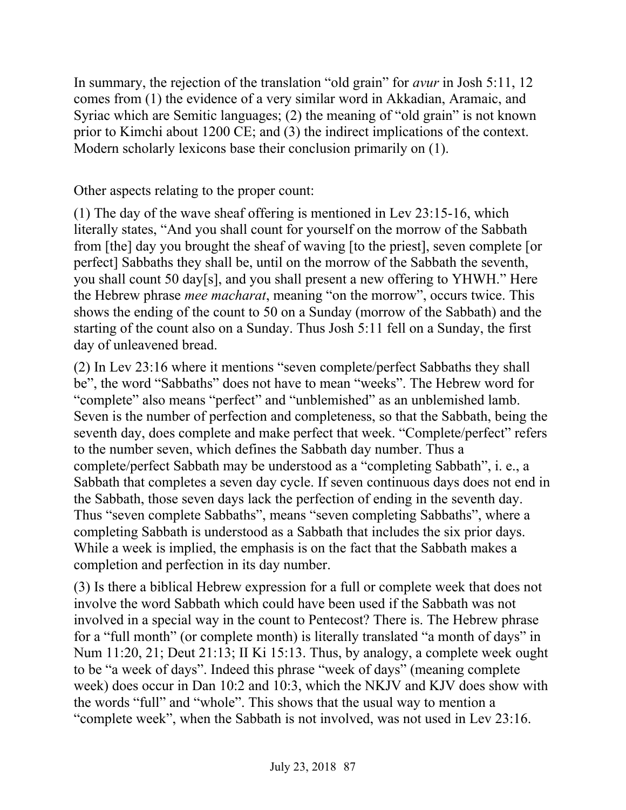In summary, the rejection of the translation "old grain" for *avur* in Josh 5:11, 12 comes from (1) the evidence of a very similar word in Akkadian, Aramaic, and Syriac which are Semitic languages; (2) the meaning of "old grain" is not known prior to Kimchi about 1200 CE; and (3) the indirect implications of the context. Modern scholarly lexicons base their conclusion primarily on (1).

Other aspects relating to the proper count:

(1) The day of the wave sheaf offering is mentioned in Lev 23:15-16, which literally states, "And you shall count for yourself on the morrow of the Sabbath from [the] day you brought the sheaf of waving [to the priest], seven complete [or perfect] Sabbaths they shall be, until on the morrow of the Sabbath the seventh, you shall count 50 day[s], and you shall present a new offering to YHWH." Here the Hebrew phrase *mee macharat*, meaning "on the morrow", occurs twice. This shows the ending of the count to 50 on a Sunday (morrow of the Sabbath) and the starting of the count also on a Sunday. Thus Josh 5:11 fell on a Sunday, the first day of unleavened bread.

(2) In Lev 23:16 where it mentions "seven complete/perfect Sabbaths they shall be", the word "Sabbaths" does not have to mean "weeks". The Hebrew word for "complete" also means "perfect" and "unblemished" as an unblemished lamb. Seven is the number of perfection and completeness, so that the Sabbath, being the seventh day, does complete and make perfect that week. "Complete/perfect" refers to the number seven, which defines the Sabbath day number. Thus a complete/perfect Sabbath may be understood as a "completing Sabbath", i. e., a Sabbath that completes a seven day cycle. If seven continuous days does not end in the Sabbath, those seven days lack the perfection of ending in the seventh day. Thus "seven complete Sabbaths", means "seven completing Sabbaths", where a completing Sabbath is understood as a Sabbath that includes the six prior days. While a week is implied, the emphasis is on the fact that the Sabbath makes a completion and perfection in its day number.

(3) Is there a biblical Hebrew expression for a full or complete week that does not involve the word Sabbath which could have been used if the Sabbath was not involved in a special way in the count to Pentecost? There is. The Hebrew phrase for a "full month" (or complete month) is literally translated "a month of days" in Num 11:20, 21; Deut 21:13; II Ki 15:13. Thus, by analogy, a complete week ought to be "a week of days". Indeed this phrase "week of days" (meaning complete week) does occur in Dan 10:2 and 10:3, which the NKJV and KJV does show with the words "full" and "whole". This shows that the usual way to mention a "complete week", when the Sabbath is not involved, was not used in Lev 23:16.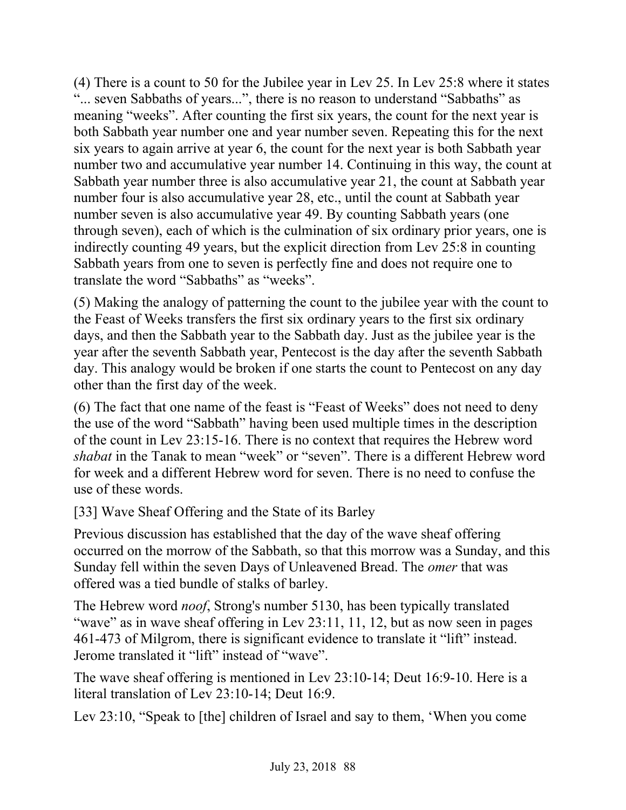(4) There is a count to 50 for the Jubilee year in Lev 25. In Lev 25:8 where it states "... seven Sabbaths of years...", there is no reason to understand "Sabbaths" as meaning "weeks". After counting the first six years, the count for the next year is both Sabbath year number one and year number seven. Repeating this for the next six years to again arrive at year 6, the count for the next year is both Sabbath year number two and accumulative year number 14. Continuing in this way, the count at Sabbath year number three is also accumulative year 21, the count at Sabbath year number four is also accumulative year 28, etc., until the count at Sabbath year number seven is also accumulative year 49. By counting Sabbath years (one through seven), each of which is the culmination of six ordinary prior years, one is indirectly counting 49 years, but the explicit direction from Lev 25:8 in counting Sabbath years from one to seven is perfectly fine and does not require one to translate the word "Sabbaths" as "weeks".

(5) Making the analogy of patterning the count to the jubilee year with the count to the Feast of Weeks transfers the first six ordinary years to the first six ordinary days, and then the Sabbath year to the Sabbath day. Just as the jubilee year is the year after the seventh Sabbath year, Pentecost is the day after the seventh Sabbath day. This analogy would be broken if one starts the count to Pentecost on any day other than the first day of the week.

(6) The fact that one name of the feast is "Feast of Weeks" does not need to deny the use of the word "Sabbath" having been used multiple times in the description of the count in Lev 23:15-16. There is no context that requires the Hebrew word *shabat* in the Tanak to mean "week" or "seven". There is a different Hebrew word for week and a different Hebrew word for seven. There is no need to confuse the use of these words.

[33] Wave Sheaf Offering and the State of its Barley

Previous discussion has established that the day of the wave sheaf offering occurred on the morrow of the Sabbath, so that this morrow was a Sunday, and this Sunday fell within the seven Days of Unleavened Bread. The *omer* that was offered was a tied bundle of stalks of barley.

The Hebrew word *noof*, Strong's number 5130, has been typically translated "wave" as in wave sheaf offering in Lev 23:11, 11, 12, but as now seen in pages 461-473 of Milgrom, there is significant evidence to translate it "lift" instead. Jerome translated it "lift" instead of "wave".

The wave sheaf offering is mentioned in Lev 23:10-14; Deut 16:9-10. Here is a literal translation of Lev 23:10-14; Deut 16:9.

Lev 23:10, "Speak to [the] children of Israel and say to them, 'When you come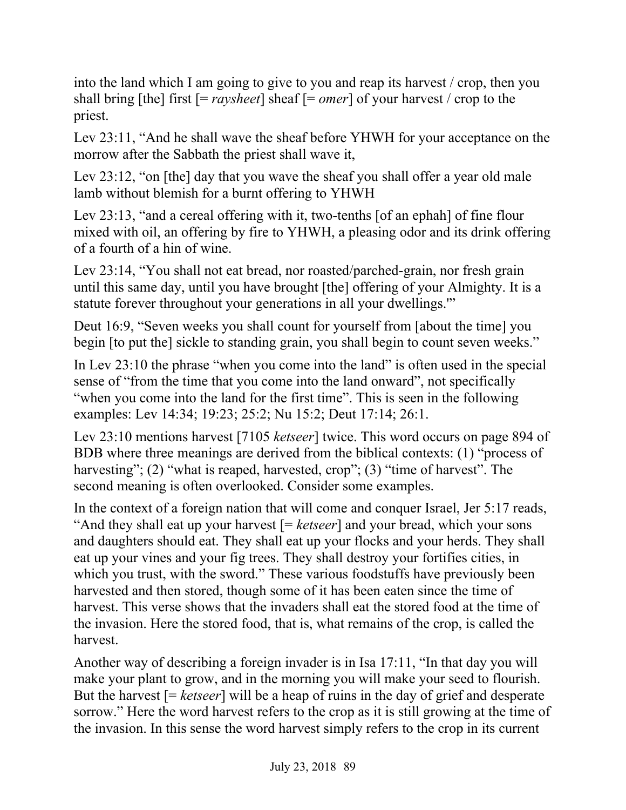into the land which I am going to give to you and reap its harvest / crop, then you shall bring [the] first [= *raysheet*] sheaf [= *omer*] of your harvest / crop to the priest.

Lev 23:11, "And he shall wave the sheaf before YHWH for your acceptance on the morrow after the Sabbath the priest shall wave it,

Lev 23:12, "on [the] day that you wave the sheaf you shall offer a year old male lamb without blemish for a burnt offering to YHWH

Lev 23:13, "and a cereal offering with it, two-tenths [of an ephah] of fine flour mixed with oil, an offering by fire to YHWH, a pleasing odor and its drink offering of a fourth of a hin of wine.

Lev 23:14, "You shall not eat bread, nor roasted/parched-grain, nor fresh grain until this same day, until you have brought [the] offering of your Almighty. It is a statute forever throughout your generations in all your dwellings.'"

Deut 16:9, "Seven weeks you shall count for yourself from [about the time] you begin [to put the] sickle to standing grain, you shall begin to count seven weeks."

In Lev 23:10 the phrase "when you come into the land" is often used in the special sense of "from the time that you come into the land onward", not specifically "when you come into the land for the first time". This is seen in the following examples: Lev 14:34; 19:23; 25:2; Nu 15:2; Deut 17:14; 26:1.

Lev 23:10 mentions harvest [7105 *ketseer*] twice. This word occurs on page 894 of BDB where three meanings are derived from the biblical contexts: (1) "process of harvesting"; (2) "what is reaped, harvested, crop"; (3) "time of harvest". The second meaning is often overlooked. Consider some examples.

In the context of a foreign nation that will come and conquer Israel, Jer 5:17 reads, "And they shall eat up your harvest [= *ketseer*] and your bread, which your sons and daughters should eat. They shall eat up your flocks and your herds. They shall eat up your vines and your fig trees. They shall destroy your fortifies cities, in which you trust, with the sword." These various foodstuffs have previously been harvested and then stored, though some of it has been eaten since the time of harvest. This verse shows that the invaders shall eat the stored food at the time of the invasion. Here the stored food, that is, what remains of the crop, is called the harvest.

Another way of describing a foreign invader is in Isa 17:11, "In that day you will make your plant to grow, and in the morning you will make your seed to flourish. But the harvest [= *ketseer*] will be a heap of ruins in the day of grief and desperate sorrow." Here the word harvest refers to the crop as it is still growing at the time of the invasion. In this sense the word harvest simply refers to the crop in its current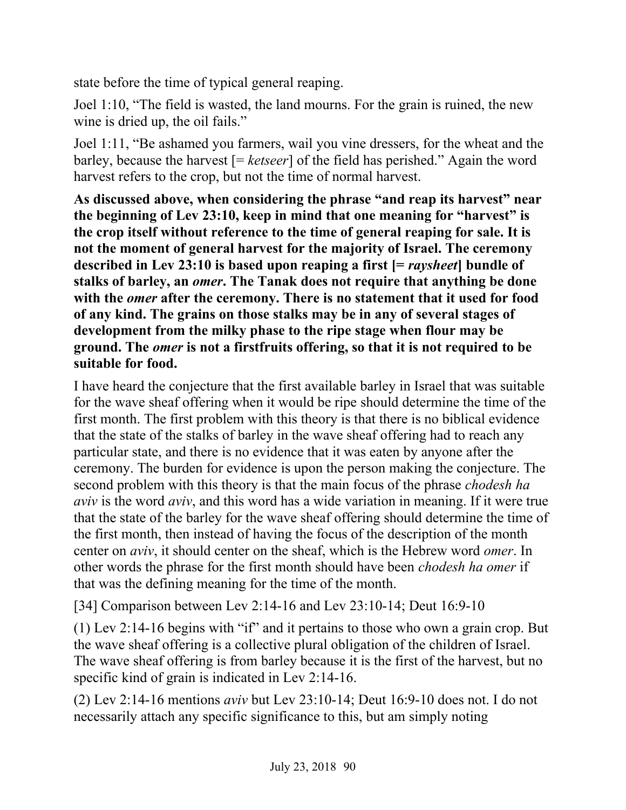state before the time of typical general reaping.

Joel 1:10, "The field is wasted, the land mourns. For the grain is ruined, the new wine is dried up, the oil fails."

Joel 1:11, "Be ashamed you farmers, wail you vine dressers, for the wheat and the barley, because the harvest [= *ketseer*] of the field has perished." Again the word harvest refers to the crop, but not the time of normal harvest.

**As discussed above, when considering the phrase "and reap its harvest" near the beginning of Lev 23:10, keep in mind that one meaning for "harvest" is the crop itself without reference to the time of general reaping for sale. It is not the moment of general harvest for the majority of Israel. The ceremony described in Lev 23:10 is based upon reaping a first [=** *raysheet***] bundle of stalks of barley, an** *omer***. The Tanak does not require that anything be done with the** *omer* **after the ceremony. There is no statement that it used for food of any kind. The grains on those stalks may be in any of several stages of development from the milky phase to the ripe stage when flour may be ground. The** *omer* **is not a firstfruits offering, so that it is not required to be suitable for food.**

I have heard the conjecture that the first available barley in Israel that was suitable for the wave sheaf offering when it would be ripe should determine the time of the first month. The first problem with this theory is that there is no biblical evidence that the state of the stalks of barley in the wave sheaf offering had to reach any particular state, and there is no evidence that it was eaten by anyone after the ceremony. The burden for evidence is upon the person making the conjecture. The second problem with this theory is that the main focus of the phrase *chodesh ha aviv* is the word *aviv*, and this word has a wide variation in meaning. If it were true that the state of the barley for the wave sheaf offering should determine the time of the first month, then instead of having the focus of the description of the month center on *aviv*, it should center on the sheaf, which is the Hebrew word *omer*. In other words the phrase for the first month should have been *chodesh ha omer* if that was the defining meaning for the time of the month.

[34] Comparison between Lev 2:14-16 and Lev 23:10-14; Deut 16:9-10

(1) Lev 2:14-16 begins with "if" and it pertains to those who own a grain crop. But the wave sheaf offering is a collective plural obligation of the children of Israel. The wave sheaf offering is from barley because it is the first of the harvest, but no specific kind of grain is indicated in Lev 2:14-16.

(2) Lev 2:14-16 mentions *aviv* but Lev 23:10-14; Deut 16:9-10 does not. I do not necessarily attach any specific significance to this, but am simply noting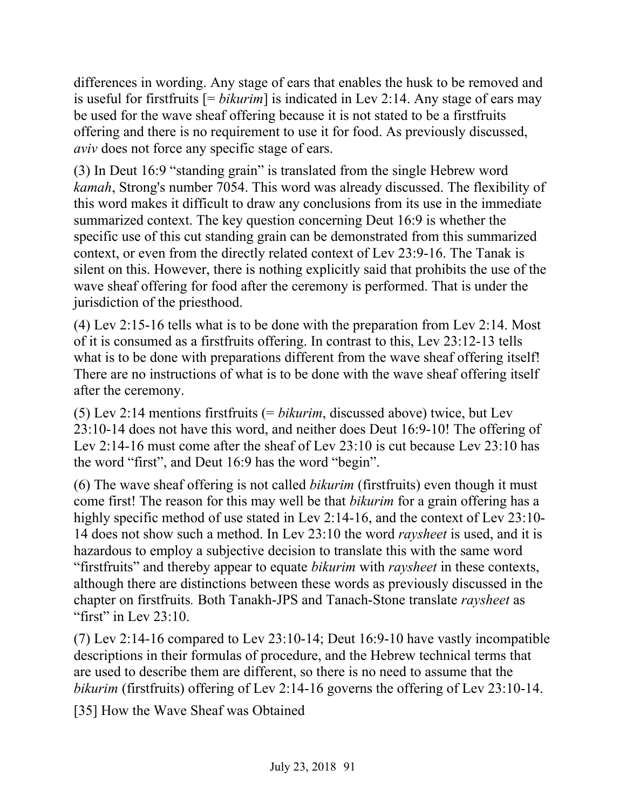differences in wording. Any stage of ears that enables the husk to be removed and is useful for firstfruits [= *bikurim*] is indicated in Lev 2:14. Any stage of ears may be used for the wave sheaf offering because it is not stated to be a firstfruits offering and there is no requirement to use it for food. As previously discussed, *aviv* does not force any specific stage of ears.

(3) In Deut 16:9 "standing grain" is translated from the single Hebrew word *kamah*, Strong's number 7054. This word was already discussed. The flexibility of this word makes it difficult to draw any conclusions from its use in the immediate summarized context. The key question concerning Deut 16:9 is whether the specific use of this cut standing grain can be demonstrated from this summarized context, or even from the directly related context of Lev 23:9-16. The Tanak is silent on this. However, there is nothing explicitly said that prohibits the use of the wave sheaf offering for food after the ceremony is performed. That is under the jurisdiction of the priesthood.

(4) Lev 2:15-16 tells what is to be done with the preparation from Lev 2:14. Most of it is consumed as a firstfruits offering. In contrast to this, Lev 23:12-13 tells what is to be done with preparations different from the wave sheaf offering itself! There are no instructions of what is to be done with the wave sheaf offering itself after the ceremony.

(5) Lev 2:14 mentions firstfruits (= *bikurim*, discussed above) twice, but Lev 23:10-14 does not have this word, and neither does Deut 16:9-10! The offering of Lev 2:14-16 must come after the sheaf of Lev 23:10 is cut because Lev 23:10 has the word "first", and Deut 16:9 has the word "begin".

(6) The wave sheaf offering is not called *bikurim* (firstfruits) even though it must come first! The reason for this may well be that *bikurim* for a grain offering has a highly specific method of use stated in Lev 2:14-16, and the context of Lev 23:10-14 does not show such a method. In Lev 23:10 the word *raysheet* is used, and it is hazardous to employ a subjective decision to translate this with the same word "firstfruits" and thereby appear to equate *bikurim* with *raysheet* in these contexts, although there are distinctions between these words as previously discussed in the chapter on firstfruits*.* Both Tanakh-JPS and Tanach-Stone translate *raysheet* as "first" in Lev  $23:10$ .

(7) Lev 2:14-16 compared to Lev 23:10-14; Deut 16:9-10 have vastly incompatible descriptions in their formulas of procedure, and the Hebrew technical terms that are used to describe them are different, so there is no need to assume that the *bikurim* (firstfruits) offering of Lev 2:14-16 governs the offering of Lev 23:10-14.

[35] How the Wave Sheaf was Obtained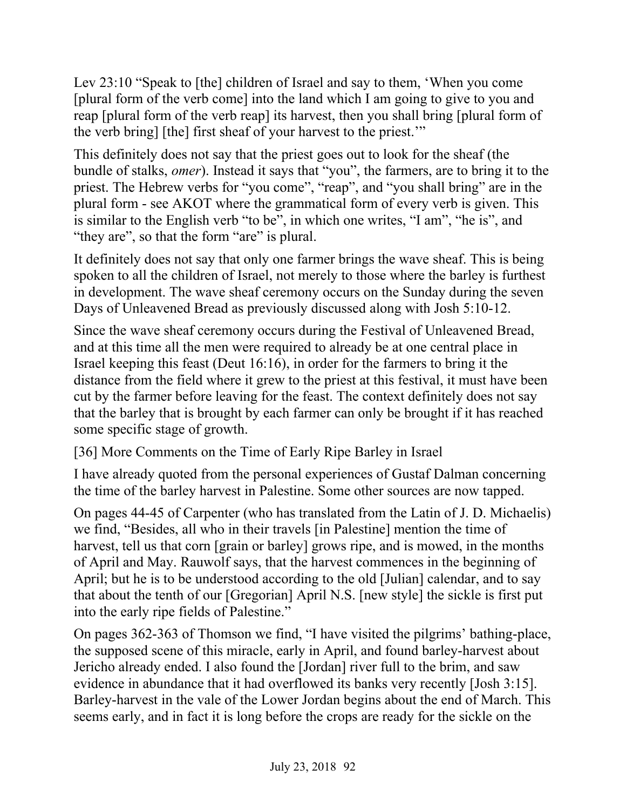Lev 23:10 "Speak to [the] children of Israel and say to them, 'When you come [plural form of the verb come] into the land which I am going to give to you and reap [plural form of the verb reap] its harvest, then you shall bring [plural form of the verb bring] [the] first sheaf of your harvest to the priest.'"

This definitely does not say that the priest goes out to look for the sheaf (the bundle of stalks, *omer*). Instead it says that "you", the farmers, are to bring it to the priest. The Hebrew verbs for "you come", "reap", and "you shall bring" are in the plural form - see AKOT where the grammatical form of every verb is given. This is similar to the English verb "to be", in which one writes, "I am", "he is", and "they are", so that the form "are" is plural.

It definitely does not say that only one farmer brings the wave sheaf. This is being spoken to all the children of Israel, not merely to those where the barley is furthest in development. The wave sheaf ceremony occurs on the Sunday during the seven Days of Unleavened Bread as previously discussed along with Josh 5:10-12.

Since the wave sheaf ceremony occurs during the Festival of Unleavened Bread, and at this time all the men were required to already be at one central place in Israel keeping this feast (Deut 16:16), in order for the farmers to bring it the distance from the field where it grew to the priest at this festival, it must have been cut by the farmer before leaving for the feast. The context definitely does not say that the barley that is brought by each farmer can only be brought if it has reached some specific stage of growth.

[36] More Comments on the Time of Early Ripe Barley in Israel

I have already quoted from the personal experiences of Gustaf Dalman concerning the time of the barley harvest in Palestine. Some other sources are now tapped.

On pages 44-45 of Carpenter (who has translated from the Latin of J. D. Michaelis) we find, "Besides, all who in their travels [in Palestine] mention the time of harvest, tell us that corn [grain or barley] grows ripe, and is mowed, in the months of April and May. Rauwolf says, that the harvest commences in the beginning of April; but he is to be understood according to the old [Julian] calendar, and to say that about the tenth of our [Gregorian] April N.S. [new style] the sickle is first put into the early ripe fields of Palestine."

On pages 362-363 of Thomson we find, "I have visited the pilgrims' bathing-place, the supposed scene of this miracle, early in April, and found barley-harvest about Jericho already ended. I also found the [Jordan] river full to the brim, and saw evidence in abundance that it had overflowed its banks very recently [Josh 3:15]. Barley-harvest in the vale of the Lower Jordan begins about the end of March. This seems early, and in fact it is long before the crops are ready for the sickle on the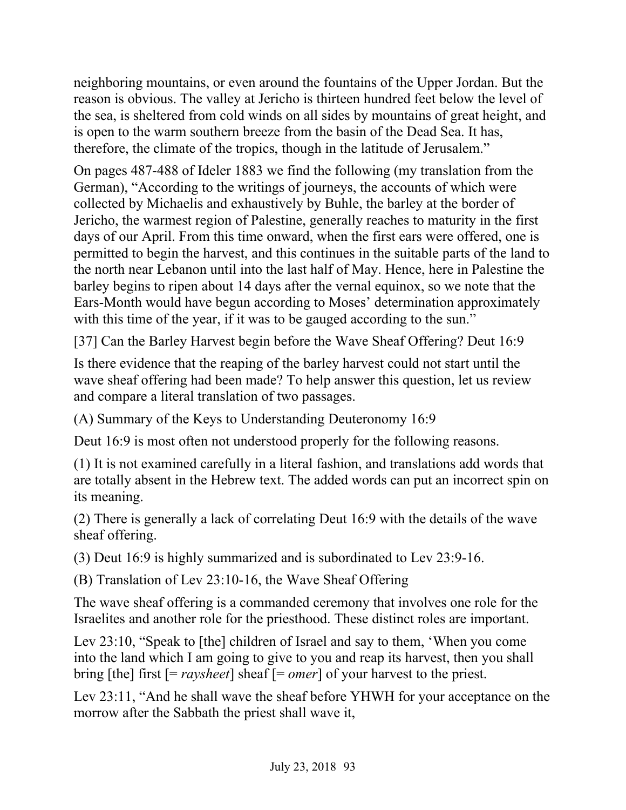neighboring mountains, or even around the fountains of the Upper Jordan. But the reason is obvious. The valley at Jericho is thirteen hundred feet below the level of the sea, is sheltered from cold winds on all sides by mountains of great height, and is open to the warm southern breeze from the basin of the Dead Sea. It has, therefore, the climate of the tropics, though in the latitude of Jerusalem."

On pages 487-488 of Ideler 1883 we find the following (my translation from the German), "According to the writings of journeys, the accounts of which were collected by Michaelis and exhaustively by Buhle, the barley at the border of Jericho, the warmest region of Palestine, generally reaches to maturity in the first days of our April. From this time onward, when the first ears were offered, one is permitted to begin the harvest, and this continues in the suitable parts of the land to the north near Lebanon until into the last half of May. Hence, here in Palestine the barley begins to ripen about 14 days after the vernal equinox, so we note that the Ears-Month would have begun according to Moses' determination approximately with this time of the year, if it was to be gauged according to the sun."

[37] Can the Barley Harvest begin before the Wave Sheaf Offering? Deut 16:9

Is there evidence that the reaping of the barley harvest could not start until the wave sheaf offering had been made? To help answer this question, let us review and compare a literal translation of two passages.

(A) Summary of the Keys to Understanding Deuteronomy 16:9

Deut 16:9 is most often not understood properly for the following reasons.

(1) It is not examined carefully in a literal fashion, and translations add words that are totally absent in the Hebrew text. The added words can put an incorrect spin on its meaning.

(2) There is generally a lack of correlating Deut 16:9 with the details of the wave sheaf offering.

(3) Deut 16:9 is highly summarized and is subordinated to Lev 23:9-16.

(B) Translation of Lev 23:10-16, the Wave Sheaf Offering

The wave sheaf offering is a commanded ceremony that involves one role for the Israelites and another role for the priesthood. These distinct roles are important.

Lev 23:10, "Speak to [the] children of Israel and say to them, 'When you come into the land which I am going to give to you and reap its harvest, then you shall bring [the] first [= *raysheet*] sheaf [= *omer*] of your harvest to the priest.

Lev 23:11, "And he shall wave the sheaf before YHWH for your acceptance on the morrow after the Sabbath the priest shall wave it,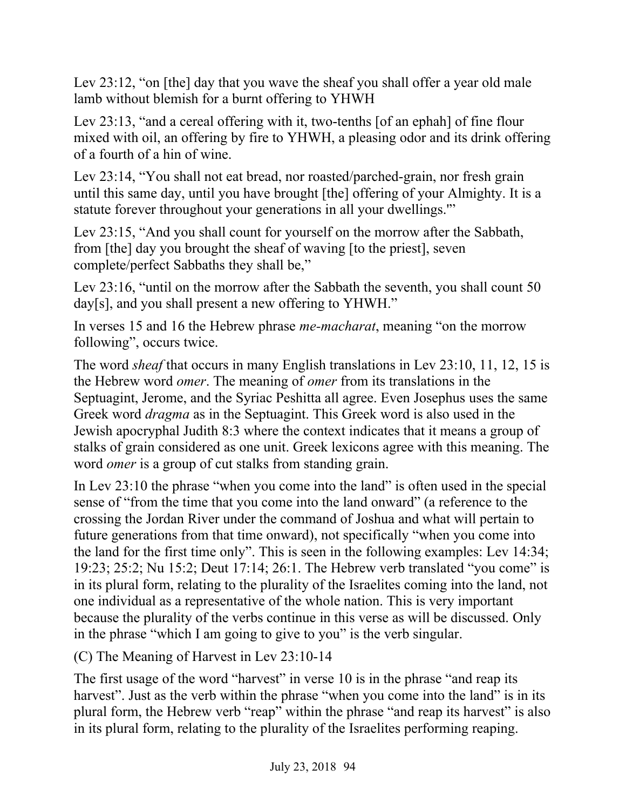Lev 23:12, "on [the] day that you wave the sheaf you shall offer a year old male lamb without blemish for a burnt offering to YHWH

Lev 23:13, "and a cereal offering with it, two-tenths [of an ephah] of fine flour mixed with oil, an offering by fire to YHWH, a pleasing odor and its drink offering of a fourth of a hin of wine.

Lev 23:14, "You shall not eat bread, nor roasted/parched-grain, nor fresh grain until this same day, until you have brought [the] offering of your Almighty. It is a statute forever throughout your generations in all your dwellings.'"

Lev 23:15, "And you shall count for yourself on the morrow after the Sabbath, from [the] day you brought the sheaf of waving [to the priest], seven complete/perfect Sabbaths they shall be,"

Lev 23:16, "until on the morrow after the Sabbath the seventh, you shall count 50 day[s], and you shall present a new offering to YHWH."

In verses 15 and 16 the Hebrew phrase *me-macharat*, meaning "on the morrow following", occurs twice.

The word *sheaf* that occurs in many English translations in Lev 23:10, 11, 12, 15 is the Hebrew word *omer*. The meaning of *omer* from its translations in the Septuagint, Jerome, and the Syriac Peshitta all agree. Even Josephus uses the same Greek word *dragma* as in the Septuagint. This Greek word is also used in the Jewish apocryphal Judith 8:3 where the context indicates that it means a group of stalks of grain considered as one unit. Greek lexicons agree with this meaning. The word *omer* is a group of cut stalks from standing grain.

In Lev 23:10 the phrase "when you come into the land" is often used in the special sense of "from the time that you come into the land onward" (a reference to the crossing the Jordan River under the command of Joshua and what will pertain to future generations from that time onward), not specifically "when you come into the land for the first time only". This is seen in the following examples: Lev 14:34; 19:23; 25:2; Nu 15:2; Deut 17:14; 26:1. The Hebrew verb translated "you come" is in its plural form, relating to the plurality of the Israelites coming into the land, not one individual as a representative of the whole nation. This is very important because the plurality of the verbs continue in this verse as will be discussed. Only in the phrase "which I am going to give to you" is the verb singular.

(C) The Meaning of Harvest in Lev 23:10-14

The first usage of the word "harvest" in verse 10 is in the phrase "and reap its harvest". Just as the verb within the phrase "when you come into the land" is in its plural form, the Hebrew verb "reap" within the phrase "and reap its harvest" is also in its plural form, relating to the plurality of the Israelites performing reaping.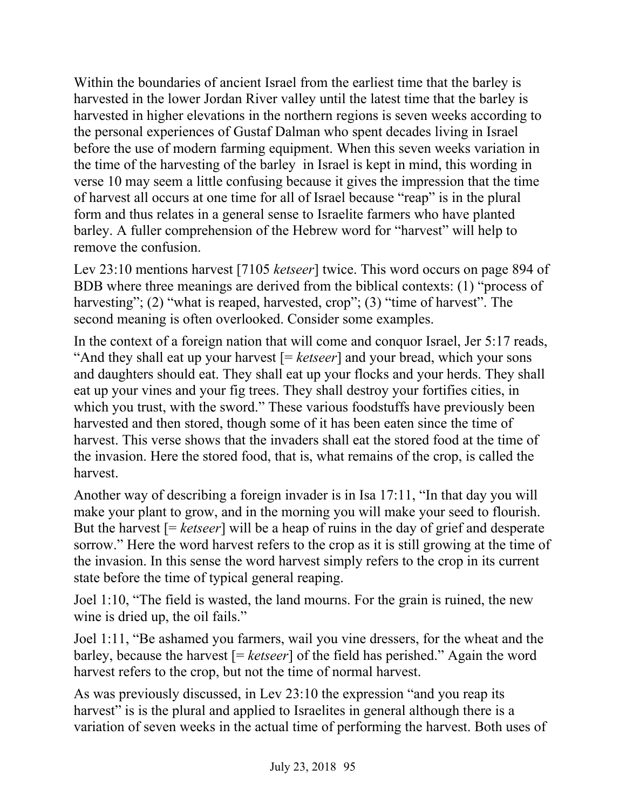Within the boundaries of ancient Israel from the earliest time that the barley is harvested in the lower Jordan River valley until the latest time that the barley is harvested in higher elevations in the northern regions is seven weeks according to the personal experiences of Gustaf Dalman who spent decades living in Israel before the use of modern farming equipment. When this seven weeks variation in the time of the harvesting of the barley in Israel is kept in mind, this wording in verse 10 may seem a little confusing because it gives the impression that the time of harvest all occurs at one time for all of Israel because "reap" is in the plural form and thus relates in a general sense to Israelite farmers who have planted barley. A fuller comprehension of the Hebrew word for "harvest" will help to remove the confusion.

Lev 23:10 mentions harvest [7105 *ketseer*] twice. This word occurs on page 894 of BDB where three meanings are derived from the biblical contexts: (1) "process of harvesting"; (2) "what is reaped, harvested, crop"; (3) "time of harvest". The second meaning is often overlooked. Consider some examples.

In the context of a foreign nation that will come and conquor Israel, Jer 5:17 reads, "And they shall eat up your harvest [= *ketseer*] and your bread, which your sons and daughters should eat. They shall eat up your flocks and your herds. They shall eat up your vines and your fig trees. They shall destroy your fortifies cities, in which you trust, with the sword." These various foodstuffs have previously been harvested and then stored, though some of it has been eaten since the time of harvest. This verse shows that the invaders shall eat the stored food at the time of the invasion. Here the stored food, that is, what remains of the crop, is called the harvest.

Another way of describing a foreign invader is in Isa 17:11, "In that day you will make your plant to grow, and in the morning you will make your seed to flourish. But the harvest [= *ketseer*] will be a heap of ruins in the day of grief and desperate sorrow." Here the word harvest refers to the crop as it is still growing at the time of the invasion. In this sense the word harvest simply refers to the crop in its current state before the time of typical general reaping.

Joel 1:10, "The field is wasted, the land mourns. For the grain is ruined, the new wine is dried up, the oil fails."

Joel 1:11, "Be ashamed you farmers, wail you vine dressers, for the wheat and the barley, because the harvest [= *ketseer*] of the field has perished." Again the word harvest refers to the crop, but not the time of normal harvest.

As was previously discussed, in Lev 23:10 the expression "and you reap its harvest" is is the plural and applied to Israelites in general although there is a variation of seven weeks in the actual time of performing the harvest. Both uses of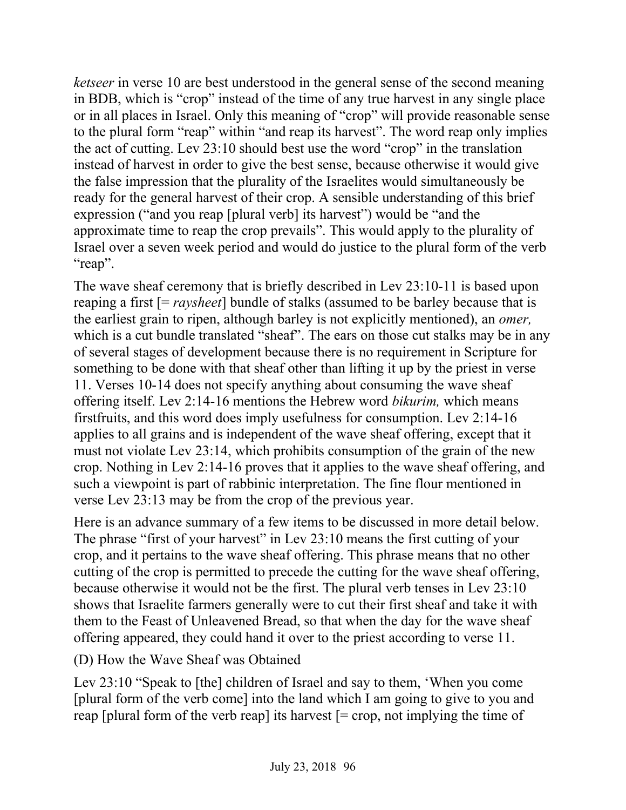*ketseer* in verse 10 are best understood in the general sense of the second meaning in BDB, which is "crop" instead of the time of any true harvest in any single place or in all places in Israel. Only this meaning of "crop" will provide reasonable sense to the plural form "reap" within "and reap its harvest". The word reap only implies the act of cutting. Lev 23:10 should best use the word "crop" in the translation instead of harvest in order to give the best sense, because otherwise it would give the false impression that the plurality of the Israelites would simultaneously be ready for the general harvest of their crop. A sensible understanding of this brief expression ("and you reap [plural verb] its harvest") would be "and the approximate time to reap the crop prevails". This would apply to the plurality of Israel over a seven week period and would do justice to the plural form of the verb "reap".

The wave sheaf ceremony that is briefly described in Lev 23:10-11 is based upon reaping a first [= *raysheet*] bundle of stalks (assumed to be barley because that is the earliest grain to ripen, although barley is not explicitly mentioned), an *omer,*  which is a cut bundle translated "sheaf". The ears on those cut stalks may be in any of several stages of development because there is no requirement in Scripture for something to be done with that sheaf other than lifting it up by the priest in verse 11. Verses 10-14 does not specify anything about consuming the wave sheaf offering itself. Lev 2:14-16 mentions the Hebrew word *bikurim,* which means firstfruits, and this word does imply usefulness for consumption. Lev 2:14-16 applies to all grains and is independent of the wave sheaf offering, except that it must not violate Lev 23:14, which prohibits consumption of the grain of the new crop. Nothing in Lev 2:14-16 proves that it applies to the wave sheaf offering, and such a viewpoint is part of rabbinic interpretation. The fine flour mentioned in verse Lev 23:13 may be from the crop of the previous year.

Here is an advance summary of a few items to be discussed in more detail below. The phrase "first of your harvest" in Lev 23:10 means the first cutting of your crop, and it pertains to the wave sheaf offering. This phrase means that no other cutting of the crop is permitted to precede the cutting for the wave sheaf offering, because otherwise it would not be the first. The plural verb tenses in Lev 23:10 shows that Israelite farmers generally were to cut their first sheaf and take it with them to the Feast of Unleavened Bread, so that when the day for the wave sheaf offering appeared, they could hand it over to the priest according to verse 11.

(D) How the Wave Sheaf was Obtained

Lev 23:10 "Speak to [the] children of Israel and say to them, 'When you come [plural form of the verb come] into the land which I am going to give to you and reap [plural form of the verb reap] its harvest  $[=$  crop, not implying the time of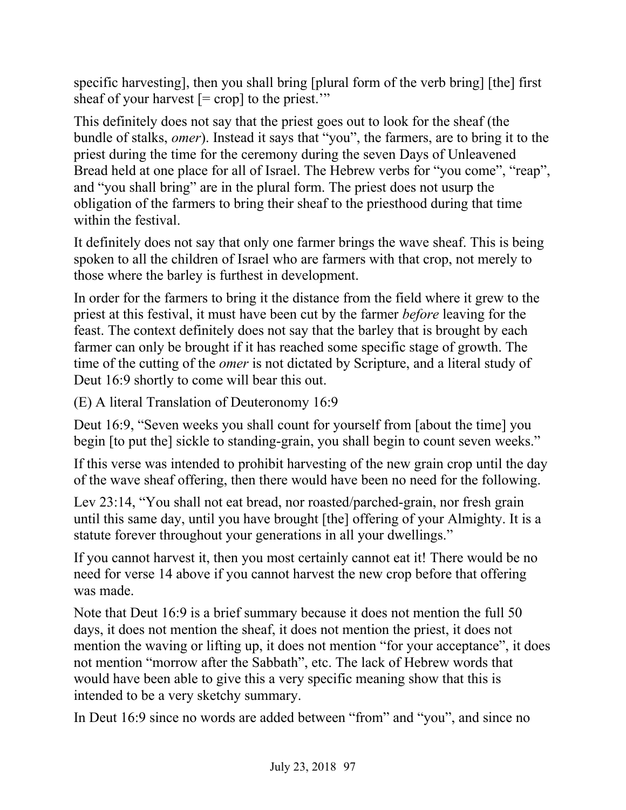specific harvesting], then you shall bring [plural form of the verb bring] [the] first sheaf of your harvest  $[= \text{crop}]$  to the priest."

This definitely does not say that the priest goes out to look for the sheaf (the bundle of stalks, *omer*). Instead it says that "you", the farmers, are to bring it to the priest during the time for the ceremony during the seven Days of Unleavened Bread held at one place for all of Israel. The Hebrew verbs for "you come", "reap", and "you shall bring" are in the plural form. The priest does not usurp the obligation of the farmers to bring their sheaf to the priesthood during that time within the festival.

It definitely does not say that only one farmer brings the wave sheaf. This is being spoken to all the children of Israel who are farmers with that crop, not merely to those where the barley is furthest in development.

In order for the farmers to bring it the distance from the field where it grew to the priest at this festival, it must have been cut by the farmer *before* leaving for the feast. The context definitely does not say that the barley that is brought by each farmer can only be brought if it has reached some specific stage of growth. The time of the cutting of the *omer* is not dictated by Scripture, and a literal study of Deut 16:9 shortly to come will bear this out.

(E) A literal Translation of Deuteronomy 16:9

Deut 16:9, "Seven weeks you shall count for yourself from [about the time] you begin [to put the] sickle to standing-grain, you shall begin to count seven weeks."

If this verse was intended to prohibit harvesting of the new grain crop until the day of the wave sheaf offering, then there would have been no need for the following.

Lev 23:14, "You shall not eat bread, nor roasted/parched-grain, nor fresh grain until this same day, until you have brought [the] offering of your Almighty. It is a statute forever throughout your generations in all your dwellings."

If you cannot harvest it, then you most certainly cannot eat it! There would be no need for verse 14 above if you cannot harvest the new crop before that offering was made.

Note that Deut 16:9 is a brief summary because it does not mention the full 50 days, it does not mention the sheaf, it does not mention the priest, it does not mention the waving or lifting up, it does not mention "for your acceptance", it does not mention "morrow after the Sabbath", etc. The lack of Hebrew words that would have been able to give this a very specific meaning show that this is intended to be a very sketchy summary.

In Deut 16:9 since no words are added between "from" and "you", and since no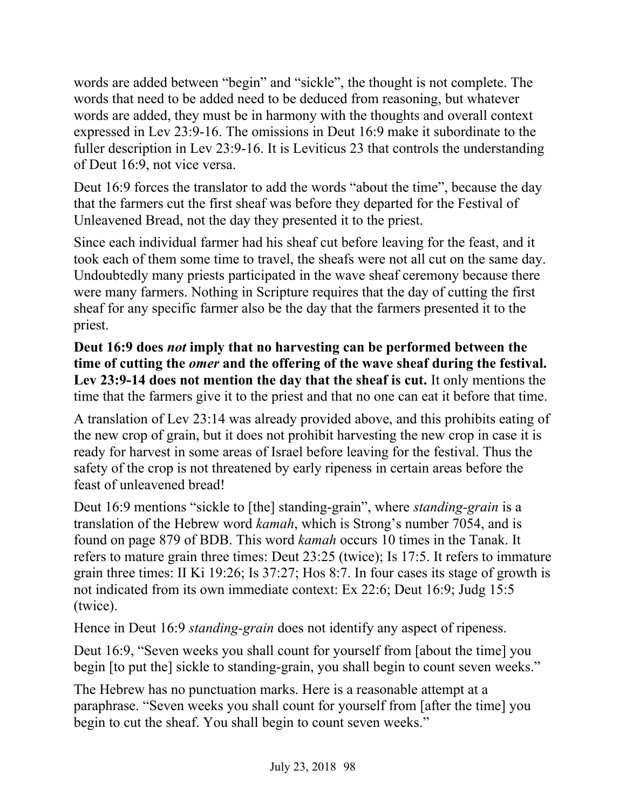words are added between "begin" and "sickle", the thought is not complete. The words that need to be added need to be deduced from reasoning, but whatever words are added, they must be in harmony with the thoughts and overall context expressed in Lev 23:9-16. The omissions in Deut 16:9 make it subordinate to the fuller description in Lev 23:9-16. It is Leviticus 23 that controls the understanding of Deut 16:9, not vice versa.

Deut 16:9 forces the translator to add the words "about the time", because the day that the farmers cut the first sheaf was before they departed for the Festival of Unleavened Bread, not the day they presented it to the priest.

Since each individual farmer had his sheaf cut before leaving for the feast, and it took each of them some time to travel, the sheafs were not all cut on the same day. Undoubtedly many priests participated in the wave sheaf ceremony because there were many farmers. Nothing in Scripture requires that the day of cutting the first sheaf for any specific farmer also be the day that the farmers presented it to the priest.

**Deut 16:9 does** *not* **imply that no harvesting can be performed between the time of cutting the** *omer* **and the offering of the wave sheaf during the festival. Lev 23:9-14 does not mention the day that the sheaf is cut.** It only mentions the time that the farmers give it to the priest and that no one can eat it before that time.

A translation of Lev 23:14 was already provided above, and this prohibits eating of the new crop of grain, but it does not prohibit harvesting the new crop in case it is ready for harvest in some areas of Israel before leaving for the festival. Thus the safety of the crop is not threatened by early ripeness in certain areas before the feast of unleavened bread!

Deut 16:9 mentions "sickle to [the] standing-grain", where *standing-grain* is a translation of the Hebrew word *kamah*, which is Strong's number 7054, and is found on page 879 of BDB. This word *kamah* occurs 10 times in the Tanak. It refers to mature grain three times: Deut 23:25 (twice); Is 17:5. It refers to immature grain three times: II Ki 19:26; Is 37:27; Hos 8:7. In four cases its stage of growth is not indicated from its own immediate context: Ex 22:6; Deut 16:9; Judg 15:5 (twice).

Hence in Deut 16:9 *standing-grain* does not identify any aspect of ripeness.

Deut 16:9, "Seven weeks you shall count for yourself from [about the time] you begin [to put the] sickle to standing-grain, you shall begin to count seven weeks."

The Hebrew has no punctuation marks. Here is a reasonable attempt at a paraphrase. "Seven weeks you shall count for yourself from [after the time] you begin to cut the sheaf. You shall begin to count seven weeks."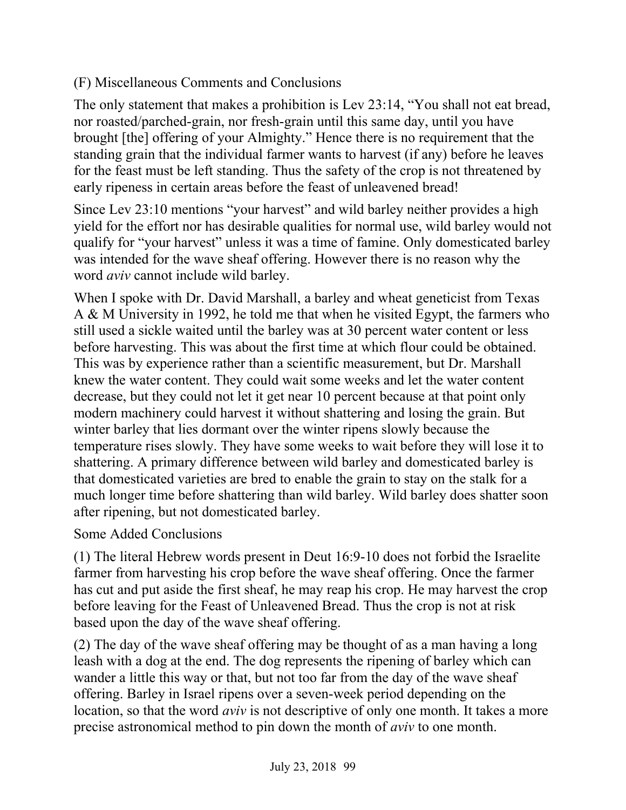## (F) Miscellaneous Comments and Conclusions

The only statement that makes a prohibition is Lev 23:14, "You shall not eat bread, nor roasted/parched-grain, nor fresh-grain until this same day, until you have brought [the] offering of your Almighty." Hence there is no requirement that the standing grain that the individual farmer wants to harvest (if any) before he leaves for the feast must be left standing. Thus the safety of the crop is not threatened by early ripeness in certain areas before the feast of unleavened bread!

Since Lev 23:10 mentions "your harvest" and wild barley neither provides a high yield for the effort nor has desirable qualities for normal use, wild barley would not qualify for "your harvest" unless it was a time of famine. Only domesticated barley was intended for the wave sheaf offering. However there is no reason why the word *aviv* cannot include wild barley.

When I spoke with Dr. David Marshall, a barley and wheat geneticist from Texas A & M University in 1992, he told me that when he visited Egypt, the farmers who still used a sickle waited until the barley was at 30 percent water content or less before harvesting. This was about the first time at which flour could be obtained. This was by experience rather than a scientific measurement, but Dr. Marshall knew the water content. They could wait some weeks and let the water content decrease, but they could not let it get near 10 percent because at that point only modern machinery could harvest it without shattering and losing the grain. But winter barley that lies dormant over the winter ripens slowly because the temperature rises slowly. They have some weeks to wait before they will lose it to shattering. A primary difference between wild barley and domesticated barley is that domesticated varieties are bred to enable the grain to stay on the stalk for a much longer time before shattering than wild barley. Wild barley does shatter soon after ripening, but not domesticated barley.

### Some Added Conclusions

(1) The literal Hebrew words present in Deut 16:9-10 does not forbid the Israelite farmer from harvesting his crop before the wave sheaf offering. Once the farmer has cut and put aside the first sheaf, he may reap his crop. He may harvest the crop before leaving for the Feast of Unleavened Bread. Thus the crop is not at risk based upon the day of the wave sheaf offering.

(2) The day of the wave sheaf offering may be thought of as a man having a long leash with a dog at the end. The dog represents the ripening of barley which can wander a little this way or that, but not too far from the day of the wave sheaf offering. Barley in Israel ripens over a seven-week period depending on the location, so that the word *aviv* is not descriptive of only one month. It takes a more precise astronomical method to pin down the month of *aviv* to one month.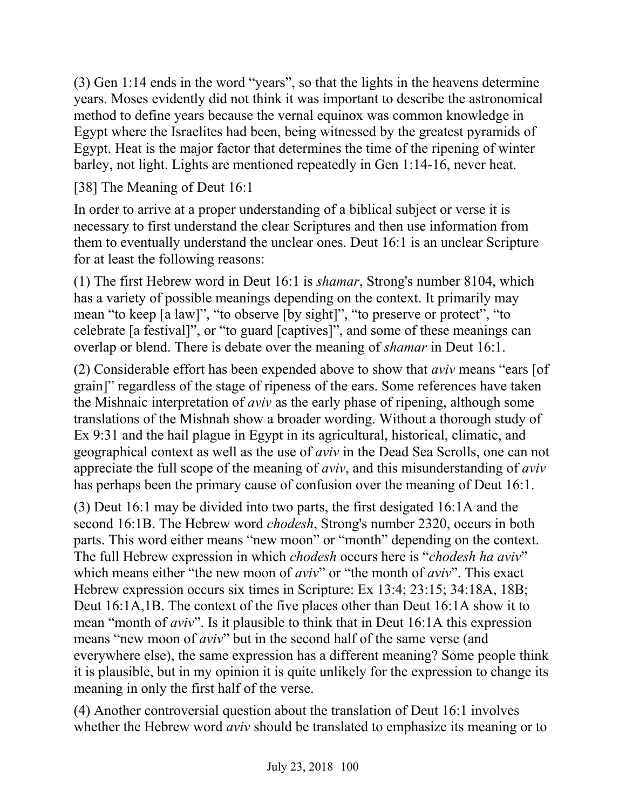(3) Gen 1:14 ends in the word "years", so that the lights in the heavens determine years. Moses evidently did not think it was important to describe the astronomical method to define years because the vernal equinox was common knowledge in Egypt where the Israelites had been, being witnessed by the greatest pyramids of Egypt. Heat is the major factor that determines the time of the ripening of winter barley, not light. Lights are mentioned repeatedly in Gen 1:14-16, never heat.

## [38] The Meaning of Deut 16:1

In order to arrive at a proper understanding of a biblical subject or verse it is necessary to first understand the clear Scriptures and then use information from them to eventually understand the unclear ones. Deut 16:1 is an unclear Scripture for at least the following reasons:

(1) The first Hebrew word in Deut 16:1 is *shamar*, Strong's number 8104, which has a variety of possible meanings depending on the context. It primarily may mean "to keep [a law]", "to observe [by sight]", "to preserve or protect", "to celebrate [a festival]", or "to guard [captives]", and some of these meanings can overlap or blend. There is debate over the meaning of *shamar* in Deut 16:1.

(2) Considerable effort has been expended above to show that *aviv* means "ears [of grain]" regardless of the stage of ripeness of the ears. Some references have taken the Mishnaic interpretation of *aviv* as the early phase of ripening, although some translations of the Mishnah show a broader wording. Without a thorough study of Ex 9:31 and the hail plague in Egypt in its agricultural, historical, climatic, and geographical context as well as the use of *aviv* in the Dead Sea Scrolls, one can not appreciate the full scope of the meaning of *aviv*, and this misunderstanding of *aviv* has perhaps been the primary cause of confusion over the meaning of Deut 16:1.

(3) Deut 16:1 may be divided into two parts, the first desigated 16:1A and the second 16:1B. The Hebrew word *chodesh*, Strong's number 2320, occurs in both parts. This word either means "new moon" or "month" depending on the context. The full Hebrew expression in which *chodesh* occurs here is "*chodesh ha aviv*" which means either "the new moon of *aviv*" or "the month of *aviv*". This exact Hebrew expression occurs six times in Scripture: Ex 13:4; 23:15; 34:18A, 18B; Deut 16:1A,1B. The context of the five places other than Deut 16:1A show it to mean "month of *aviv*". Is it plausible to think that in Deut 16:1A this expression means "new moon of *aviv*" but in the second half of the same verse (and everywhere else), the same expression has a different meaning? Some people think it is plausible, but in my opinion it is quite unlikely for the expression to change its meaning in only the first half of the verse.

(4) Another controversial question about the translation of Deut 16:1 involves whether the Hebrew word *aviv* should be translated to emphasize its meaning or to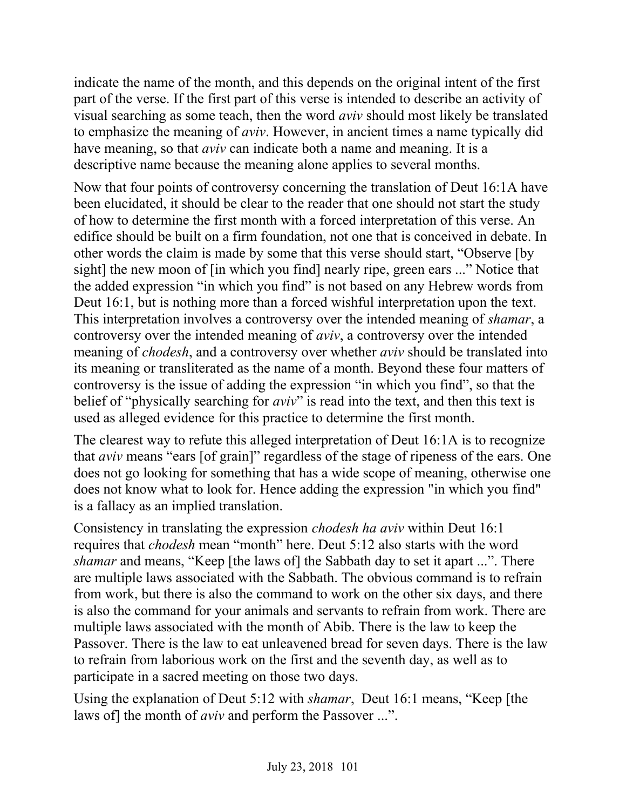indicate the name of the month, and this depends on the original intent of the first part of the verse. If the first part of this verse is intended to describe an activity of visual searching as some teach, then the word *aviv* should most likely be translated to emphasize the meaning of *aviv*. However, in ancient times a name typically did have meaning, so that *aviv* can indicate both a name and meaning. It is a descriptive name because the meaning alone applies to several months.

Now that four points of controversy concerning the translation of Deut 16:1A have been elucidated, it should be clear to the reader that one should not start the study of how to determine the first month with a forced interpretation of this verse. An edifice should be built on a firm foundation, not one that is conceived in debate. In other words the claim is made by some that this verse should start, "Observe [by sight] the new moon of [in which you find] nearly ripe, green ears ..." Notice that the added expression "in which you find" is not based on any Hebrew words from Deut 16:1, but is nothing more than a forced wishful interpretation upon the text. This interpretation involves a controversy over the intended meaning of *shamar*, a controversy over the intended meaning of *aviv*, a controversy over the intended meaning of *chodesh*, and a controversy over whether *aviv* should be translated into its meaning or transliterated as the name of a month. Beyond these four matters of controversy is the issue of adding the expression "in which you find", so that the belief of "physically searching for *aviv*" is read into the text, and then this text is used as alleged evidence for this practice to determine the first month.

The clearest way to refute this alleged interpretation of Deut 16:1A is to recognize that *aviv* means "ears [of grain]" regardless of the stage of ripeness of the ears. One does not go looking for something that has a wide scope of meaning, otherwise one does not know what to look for. Hence adding the expression "in which you find" is a fallacy as an implied translation.

Consistency in translating the expression *chodesh ha aviv* within Deut 16:1 requires that *chodesh* mean "month" here. Deut 5:12 also starts with the word *shamar* and means, "Keep [the laws of] the Sabbath day to set it apart ...". There are multiple laws associated with the Sabbath. The obvious command is to refrain from work, but there is also the command to work on the other six days, and there is also the command for your animals and servants to refrain from work. There are multiple laws associated with the month of Abib. There is the law to keep the Passover. There is the law to eat unleavened bread for seven days. There is the law to refrain from laborious work on the first and the seventh day, as well as to participate in a sacred meeting on those two days.

Using the explanation of Deut 5:12 with *shamar*, Deut 16:1 means, "Keep [the laws of] the month of *aviv* and perform the Passover ...".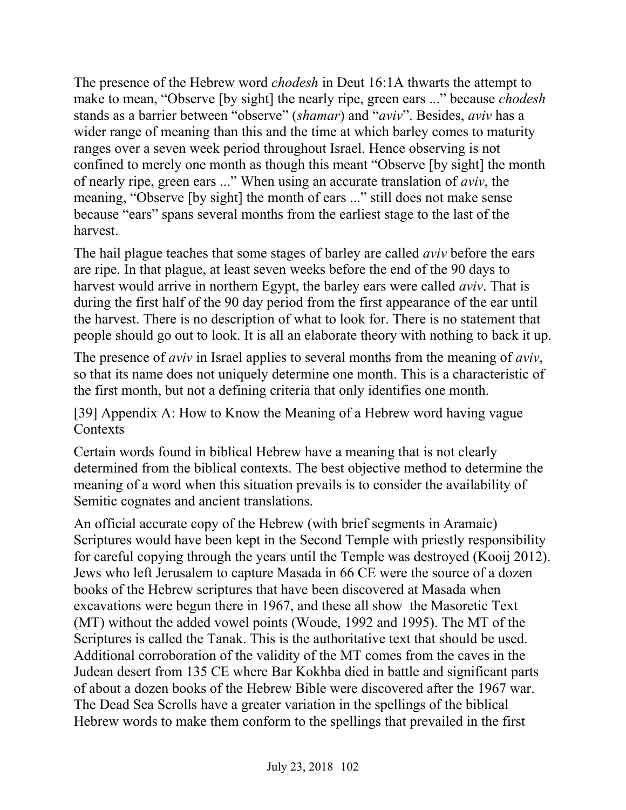The presence of the Hebrew word *chodesh* in Deut 16:1A thwarts the attempt to make to mean, "Observe [by sight] the nearly ripe, green ears ..." because *chodesh* stands as a barrier between "observe" (*shamar*) and "*aviv*". Besides, *aviv* has a wider range of meaning than this and the time at which barley comes to maturity ranges over a seven week period throughout Israel. Hence observing is not confined to merely one month as though this meant "Observe [by sight] the month of nearly ripe, green ears ..." When using an accurate translation of *aviv*, the meaning, "Observe [by sight] the month of ears ..." still does not make sense because "ears" spans several months from the earliest stage to the last of the harvest.

The hail plague teaches that some stages of barley are called *aviv* before the ears are ripe. In that plague, at least seven weeks before the end of the 90 days to harvest would arrive in northern Egypt, the barley ears were called *aviv*. That is during the first half of the 90 day period from the first appearance of the ear until the harvest. There is no description of what to look for. There is no statement that people should go out to look. It is all an elaborate theory with nothing to back it up.

The presence of *aviv* in Israel applies to several months from the meaning of *aviv*, so that its name does not uniquely determine one month. This is a characteristic of the first month, but not a defining criteria that only identifies one month.

#### [39] Appendix A: How to Know the Meaning of a Hebrew word having vague **Contexts**

Certain words found in biblical Hebrew have a meaning that is not clearly determined from the biblical contexts. The best objective method to determine the meaning of a word when this situation prevails is to consider the availability of Semitic cognates and ancient translations.

An official accurate copy of the Hebrew (with brief segments in Aramaic) Scriptures would have been kept in the Second Temple with priestly responsibility for careful copying through the years until the Temple was destroyed (Kooij 2012). Jews who left Jerusalem to capture Masada in 66 CE were the source of a dozen books of the Hebrew scriptures that have been discovered at Masada when excavations were begun there in 1967, and these all show the Masoretic Text (MT) without the added vowel points (Woude, 1992 and 1995). The MT of the Scriptures is called the Tanak. This is the authoritative text that should be used. Additional corroboration of the validity of the MT comes from the caves in the Judean desert from 135 CE where Bar Kokhba died in battle and significant parts of about a dozen books of the Hebrew Bible were discovered after the 1967 war. The Dead Sea Scrolls have a greater variation in the spellings of the biblical Hebrew words to make them conform to the spellings that prevailed in the first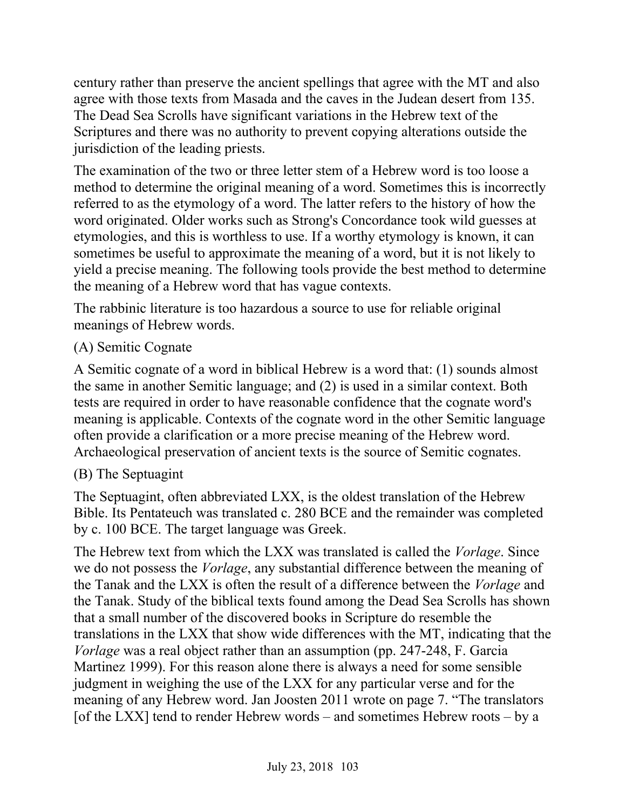century rather than preserve the ancient spellings that agree with the MT and also agree with those texts from Masada and the caves in the Judean desert from 135. The Dead Sea Scrolls have significant variations in the Hebrew text of the Scriptures and there was no authority to prevent copying alterations outside the jurisdiction of the leading priests.

The examination of the two or three letter stem of a Hebrew word is too loose a method to determine the original meaning of a word. Sometimes this is incorrectly referred to as the etymology of a word. The latter refers to the history of how the word originated. Older works such as Strong's Concordance took wild guesses at etymologies, and this is worthless to use. If a worthy etymology is known, it can sometimes be useful to approximate the meaning of a word, but it is not likely to yield a precise meaning. The following tools provide the best method to determine the meaning of a Hebrew word that has vague contexts.

The rabbinic literature is too hazardous a source to use for reliable original meanings of Hebrew words.

## (A) Semitic Cognate

A Semitic cognate of a word in biblical Hebrew is a word that: (1) sounds almost the same in another Semitic language; and (2) is used in a similar context. Both tests are required in order to have reasonable confidence that the cognate word's meaning is applicable. Contexts of the cognate word in the other Semitic language often provide a clarification or a more precise meaning of the Hebrew word. Archaeological preservation of ancient texts is the source of Semitic cognates.

# (B) The Septuagint

The Septuagint, often abbreviated LXX, is the oldest translation of the Hebrew Bible. Its Pentateuch was translated c. 280 BCE and the remainder was completed by c. 100 BCE. The target language was Greek.

The Hebrew text from which the LXX was translated is called the *Vorlage*. Since we do not possess the *Vorlage*, any substantial difference between the meaning of the Tanak and the LXX is often the result of a difference between the *Vorlage* and the Tanak. Study of the biblical texts found among the Dead Sea Scrolls has shown that a small number of the discovered books in Scripture do resemble the translations in the LXX that show wide differences with the MT, indicating that the *Vorlage* was a real object rather than an assumption (pp. 247-248, F. Garcia Martinez 1999). For this reason alone there is always a need for some sensible judgment in weighing the use of the LXX for any particular verse and for the meaning of any Hebrew word. Jan Joosten 2011 wrote on page 7. "The translators [of the LXX] tend to render Hebrew words – and sometimes Hebrew roots – by a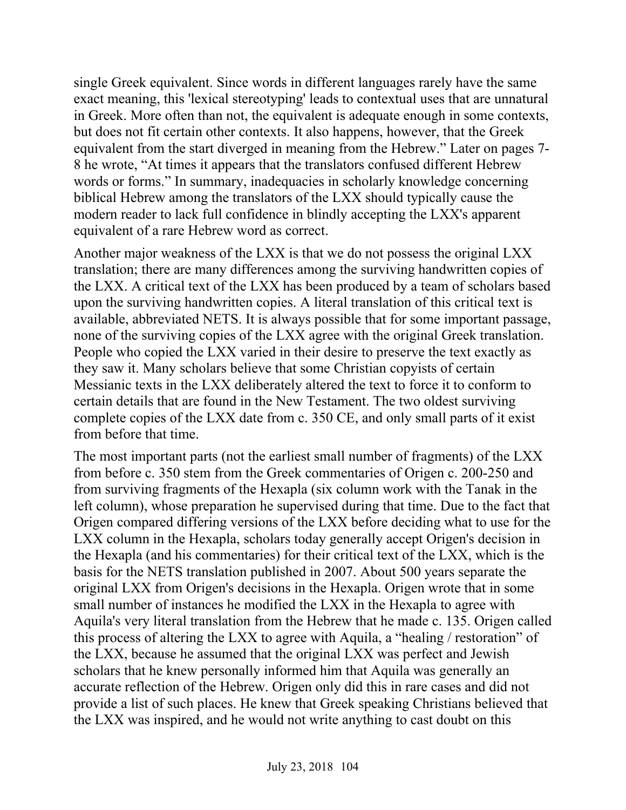single Greek equivalent. Since words in different languages rarely have the same exact meaning, this 'lexical stereotyping' leads to contextual uses that are unnatural in Greek. More often than not, the equivalent is adequate enough in some contexts, but does not fit certain other contexts. It also happens, however, that the Greek equivalent from the start diverged in meaning from the Hebrew." Later on pages 7- 8 he wrote, "At times it appears that the translators confused different Hebrew words or forms." In summary, inadequacies in scholarly knowledge concerning biblical Hebrew among the translators of the LXX should typically cause the modern reader to lack full confidence in blindly accepting the LXX's apparent equivalent of a rare Hebrew word as correct.

Another major weakness of the LXX is that we do not possess the original LXX translation; there are many differences among the surviving handwritten copies of the LXX. A critical text of the LXX has been produced by a team of scholars based upon the surviving handwritten copies. A literal translation of this critical text is available, abbreviated NETS. It is always possible that for some important passage, none of the surviving copies of the LXX agree with the original Greek translation. People who copied the LXX varied in their desire to preserve the text exactly as they saw it. Many scholars believe that some Christian copyists of certain Messianic texts in the LXX deliberately altered the text to force it to conform to certain details that are found in the New Testament. The two oldest surviving complete copies of the LXX date from c. 350 CE, and only small parts of it exist from before that time.

The most important parts (not the earliest small number of fragments) of the LXX from before c. 350 stem from the Greek commentaries of Origen c. 200-250 and from surviving fragments of the Hexapla (six column work with the Tanak in the left column), whose preparation he supervised during that time. Due to the fact that Origen compared differing versions of the LXX before deciding what to use for the LXX column in the Hexapla, scholars today generally accept Origen's decision in the Hexapla (and his commentaries) for their critical text of the LXX, which is the basis for the NETS translation published in 2007. About 500 years separate the original LXX from Origen's decisions in the Hexapla. Origen wrote that in some small number of instances he modified the LXX in the Hexapla to agree with Aquila's very literal translation from the Hebrew that he made c. 135. Origen called this process of altering the LXX to agree with Aquila, a "healing / restoration" of the LXX, because he assumed that the original LXX was perfect and Jewish scholars that he knew personally informed him that Aquila was generally an accurate reflection of the Hebrew. Origen only did this in rare cases and did not provide a list of such places. He knew that Greek speaking Christians believed that the LXX was inspired, and he would not write anything to cast doubt on this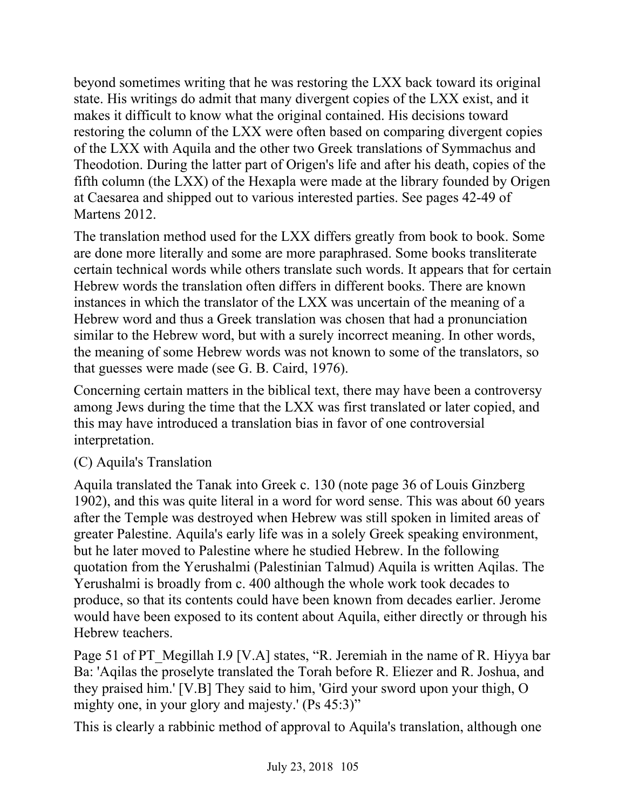beyond sometimes writing that he was restoring the LXX back toward its original state. His writings do admit that many divergent copies of the LXX exist, and it makes it difficult to know what the original contained. His decisions toward restoring the column of the LXX were often based on comparing divergent copies of the LXX with Aquila and the other two Greek translations of Symmachus and Theodotion. During the latter part of Origen's life and after his death, copies of the fifth column (the LXX) of the Hexapla were made at the library founded by Origen at Caesarea and shipped out to various interested parties. See pages 42-49 of Martens 2012.

The translation method used for the LXX differs greatly from book to book. Some are done more literally and some are more paraphrased. Some books transliterate certain technical words while others translate such words. It appears that for certain Hebrew words the translation often differs in different books. There are known instances in which the translator of the LXX was uncertain of the meaning of a Hebrew word and thus a Greek translation was chosen that had a pronunciation similar to the Hebrew word, but with a surely incorrect meaning. In other words, the meaning of some Hebrew words was not known to some of the translators, so that guesses were made (see G. B. Caird, 1976).

Concerning certain matters in the biblical text, there may have been a controversy among Jews during the time that the LXX was first translated or later copied, and this may have introduced a translation bias in favor of one controversial interpretation.

### (C) Aquila's Translation

Aquila translated the Tanak into Greek c. 130 (note page 36 of Louis Ginzberg 1902), and this was quite literal in a word for word sense. This was about 60 years after the Temple was destroyed when Hebrew was still spoken in limited areas of greater Palestine. Aquila's early life was in a solely Greek speaking environment, but he later moved to Palestine where he studied Hebrew. In the following quotation from the Yerushalmi (Palestinian Talmud) Aquila is written Aqilas. The Yerushalmi is broadly from c. 400 although the whole work took decades to produce, so that its contents could have been known from decades earlier. Jerome would have been exposed to its content about Aquila, either directly or through his Hebrew teachers.

Page 51 of PT Megillah I.9 [V.A] states, "R. Jeremiah in the name of R. Hiyya bar Ba: 'Aqilas the proselyte translated the Torah before R. Eliezer and R. Joshua, and they praised him.' [V.B] They said to him, 'Gird your sword upon your thigh, O mighty one, in your glory and majesty.' (Ps 45:3)"

This is clearly a rabbinic method of approval to Aquila's translation, although one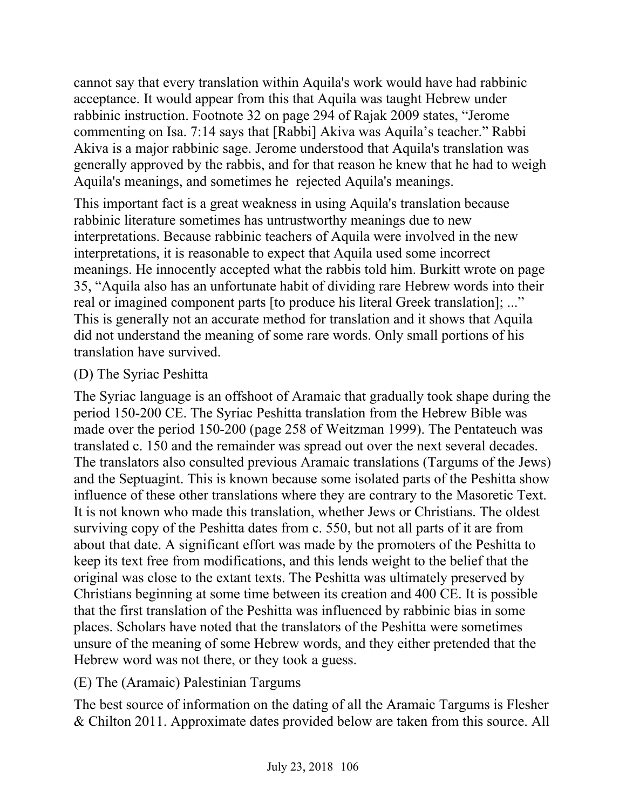cannot say that every translation within Aquila's work would have had rabbinic acceptance. It would appear from this that Aquila was taught Hebrew under rabbinic instruction. Footnote 32 on page 294 of Rajak 2009 states, "Jerome commenting on Isa. 7:14 says that [Rabbi] Akiva was Aquila's teacher." Rabbi Akiva is a major rabbinic sage. Jerome understood that Aquila's translation was generally approved by the rabbis, and for that reason he knew that he had to weigh Aquila's meanings, and sometimes he rejected Aquila's meanings.

This important fact is a great weakness in using Aquila's translation because rabbinic literature sometimes has untrustworthy meanings due to new interpretations. Because rabbinic teachers of Aquila were involved in the new interpretations, it is reasonable to expect that Aquila used some incorrect meanings. He innocently accepted what the rabbis told him. Burkitt wrote on page 35, "Aquila also has an unfortunate habit of dividing rare Hebrew words into their real or imagined component parts [to produce his literal Greek translation]; ..." This is generally not an accurate method for translation and it shows that Aquila did not understand the meaning of some rare words. Only small portions of his translation have survived.

#### (D) The Syriac Peshitta

The Syriac language is an offshoot of Aramaic that gradually took shape during the period 150-200 CE. The Syriac Peshitta translation from the Hebrew Bible was made over the period 150-200 (page 258 of Weitzman 1999). The Pentateuch was translated c. 150 and the remainder was spread out over the next several decades. The translators also consulted previous Aramaic translations (Targums of the Jews) and the Septuagint. This is known because some isolated parts of the Peshitta show influence of these other translations where they are contrary to the Masoretic Text. It is not known who made this translation, whether Jews or Christians. The oldest surviving copy of the Peshitta dates from c. 550, but not all parts of it are from about that date. A significant effort was made by the promoters of the Peshitta to keep its text free from modifications, and this lends weight to the belief that the original was close to the extant texts. The Peshitta was ultimately preserved by Christians beginning at some time between its creation and 400 CE. It is possible that the first translation of the Peshitta was influenced by rabbinic bias in some places. Scholars have noted that the translators of the Peshitta were sometimes unsure of the meaning of some Hebrew words, and they either pretended that the Hebrew word was not there, or they took a guess.

### (E) The (Aramaic) Palestinian Targums

The best source of information on the dating of all the Aramaic Targums is Flesher & Chilton 2011. Approximate dates provided below are taken from this source. All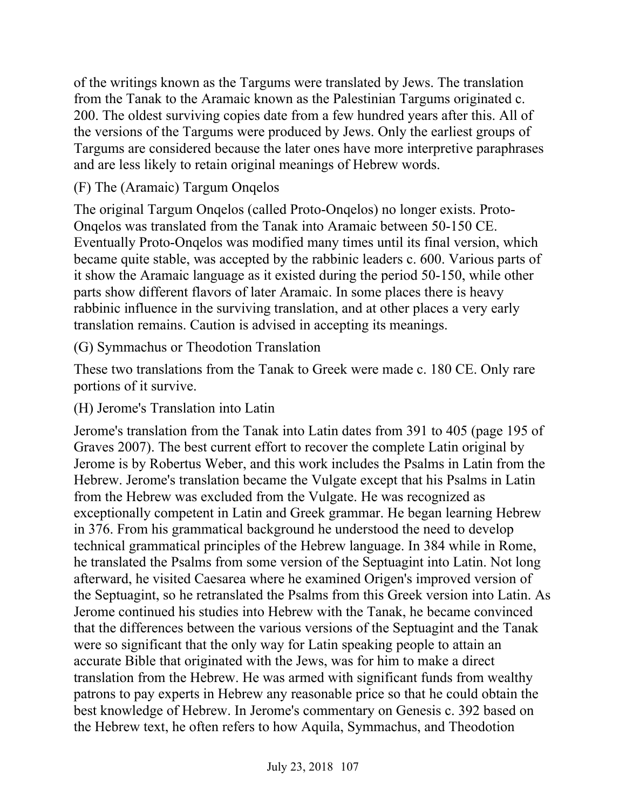of the writings known as the Targums were translated by Jews. The translation from the Tanak to the Aramaic known as the Palestinian Targums originated c. 200. The oldest surviving copies date from a few hundred years after this. All of the versions of the Targums were produced by Jews. Only the earliest groups of Targums are considered because the later ones have more interpretive paraphrases and are less likely to retain original meanings of Hebrew words.

## (F) The (Aramaic) Targum Onqelos

The original Targum Onqelos (called Proto-Onqelos) no longer exists. Proto-Onqelos was translated from the Tanak into Aramaic between 50-150 CE. Eventually Proto-Onqelos was modified many times until its final version, which became quite stable, was accepted by the rabbinic leaders c. 600. Various parts of it show the Aramaic language as it existed during the period 50-150, while other parts show different flavors of later Aramaic. In some places there is heavy rabbinic influence in the surviving translation, and at other places a very early translation remains. Caution is advised in accepting its meanings.

## (G) Symmachus or Theodotion Translation

These two translations from the Tanak to Greek were made c. 180 CE. Only rare portions of it survive.

### (H) Jerome's Translation into Latin

Jerome's translation from the Tanak into Latin dates from 391 to 405 (page 195 of Graves 2007). The best current effort to recover the complete Latin original by Jerome is by Robertus Weber, and this work includes the Psalms in Latin from the Hebrew. Jerome's translation became the Vulgate except that his Psalms in Latin from the Hebrew was excluded from the Vulgate. He was recognized as exceptionally competent in Latin and Greek grammar. He began learning Hebrew in 376. From his grammatical background he understood the need to develop technical grammatical principles of the Hebrew language. In 384 while in Rome, he translated the Psalms from some version of the Septuagint into Latin. Not long afterward, he visited Caesarea where he examined Origen's improved version of the Septuagint, so he retranslated the Psalms from this Greek version into Latin. As Jerome continued his studies into Hebrew with the Tanak, he became convinced that the differences between the various versions of the Septuagint and the Tanak were so significant that the only way for Latin speaking people to attain an accurate Bible that originated with the Jews, was for him to make a direct translation from the Hebrew. He was armed with significant funds from wealthy patrons to pay experts in Hebrew any reasonable price so that he could obtain the best knowledge of Hebrew. In Jerome's commentary on Genesis c. 392 based on the Hebrew text, he often refers to how Aquila, Symmachus, and Theodotion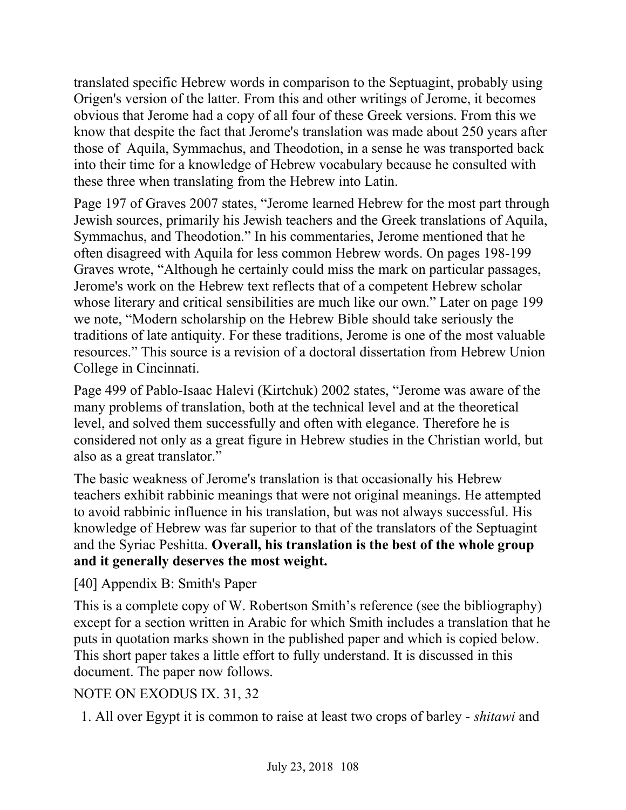translated specific Hebrew words in comparison to the Septuagint, probably using Origen's version of the latter. From this and other writings of Jerome, it becomes obvious that Jerome had a copy of all four of these Greek versions. From this we know that despite the fact that Jerome's translation was made about 250 years after those of Aquila, Symmachus, and Theodotion, in a sense he was transported back into their time for a knowledge of Hebrew vocabulary because he consulted with these three when translating from the Hebrew into Latin.

Page 197 of Graves 2007 states, "Jerome learned Hebrew for the most part through Jewish sources, primarily his Jewish teachers and the Greek translations of Aquila, Symmachus, and Theodotion." In his commentaries, Jerome mentioned that he often disagreed with Aquila for less common Hebrew words. On pages 198-199 Graves wrote, "Although he certainly could miss the mark on particular passages, Jerome's work on the Hebrew text reflects that of a competent Hebrew scholar whose literary and critical sensibilities are much like our own." Later on page 199 we note, "Modern scholarship on the Hebrew Bible should take seriously the traditions of late antiquity. For these traditions, Jerome is one of the most valuable resources." This source is a revision of a doctoral dissertation from Hebrew Union College in Cincinnati.

Page 499 of Pablo-Isaac Halevi (Kirtchuk) 2002 states, "Jerome was aware of the many problems of translation, both at the technical level and at the theoretical level, and solved them successfully and often with elegance. Therefore he is considered not only as a great figure in Hebrew studies in the Christian world, but also as a great translator."

The basic weakness of Jerome's translation is that occasionally his Hebrew teachers exhibit rabbinic meanings that were not original meanings. He attempted to avoid rabbinic influence in his translation, but was not always successful. His knowledge of Hebrew was far superior to that of the translators of the Septuagint and the Syriac Peshitta. **Overall, his translation is the best of the whole group and it generally deserves the most weight.**

[40] Appendix B: Smith's Paper

This is a complete copy of W. Robertson Smith's reference (see the bibliography) except for a section written in Arabic for which Smith includes a translation that he puts in quotation marks shown in the published paper and which is copied below. This short paper takes a little effort to fully understand. It is discussed in this document. The paper now follows.

# NOTE ON EXODUS IX. 31, 32

1. All over Egypt it is common to raise at least two crops of barley - *shitawi* and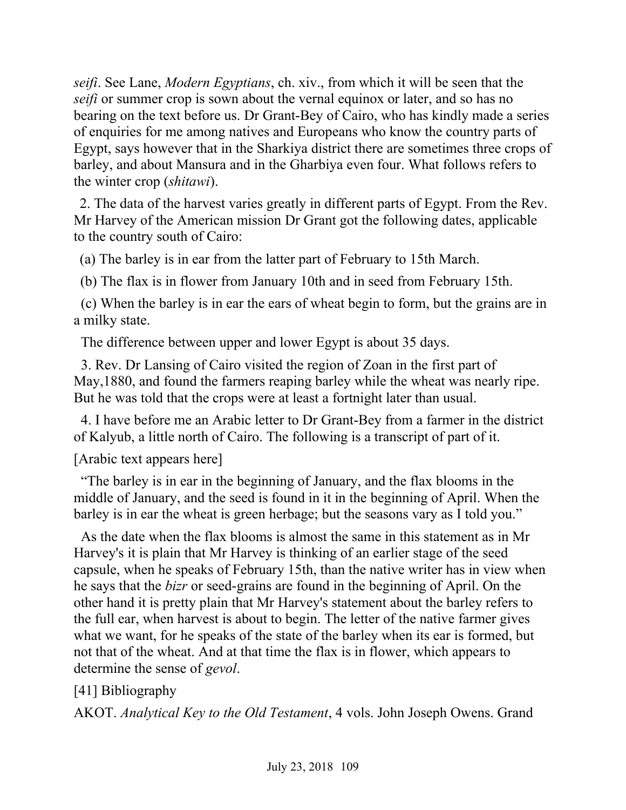*seifi*. See Lane, *Modern Egyptians*, ch. xiv., from which it will be seen that the *seifi* or summer crop is sown about the vernal equinox or later, and so has no bearing on the text before us. Dr Grant-Bey of Cairo, who has kindly made a series of enquiries for me among natives and Europeans who know the country parts of Egypt, says however that in the Sharkiya district there are sometimes three crops of barley, and about Mansura and in the Gharbiya even four. What follows refers to the winter crop (*shitawi*).

 2. The data of the harvest varies greatly in different parts of Egypt. From the Rev. Mr Harvey of the American mission Dr Grant got the following dates, applicable to the country south of Cairo:

(a) The barley is in ear from the latter part of February to 15th March.

(b) The flax is in flower from January 10th and in seed from February 15th.

 (c) When the barley is in ear the ears of wheat begin to form, but the grains are in a milky state.

The difference between upper and lower Egypt is about 35 days.

 3. Rev. Dr Lansing of Cairo visited the region of Zoan in the first part of May,1880, and found the farmers reaping barley while the wheat was nearly ripe. But he was told that the crops were at least a fortnight later than usual.

 4. I have before me an Arabic letter to Dr Grant-Bey from a farmer in the district of Kalyub, a little north of Cairo. The following is a transcript of part of it.

[Arabic text appears here]

 "The barley is in ear in the beginning of January, and the flax blooms in the middle of January, and the seed is found in it in the beginning of April. When the barley is in ear the wheat is green herbage; but the seasons vary as I told you."

 As the date when the flax blooms is almost the same in this statement as in Mr Harvey's it is plain that Mr Harvey is thinking of an earlier stage of the seed capsule, when he speaks of February 15th, than the native writer has in view when he says that the *bizr* or seed-grains are found in the beginning of April. On the other hand it is pretty plain that Mr Harvey's statement about the barley refers to the full ear, when harvest is about to begin. The letter of the native farmer gives what we want, for he speaks of the state of the barley when its ear is formed, but not that of the wheat. And at that time the flax is in flower, which appears to determine the sense of *gevol*.

[41] Bibliography

AKOT. *Analytical Key to the Old Testament*, 4 vols. John Joseph Owens. Grand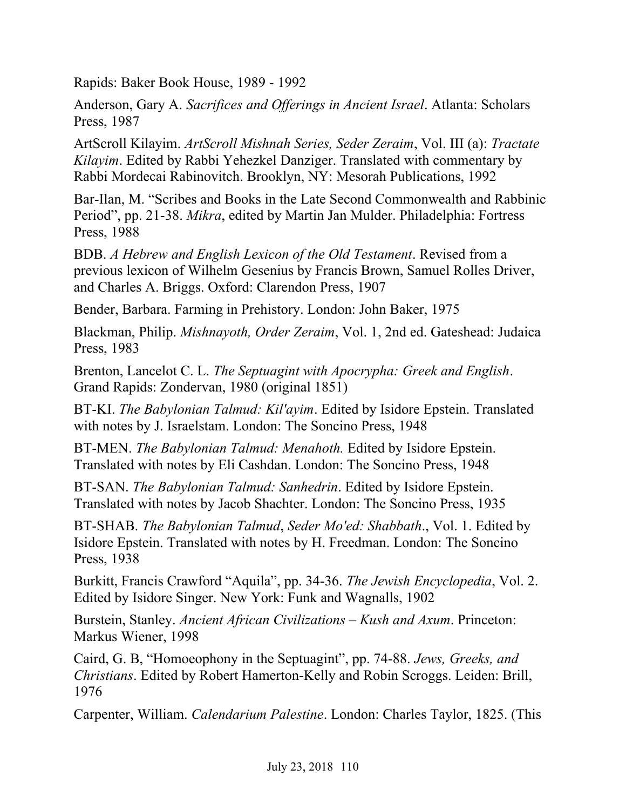Rapids: Baker Book House, 1989 - 1992

Anderson, Gary A. *Sacrifices and Offerings in Ancient Israel*. Atlanta: Scholars Press, 1987

ArtScroll Kilayim. *ArtScroll Mishnah Series, Seder Zeraim*, Vol. III (a): *Tractate Kilayim*. Edited by Rabbi Yehezkel Danziger. Translated with commentary by Rabbi Mordecai Rabinovitch. Brooklyn, NY: Mesorah Publications, 1992

Bar-Ilan, M. "Scribes and Books in the Late Second Commonwealth and Rabbinic Period", pp. 21-38. *Mikra*, edited by Martin Jan Mulder. Philadelphia: Fortress Press, 1988

BDB. *A Hebrew and English Lexicon of the Old Testament*. Revised from a previous lexicon of Wilhelm Gesenius by Francis Brown, Samuel Rolles Driver, and Charles A. Briggs. Oxford: Clarendon Press, 1907

Bender, Barbara. Farming in Prehistory. London: John Baker, 1975

Blackman, Philip. *Mishnayoth, Order Zeraim*, Vol. 1, 2nd ed. Gateshead: Judaica Press, 1983

Brenton, Lancelot C. L. *The Septuagint with Apocrypha: Greek and English*. Grand Rapids: Zondervan, 1980 (original 1851)

BT-KI. *The Babylonian Talmud: Kil'ayim*. Edited by Isidore Epstein. Translated with notes by J. Israelstam. London: The Soncino Press, 1948

BT-MEN. *The Babylonian Talmud: Menahoth.* Edited by Isidore Epstein. Translated with notes by Eli Cashdan. London: The Soncino Press, 1948

BT-SAN. *The Babylonian Talmud: Sanhedrin*. Edited by Isidore Epstein. Translated with notes by Jacob Shachter. London: The Soncino Press, 1935

BT-SHAB. *The Babylonian Talmud*, *Seder Mo'ed: Shabbath*., Vol. 1. Edited by Isidore Epstein. Translated with notes by H. Freedman. London: The Soncino Press, 1938

Burkitt, Francis Crawford "Aquila", pp. 34-36. *The Jewish Encyclopedia*, Vol. 2. Edited by Isidore Singer. New York: Funk and Wagnalls, 1902

Burstein, Stanley. *Ancient African Civilizations – Kush and Axum*. Princeton: Markus Wiener, 1998

Caird, G. B, "Homoeophony in the Septuagint", pp. 74-88. *Jews, Greeks, and Christians*. Edited by Robert Hamerton-Kelly and Robin Scroggs. Leiden: Brill, 1976

Carpenter, William. *Calendarium Palestine*. London: Charles Taylor, 1825. (This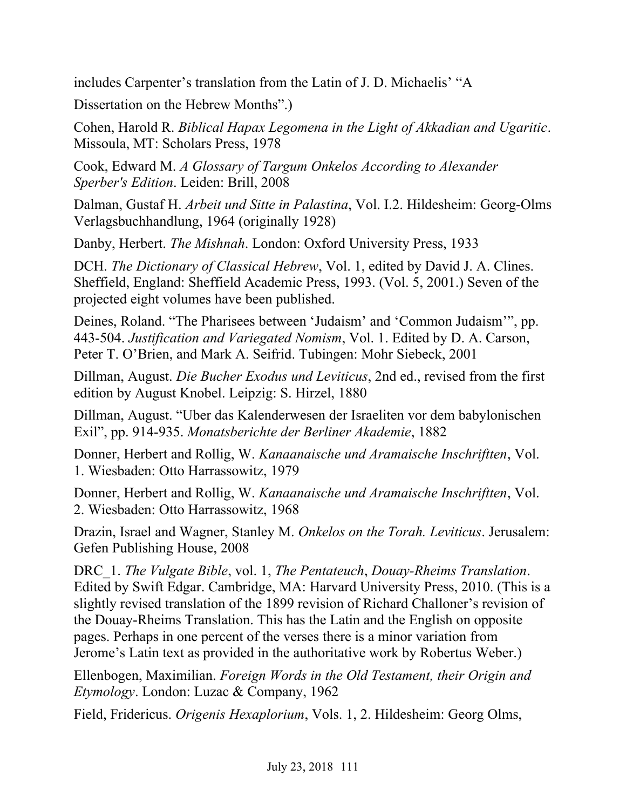includes Carpenter's translation from the Latin of J. D. Michaelis' "A

Dissertation on the Hebrew Months".)

Cohen, Harold R. *Biblical Hapax Legomena in the Light of Akkadian and Ugaritic*. Missoula, MT: Scholars Press, 1978

Cook, Edward M. *A Glossary of Targum Onkelos According to Alexander Sperber's Edition*. Leiden: Brill, 2008

Dalman, Gustaf H. *Arbeit und Sitte in Palastina*, Vol. I.2. Hildesheim: Georg-Olms Verlagsbuchhandlung, 1964 (originally 1928)

Danby, Herbert. *The Mishnah*. London: Oxford University Press, 1933

DCH. *The Dictionary of Classical Hebrew*, Vol. 1, edited by David J. A. Clines. Sheffield, England: Sheffield Academic Press, 1993. (Vol. 5, 2001.) Seven of the projected eight volumes have been published.

Deines, Roland. "The Pharisees between 'Judaism' and 'Common Judaism'", pp. 443-504. *Justification and Variegated Nomism*, Vol. 1. Edited by D. A. Carson, Peter T. O'Brien, and Mark A. Seifrid. Tubingen: Mohr Siebeck, 2001

Dillman, August. *Die Bucher Exodus und Leviticus*, 2nd ed., revised from the first edition by August Knobel. Leipzig: S. Hirzel, 1880

Dillman, August. "Uber das Kalenderwesen der Israeliten vor dem babylonischen Exil", pp. 914-935. *Monatsberichte der Berliner Akademie*, 1882

Donner, Herbert and Rollig, W. *Kanaanaische und Aramaische Inschriftten*, Vol. 1. Wiesbaden: Otto Harrassowitz, 1979

Donner, Herbert and Rollig, W. *Kanaanaische und Aramaische Inschriftten*, Vol. 2. Wiesbaden: Otto Harrassowitz, 1968

Drazin, Israel and Wagner, Stanley M. *Onkelos on the Torah. Leviticus*. Jerusalem: Gefen Publishing House, 2008

DRC\_1. *The Vulgate Bible*, vol. 1, *The Pentateuch*, *Douay-Rheims Translation*. Edited by Swift Edgar. Cambridge, MA: Harvard University Press, 2010. (This is a slightly revised translation of the 1899 revision of Richard Challoner's revision of the Douay-Rheims Translation. This has the Latin and the English on opposite pages. Perhaps in one percent of the verses there is a minor variation from Jerome's Latin text as provided in the authoritative work by Robertus Weber.)

Ellenbogen, Maximilian. *Foreign Words in the Old Testament, their Origin and Etymology*. London: Luzac & Company, 1962

Field, Fridericus. *Origenis Hexaplorium*, Vols. 1, 2. Hildesheim: Georg Olms,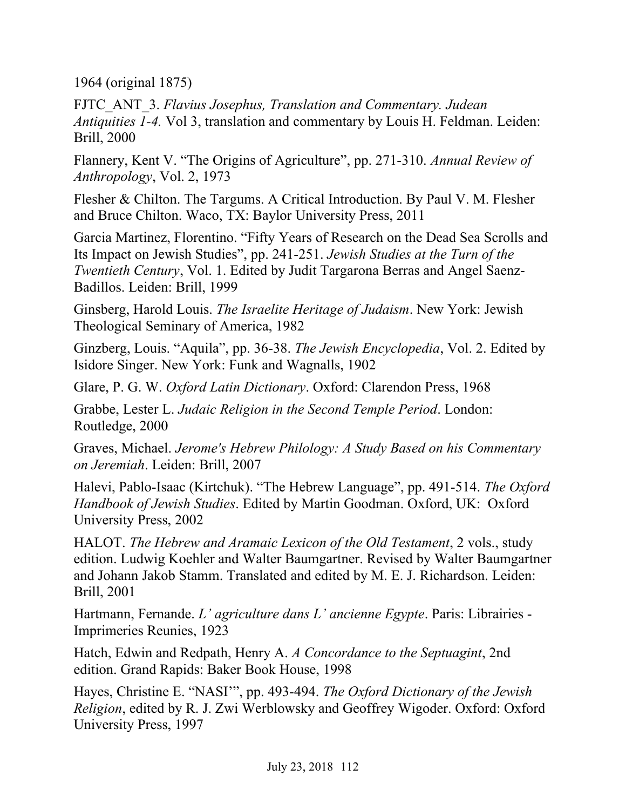1964 (original 1875)

FJTC\_ANT\_3. *Flavius Josephus, Translation and Commentary. Judean Antiquities 1-4.* Vol 3, translation and commentary by Louis H. Feldman. Leiden: Brill, 2000

Flannery, Kent V. "The Origins of Agriculture", pp. 271-310. *Annual Review of Anthropology*, Vol. 2, 1973

Flesher & Chilton. The Targums. A Critical Introduction. By Paul V. M. Flesher and Bruce Chilton. Waco, TX: Baylor University Press, 2011

Garcia Martinez, Florentino. "Fifty Years of Research on the Dead Sea Scrolls and Its Impact on Jewish Studies", pp. 241-251. *Jewish Studies at the Turn of the Twentieth Century*, Vol. 1. Edited by Judit Targarona Berras and Angel Saenz-Badillos. Leiden: Brill, 1999

Ginsberg, Harold Louis. *The Israelite Heritage of Judaism*. New York: Jewish Theological Seminary of America, 1982

Ginzberg, Louis. "Aquila", pp. 36-38. *The Jewish Encyclopedia*, Vol. 2. Edited by Isidore Singer. New York: Funk and Wagnalls, 1902

Glare, P. G. W. *Oxford Latin Dictionary*. Oxford: Clarendon Press, 1968

Grabbe, Lester L. *Judaic Religion in the Second Temple Period*. London: Routledge, 2000

Graves, Michael. *Jerome's Hebrew Philology: A Study Based on his Commentary on Jeremiah*. Leiden: Brill, 2007

Halevi, Pablo-Isaac (Kirtchuk). "The Hebrew Language", pp. 491-514. *The Oxford Handbook of Jewish Studies*. Edited by Martin Goodman. Oxford, UK: Oxford University Press, 2002

HALOT. *The Hebrew and Aramaic Lexicon of the Old Testament*, 2 vols., study edition. Ludwig Koehler and Walter Baumgartner. Revised by Walter Baumgartner and Johann Jakob Stamm. Translated and edited by M. E. J. Richardson. Leiden: Brill, 2001

Hartmann, Fernande. *L' agriculture dans L' ancienne Egypte*. Paris: Librairies - Imprimeries Reunies, 1923

Hatch, Edwin and Redpath, Henry A. *A Concordance to the Septuagint*, 2nd edition. Grand Rapids: Baker Book House, 1998

Hayes, Christine E. "NASI'", pp. 493-494. *The Oxford Dictionary of the Jewish Religion*, edited by R. J. Zwi Werblowsky and Geoffrey Wigoder. Oxford: Oxford University Press, 1997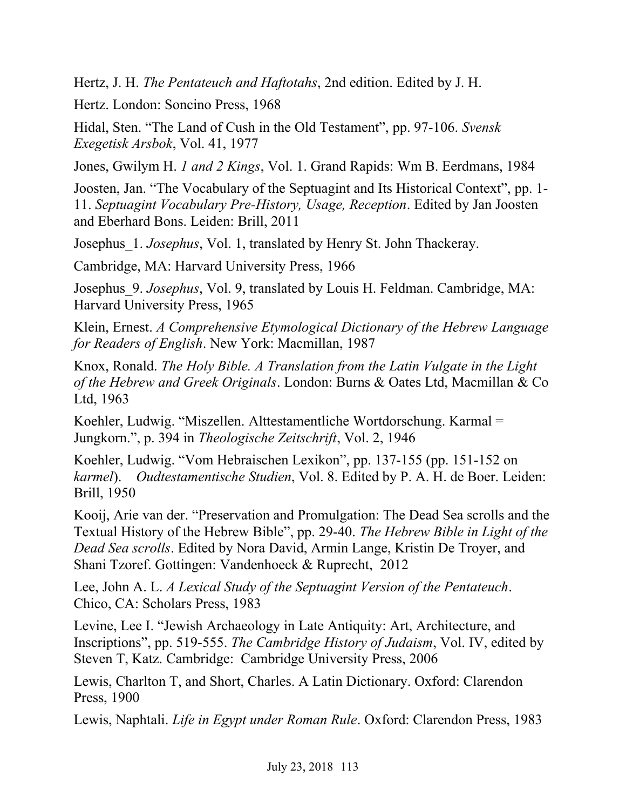Hertz, J. H. *The Pentateuch and Haftotahs*, 2nd edition. Edited by J. H.

Hertz. London: Soncino Press, 1968

Hidal, Sten. "The Land of Cush in the Old Testament", pp. 97-106. *Svensk Exegetisk Arsbok*, Vol. 41, 1977

Jones, Gwilym H. *1 and 2 Kings*, Vol. 1. Grand Rapids: Wm B. Eerdmans, 1984

Joosten, Jan. "The Vocabulary of the Septuagint and Its Historical Context", pp. 1- 11. *Septuagint Vocabulary Pre-History, Usage, Reception*. Edited by Jan Joosten and Eberhard Bons. Leiden: Brill, 2011

Josephus\_1. *Josephus*, Vol. 1, translated by Henry St. John Thackeray.

Cambridge, MA: Harvard University Press, 1966

Josephus\_9. *Josephus*, Vol. 9, translated by Louis H. Feldman. Cambridge, MA: Harvard University Press, 1965

Klein, Ernest. *A Comprehensive Etymological Dictionary of the Hebrew Language for Readers of English*. New York: Macmillan, 1987

Knox, Ronald. *The Holy Bible. A Translation from the Latin Vulgate in the Light of the Hebrew and Greek Originals*. London: Burns & Oates Ltd, Macmillan & Co Ltd, 1963

Koehler, Ludwig. "Miszellen. Alttestamentliche Wortdorschung. Karmal = Jungkorn.", p. 394 in *Theologische Zeitschrift*, Vol. 2, 1946

Koehler, Ludwig. "Vom Hebraischen Lexikon", pp. 137-155 (pp. 151-152 on *karmel*). *Oudtestamentische Studien*, Vol. 8. Edited by P. A. H. de Boer. Leiden: Brill, 1950

Kooij, Arie van der. "Preservation and Promulgation: The Dead Sea scrolls and the Textual History of the Hebrew Bible", pp. 29-40. *The Hebrew Bible in Light of the Dead Sea scrolls*. Edited by Nora David, Armin Lange, Kristin De Troyer, and Shani Tzoref. Gottingen: Vandenhoeck & Ruprecht, 2012

Lee, John A. L. *A Lexical Study of the Septuagint Version of the Pentateuch*. Chico, CA: Scholars Press, 1983

Levine, Lee I. "Jewish Archaeology in Late Antiquity: Art, Architecture, and Inscriptions", pp. 519-555. *The Cambridge History of Judaism*, Vol. IV, edited by Steven T, Katz. Cambridge: Cambridge University Press, 2006

Lewis, Charlton T, and Short, Charles. A Latin Dictionary. Oxford: Clarendon Press, 1900

Lewis, Naphtali. *Life in Egypt under Roman Rule*. Oxford: Clarendon Press, 1983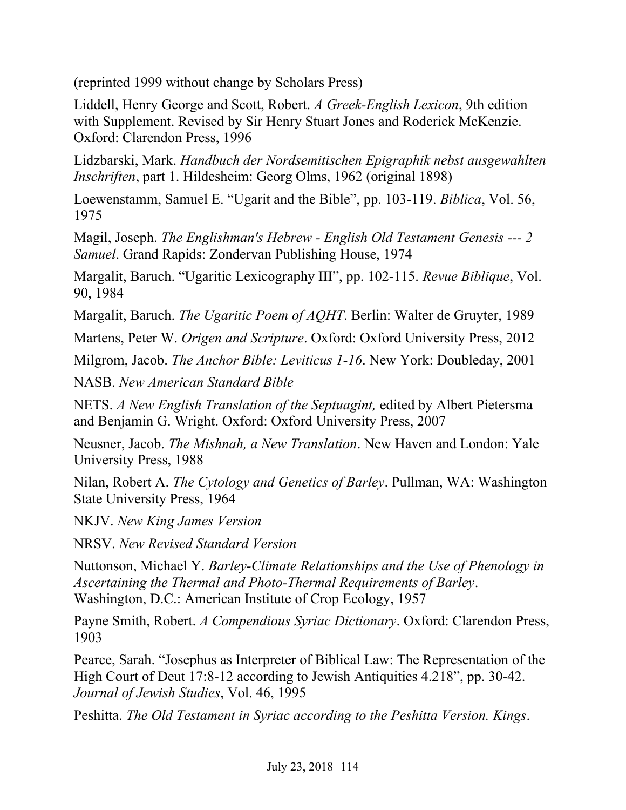(reprinted 1999 without change by Scholars Press)

Liddell, Henry George and Scott, Robert. *A Greek-English Lexicon*, 9th edition with Supplement. Revised by Sir Henry Stuart Jones and Roderick McKenzie. Oxford: Clarendon Press, 1996

Lidzbarski, Mark. *Handbuch der Nordsemitischen Epigraphik nebst ausgewahlten Inschriften*, part 1. Hildesheim: Georg Olms, 1962 (original 1898)

Loewenstamm, Samuel E. "Ugarit and the Bible", pp. 103-119. *Biblica*, Vol. 56, 1975

Magil, Joseph. *The Englishman's Hebrew - English Old Testament Genesis --- 2 Samuel*. Grand Rapids: Zondervan Publishing House, 1974

Margalit, Baruch. "Ugaritic Lexicography III", pp. 102-115. *Revue Biblique*, Vol. 90, 1984

Margalit, Baruch. *The Ugaritic Poem of AQHT*. Berlin: Walter de Gruyter, 1989

Martens, Peter W. *Origen and Scripture*. Oxford: Oxford University Press, 2012

Milgrom, Jacob. *The Anchor Bible: Leviticus 1-16*. New York: Doubleday, 2001

NASB. *New American Standard Bible*

NETS. *A New English Translation of the Septuagint,* edited by Albert Pietersma and Benjamin G. Wright. Oxford: Oxford University Press, 2007

Neusner, Jacob. *The Mishnah, a New Translation*. New Haven and London: Yale University Press, 1988

Nilan, Robert A. *The Cytology and Genetics of Barley*. Pullman, WA: Washington State University Press, 1964

NKJV. *New King James Version*

NRSV. *New Revised Standard Version*

Nuttonson, Michael Y. *Barley-Climate Relationships and the Use of Phenology in Ascertaining the Thermal and Photo-Thermal Requirements of Barley*. Washington, D.C.: American Institute of Crop Ecology, 1957

Payne Smith, Robert. *A Compendious Syriac Dictionary*. Oxford: Clarendon Press, 1903

Pearce, Sarah. "Josephus as Interpreter of Biblical Law: The Representation of the High Court of Deut 17:8-12 according to Jewish Antiquities 4.218", pp. 30-42. *Journal of Jewish Studies*, Vol. 46, 1995

Peshitta. *The Old Testament in Syriac according to the Peshitta Version. Kings*.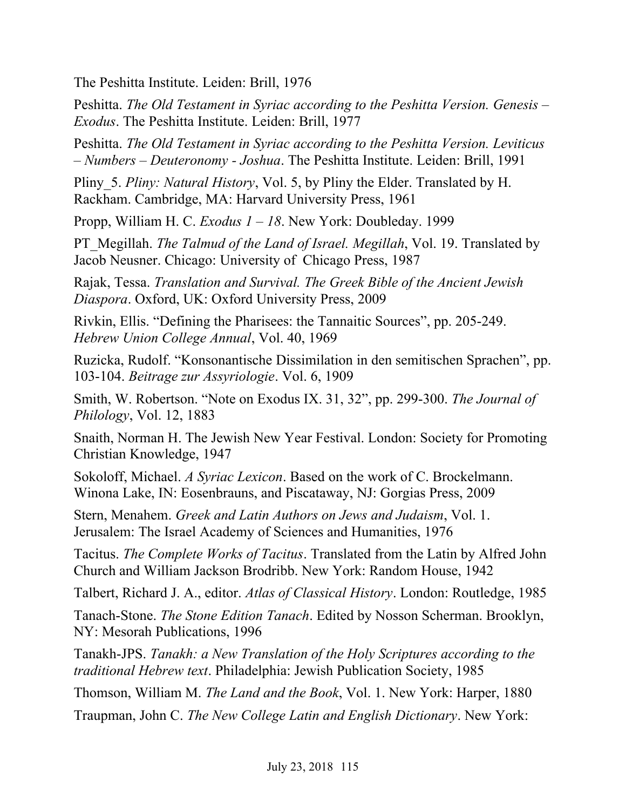The Peshitta Institute. Leiden: Brill, 1976

Peshitta. *The Old Testament in Syriac according to the Peshitta Version. Genesis – Exodus*. The Peshitta Institute. Leiden: Brill, 1977

Peshitta. *The Old Testament in Syriac according to the Peshitta Version. Leviticus – Numbers – Deuteronomy - Joshua*. The Peshitta Institute. Leiden: Brill, 1991

Pliny\_5. *Pliny: Natural History*, Vol. 5, by Pliny the Elder. Translated by H. Rackham. Cambridge, MA: Harvard University Press, 1961

Propp, William H. C. *Exodus 1 – 18*. New York: Doubleday. 1999

PT\_Megillah. *The Talmud of the Land of Israel. Megillah*, Vol. 19. Translated by Jacob Neusner. Chicago: University of Chicago Press, 1987

Rajak, Tessa. *Translation and Survival. The Greek Bible of the Ancient Jewish Diaspora*. Oxford, UK: Oxford University Press, 2009

Rivkin, Ellis. "Defining the Pharisees: the Tannaitic Sources", pp. 205-249. *Hebrew Union College Annual*, Vol. 40, 1969

Ruzicka, Rudolf. "Konsonantische Dissimilation in den semitischen Sprachen", pp. 103-104. *Beitrage zur Assyriologie*. Vol. 6, 1909

Smith, W. Robertson. "Note on Exodus IX. 31, 32", pp. 299-300. *The Journal of Philology*, Vol. 12, 1883

Snaith, Norman H. The Jewish New Year Festival. London: Society for Promoting Christian Knowledge, 1947

Sokoloff, Michael. *A Syriac Lexicon*. Based on the work of C. Brockelmann. Winona Lake, IN: Eosenbrauns, and Piscataway, NJ: Gorgias Press, 2009

Stern, Menahem. *Greek and Latin Authors on Jews and Judaism*, Vol. 1. Jerusalem: The Israel Academy of Sciences and Humanities, 1976

Tacitus. *The Complete Works of Tacitus*. Translated from the Latin by Alfred John Church and William Jackson Brodribb. New York: Random House, 1942

Talbert, Richard J. A., editor. *Atlas of Classical History*. London: Routledge, 1985

Tanach-Stone. *The Stone Edition Tanach*. Edited by Nosson Scherman. Brooklyn, NY: Mesorah Publications, 1996

Tanakh-JPS. *Tanakh: a New Translation of the Holy Scriptures according to the traditional Hebrew text*. Philadelphia: Jewish Publication Society, 1985

Thomson, William M. *The Land and the Book*, Vol. 1. New York: Harper, 1880

Traupman, John C. *The New College Latin and English Dictionary*. New York: